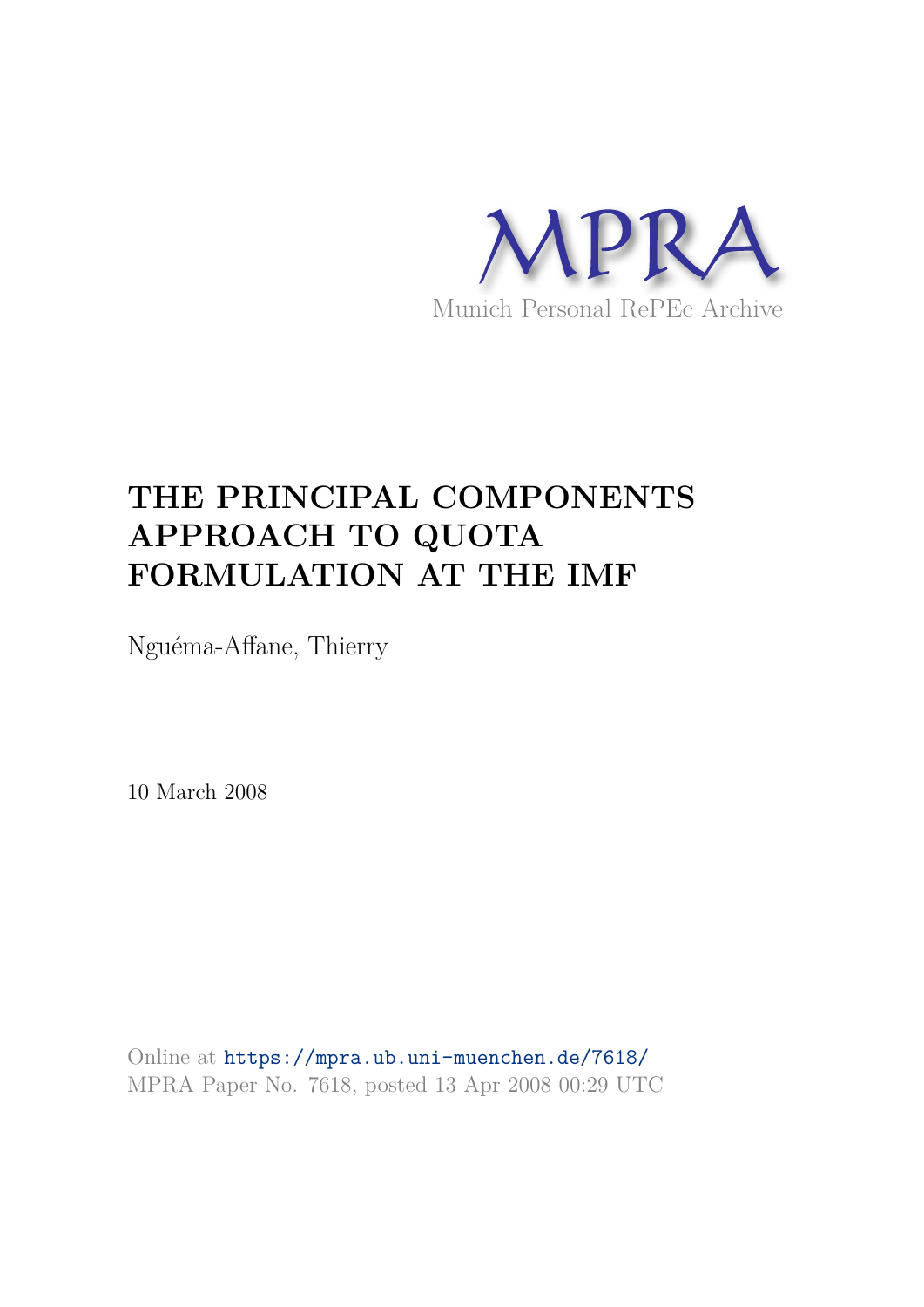

# **THE PRINCIPAL COMPONENTS APPROACH TO QUOTA FORMULATION AT THE IMF**

Nguéma-Affane, Thierry

10 March 2008

Online at https://mpra.ub.uni-muenchen.de/7618/ MPRA Paper No. 7618, posted 13 Apr 2008 00:29 UTC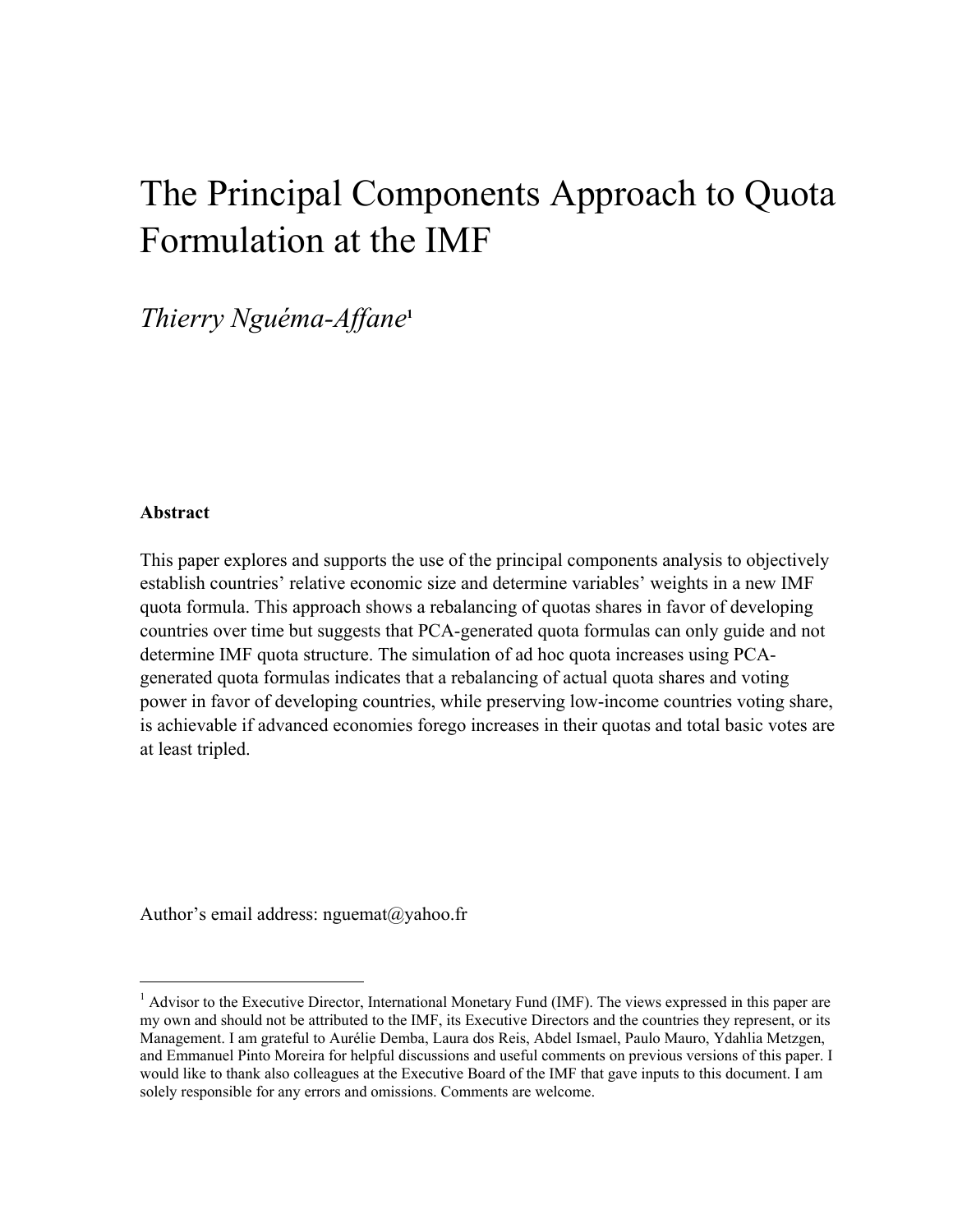# The Principal Components Approach to Quota Formulation at the IMF

# *Thierry Nguéma-Affane***<sup>1</sup>**

### **Abstract**

 $\overline{a}$ 

This paper explores and supports the use of the principal components analysis to objectively establish countries' relative economic size and determine variables' weights in a new IMF quota formula. This approach shows a rebalancing of quotas shares in favor of developing countries over time but suggests that PCA-generated quota formulas can only guide and not determine IMF quota structure. The simulation of ad hoc quota increases using PCAgenerated quota formulas indicates that a rebalancing of actual quota shares and voting power in favor of developing countries, while preserving low-income countries voting share, is achievable if advanced economies forego increases in their quotas and total basic votes are at least tripled.

Author's email address: nguemat@yahoo.fr

<sup>&</sup>lt;sup>1</sup> Advisor to the Executive Director, International Monetary Fund (IMF). The views expressed in this paper are my own and should not be attributed to the IMF, its Executive Directors and the countries they represent, or its Management. I am grateful to Aurélie Demba, Laura dos Reis, Abdel Ismael, Paulo Mauro, Ydahlia Metzgen, and Emmanuel Pinto Moreira for helpful discussions and useful comments on previous versions of this paper. I would like to thank also colleagues at the Executive Board of the IMF that gave inputs to this document. I am solely responsible for any errors and omissions. Comments are welcome.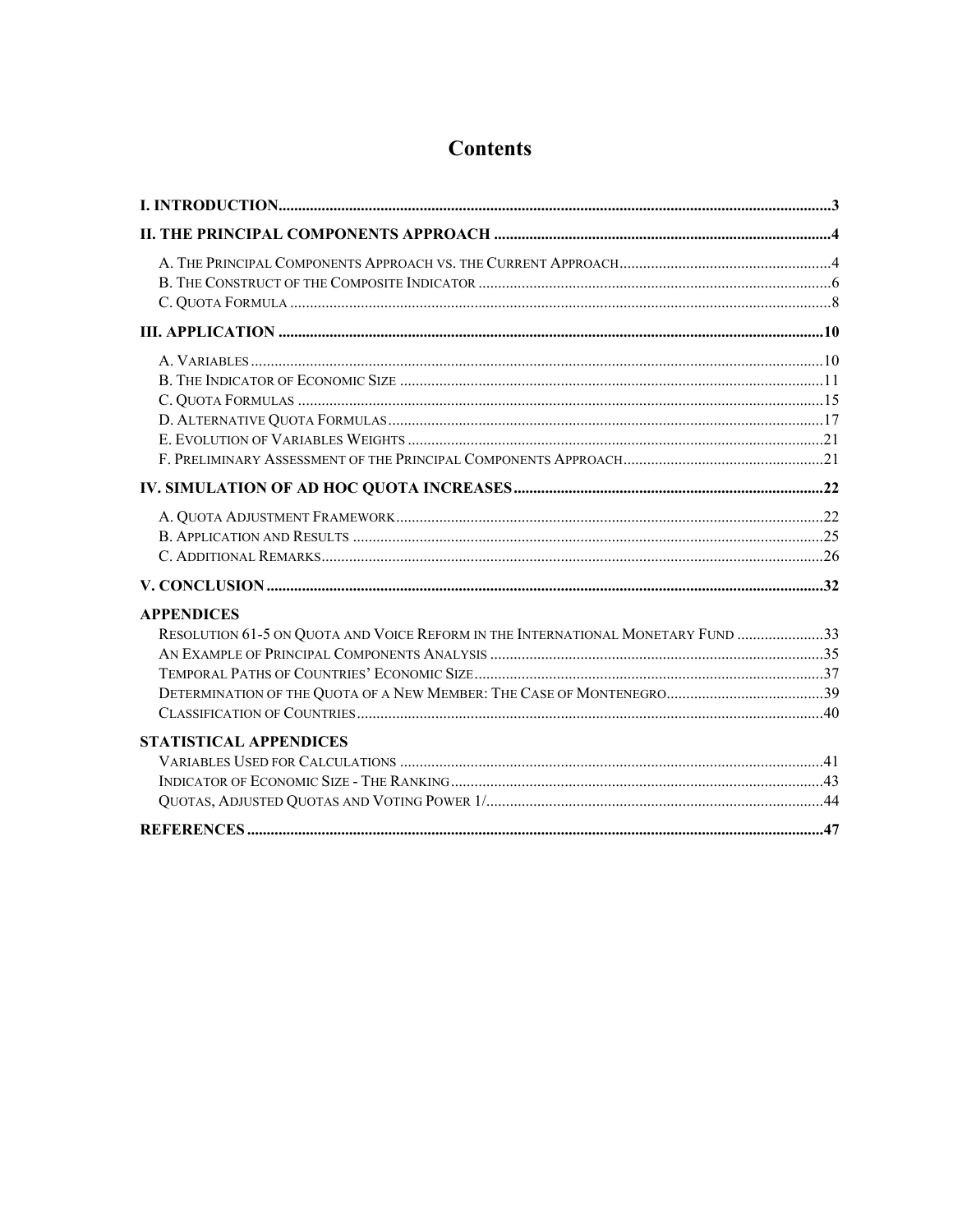| <b>APPENDICES</b>                                                               |  |
|---------------------------------------------------------------------------------|--|
| RESOLUTION 61-5 ON QUOTA AND VOICE REFORM IN THE INTERNATIONAL MONETARY FUND 33 |  |
|                                                                                 |  |
|                                                                                 |  |
|                                                                                 |  |
|                                                                                 |  |
| <b>STATISTICAL APPENDICES</b>                                                   |  |
|                                                                                 |  |
|                                                                                 |  |
|                                                                                 |  |
|                                                                                 |  |

# **Contents**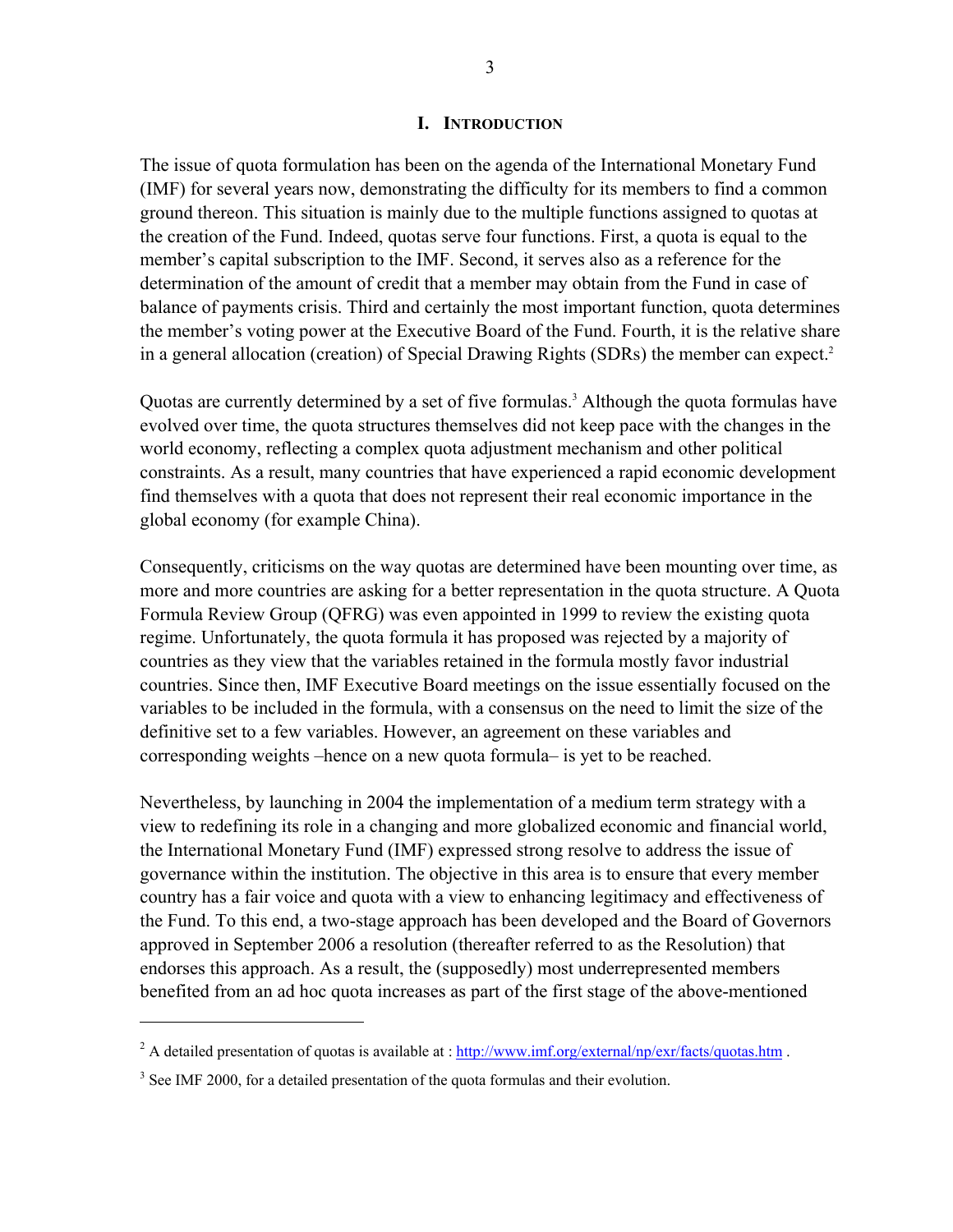#### **I. INTRODUCTION**

The issue of quota formulation has been on the agenda of the International Monetary Fund (IMF) for several years now, demonstrating the difficulty for its members to find a common ground thereon. This situation is mainly due to the multiple functions assigned to quotas at the creation of the Fund. Indeed, quotas serve four functions. First, a quota is equal to the member's capital subscription to the IMF. Second, it serves also as a reference for the determination of the amount of credit that a member may obtain from the Fund in case of balance of payments crisis. Third and certainly the most important function, quota determines the member's voting power at the Executive Board of the Fund. Fourth, it is the relative share in a general allocation (creation) of Special Drawing Rights (SDRs) the member can expect.<sup>2</sup>

Quotas are currently determined by a set of five formulas.<sup>3</sup> Although the quota formulas have evolved over time, the quota structures themselves did not keep pace with the changes in the world economy, reflecting a complex quota adjustment mechanism and other political constraints. As a result, many countries that have experienced a rapid economic development find themselves with a quota that does not represent their real economic importance in the global economy (for example China).

Consequently, criticisms on the way quotas are determined have been mounting over time, as more and more countries are asking for a better representation in the quota structure. A Quota Formula Review Group (QFRG) was even appointed in 1999 to review the existing quota regime. Unfortunately, the quota formula it has proposed was rejected by a majority of countries as they view that the variables retained in the formula mostly favor industrial countries. Since then, IMF Executive Board meetings on the issue essentially focused on the variables to be included in the formula, with a consensus on the need to limit the size of the definitive set to a few variables. However, an agreement on these variables and corresponding weights –hence on a new quota formula– is yet to be reached.

Nevertheless, by launching in 2004 the implementation of a medium term strategy with a view to redefining its role in a changing and more globalized economic and financial world, the International Monetary Fund (IMF) expressed strong resolve to address the issue of governance within the institution. The objective in this area is to ensure that every member country has a fair voice and quota with a view to enhancing legitimacy and effectiveness of the Fund. To this end, a two-stage approach has been developed and the Board of Governors approved in September 2006 a resolution (thereafter referred to as the Resolution) that endorses this approach. As a result, the (supposedly) most underrepresented members benefited from an ad hoc quota increases as part of the first stage of the above-mentioned

-

<sup>&</sup>lt;sup>2</sup> A detailed presentation of quotas is available at :  $\frac{http://www.imf.org/external/np/extr/facts/quotas.htm}{http://www.imf.org/external/np/extr/facts/quotas.htm}$ .

 $3$  See IMF 2000, for a detailed presentation of the quota formulas and their evolution.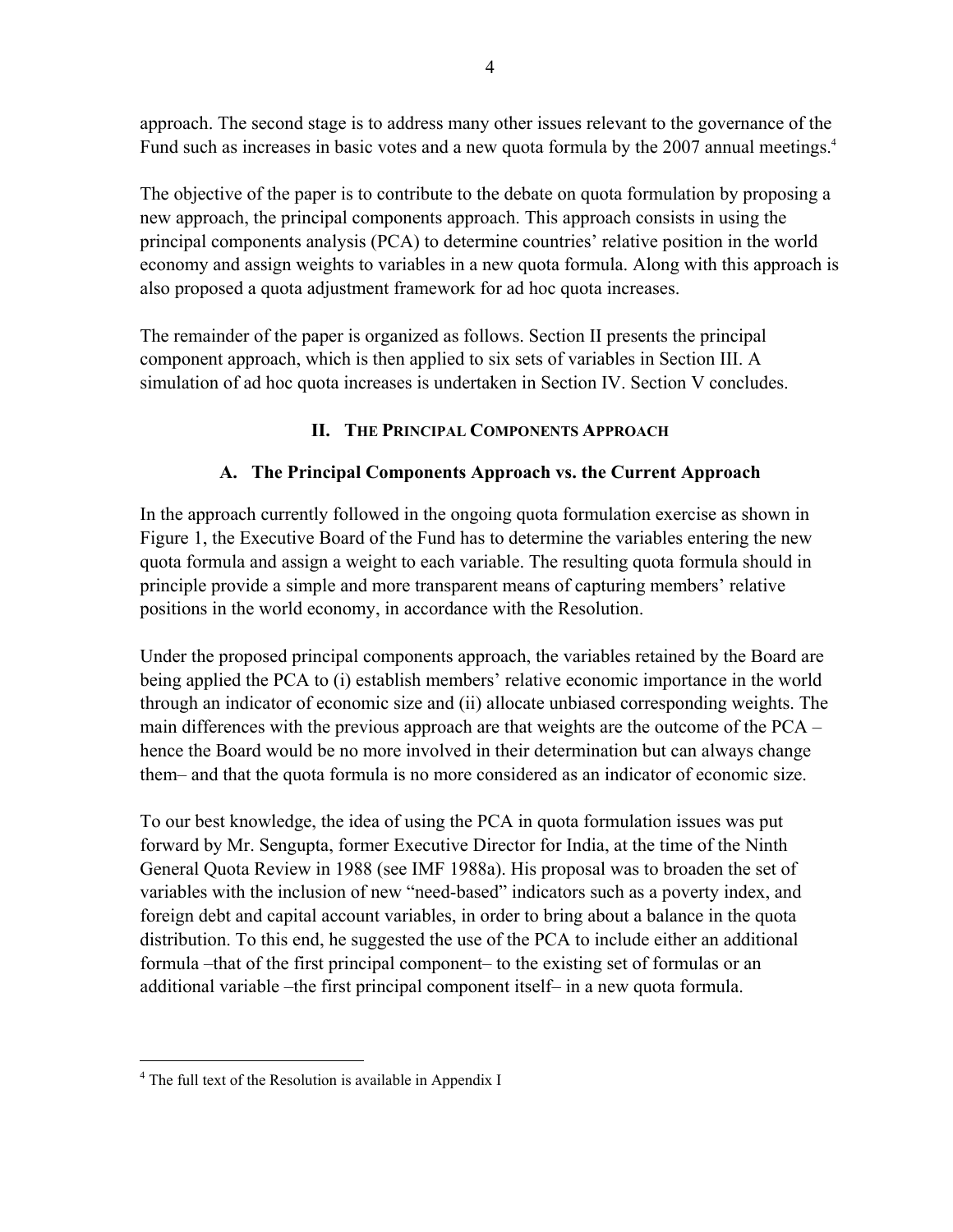approach. The second stage is to address many other issues relevant to the governance of the Fund such as increases in basic votes and a new quota formula by the 2007 annual meetings.<sup>4</sup>

The objective of the paper is to contribute to the debate on quota formulation by proposing a new approach, the principal components approach. This approach consists in using the principal components analysis (PCA) to determine countries' relative position in the world economy and assign weights to variables in a new quota formula. Along with this approach is also proposed a quota adjustment framework for ad hoc quota increases.

The remainder of the paper is organized as follows. Section II presents the principal component approach, which is then applied to six sets of variables in Section III. A simulation of ad hoc quota increases is undertaken in Section IV. Section V concludes.

# **II. THE PRINCIPAL COMPONENTS APPROACH**

# **A. The Principal Components Approach vs. the Current Approach**

In the approach currently followed in the ongoing quota formulation exercise as shown in Figure 1, the Executive Board of the Fund has to determine the variables entering the new quota formula and assign a weight to each variable. The resulting quota formula should in principle provide a simple and more transparent means of capturing members' relative positions in the world economy, in accordance with the Resolution.

Under the proposed principal components approach, the variables retained by the Board are being applied the PCA to (i) establish members' relative economic importance in the world through an indicator of economic size and (ii) allocate unbiased corresponding weights. The main differences with the previous approach are that weights are the outcome of the PCA – hence the Board would be no more involved in their determination but can always change them– and that the quota formula is no more considered as an indicator of economic size.

To our best knowledge, the idea of using the PCA in quota formulation issues was put forward by Mr. Sengupta, former Executive Director for India, at the time of the Ninth General Quota Review in 1988 (see IMF 1988a). His proposal was to broaden the set of variables with the inclusion of new "need-based" indicators such as a poverty index, and foreign debt and capital account variables, in order to bring about a balance in the quota distribution. To this end, he suggested the use of the PCA to include either an additional formula –that of the first principal component– to the existing set of formulas or an additional variable –the first principal component itself– in a new quota formula.

 $\overline{a}$ 

<sup>&</sup>lt;sup>4</sup> The full text of the Resolution is available in Appendix I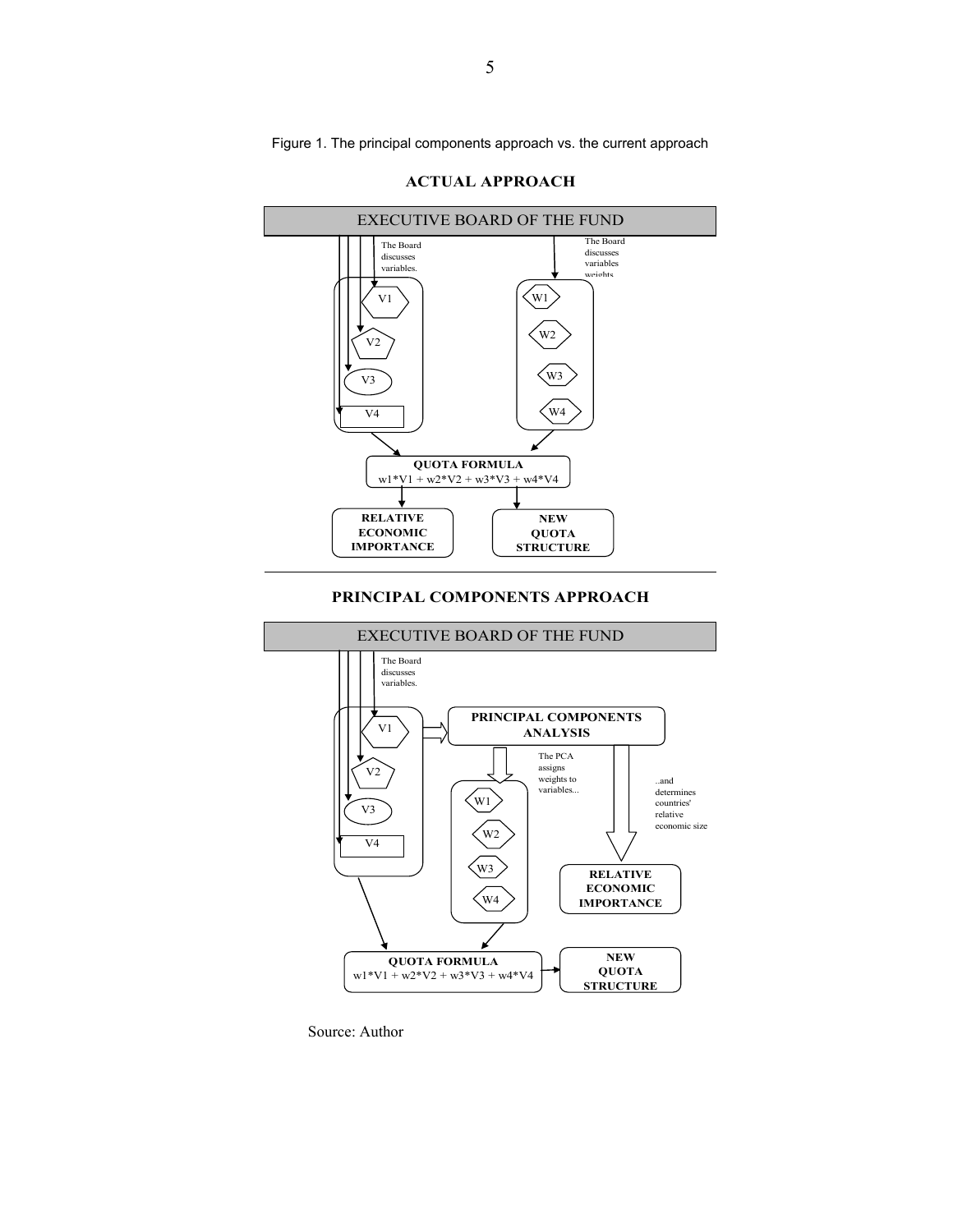Figure 1. The principal components approach vs. the current approach



**ACTUAL APPROACH**

#### **PRINCIPAL COMPONENTS APPROACH**



Source: Author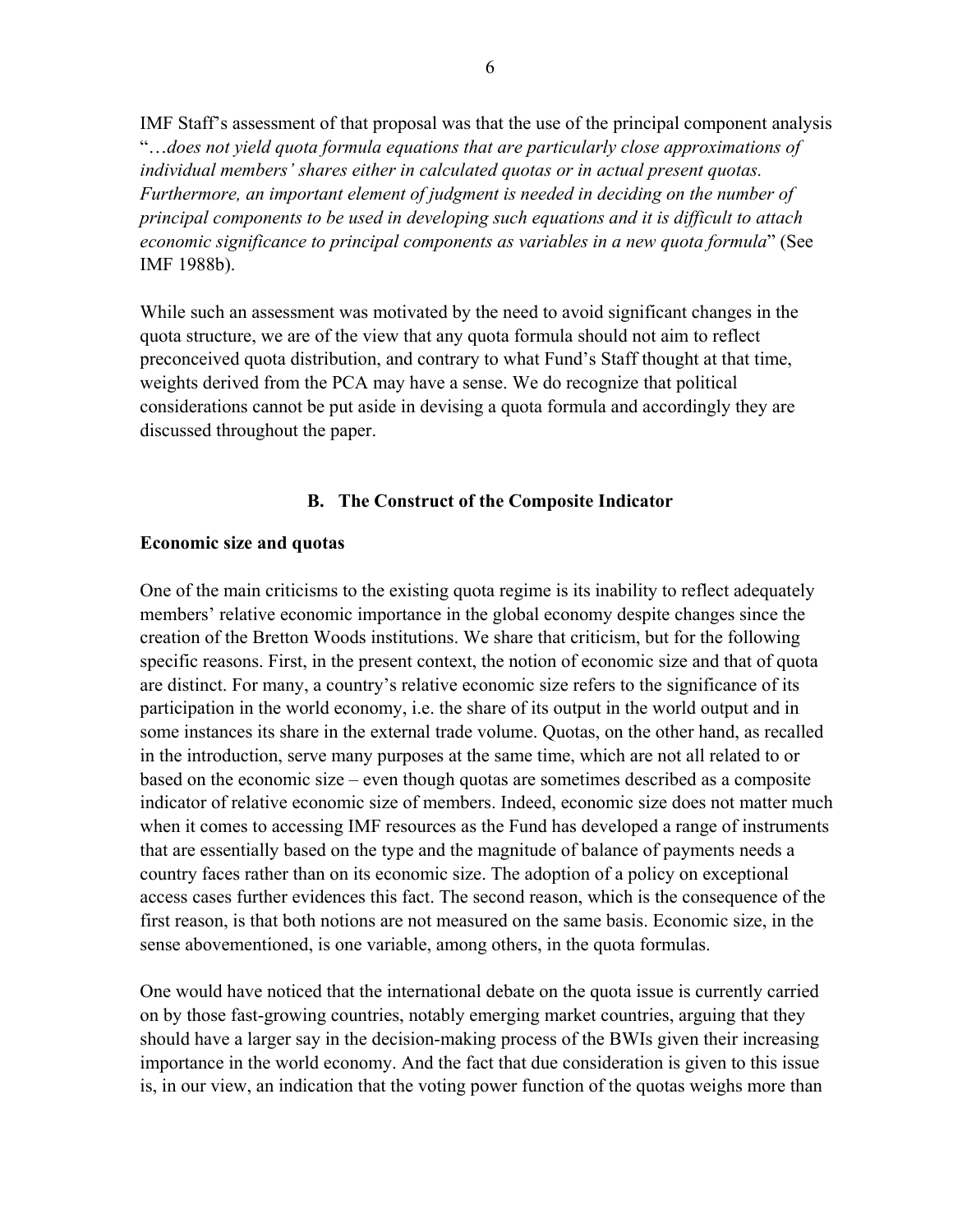IMF Staff's assessment of that proposal was that the use of the principal component analysis "…*does not yield quota formula equations that are particularly close approximations of individual members' shares either in calculated quotas or in actual present quotas.*  Furthermore, an important element of judgment is needed in deciding on the number of *principal components to be used in developing such equations and it is difficult to attach economic significance to principal components as variables in a new quota formula*" (See IMF 1988b).

While such an assessment was motivated by the need to avoid significant changes in the quota structure, we are of the view that any quota formula should not aim to reflect preconceived quota distribution, and contrary to what Fund's Staff thought at that time, weights derived from the PCA may have a sense. We do recognize that political considerations cannot be put aside in devising a quota formula and accordingly they are discussed throughout the paper.

### **B. The Construct of the Composite Indicator**

#### **Economic size and quotas**

One of the main criticisms to the existing quota regime is its inability to reflect adequately members' relative economic importance in the global economy despite changes since the creation of the Bretton Woods institutions. We share that criticism, but for the following specific reasons. First, in the present context, the notion of economic size and that of quota are distinct. For many, a country's relative economic size refers to the significance of its participation in the world economy, i.e. the share of its output in the world output and in some instances its share in the external trade volume. Quotas, on the other hand, as recalled in the introduction, serve many purposes at the same time, which are not all related to or based on the economic size – even though quotas are sometimes described as a composite indicator of relative economic size of members. Indeed, economic size does not matter much when it comes to accessing IMF resources as the Fund has developed a range of instruments that are essentially based on the type and the magnitude of balance of payments needs a country faces rather than on its economic size. The adoption of a policy on exceptional access cases further evidences this fact. The second reason, which is the consequence of the first reason, is that both notions are not measured on the same basis. Economic size, in the sense abovementioned, is one variable, among others, in the quota formulas.

One would have noticed that the international debate on the quota issue is currently carried on by those fast-growing countries, notably emerging market countries, arguing that they should have a larger say in the decision-making process of the BWIs given their increasing importance in the world economy. And the fact that due consideration is given to this issue is, in our view, an indication that the voting power function of the quotas weighs more than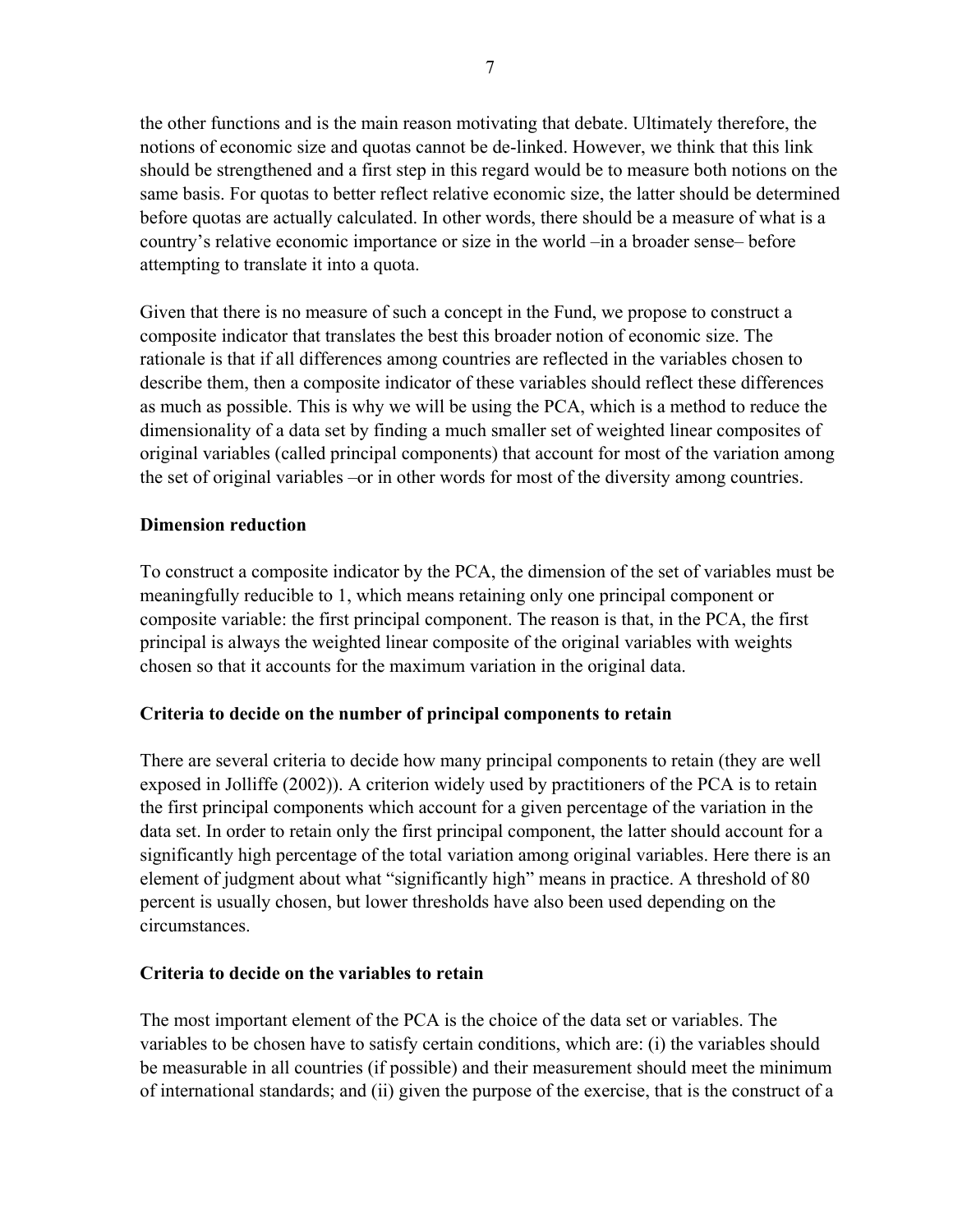the other functions and is the main reason motivating that debate. Ultimately therefore, the notions of economic size and quotas cannot be de-linked. However, we think that this link should be strengthened and a first step in this regard would be to measure both notions on the same basis. For quotas to better reflect relative economic size, the latter should be determined before quotas are actually calculated. In other words, there should be a measure of what is a country's relative economic importance or size in the world –in a broader sense– before attempting to translate it into a quota.

Given that there is no measure of such a concept in the Fund, we propose to construct a composite indicator that translates the best this broader notion of economic size. The rationale is that if all differences among countries are reflected in the variables chosen to describe them, then a composite indicator of these variables should reflect these differences as much as possible. This is why we will be using the PCA, which is a method to reduce the dimensionality of a data set by finding a much smaller set of weighted linear composites of original variables (called principal components) that account for most of the variation among the set of original variables –or in other words for most of the diversity among countries.

# **Dimension reduction**

To construct a composite indicator by the PCA, the dimension of the set of variables must be meaningfully reducible to 1, which means retaining only one principal component or composite variable: the first principal component. The reason is that, in the PCA, the first principal is always the weighted linear composite of the original variables with weights chosen so that it accounts for the maximum variation in the original data.

# **Criteria to decide on the number of principal components to retain**

There are several criteria to decide how many principal components to retain (they are well exposed in Jolliffe (2002)). A criterion widely used by practitioners of the PCA is to retain the first principal components which account for a given percentage of the variation in the data set. In order to retain only the first principal component, the latter should account for a significantly high percentage of the total variation among original variables. Here there is an element of judgment about what "significantly high" means in practice. A threshold of 80 percent is usually chosen, but lower thresholds have also been used depending on the circumstances.

# **Criteria to decide on the variables to retain**

The most important element of the PCA is the choice of the data set or variables. The variables to be chosen have to satisfy certain conditions, which are: (i) the variables should be measurable in all countries (if possible) and their measurement should meet the minimum of international standards; and (ii) given the purpose of the exercise, that is the construct of a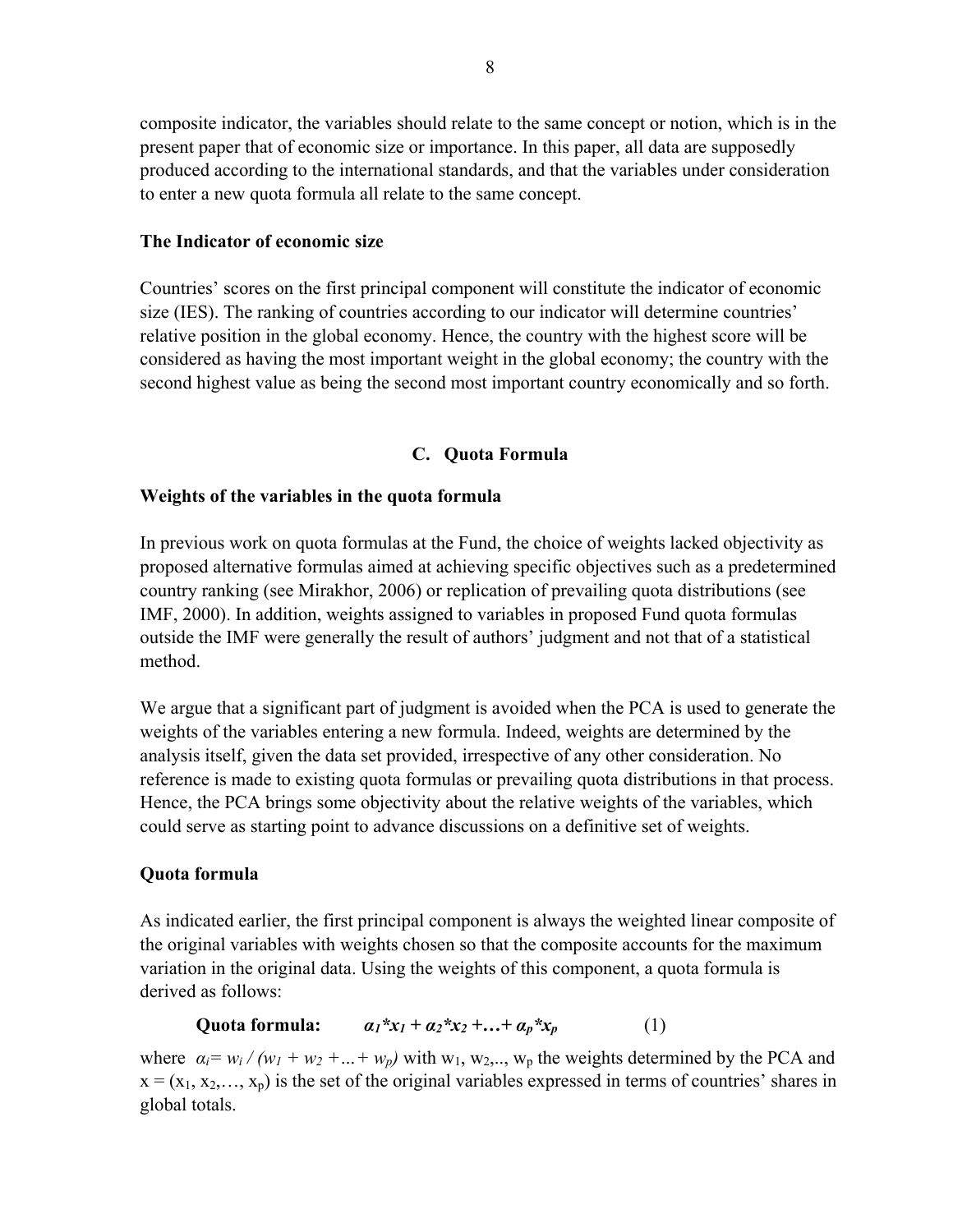composite indicator, the variables should relate to the same concept or notion, which is in the present paper that of economic size or importance. In this paper, all data are supposedly produced according to the international standards, and that the variables under consideration to enter a new quota formula all relate to the same concept.

### **The Indicator of economic size**

Countries' scores on the first principal component will constitute the indicator of economic size (IES). The ranking of countries according to our indicator will determine countries' relative position in the global economy. Hence, the country with the highest score will be considered as having the most important weight in the global economy; the country with the second highest value as being the second most important country economically and so forth.

# **C. Quota Formula**

# **Weights of the variables in the quota formula**

In previous work on quota formulas at the Fund, the choice of weights lacked objectivity as proposed alternative formulas aimed at achieving specific objectives such as a predetermined country ranking (see Mirakhor, 2006) or replication of prevailing quota distributions (see IMF, 2000). In addition, weights assigned to variables in proposed Fund quota formulas outside the IMF were generally the result of authors' judgment and not that of a statistical method.

We argue that a significant part of judgment is avoided when the PCA is used to generate the weights of the variables entering a new formula. Indeed, weights are determined by the analysis itself, given the data set provided, irrespective of any other consideration. No reference is made to existing quota formulas or prevailing quota distributions in that process. Hence, the PCA brings some objectivity about the relative weights of the variables, which could serve as starting point to advance discussions on a definitive set of weights.

# **Quota formula**

As indicated earlier, the first principal component is always the weighted linear composite of the original variables with weights chosen so that the composite accounts for the maximum variation in the original data. Using the weights of this component, a quota formula is derived as follows:

Quota formula:  $a_1 * x_1 + a_2 * x_2 + ... + a_p * x_p$  (1)

where  $\alpha_i = w_i / (w_1 + w_2 + ... + w_p)$  with w<sub>1</sub>, w<sub>2</sub>, w<sub>p</sub> the weights determined by the PCA and  $x = (x_1, x_2, \ldots, x_p)$  is the set of the original variables expressed in terms of countries' shares in global totals.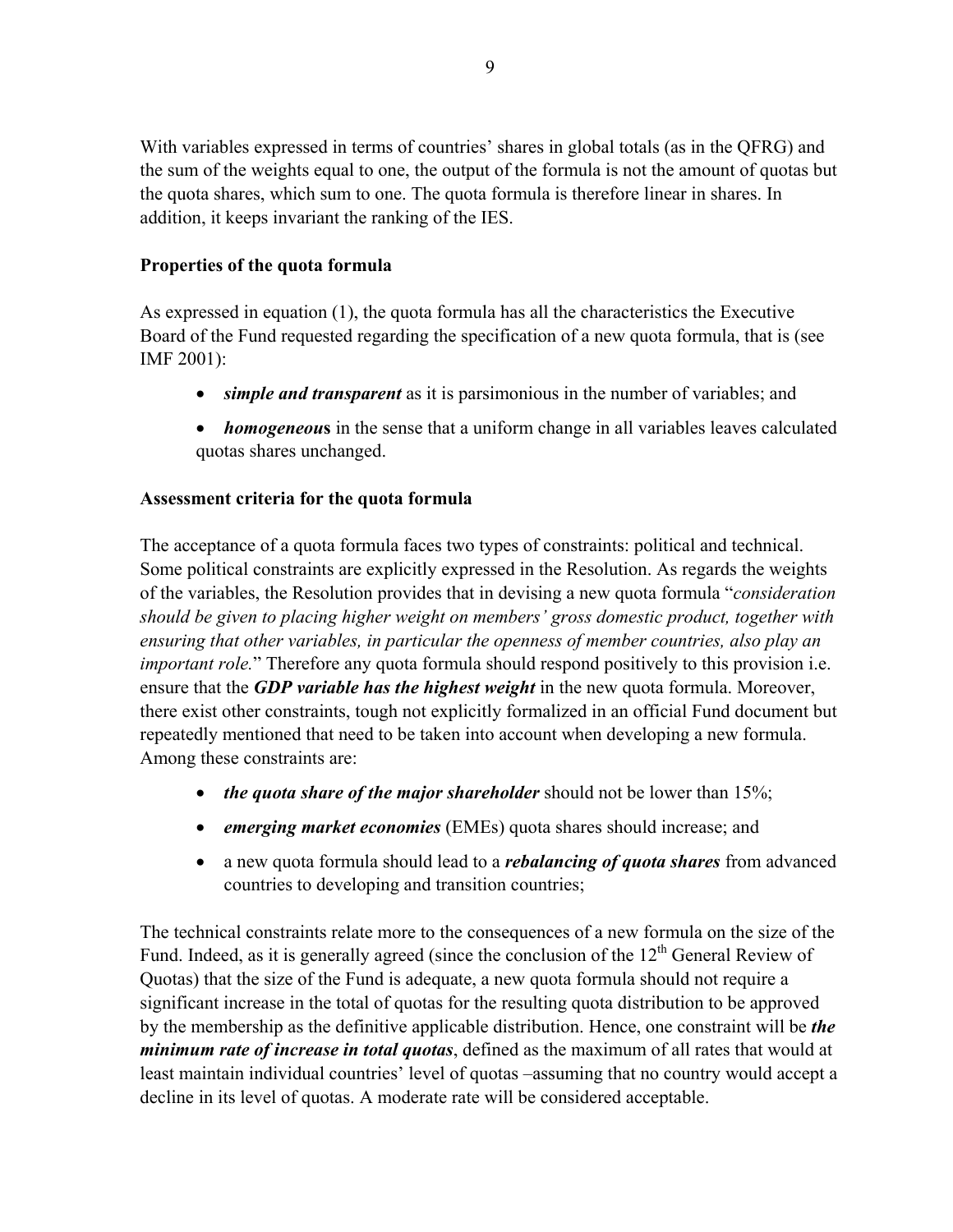With variables expressed in terms of countries' shares in global totals (as in the QFRG) and the sum of the weights equal to one, the output of the formula is not the amount of quotas but the quota shares, which sum to one. The quota formula is therefore linear in shares. In addition, it keeps invariant the ranking of the IES.

# **Properties of the quota formula**

As expressed in equation (1), the quota formula has all the characteristics the Executive Board of the Fund requested regarding the specification of a new quota formula, that is (see IMF 2001):

- *simple and transparent* as it is parsimonious in the number of variables; and
- *homogeneous* in the sense that a uniform change in all variables leaves calculated quotas shares unchanged.

# **Assessment criteria for the quota formula**

The acceptance of a quota formula faces two types of constraints: political and technical. Some political constraints are explicitly expressed in the Resolution. As regards the weights of the variables, the Resolution provides that in devising a new quota formula "*consideration should be given to placing higher weight on members' gross domestic product, together with ensuring that other variables, in particular the openness of member countries, also play an important role.*" Therefore any quota formula should respond positively to this provision *i.e.* ensure that the *GDP variable has the highest weight* in the new quota formula. Moreover, there exist other constraints, tough not explicitly formalized in an official Fund document but repeatedly mentioned that need to be taken into account when developing a new formula. Among these constraints are:

- *the quota share of the major shareholder* should not be lower than 15%;
- *emerging market economies* (EMEs) quota shares should increase; and
- a new quota formula should lead to a *rebalancing of quota shares* from advanced countries to developing and transition countries;

The technical constraints relate more to the consequences of a new formula on the size of the Fund. Indeed, as it is generally agreed (since the conclusion of the  $12<sup>th</sup>$  General Review of Quotas) that the size of the Fund is adequate, a new quota formula should not require a significant increase in the total of quotas for the resulting quota distribution to be approved by the membership as the definitive applicable distribution. Hence, one constraint will be *the minimum rate of increase in total quotas*, defined as the maximum of all rates that would at least maintain individual countries' level of quotas –assuming that no country would accept a decline in its level of quotas. A moderate rate will be considered acceptable.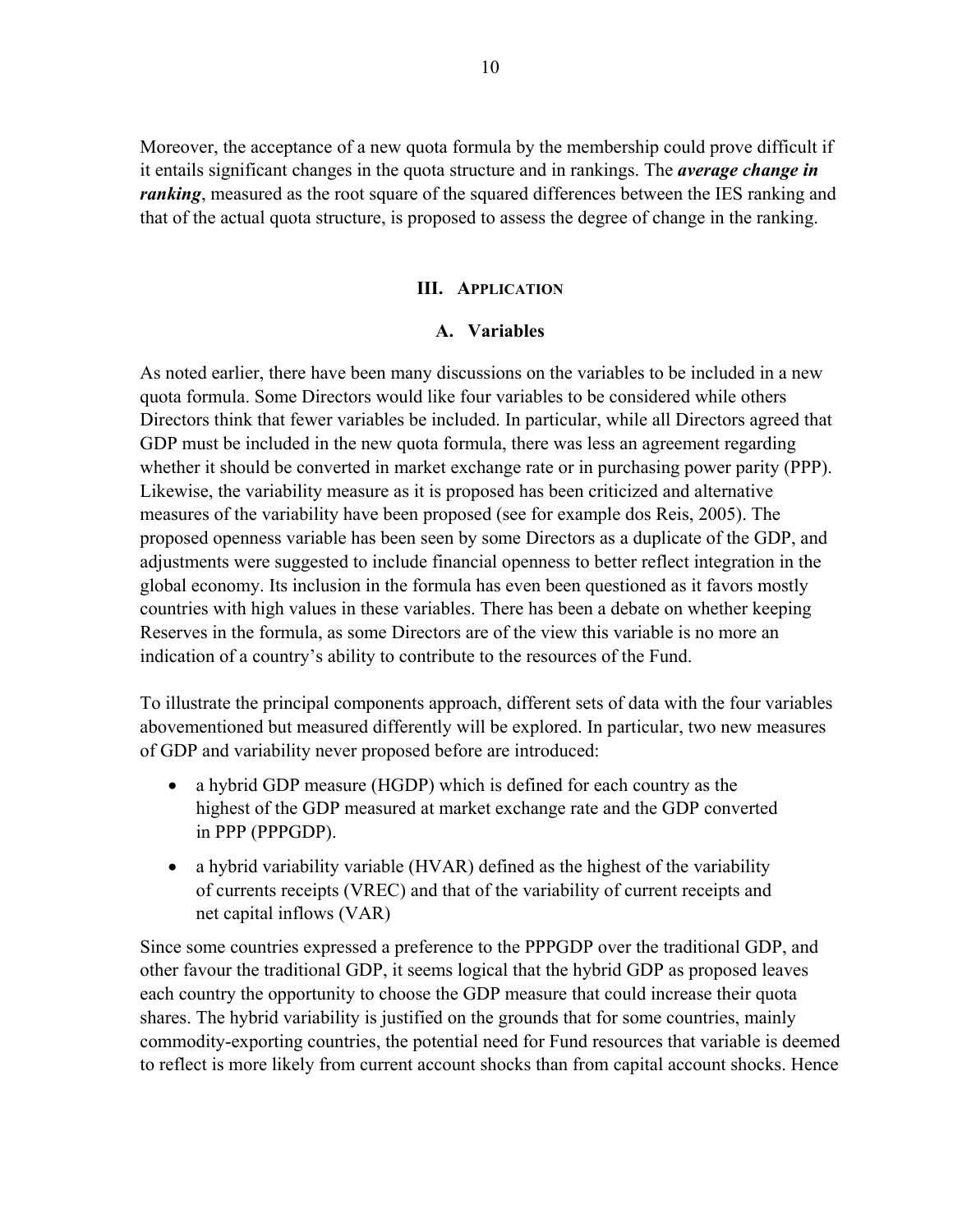Moreover, the acceptance of a new quota formula by the membership could prove difficult if it entails significant changes in the quota structure and in rankings. The *average change in ranking*, measured as the root square of the squared differences between the IES ranking and that of the actual quota structure, is proposed to assess the degree of change in the ranking.

#### **III. APPLICATION**

#### **A. Variables**

As noted earlier, there have been many discussions on the variables to be included in a new quota formula. Some Directors would like four variables to be considered while others Directors think that fewer variables be included. In particular, while all Directors agreed that GDP must be included in the new quota formula, there was less an agreement regarding whether it should be converted in market exchange rate or in purchasing power parity (PPP). Likewise, the variability measure as it is proposed has been criticized and alternative measures of the variability have been proposed (see for example dos Reis, 2005). The proposed openness variable has been seen by some Directors as a duplicate of the GDP, and adjustments were suggested to include financial openness to better reflect integration in the global economy. Its inclusion in the formula has even been questioned as it favors mostly countries with high values in these variables. There has been a debate on whether keeping Reserves in the formula, as some Directors are of the view this variable is no more an indication of a country's ability to contribute to the resources of the Fund.

To illustrate the principal components approach, different sets of data with the four variables abovementioned but measured differently will be explored. In particular, two new measures of GDP and variability never proposed before are introduced:

- a hybrid GDP measure (HGDP) which is defined for each country as the highest of the GDP measured at market exchange rate and the GDP converted in PPP (PPPGDP).
- a hybrid variability variable (HVAR) defined as the highest of the variability of currents receipts (VREC) and that of the variability of current receipts and net capital inflows (VAR)

Since some countries expressed a preference to the PPPGDP over the traditional GDP, and other favour the traditional GDP, it seems logical that the hybrid GDP as proposed leaves each country the opportunity to choose the GDP measure that could increase their quota shares. The hybrid variability is justified on the grounds that for some countries, mainly commodity-exporting countries, the potential need for Fund resources that variable is deemed to reflect is more likely from current account shocks than from capital account shocks. Hence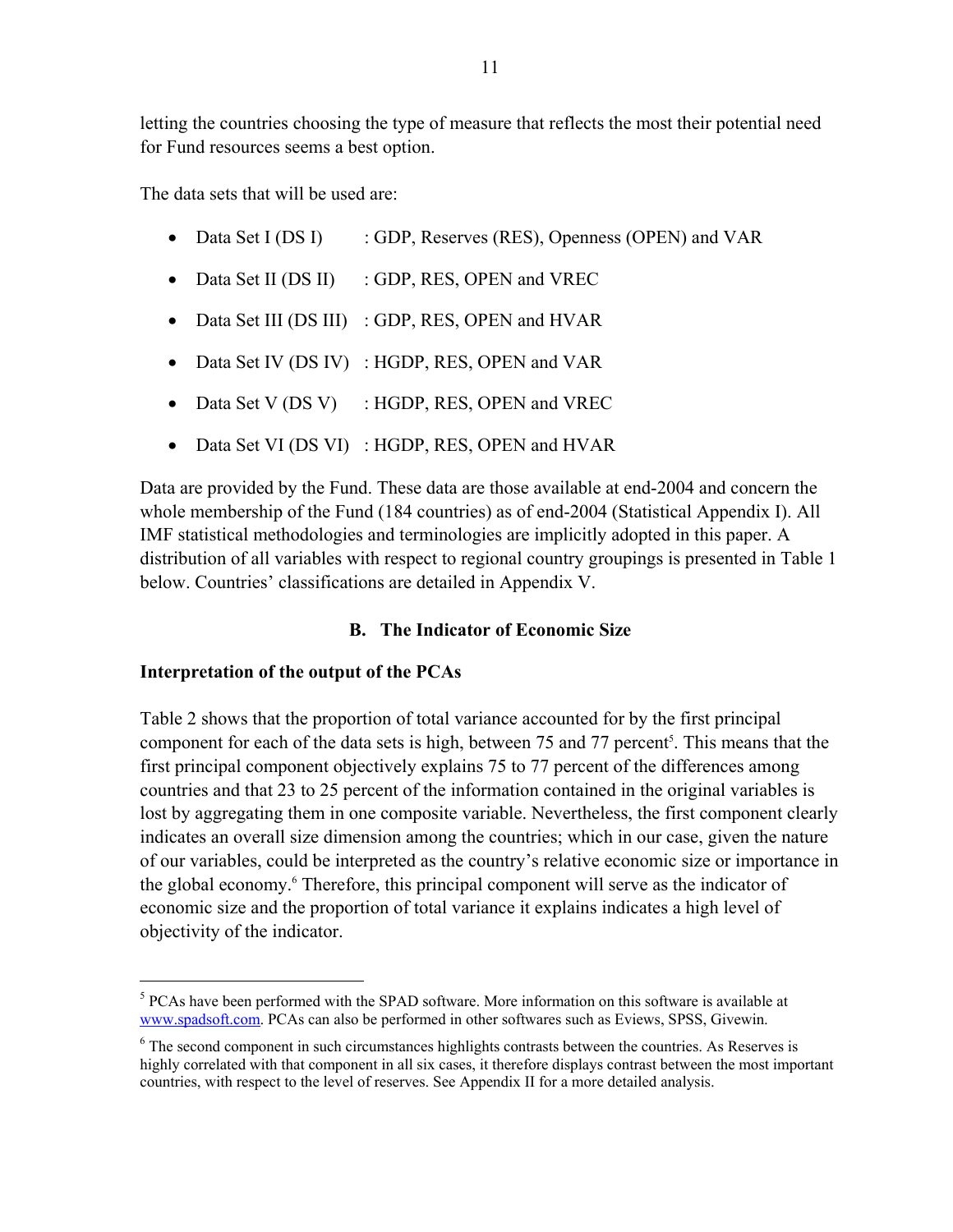letting the countries choosing the type of measure that reflects the most their potential need for Fund resources seems a best option.

The data sets that will be used are:

- Data Set I (DS I) : GDP, Reserves (RES), Openness (OPEN) and VAR
- Data Set II (DS II) : GDP, RES, OPEN and VREC
- Data Set III (DS III) : GDP, RES, OPEN and HVAR
- Data Set IV (DS IV) : HGDP, RES, OPEN and VAR
- Data Set V (DS V) : HGDP, RES, OPEN and VREC
- Data Set VI (DS VI) : HGDP, RES, OPEN and HVAR

Data are provided by the Fund. These data are those available at end-2004 and concern the whole membership of the Fund (184 countries) as of end-2004 (Statistical Appendix I). All IMF statistical methodologies and terminologies are implicitly adopted in this paper. A distribution of all variables with respect to regional country groupings is presented in Table 1 below. Countries' classifications are detailed in Appendix V.

# **B. The Indicator of Economic Size**

# **Interpretation of the output of the PCAs**

 $\overline{a}$ 

Table 2 shows that the proportion of total variance accounted for by the first principal component for each of the data sets is high, between 75 and 77 percent<sup>5</sup>. This means that the first principal component objectively explains 75 to 77 percent of the differences among countries and that 23 to 25 percent of the information contained in the original variables is lost by aggregating them in one composite variable. Nevertheless, the first component clearly indicates an overall size dimension among the countries; which in our case, given the nature of our variables, could be interpreted as the country's relative economic size or importance in the global economy.<sup>6</sup> Therefore, this principal component will serve as the indicator of economic size and the proportion of total variance it explains indicates a high level of objectivity of the indicator.

<sup>&</sup>lt;sup>5</sup> PCAs have been performed with the SPAD software. More information on this software is available at www.spadsoft.com. PCAs can also be performed in other softwares such as Eviews, SPSS, Givewin.

<sup>&</sup>lt;sup>6</sup> The second component in such circumstances highlights contrasts between the countries. As Reserves is highly correlated with that component in all six cases, it therefore displays contrast between the most important countries, with respect to the level of reserves. See Appendix II for a more detailed analysis.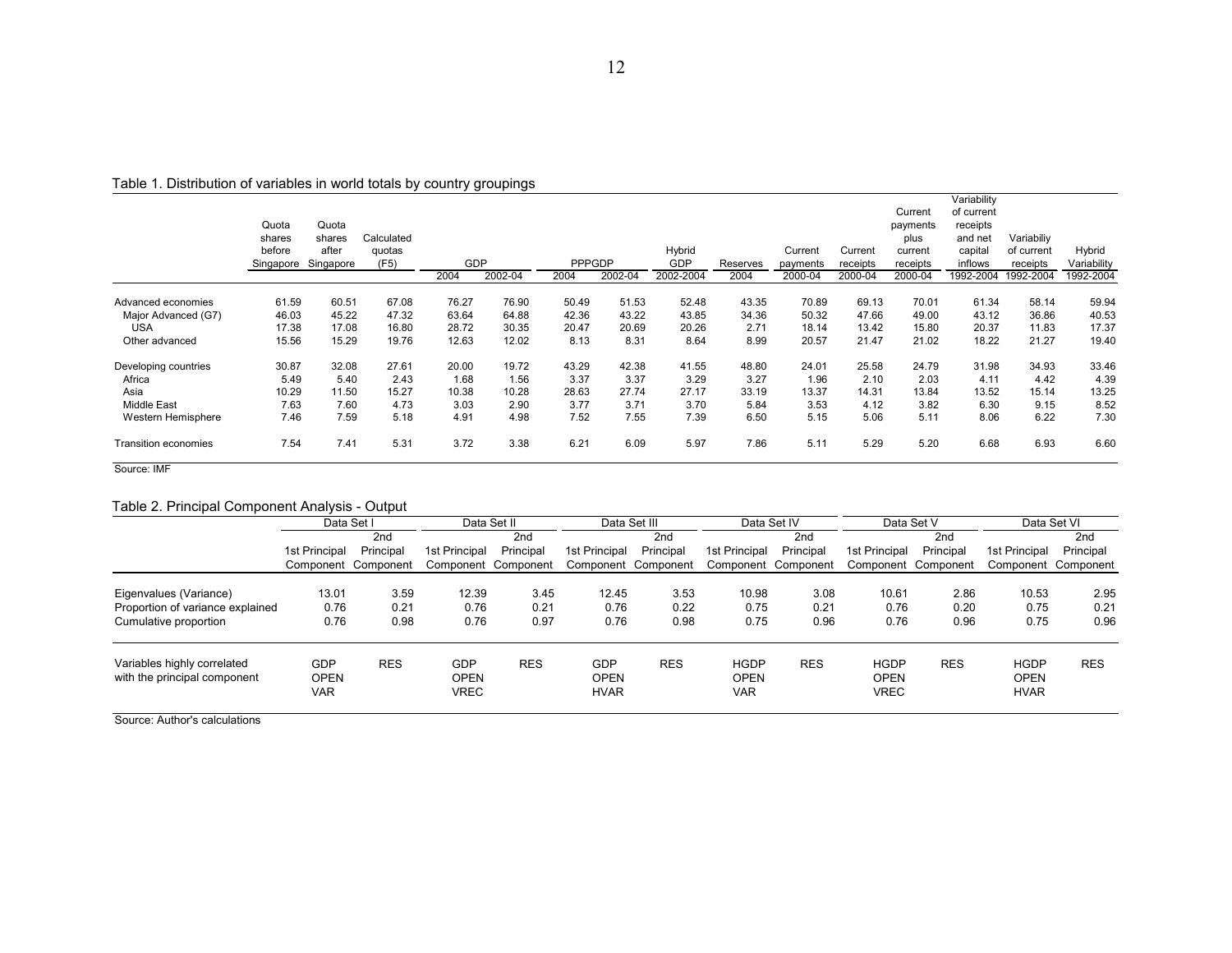|                      | Quota<br>shares<br>before<br>Singapore | Quota<br>shares<br>after<br>Singapore | Calculated<br>quotas<br>(F5) | <b>GDP</b> |         | <b>PPPGDP</b> |         | Hybrid<br>GDP | Reserves | Current<br>payments | Current<br>receipts | Current<br>payments<br>plus<br>current<br>receipts | Variability<br>of current<br>receipts<br>and net<br>capital<br>inflows | Variabiliy<br>of current<br>receipts | Hybrid<br>Variability |
|----------------------|----------------------------------------|---------------------------------------|------------------------------|------------|---------|---------------|---------|---------------|----------|---------------------|---------------------|----------------------------------------------------|------------------------------------------------------------------------|--------------------------------------|-----------------------|
|                      |                                        |                                       |                              | 2004       | 2002-04 | 2004          | 2002-04 | 2002-2004     | 2004     | 2000-04             | 2000-04             | 2000-04                                            | 1992-2004                                                              | 1992-2004                            | 1992-2004             |
| Advanced economies   | 61.59                                  | 60.51                                 | 67.08                        | 76.27      | 76.90   | 50.49         | 51.53   | 52.48         | 43.35    | 70.89               | 69.13               | 70.01                                              | 61.34                                                                  | 58.14                                | 59.94                 |
| Major Advanced (G7)  | 46.03                                  | 45.22                                 | 47.32                        | 63.64      | 64.88   | 42.36         | 43.22   | 43.85         | 34.36    | 50.32               | 47.66               | 49.00                                              | 43.12                                                                  | 36.86                                | 40.53                 |
| <b>USA</b>           | 17.38                                  | 17.08                                 | 16.80                        | 28.72      | 30.35   | 20.47         | 20.69   | 20.26         | 2.71     | 18.14               | 13.42               | 15.80                                              | 20.37                                                                  | 11.83                                | 17.37                 |
| Other advanced       | 15.56                                  | 15.29                                 | 19.76                        | 12.63      | 12.02   | 8.13          | 8.31    | 8.64          | 8.99     | 20.57               | 21.47               | 21.02                                              | 18.22                                                                  | 21.27                                | 19.40                 |
| Developing countries | 30.87                                  | 32.08                                 | 27.61                        | 20.00      | 19.72   | 43.29         | 42.38   | 41.55         | 48.80    | 24.01               | 25.58               | 24.79                                              | 31.98                                                                  | 34.93                                | 33.46                 |
| Africa               | 5.49                                   | 5.40                                  | 2.43                         | 1.68       | 1.56    | 3.37          | 3.37    | 3.29          | 3.27     | 1.96                | 2.10                | 2.03                                               | 4.11                                                                   | 4.42                                 | 4.39                  |
| Asia                 | 10.29                                  | 11.50                                 | 15.27                        | 10.38      | 10.28   | 28.63         | 27.74   | 27.17         | 33.19    | 13.37               | 14.31               | 13.84                                              | 13.52                                                                  | 15.14                                | 13.25                 |
| <b>Middle East</b>   | 7.63                                   | 7.60                                  | 4.73                         | 3.03       | 2.90    | 3.77          | 3.71    | 3.70          | 5.84     | 3.53                | 4.12                | 3.82                                               | 6.30                                                                   | 9.15                                 | 8.52                  |
| Western Hemisphere   | 7.46                                   | 7.59                                  | 5.18                         | 4.91       | 4.98    | 7.52          | 7.55    | 7.39          | 6.50     | 5.15                | 5.06                | 5.11                                               | 8.06                                                                   | 6.22                                 | 7.30                  |
| Transition economies | 7.54                                   | 7.41                                  | 5.31                         | 3.72       | 3.38    | 6.21          | 6.09    | 5.97          | 7.86     | 5.11                | 5.29                | 5.20                                               | 6.68                                                                   | 6.93                                 | 6.60                  |

Table 1. Distribution of variables in world totals by country groupings

Source: IMF

#### Table 2. Principal Component Analysis - Output

|                                                             |                                         | Data Set I          |                                          | Data Set II         |                                   | Data Set III        |                                          | Data Set IV         |                                           | Data Set V          |                                           | Data Set VI         |
|-------------------------------------------------------------|-----------------------------------------|---------------------|------------------------------------------|---------------------|-----------------------------------|---------------------|------------------------------------------|---------------------|-------------------------------------------|---------------------|-------------------------------------------|---------------------|
|                                                             |                                         | 2nd                 |                                          | 2nd                 |                                   | 2 <sub>nd</sub>     |                                          | 2 <sub>nd</sub>     |                                           | 2nd                 |                                           | 2 <sub>nd</sub>     |
|                                                             | 1st Principal                           | Principal           | 1st Principal                            | Principal           | 1st Principal                     | Principal           | 1st Principal                            | Principal           | 1st Principal                             | Principal           | 1st Principal                             | Principal           |
|                                                             |                                         | Component Component |                                          | Component Component |                                   | Component Component |                                          | Component Component |                                           | Component Component |                                           | Component Component |
| Eigenvalues (Variance)                                      | 13.01                                   | 3.59                | 12.39                                    | 3.45                | 12.45                             | 3.53                | 10.98                                    | 3.08                | 10.61                                     | 2.86                | 10.53                                     | 2.95                |
| Proportion of variance explained                            | 0.76                                    | 0.21                | 0.76                                     | 0.21                | 0.76                              | 0.22                | 0.75                                     | 0.21                | 0.76                                      | 0.20                | 0.75                                      | 0.21                |
| Cumulative proportion                                       | 0.76                                    | 0.98                | 0.76                                     | 0.97                | 0.76                              | 0.98                | 0.75                                     | 0.96                | 0.76                                      | 0.96                | 0.75                                      | 0.96                |
| Variables highly correlated<br>with the principal component | <b>GDP</b><br><b>OPEN</b><br><b>VAR</b> | <b>RES</b>          | <b>GDP</b><br><b>OPEN</b><br><b>VREC</b> | <b>RES</b>          | GDP<br><b>OPEN</b><br><b>HVAR</b> | <b>RES</b>          | <b>HGDP</b><br><b>OPEN</b><br><b>VAR</b> | <b>RES</b>          | <b>HGDP</b><br><b>OPEN</b><br><b>VREC</b> | <b>RES</b>          | <b>HGDP</b><br><b>OPEN</b><br><b>HVAR</b> | <b>RES</b>          |

Source: Author's calculations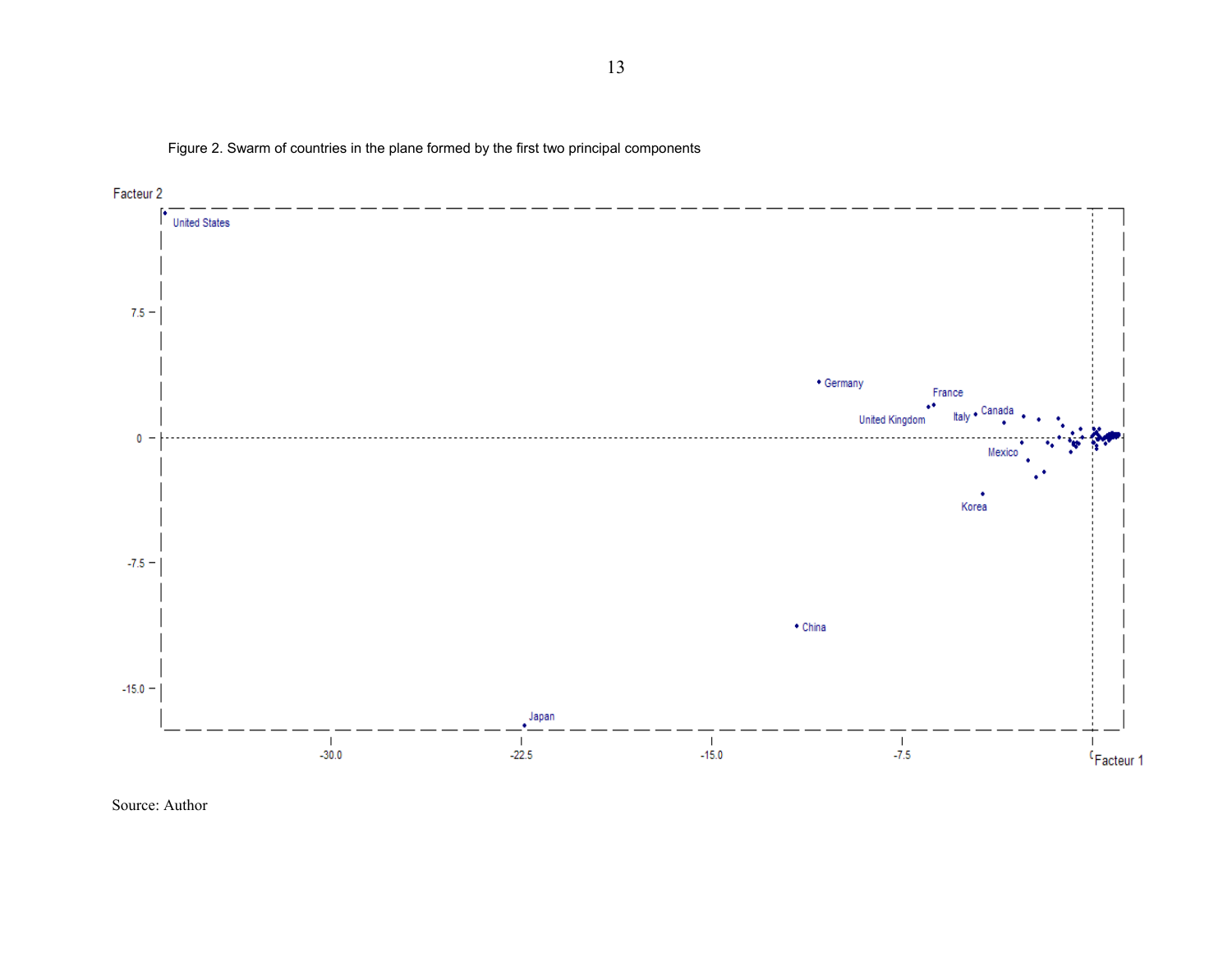Figure 2. Swarm of countries in the plane formed by the first two principal components



Source: Author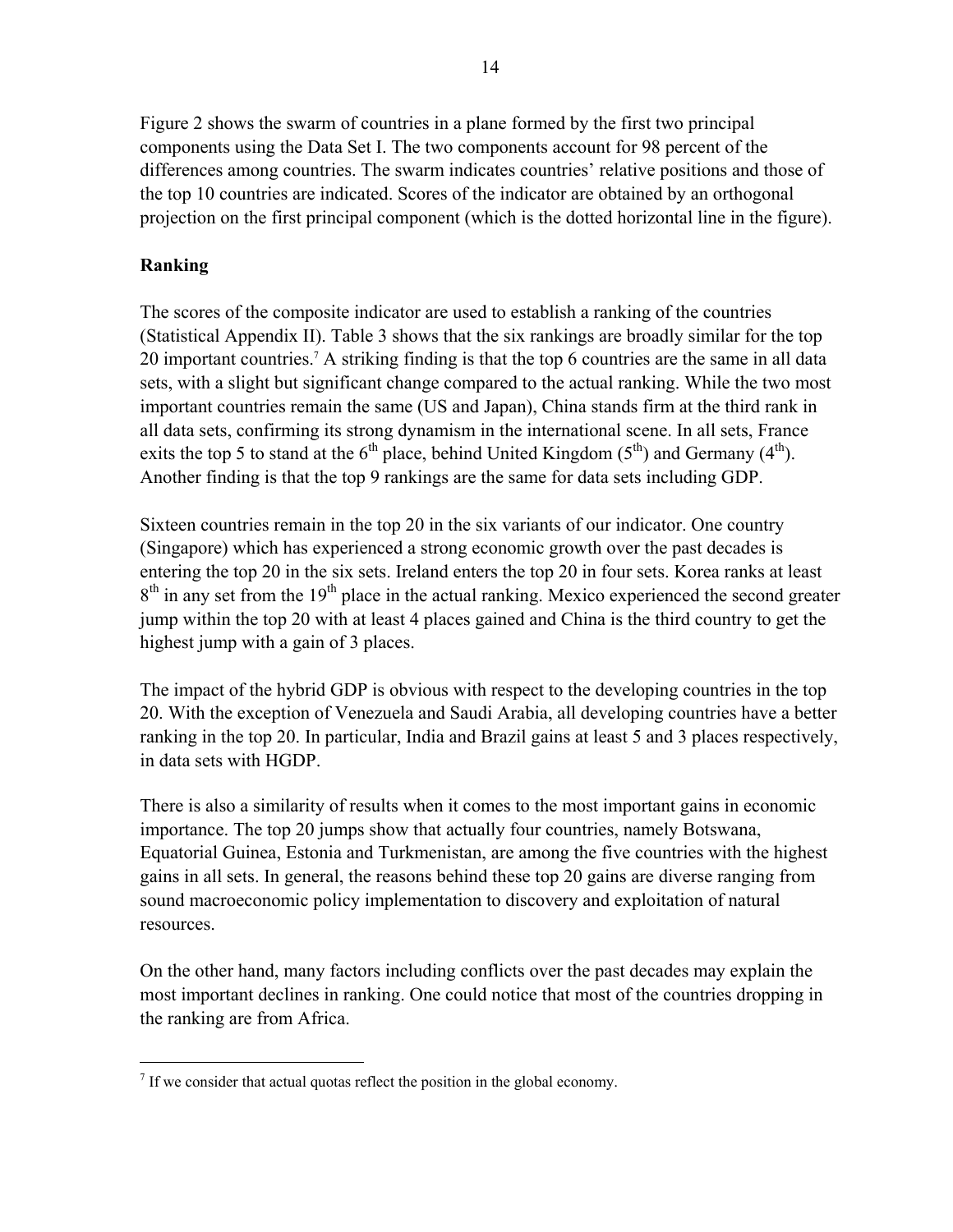Figure 2 shows the swarm of countries in a plane formed by the first two principal components using the Data Set I. The two components account for 98 percent of the differences among countries. The swarm indicates countries' relative positions and those of the top 10 countries are indicated. Scores of the indicator are obtained by an orthogonal projection on the first principal component (which is the dotted horizontal line in the figure).

# **Ranking**

-

The scores of the composite indicator are used to establish a ranking of the countries (Statistical Appendix II). Table 3 shows that the six rankings are broadly similar for the top 20 important countries.<sup>7</sup> A striking finding is that the top 6 countries are the same in all data sets, with a slight but significant change compared to the actual ranking. While the two most important countries remain the same (US and Japan), China stands firm at the third rank in all data sets, confirming its strong dynamism in the international scene. In all sets, France exits the top 5 to stand at the  $6<sup>th</sup>$  place, behind United Kingdom ( $5<sup>th</sup>$ ) and Germany ( $4<sup>th</sup>$ ). Another finding is that the top 9 rankings are the same for data sets including GDP.

Sixteen countries remain in the top 20 in the six variants of our indicator. One country (Singapore) which has experienced a strong economic growth over the past decades is entering the top 20 in the six sets. Ireland enters the top 20 in four sets. Korea ranks at least  $8<sup>th</sup>$  in any set from the 19<sup>th</sup> place in the actual ranking. Mexico experienced the second greater jump within the top 20 with at least 4 places gained and China is the third country to get the highest jump with a gain of 3 places.

The impact of the hybrid GDP is obvious with respect to the developing countries in the top 20. With the exception of Venezuela and Saudi Arabia, all developing countries have a better ranking in the top 20. In particular, India and Brazil gains at least 5 and 3 places respectively, in data sets with HGDP.

There is also a similarity of results when it comes to the most important gains in economic importance. The top 20 jumps show that actually four countries, namely Botswana, Equatorial Guinea, Estonia and Turkmenistan, are among the five countries with the highest gains in all sets. In general, the reasons behind these top 20 gains are diverse ranging from sound macroeconomic policy implementation to discovery and exploitation of natural resources.

On the other hand, many factors including conflicts over the past decades may explain the most important declines in ranking. One could notice that most of the countries dropping in the ranking are from Africa.

 $<sup>7</sup>$  If we consider that actual quotas reflect the position in the global economy.</sup>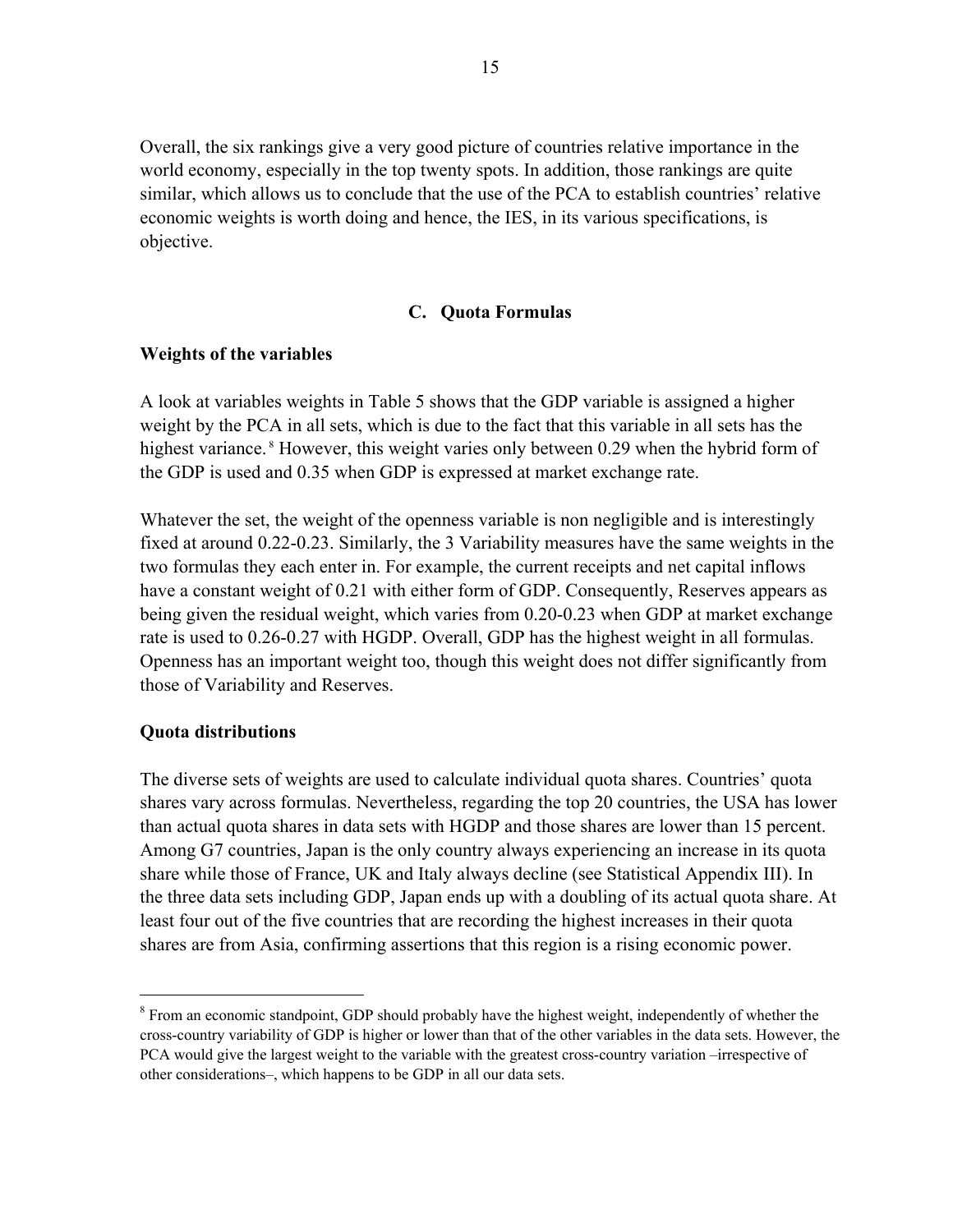Overall, the six rankings give a very good picture of countries relative importance in the world economy, especially in the top twenty spots. In addition, those rankings are quite similar, which allows us to conclude that the use of the PCA to establish countries' relative economic weights is worth doing and hence, the IES, in its various specifications, is objective.

### **C. Quota Formulas**

### **Weights of the variables**

A look at variables weights in Table 5 shows that the GDP variable is assigned a higher weight by the PCA in all sets, which is due to the fact that this variable in all sets has the highest variance.<sup>8</sup> However, this weight varies only between 0.29 when the hybrid form of the GDP is used and 0.35 when GDP is expressed at market exchange rate.

Whatever the set, the weight of the openness variable is non negligible and is interestingly fixed at around 0.22-0.23. Similarly, the 3 Variability measures have the same weights in the two formulas they each enter in. For example, the current receipts and net capital inflows have a constant weight of 0.21 with either form of GDP. Consequently, Reserves appears as being given the residual weight, which varies from 0.20-0.23 when GDP at market exchange rate is used to 0.26-0.27 with HGDP. Overall, GDP has the highest weight in all formulas. Openness has an important weight too, though this weight does not differ significantly from those of Variability and Reserves.

#### **Quota distributions**

 $\overline{a}$ 

The diverse sets of weights are used to calculate individual quota shares. Countries' quota shares vary across formulas. Nevertheless, regarding the top 20 countries, the USA has lower than actual quota shares in data sets with HGDP and those shares are lower than 15 percent. Among G7 countries, Japan is the only country always experiencing an increase in its quota share while those of France, UK and Italy always decline (see Statistical Appendix III). In the three data sets including GDP, Japan ends up with a doubling of its actual quota share. At least four out of the five countries that are recording the highest increases in their quota shares are from Asia, confirming assertions that this region is a rising economic power.

<sup>&</sup>lt;sup>8</sup> From an economic standpoint, GDP should probably have the highest weight, independently of whether the cross-country variability of GDP is higher or lower than that of the other variables in the data sets. However, the PCA would give the largest weight to the variable with the greatest cross-country variation –irrespective of other considerations–, which happens to be GDP in all our data sets.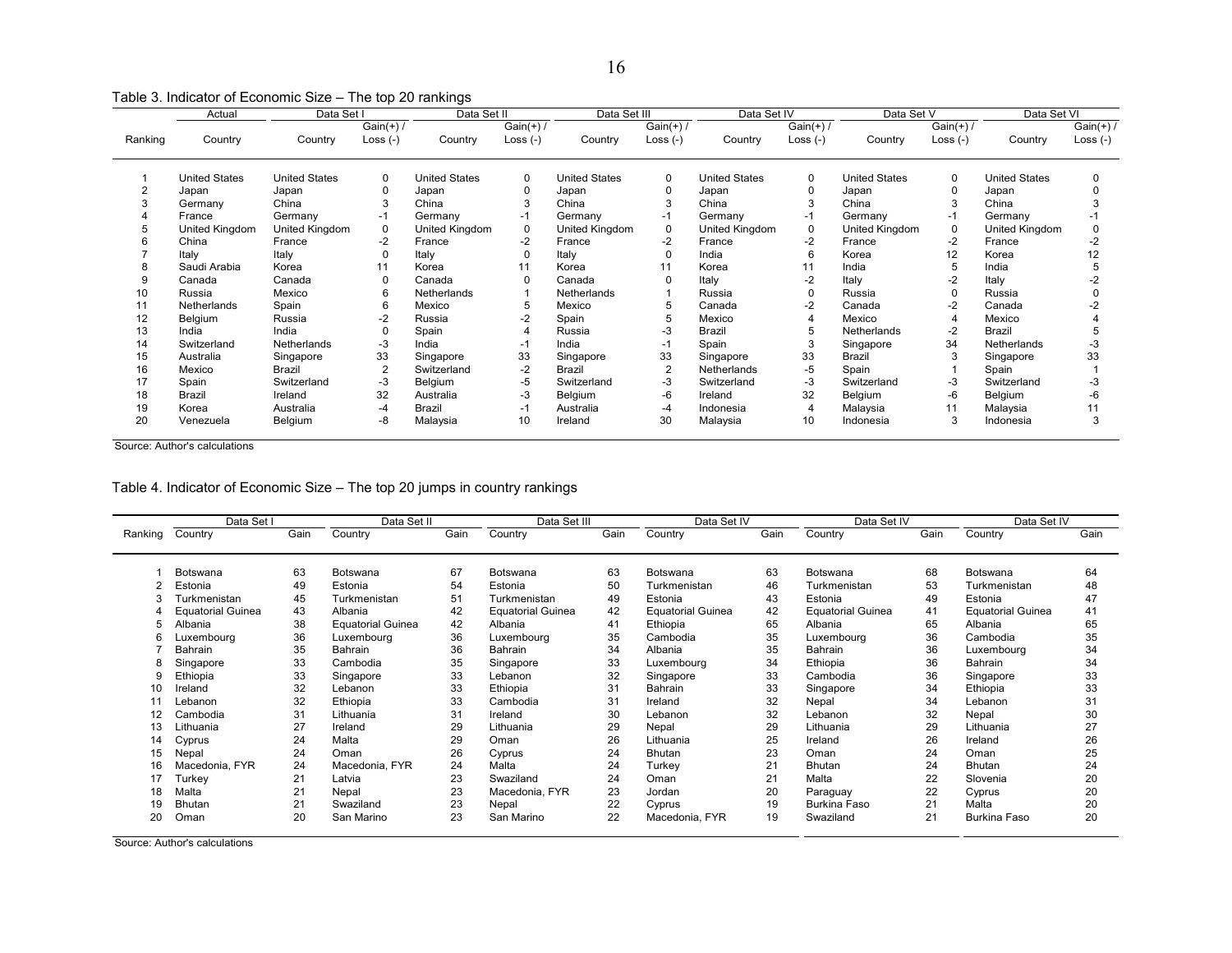Table 3. Indicator of Economic Size – The top 20 rankings

| $Gain(+)$ /<br>$Gain(+)$ /<br>$Gain(+)$<br>$Gain(+)$ /<br>$Gain(+)$ /<br>Loss $(-)$<br>Loss $(-)$<br>Loss $(-)$<br>Country<br>Loss $(-)$<br>Ranking<br>Country<br>Loss $(-)$<br>Country<br>Country<br>Country<br>Country<br>Country<br><b>United States</b><br><b>United States</b><br><b>United States</b><br><b>United States</b><br><b>United States</b><br><b>United States</b><br><b>United States</b><br>0<br>0<br>0<br>0<br>0<br>$\Omega$<br>$\Omega$<br>0<br>Japan<br>$\Omega$<br>Japan<br>Japan<br>Japan<br>Japan<br>Japan<br>Japan<br>3<br>China<br>3<br>China<br>China<br>China<br>3<br>China<br>China<br>Germany<br>France<br>Germany<br>$-1$<br>Germany<br>Germany<br>Germany<br>$-1$<br>Germany<br>Germany<br>-1<br>-1<br>United Kingdom<br>$\Omega$<br>$\Omega$<br>United Kingdom<br>0<br>United Kingdom<br>United Kingdom<br>United Kingdom<br>$\Omega$<br>0<br>United Kingdom<br>United Kingdom<br>5<br>China<br>$-2$<br>France<br>$-2$<br>France<br>-2<br>France<br>$-2$<br>France<br>France<br>$-2$<br>France<br>12<br>Italy<br>$\Omega$<br>Italy<br>Italy<br>India<br>Korea<br>Italy<br>$\Omega$<br>Korea<br>0<br>6<br>Saudi Arabia<br>11<br>India<br>5<br>India<br>11<br>Korea<br>11<br>Korea<br>8<br>Korea<br>Korea<br>$-2$<br>Italy<br>9<br>$\Omega$<br>Italy<br>$-2$<br>Italy<br>Canada<br>Canada<br>Canada<br>$\Omega$<br>Canada<br>Mexico<br>Russia<br>10<br>6<br>Netherlands<br>Russia<br>Russia<br>Netherlands<br>Russia<br>0<br>$-2$<br>11<br>Spain<br>6<br>Canada<br>Netherlands<br>Mexico<br>5<br>Mexico<br>Canada<br>-2<br>Canada<br>5<br>12<br>$-2$<br>-2<br>Spain<br>Mexico<br>Mexico<br>Belgium<br>Russia<br>5<br>Mexico<br>Russia<br>4<br>13<br>India<br>-3<br>$-2$<br>Brazil<br>Russia<br>Brazil<br><b>Netherlands</b><br>India<br>Spain<br>Δ<br>14<br>$-3$<br>34<br>Switzerland<br>Netherlands<br>India<br>India<br>Spain<br>Netherlands<br>-1<br>Singapore<br>-1<br>33<br>33<br>33<br>15<br>33<br>Australia<br>Singapore<br>Singapore<br>Brazil<br>Singapore<br>Singapore<br>Singapore<br>16<br>$\overline{2}$<br>$-2$<br><b>Brazil</b><br>Spain<br>Mexico<br><b>Brazil</b><br>Spain<br>Switzerland<br><b>Netherlands</b><br>-5<br>17<br>$-3$<br>Spain<br>$-5$<br>Switzerland<br>-3<br>$-3$<br>-3<br>Switzerland<br>Switzerland<br>Belgium<br>Switzerland<br>Switzerland<br>32<br>32<br>18<br>$-3$<br>-6<br>-6<br>Brazil<br>Belgium<br>Belgium<br>Ireland<br>Australia<br>Belgium<br>Ireland<br>19<br><b>Brazil</b><br>11<br>Australia<br>Australia<br>Malaysia<br>Malaysia<br>Korea<br>$-4$<br>$-1$<br>-4<br>Indonesia | Data Set V | Data Set IV | Data Set III | Data Set II | Data Set I | Actual |  |
|----------------------------------------------------------------------------------------------------------------------------------------------------------------------------------------------------------------------------------------------------------------------------------------------------------------------------------------------------------------------------------------------------------------------------------------------------------------------------------------------------------------------------------------------------------------------------------------------------------------------------------------------------------------------------------------------------------------------------------------------------------------------------------------------------------------------------------------------------------------------------------------------------------------------------------------------------------------------------------------------------------------------------------------------------------------------------------------------------------------------------------------------------------------------------------------------------------------------------------------------------------------------------------------------------------------------------------------------------------------------------------------------------------------------------------------------------------------------------------------------------------------------------------------------------------------------------------------------------------------------------------------------------------------------------------------------------------------------------------------------------------------------------------------------------------------------------------------------------------------------------------------------------------------------------------------------------------------------------------------------------------------------------------------------------------------------------------------------------------------------------------------------------------------------------------------------------------------------------------------------------------------------------------------------------------------------------------------------------------------------------------------------------------------------------------------------------------------------------------------------------------------------------------------------------------------|------------|-------------|--------------|-------------|------------|--------|--|
|                                                                                                                                                                                                                                                                                                                                                                                                                                                                                                                                                                                                                                                                                                                                                                                                                                                                                                                                                                                                                                                                                                                                                                                                                                                                                                                                                                                                                                                                                                                                                                                                                                                                                                                                                                                                                                                                                                                                                                                                                                                                                                                                                                                                                                                                                                                                                                                                                                                                                                                                                                |            |             |              |             |            |        |  |
|                                                                                                                                                                                                                                                                                                                                                                                                                                                                                                                                                                                                                                                                                                                                                                                                                                                                                                                                                                                                                                                                                                                                                                                                                                                                                                                                                                                                                                                                                                                                                                                                                                                                                                                                                                                                                                                                                                                                                                                                                                                                                                                                                                                                                                                                                                                                                                                                                                                                                                                                                                |            |             |              |             |            |        |  |
|                                                                                                                                                                                                                                                                                                                                                                                                                                                                                                                                                                                                                                                                                                                                                                                                                                                                                                                                                                                                                                                                                                                                                                                                                                                                                                                                                                                                                                                                                                                                                                                                                                                                                                                                                                                                                                                                                                                                                                                                                                                                                                                                                                                                                                                                                                                                                                                                                                                                                                                                                                |            |             |              |             |            |        |  |
|                                                                                                                                                                                                                                                                                                                                                                                                                                                                                                                                                                                                                                                                                                                                                                                                                                                                                                                                                                                                                                                                                                                                                                                                                                                                                                                                                                                                                                                                                                                                                                                                                                                                                                                                                                                                                                                                                                                                                                                                                                                                                                                                                                                                                                                                                                                                                                                                                                                                                                                                                                |            |             |              |             |            |        |  |
|                                                                                                                                                                                                                                                                                                                                                                                                                                                                                                                                                                                                                                                                                                                                                                                                                                                                                                                                                                                                                                                                                                                                                                                                                                                                                                                                                                                                                                                                                                                                                                                                                                                                                                                                                                                                                                                                                                                                                                                                                                                                                                                                                                                                                                                                                                                                                                                                                                                                                                                                                                |            |             |              |             |            |        |  |
|                                                                                                                                                                                                                                                                                                                                                                                                                                                                                                                                                                                                                                                                                                                                                                                                                                                                                                                                                                                                                                                                                                                                                                                                                                                                                                                                                                                                                                                                                                                                                                                                                                                                                                                                                                                                                                                                                                                                                                                                                                                                                                                                                                                                                                                                                                                                                                                                                                                                                                                                                                |            |             |              |             |            |        |  |
|                                                                                                                                                                                                                                                                                                                                                                                                                                                                                                                                                                                                                                                                                                                                                                                                                                                                                                                                                                                                                                                                                                                                                                                                                                                                                                                                                                                                                                                                                                                                                                                                                                                                                                                                                                                                                                                                                                                                                                                                                                                                                                                                                                                                                                                                                                                                                                                                                                                                                                                                                                |            |             |              |             |            |        |  |
|                                                                                                                                                                                                                                                                                                                                                                                                                                                                                                                                                                                                                                                                                                                                                                                                                                                                                                                                                                                                                                                                                                                                                                                                                                                                                                                                                                                                                                                                                                                                                                                                                                                                                                                                                                                                                                                                                                                                                                                                                                                                                                                                                                                                                                                                                                                                                                                                                                                                                                                                                                |            |             |              |             |            |        |  |
|                                                                                                                                                                                                                                                                                                                                                                                                                                                                                                                                                                                                                                                                                                                                                                                                                                                                                                                                                                                                                                                                                                                                                                                                                                                                                                                                                                                                                                                                                                                                                                                                                                                                                                                                                                                                                                                                                                                                                                                                                                                                                                                                                                                                                                                                                                                                                                                                                                                                                                                                                                |            |             |              |             |            |        |  |
|                                                                                                                                                                                                                                                                                                                                                                                                                                                                                                                                                                                                                                                                                                                                                                                                                                                                                                                                                                                                                                                                                                                                                                                                                                                                                                                                                                                                                                                                                                                                                                                                                                                                                                                                                                                                                                                                                                                                                                                                                                                                                                                                                                                                                                                                                                                                                                                                                                                                                                                                                                |            |             |              |             |            |        |  |
|                                                                                                                                                                                                                                                                                                                                                                                                                                                                                                                                                                                                                                                                                                                                                                                                                                                                                                                                                                                                                                                                                                                                                                                                                                                                                                                                                                                                                                                                                                                                                                                                                                                                                                                                                                                                                                                                                                                                                                                                                                                                                                                                                                                                                                                                                                                                                                                                                                                                                                                                                                |            |             |              |             |            |        |  |
|                                                                                                                                                                                                                                                                                                                                                                                                                                                                                                                                                                                                                                                                                                                                                                                                                                                                                                                                                                                                                                                                                                                                                                                                                                                                                                                                                                                                                                                                                                                                                                                                                                                                                                                                                                                                                                                                                                                                                                                                                                                                                                                                                                                                                                                                                                                                                                                                                                                                                                                                                                |            |             |              |             |            |        |  |
|                                                                                                                                                                                                                                                                                                                                                                                                                                                                                                                                                                                                                                                                                                                                                                                                                                                                                                                                                                                                                                                                                                                                                                                                                                                                                                                                                                                                                                                                                                                                                                                                                                                                                                                                                                                                                                                                                                                                                                                                                                                                                                                                                                                                                                                                                                                                                                                                                                                                                                                                                                |            |             |              |             |            |        |  |
|                                                                                                                                                                                                                                                                                                                                                                                                                                                                                                                                                                                                                                                                                                                                                                                                                                                                                                                                                                                                                                                                                                                                                                                                                                                                                                                                                                                                                                                                                                                                                                                                                                                                                                                                                                                                                                                                                                                                                                                                                                                                                                                                                                                                                                                                                                                                                                                                                                                                                                                                                                |            |             |              |             |            |        |  |
|                                                                                                                                                                                                                                                                                                                                                                                                                                                                                                                                                                                                                                                                                                                                                                                                                                                                                                                                                                                                                                                                                                                                                                                                                                                                                                                                                                                                                                                                                                                                                                                                                                                                                                                                                                                                                                                                                                                                                                                                                                                                                                                                                                                                                                                                                                                                                                                                                                                                                                                                                                |            |             |              |             |            |        |  |
|                                                                                                                                                                                                                                                                                                                                                                                                                                                                                                                                                                                                                                                                                                                                                                                                                                                                                                                                                                                                                                                                                                                                                                                                                                                                                                                                                                                                                                                                                                                                                                                                                                                                                                                                                                                                                                                                                                                                                                                                                                                                                                                                                                                                                                                                                                                                                                                                                                                                                                                                                                |            |             |              |             |            |        |  |
|                                                                                                                                                                                                                                                                                                                                                                                                                                                                                                                                                                                                                                                                                                                                                                                                                                                                                                                                                                                                                                                                                                                                                                                                                                                                                                                                                                                                                                                                                                                                                                                                                                                                                                                                                                                                                                                                                                                                                                                                                                                                                                                                                                                                                                                                                                                                                                                                                                                                                                                                                                |            |             |              |             |            |        |  |
|                                                                                                                                                                                                                                                                                                                                                                                                                                                                                                                                                                                                                                                                                                                                                                                                                                                                                                                                                                                                                                                                                                                                                                                                                                                                                                                                                                                                                                                                                                                                                                                                                                                                                                                                                                                                                                                                                                                                                                                                                                                                                                                                                                                                                                                                                                                                                                                                                                                                                                                                                                |            |             |              |             |            |        |  |
|                                                                                                                                                                                                                                                                                                                                                                                                                                                                                                                                                                                                                                                                                                                                                                                                                                                                                                                                                                                                                                                                                                                                                                                                                                                                                                                                                                                                                                                                                                                                                                                                                                                                                                                                                                                                                                                                                                                                                                                                                                                                                                                                                                                                                                                                                                                                                                                                                                                                                                                                                                |            |             |              |             |            |        |  |
|                                                                                                                                                                                                                                                                                                                                                                                                                                                                                                                                                                                                                                                                                                                                                                                                                                                                                                                                                                                                                                                                                                                                                                                                                                                                                                                                                                                                                                                                                                                                                                                                                                                                                                                                                                                                                                                                                                                                                                                                                                                                                                                                                                                                                                                                                                                                                                                                                                                                                                                                                                |            |             |              |             |            |        |  |
|                                                                                                                                                                                                                                                                                                                                                                                                                                                                                                                                                                                                                                                                                                                                                                                                                                                                                                                                                                                                                                                                                                                                                                                                                                                                                                                                                                                                                                                                                                                                                                                                                                                                                                                                                                                                                                                                                                                                                                                                                                                                                                                                                                                                                                                                                                                                                                                                                                                                                                                                                                |            |             |              |             |            |        |  |
|                                                                                                                                                                                                                                                                                                                                                                                                                                                                                                                                                                                                                                                                                                                                                                                                                                                                                                                                                                                                                                                                                                                                                                                                                                                                                                                                                                                                                                                                                                                                                                                                                                                                                                                                                                                                                                                                                                                                                                                                                                                                                                                                                                                                                                                                                                                                                                                                                                                                                                                                                                |            |             |              |             |            |        |  |
| 3<br>20<br>$-8$<br>30<br>10<br>10<br>Ireland<br>Belgium<br>Malaysia<br>Malaysia<br>Indonesia<br>Indonesia<br>Venezuela                                                                                                                                                                                                                                                                                                                                                                                                                                                                                                                                                                                                                                                                                                                                                                                                                                                                                                                                                                                                                                                                                                                                                                                                                                                                                                                                                                                                                                                                                                                                                                                                                                                                                                                                                                                                                                                                                                                                                                                                                                                                                                                                                                                                                                                                                                                                                                                                                                         |            |             |              |             |            |        |  |

Source: Author's calculations

Table 4. Indicator of Economic Size – The top 20 jumps in country rankings

|         | Data Set I               |      | Data Set II              |      | Data Set III             |      | Data Set IV              |      | Data Set IV              |      | Data Set IV              |      |
|---------|--------------------------|------|--------------------------|------|--------------------------|------|--------------------------|------|--------------------------|------|--------------------------|------|
| Ranking | Country                  | Gain | Country                  | Gain | Country                  | Gain | Country                  | Gain | Country                  | Gain | Country                  | Gain |
|         | <b>Botswana</b>          | 63   | Botswana                 | 67   | Botswana                 | 63   | <b>Botswana</b>          | 63   | Botswana                 | 68   | Botswana                 | 64   |
|         | Estonia                  | 49   | Estonia                  | 54   | Estonia                  | 50   | Turkmenistan             | 46   | Turkmenistan             | 53   | Turkmenistan             | 48   |
| 3       | Turkmenistan             | 45   | Turkmenistan             | 51   | Turkmenistan             | 49   | Estonia                  | 43   | Estonia                  | 49   | Estonia                  | 47   |
| 4       | <b>Equatorial Guinea</b> | 43   | Albania                  | 42   | <b>Equatorial Guinea</b> | 42   | <b>Equatorial Guinea</b> | 42   | <b>Equatorial Guinea</b> | 41   | <b>Equatorial Guinea</b> | 41   |
| 5       | Albania                  | 38   | <b>Equatorial Guinea</b> | 42   | Albania                  | 41   | Ethiopia                 | 65   | Albania                  | 65   | Albania                  | 65   |
| 6       | Luxembourg               | 36   | Luxembourg               | 36   | Luxembourg               | 35   | Cambodia                 | 35   | Luxembourg               | 36   | Cambodia                 | 35   |
|         | Bahrain                  | 35   | Bahrain                  | 36   | Bahrain                  | 34   | Albania                  | 35   | Bahrain                  | 36   | Luxembourg               | 34   |
| 8       | Singapore                | 33   | Cambodia                 | 35   | Singapore                | 33   | Luxembourg               | 34   | Ethiopia                 | 36   | Bahrain                  | 34   |
| 9       | Ethiopia                 | 33   | Singapore                | 33   | Lebanon                  | 32   | Singapore                | 33   | Cambodia                 | 36   | Singapore                | 33   |
| 10      | Ireland                  | 32   | Lebanon                  | 33   | Ethiopia                 | 31   | Bahrain                  | 33   | Singapore                | 34   | Ethiopia                 | 33   |
|         | Lebanon                  | 32   | Ethiopia                 | 33   | Cambodia                 | 31   | Ireland                  | 32   | Nepal                    | 34   | Lebanon                  | 31   |
| 12      | Cambodia                 | 31   | Lithuania                | 31   | Ireland                  | 30   | Lebanon                  | 32   | Lebanon                  | 32   | Nepal                    | 30   |
| 13      | Lithuania                | 27   | Ireland                  | 29   | Lithuania                | 29   | Nepal                    | 29   | Lithuania                | 29   | Lithuania                | 27   |
| 14      | Cyprus                   | 24   | Malta                    | 29   | Oman                     | 26   | Lithuania                | 25   | Ireland                  | 26   | Ireland                  | 26   |
| 15      | Nepal                    | 24   | Oman                     | 26   | Cyprus                   | 24   | Bhutan                   | 23   | Oman                     | 24   | Oman                     | 25   |
| 16      | Macedonia, FYR           | 24   | Macedonia, FYR           | 24   | Malta                    | 24   | Turkey                   | 21   | <b>Bhutan</b>            | 24   | Bhutan                   | 24   |
| 17      | Turkey                   | 21   | Latvia                   | 23   | Swaziland                | 24   | Oman                     | 21   | Malta                    | 22   | Slovenia                 | 20   |
| 18      | Malta                    | 21   | Nepal                    | 23   | Macedonia, FYR           | 23   | Jordan                   | 20   | Paraguay                 | 22   | Cyprus                   | 20   |
| 19      | <b>Bhutan</b>            | 21   | Swaziland                | 23   | Nepal                    | 22   | Cyprus                   | 19   | <b>Burkina Faso</b>      | 21   | Malta                    | 20   |
| 20      | Oman                     | 20   | San Marino               | 23   | San Marino               | 22   | Macedonia, FYR           | 19   | Swaziland                | 21   | Burkina Faso             | 20   |

Source: Author's calculations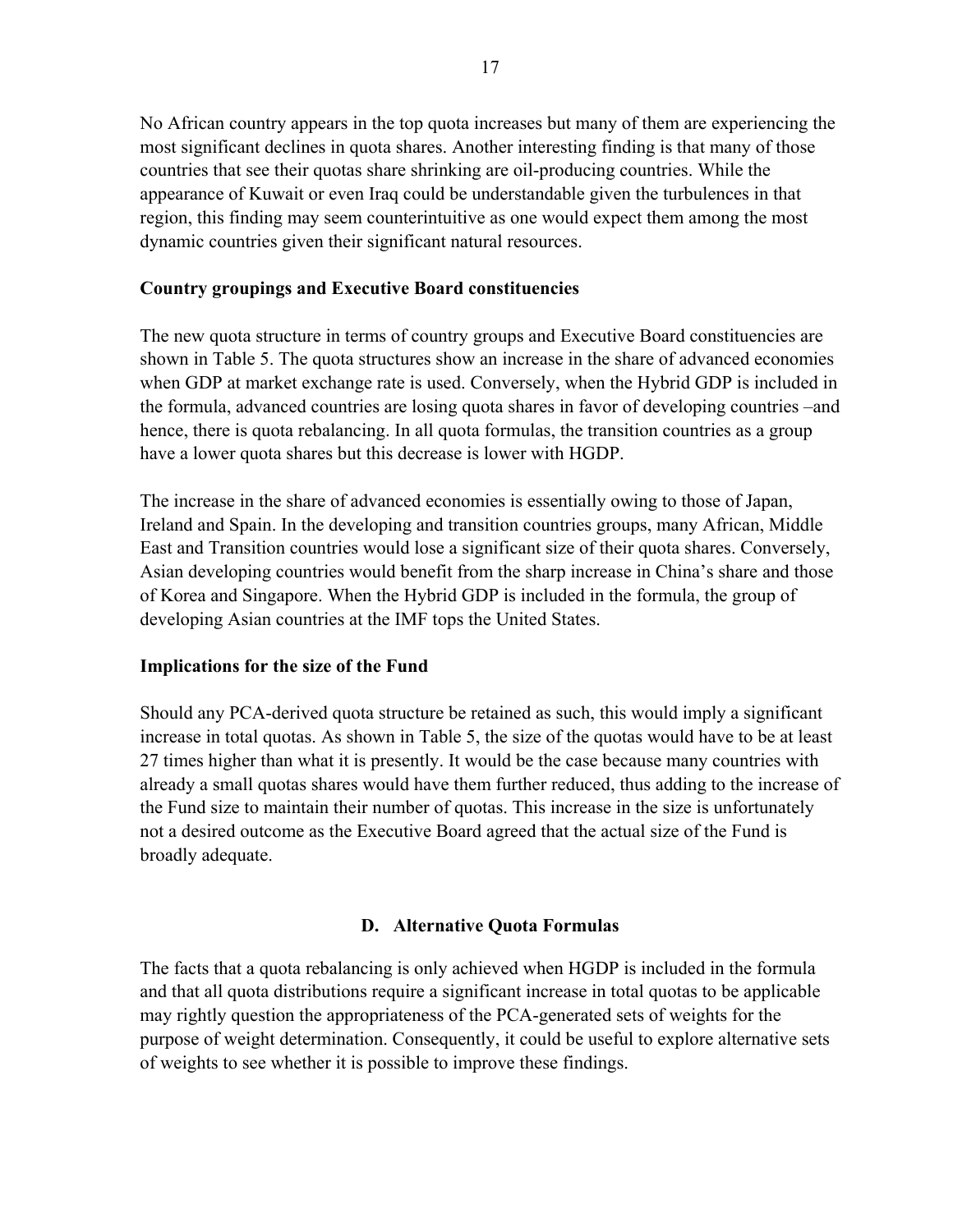No African country appears in the top quota increases but many of them are experiencing the most significant declines in quota shares. Another interesting finding is that many of those countries that see their quotas share shrinking are oil-producing countries. While the appearance of Kuwait or even Iraq could be understandable given the turbulences in that region, this finding may seem counterintuitive as one would expect them among the most dynamic countries given their significant natural resources.

### **Country groupings and Executive Board constituencies**

The new quota structure in terms of country groups and Executive Board constituencies are shown in Table 5. The quota structures show an increase in the share of advanced economies when GDP at market exchange rate is used. Conversely, when the Hybrid GDP is included in the formula, advanced countries are losing quota shares in favor of developing countries –and hence, there is quota rebalancing. In all quota formulas, the transition countries as a group have a lower quota shares but this decrease is lower with HGDP.

The increase in the share of advanced economies is essentially owing to those of Japan, Ireland and Spain. In the developing and transition countries groups, many African, Middle East and Transition countries would lose a significant size of their quota shares. Conversely, Asian developing countries would benefit from the sharp increase in China's share and those of Korea and Singapore. When the Hybrid GDP is included in the formula, the group of developing Asian countries at the IMF tops the United States.

### **Implications for the size of the Fund**

Should any PCA-derived quota structure be retained as such, this would imply a significant increase in total quotas. As shown in Table 5, the size of the quotas would have to be at least 27 times higher than what it is presently. It would be the case because many countries with already a small quotas shares would have them further reduced, thus adding to the increase of the Fund size to maintain their number of quotas. This increase in the size is unfortunately not a desired outcome as the Executive Board agreed that the actual size of the Fund is broadly adequate.

# **D. Alternative Quota Formulas**

The facts that a quota rebalancing is only achieved when HGDP is included in the formula and that all quota distributions require a significant increase in total quotas to be applicable may rightly question the appropriateness of the PCA-generated sets of weights for the purpose of weight determination. Consequently, it could be useful to explore alternative sets of weights to see whether it is possible to improve these findings.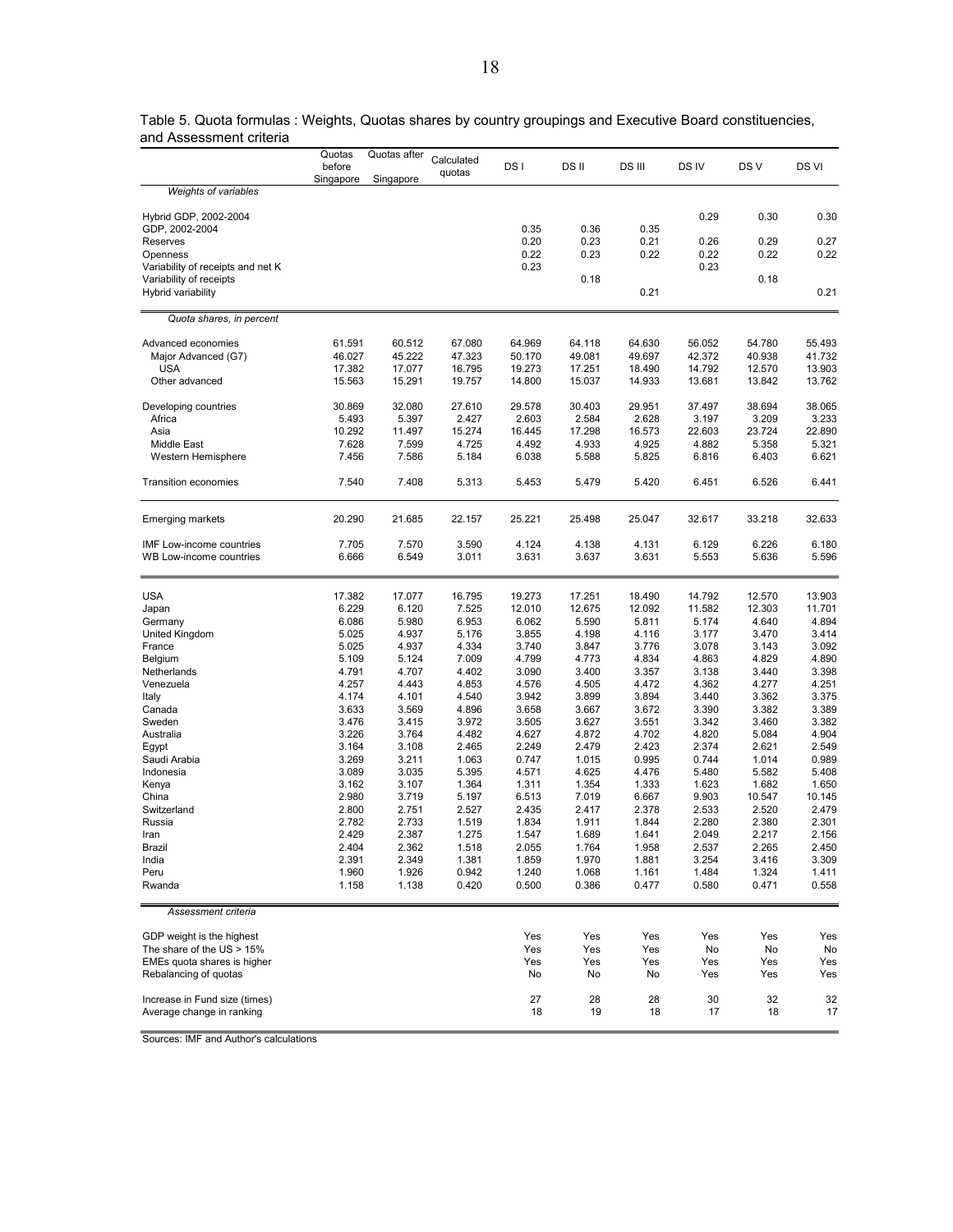|                                         | Quotas<br>before<br>Singapore | Quotas after<br>Singapore | Calculated<br>quotas | DS I             | DS II            | DS III           | DS IV            | DS V             | DS VI            |
|-----------------------------------------|-------------------------------|---------------------------|----------------------|------------------|------------------|------------------|------------------|------------------|------------------|
| <b>Weights of variables</b>             |                               |                           |                      |                  |                  |                  |                  |                  |                  |
|                                         |                               |                           |                      |                  |                  |                  |                  |                  |                  |
| Hybrid GDP, 2002-2004<br>GDP, 2002-2004 |                               |                           |                      | 0.35             | 0.36             | 0.35             | 0.29             | 0.30             | 0.30             |
| Reserves                                |                               |                           |                      | 0.20             | 0.23             | 0.21             | 0.26             | 0.29             | 0.27             |
| Openness                                |                               |                           |                      | 0.22             | 0.23             | 0.22             | 0.22             | 0.22             | 0.22             |
| Variability of receipts and net K       |                               |                           |                      | 0.23             |                  |                  | 0.23             |                  |                  |
| Variability of receipts                 |                               |                           |                      |                  | 0.18             |                  |                  | 0.18             |                  |
| Hybrid variability                      |                               |                           |                      |                  |                  | 0.21             |                  |                  | 0.21             |
| Quota shares, in percent                |                               |                           |                      |                  |                  |                  |                  |                  |                  |
|                                         |                               |                           |                      |                  |                  |                  |                  |                  |                  |
| Advanced economies                      | 61.591                        | 60.512                    | 67.080               | 64.969           | 64.118           | 64.630           | 56.052           | 54.780           | 55.493           |
| Major Advanced (G7)                     | 46.027                        | 45.222                    | 47.323               | 50.170           | 49.081           | 49.697           | 42.372           | 40.938           | 41.732           |
| USA                                     | 17.382<br>15.563              | 17.077<br>15.291          | 16.795               | 19.273<br>14.800 | 17.251<br>15.037 | 18.490<br>14.933 | 14.792<br>13.681 | 12.570           | 13.903           |
| Other advanced                          |                               |                           | 19.757               |                  |                  |                  |                  | 13.842           | 13.762           |
| Developing countries                    | 30.869                        | 32.080                    | 27.610               | 29.578           | 30.403           | 29.951           | 37.497           | 38.694           | 38.065           |
| Africa                                  | 5.493                         | 5.397                     | 2.427                | 2.603            | 2.584            | 2.628            | 3.197            | 3.209            | 3.233            |
| Asia                                    | 10.292                        | 11.497                    | 15.274               | 16.445           | 17.298           | 16.573           | 22.603           | 23.724           | 22.890           |
| Middle East                             | 7.628                         | 7.599                     | 4.725                | 4.492            | 4.933            | 4.925            | 4.882            | 5.358            | 5.321            |
| Western Hemisphere                      | 7.456                         | 7.586                     | 5.184                | 6.038            | 5.588            | 5.825            | 6.816            | 6.403            | 6.621            |
| Transition economies                    | 7.540                         | 7.408                     | 5.313                | 5.453            | 5.479            | 5.420            | 6.451            | 6.526            | 6.441            |
| Emerging markets                        | 20.290                        | 21.685                    | 22.157               | 25.221           | 25.498           | 25.047           | 32.617           | 33.218           | 32.633           |
|                                         |                               |                           |                      |                  |                  |                  |                  |                  |                  |
| IMF Low-income countries                | 7.705                         | 7.570                     | 3.590                | 4.124            | 4.138            | 4.131            | 6.129            | 6.226            | 6.180            |
| WB Low-income countries                 | 6.666                         | 6.549                     | 3.011                | 3.631            | 3.637            | 3.631            | 5.553            | 5.636            | 5.596            |
|                                         |                               |                           |                      |                  |                  |                  |                  |                  |                  |
| <b>USA</b>                              | 17.382<br>6.229               | 17.077<br>6.120           | 16.795<br>7.525      | 19.273<br>12.010 | 17.251<br>12.675 | 18.490<br>12.092 | 14.792<br>11.582 | 12.570<br>12.303 | 13.903<br>11.701 |
| Japan<br>Germany                        | 6.086                         | 5.980                     | 6.953                | 6.062            | 5.590            | 5.811            | 5.174            | 4.640            | 4.894            |
| United Kingdom                          | 5.025                         | 4.937                     | 5.176                | 3.855            | 4.198            | 4.116            | 3.177            | 3.470            | 3.414            |
| France                                  | 5.025                         | 4.937                     | 4.334                | 3.740            | 3.847            | 3.776            | 3.078            | 3.143            | 3.092            |
| Belgium                                 | 5.109                         | 5.124                     | 7.009                | 4.799            | 4.773            | 4.834            | 4.863            | 4.829            | 4.890            |
| Netherlands                             | 4.791                         | 4.707                     | 4.402                | 3.090            | 3.400            | 3.357            | 3.138            | 3.440            | 3.398            |
| Venezuela                               | 4.257                         | 4.443                     | 4.853                | 4.576            | 4.505            | 4.472            | 4.362            | 4.277            | 4.251            |
| Italy                                   | 4.174                         | 4.101                     | 4.540                | 3.942            | 3.899            | 3.894            | 3.440            | 3.362            | 3.375            |
| Canada                                  | 3.633                         | 3.569                     | 4.896                | 3.658            | 3.667            | 3.672            | 3.390            | 3.382            | 3.389            |
| Sweden                                  | 3.476                         | 3.415                     | 3.972                | 3.505            | 3.627            | 3.551            | 3.342            | 3.460            | 3.382            |
| Australia                               | 3.226                         | 3.764                     | 4.482                | 4.627            | 4.872            | 4.702            | 4.820            | 5.084            | 4.904            |
| Egypt                                   | 3.164                         | 3.108                     | 2.465                | 2.249            | 2.479            | 2.423            | 2.374            | 2.621            | 2.549            |
| Saudi Arabia                            | 3.269                         | 3.211                     | 1.063                | 0.747            | 1.015            | 0.995            | 0.744            | 1.014            | 0.989            |
| Indonesia                               | 3.089                         | 3.035                     | 5.395                | 4.571            | 4.625            | 4.476            | 5.480            | 5.582            | 5.408            |
| Kenya                                   | 3.162                         | 3.107                     | 1.364                | 1.311            | 1.354            | 1.333            | 1.623            | 1.682            | 1.650            |
| China                                   | 2.980                         | 3.719                     | 5.197                | 6.513            | 7.019            | 6.667            | 9.903            | 10.547           | 10.145           |
| Switzerland                             | 2.800                         | 2.751                     | 2.527                | 2.435            | 2.417            | 2.378            | 2.533            | 2.520            | 2.479            |
| Russia                                  | 2.782<br>2.429                | 2.733<br>2.387            | 1.519<br>1.275       | 1.834<br>1.547   | 1.911<br>1.689   | 1.844<br>1.641   | 2.280<br>2.049   | 2.380<br>2.217   | 2.301<br>2.156   |
| Iran<br>Brazil                          | 2.404                         | 2.362                     | 1.518                | 2.055            | 1.764            | 1.958            | 2.537            | 2.265            | 2.450            |
| India                                   | 2.391                         | 2.349                     | 1.381                | 1.859            | 1.970            | 1.881            | 3.254            | 3.416            | 3.309            |
| Peru                                    | 1.960                         | 1.926                     | 0.942                | 1.240            | 1.068            | 1.161            | 1.484            | 1.324            | 1.411            |
| Rwanda                                  | 1.158                         | 1.138                     | 0.420                | 0.500            | 0.386            | 0.477            | 0.580            | 0.471            | 0.558            |
| Assessment criteria                     |                               |                           |                      |                  |                  |                  |                  |                  |                  |
|                                         |                               |                           |                      |                  |                  |                  |                  |                  |                  |
| GDP weight is the highest               |                               |                           |                      | Yes              | Yes              | Yes              | Yes              | Yes              | Yes              |
| The share of the $US > 15\%$            |                               |                           |                      | Yes              | Yes              | Yes              | No               | No               | No               |
| EMEs quota shares is higher             |                               |                           |                      | Yes              | Yes              | Yes              | Yes              | Yes              | Yes              |
| Rebalancing of quotas                   |                               |                           |                      | No               | No               | No               | Yes              | Yes              | Yes              |
| Increase in Fund size (times)           |                               |                           |                      | 27               | 28               | 28               | 30               | 32               | 32               |
| Average change in ranking               |                               |                           |                      | 18               | 19               | 18               | 17               | 18               | 17               |

Table 5. Quota formulas : Weights, Quotas shares by country groupings and Executive Board constituencies, and Assessment criteria

Sources: IMF and Author's calculations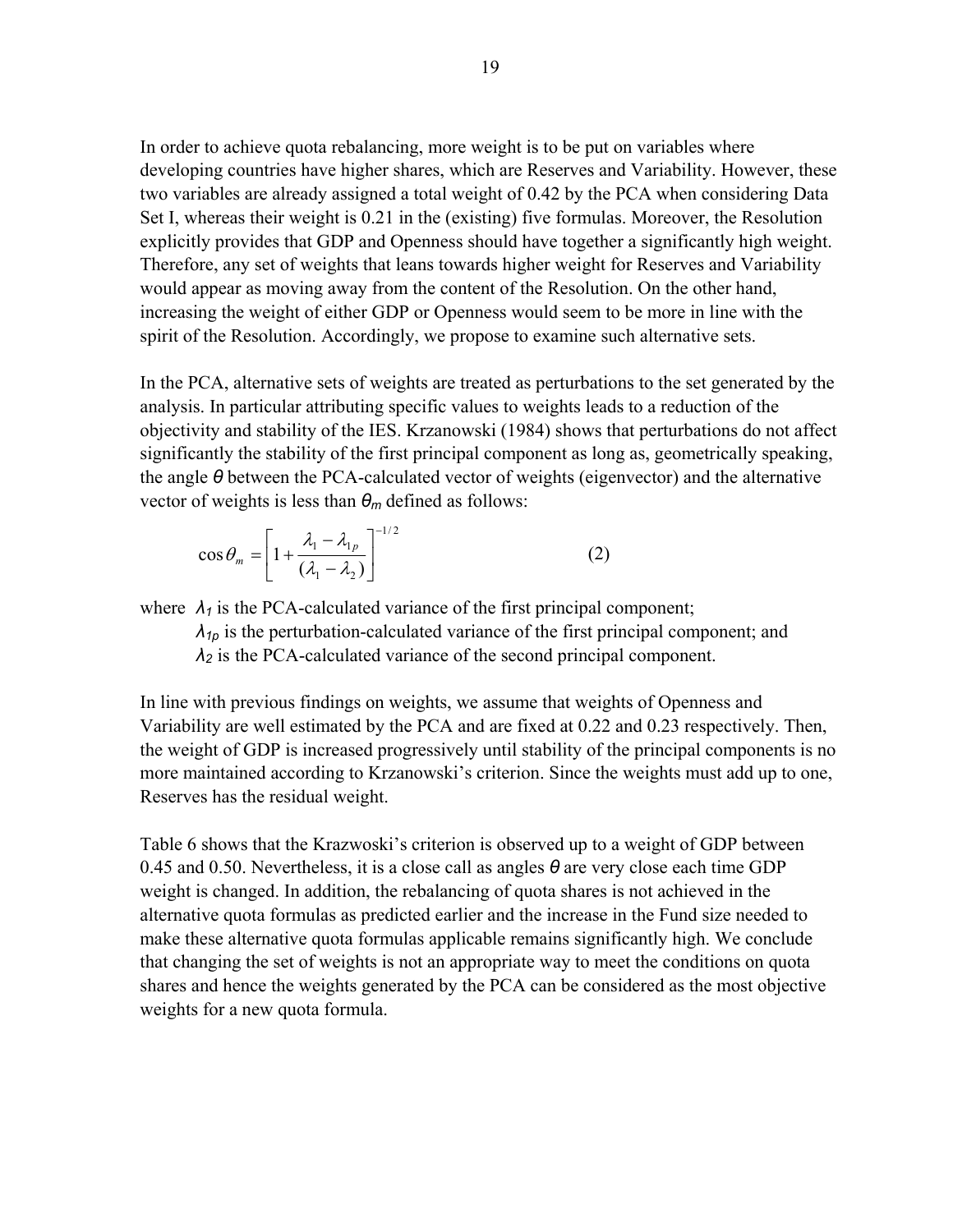In order to achieve quota rebalancing, more weight is to be put on variables where developing countries have higher shares, which are Reserves and Variability. However, these two variables are already assigned a total weight of 0.42 by the PCA when considering Data Set I, whereas their weight is 0.21 in the (existing) five formulas. Moreover, the Resolution explicitly provides that GDP and Openness should have together a significantly high weight. Therefore, any set of weights that leans towards higher weight for Reserves and Variability would appear as moving away from the content of the Resolution. On the other hand, increasing the weight of either GDP or Openness would seem to be more in line with the spirit of the Resolution. Accordingly, we propose to examine such alternative sets.

In the PCA, alternative sets of weights are treated as perturbations to the set generated by the analysis. In particular attributing specific values to weights leads to a reduction of the objectivity and stability of the IES. Krzanowski (1984) shows that perturbations do not affect significantly the stability of the first principal component as long as, geometrically speaking, the angle *θ* between the PCA-calculated vector of weights (eigenvector) and the alternative vector of weights is less than *θm* defined as follows:

$$
\cos \theta_m = \left[ 1 + \frac{\lambda_1 - \lambda_{1p}}{(\lambda_1 - \lambda_2)} \right]^{-1/2}
$$
 (2)

where  $\lambda_1$  is the PCA-calculated variance of the first principal component;

 $\lambda_{1p}$  is the perturbation-calculated variance of the first principal component; and *λ<sup>2</sup>* is the PCA-calculated variance of the second principal component.

In line with previous findings on weights, we assume that weights of Openness and Variability are well estimated by the PCA and are fixed at 0.22 and 0.23 respectively. Then, the weight of GDP is increased progressively until stability of the principal components is no more maintained according to Krzanowski's criterion. Since the weights must add up to one, Reserves has the residual weight.

Table 6 shows that the Krazwoski's criterion is observed up to a weight of GDP between 0.45 and 0.50. Nevertheless, it is a close call as angles *θ* are very close each time GDP weight is changed. In addition, the rebalancing of quota shares is not achieved in the alternative quota formulas as predicted earlier and the increase in the Fund size needed to make these alternative quota formulas applicable remains significantly high. We conclude that changing the set of weights is not an appropriate way to meet the conditions on quota shares and hence the weights generated by the PCA can be considered as the most objective weights for a new quota formula.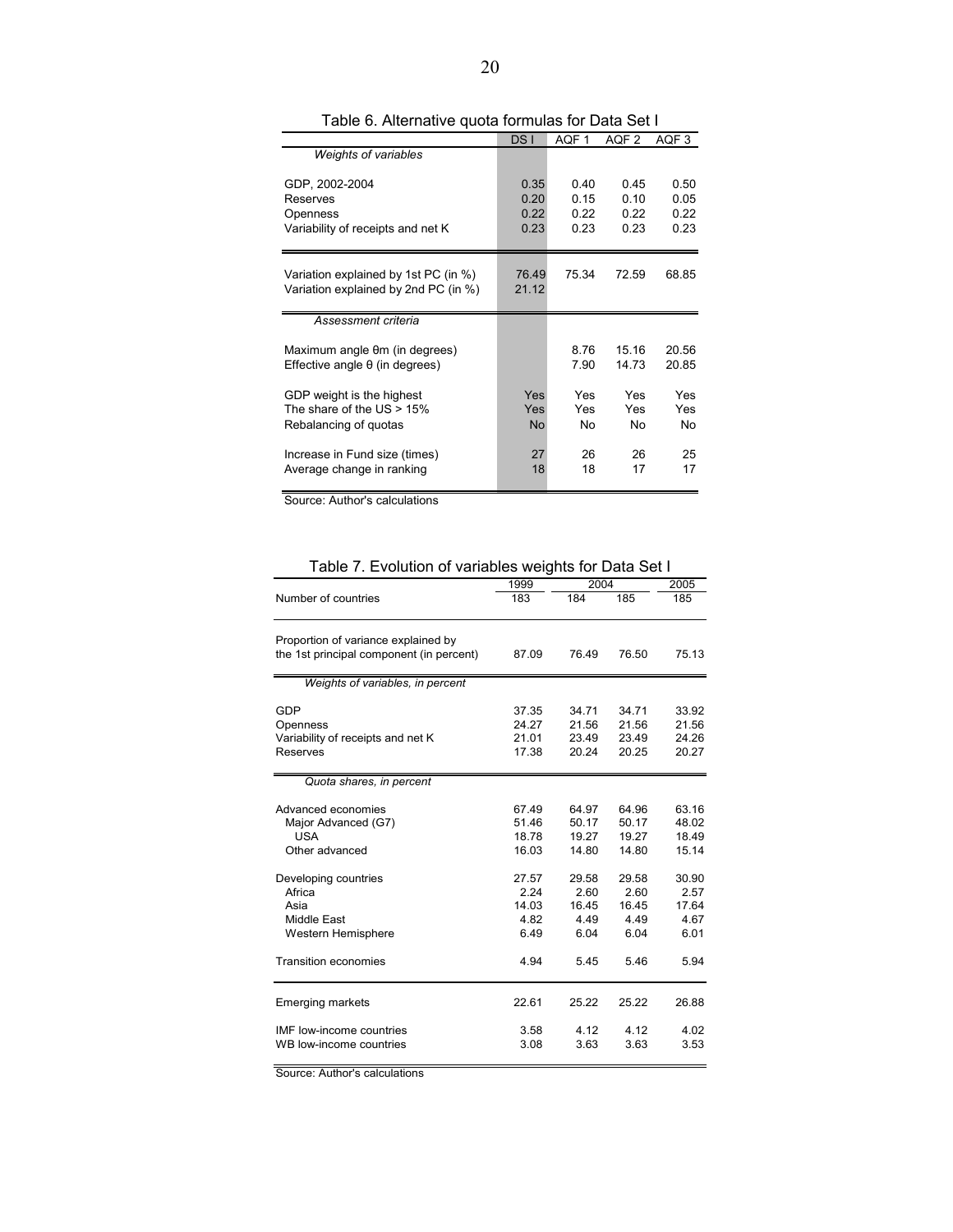|                                      | DS <sub>I</sub> | AQF1  | AQF 2 | AQF3  |
|--------------------------------------|-----------------|-------|-------|-------|
| Weights of variables                 |                 |       |       |       |
| GDP, 2002-2004                       | 0.35            | 0.40  | 0.45  | 0.50  |
| Reserves                             | 0.20            | 0.15  | 0.10  | 0.05  |
| Openness                             | 0.22            | 0.22  | 0.22  | 0.22  |
| Variability of receipts and net K    | 0.23            | 0.23  | 0.23  | 0.23  |
| Variation explained by 1st PC (in %) | 76.49           | 75.34 | 72.59 | 68.85 |
| Variation explained by 2nd PC (in %) | 21.12           |       |       |       |
| Assessment criteria                  |                 |       |       |       |
| Maximum angle θm (in degrees)        |                 | 8.76  | 15 16 | 20.56 |
| Effective angle θ (in degrees)       |                 | 7.90  | 14.73 | 20.85 |
| GDP weight is the highest            | Yes             | Yes   | Yes   | Yes   |
| The share of the $US > 15\%$         | Yes             | Yes   | Yes   | Yes   |
| Rebalancing of quotas                | <b>No</b>       | No    | No    | No    |
| Increase in Fund size (times)        | 27              | 26    | 26    | 25    |
| Average change in ranking            | 18              | 18    | 17    | 17    |

Table 6. Alternative quota formulas for Data Set I

Source: Author's calculations

Table 7. Evolution of variables weights for Data Set I

|                                                                                 | 1999                                   | 2004                                   |                                        | 2005                                   |
|---------------------------------------------------------------------------------|----------------------------------------|----------------------------------------|----------------------------------------|----------------------------------------|
| Number of countries                                                             | 183                                    | 184                                    | 185                                    | 185                                    |
| Proportion of variance explained by<br>the 1st principal component (in percent) | 87.09                                  | 76.49                                  | 76.50                                  | 75.13                                  |
| Weights of variables, in percent                                                |                                        |                                        |                                        |                                        |
| GDP<br>Openness<br>Variability of receipts and net K<br>Reserves                | 37.35<br>24.27<br>21.01<br>17.38       | 34.71<br>21.56<br>23.49<br>20.24       | 34.71<br>21.56<br>23.49<br>20.25       | 33.92<br>21.56<br>24.26<br>20.27       |
| Quota shares, in percent                                                        |                                        |                                        |                                        |                                        |
| Advanced economies<br>Major Advanced (G7)<br><b>USA</b><br>Other advanced       | 67.49<br>51.46<br>18.78<br>16.03       | 64.97<br>50.17<br>19.27<br>14.80       | 64.96<br>50.17<br>19.27<br>14.80       | 63.16<br>48.02<br>18.49<br>15.14       |
| Developing countries<br>Africa<br>Asia<br>Middle East<br>Western Hemisphere     | 27.57<br>2.24<br>14.03<br>4.82<br>6.49 | 29.58<br>2.60<br>16.45<br>4.49<br>6.04 | 29.58<br>2.60<br>16.45<br>4.49<br>6.04 | 30.90<br>2.57<br>17.64<br>4.67<br>6.01 |
| <b>Transition economies</b>                                                     | 4.94                                   | 5.45                                   | 5.46                                   | 5.94                                   |
| <b>Emerging markets</b>                                                         | 22.61                                  | 25.22                                  | 25.22                                  | 26.88                                  |
| <b>IMF</b> low-income countries<br>WB low-income countries                      | 3.58<br>3.08                           | 4.12<br>3.63                           | 4.12<br>3.63                           | 4.02<br>3.53                           |

Source: Author's calculations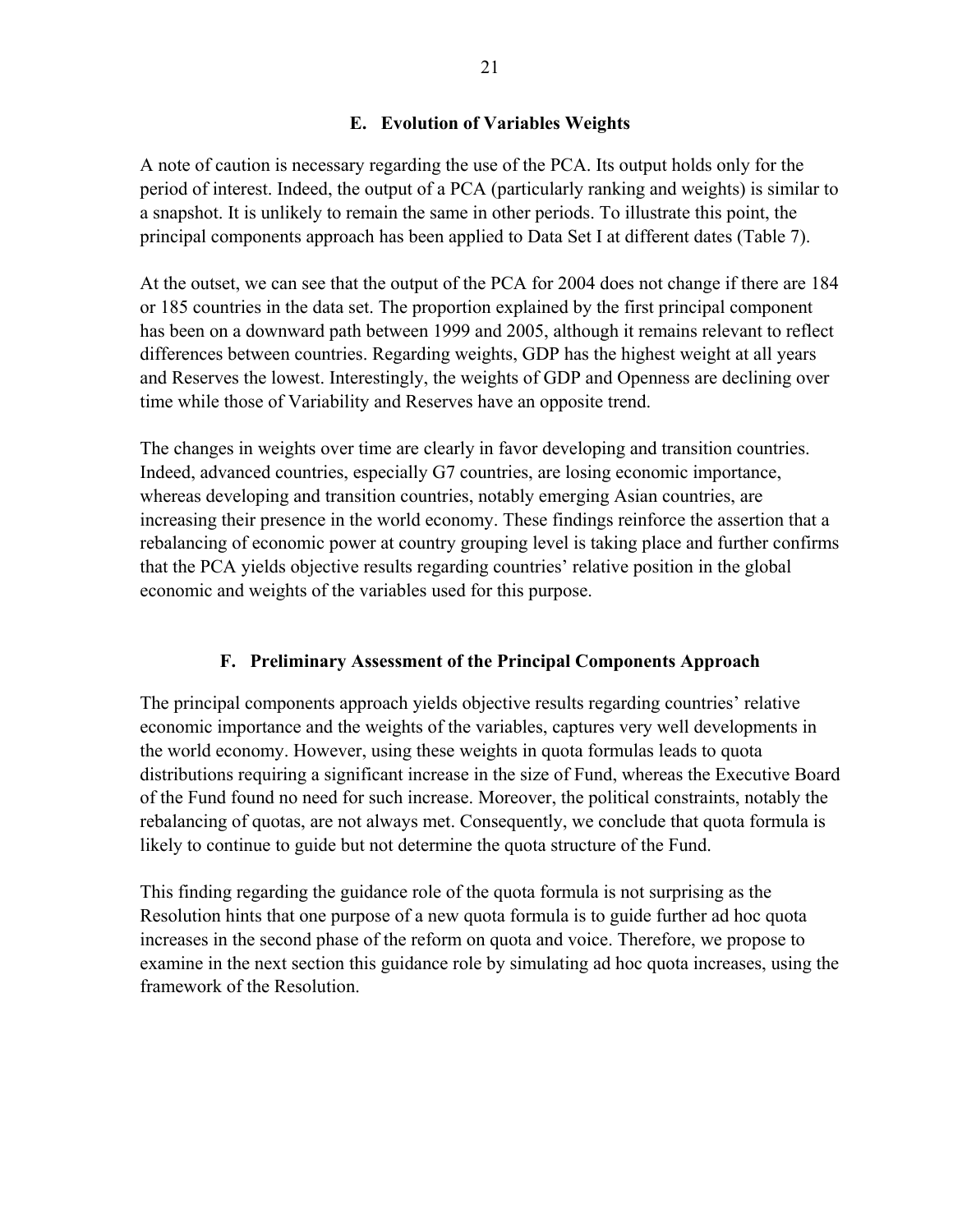# **E. Evolution of Variables Weights**

A note of caution is necessary regarding the use of the PCA. Its output holds only for the period of interest. Indeed, the output of a PCA (particularly ranking and weights) is similar to a snapshot. It is unlikely to remain the same in other periods. To illustrate this point, the principal components approach has been applied to Data Set I at different dates (Table 7).

At the outset, we can see that the output of the PCA for 2004 does not change if there are 184 or 185 countries in the data set. The proportion explained by the first principal component has been on a downward path between 1999 and 2005, although it remains relevant to reflect differences between countries. Regarding weights, GDP has the highest weight at all years and Reserves the lowest. Interestingly, the weights of GDP and Openness are declining over time while those of Variability and Reserves have an opposite trend.

The changes in weights over time are clearly in favor developing and transition countries. Indeed, advanced countries, especially G7 countries, are losing economic importance, whereas developing and transition countries, notably emerging Asian countries, are increasing their presence in the world economy. These findings reinforce the assertion that a rebalancing of economic power at country grouping level is taking place and further confirms that the PCA yields objective results regarding countries' relative position in the global economic and weights of the variables used for this purpose.

# **F. Preliminary Assessment of the Principal Components Approach**

The principal components approach yields objective results regarding countries' relative economic importance and the weights of the variables, captures very well developments in the world economy. However, using these weights in quota formulas leads to quota distributions requiring a significant increase in the size of Fund, whereas the Executive Board of the Fund found no need for such increase. Moreover, the political constraints, notably the rebalancing of quotas, are not always met. Consequently, we conclude that quota formula is likely to continue to guide but not determine the quota structure of the Fund.

This finding regarding the guidance role of the quota formula is not surprising as the Resolution hints that one purpose of a new quota formula is to guide further ad hoc quota increases in the second phase of the reform on quota and voice. Therefore, we propose to examine in the next section this guidance role by simulating ad hoc quota increases, using the framework of the Resolution.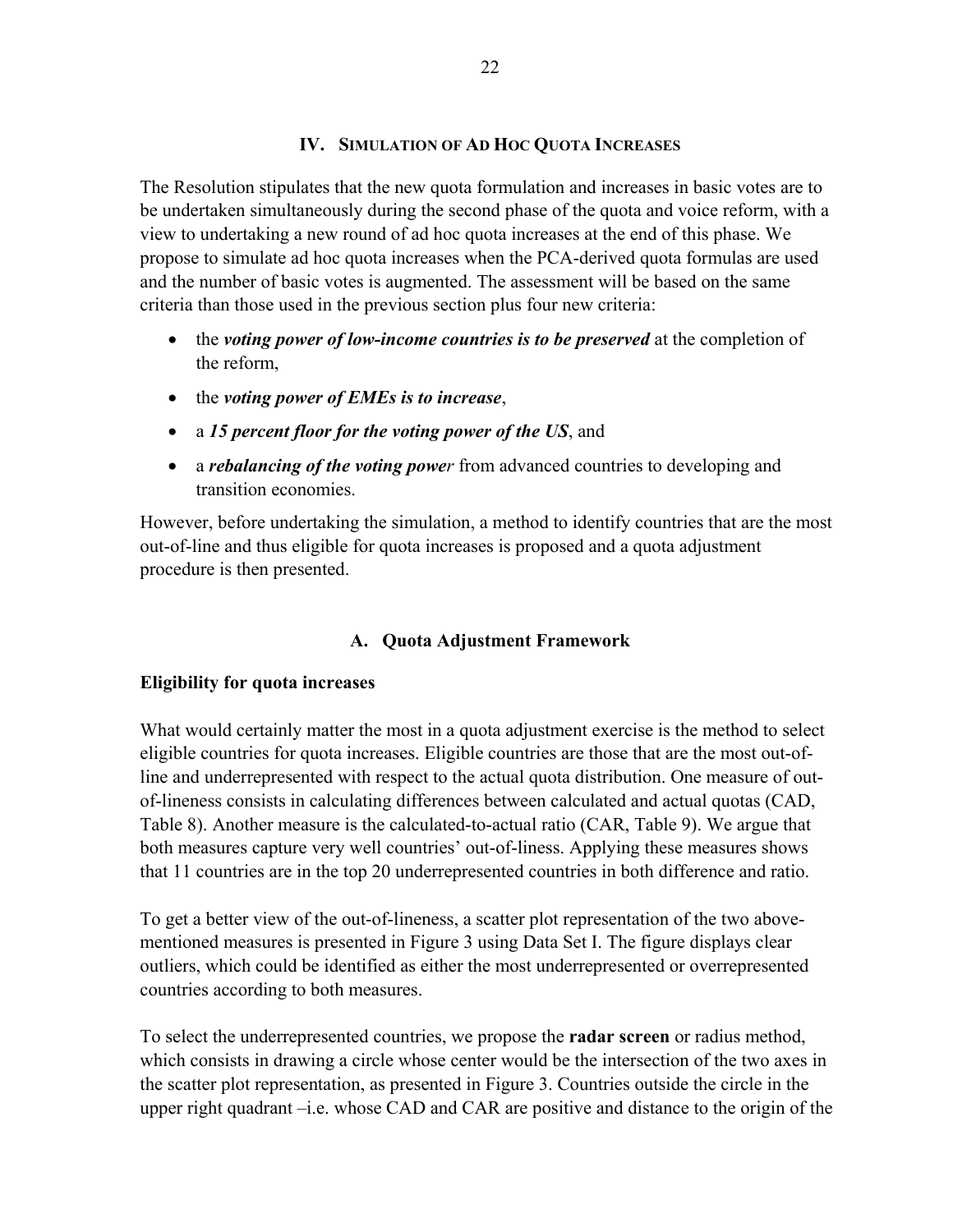### **IV. SIMULATION OF AD HOC QUOTA INCREASES**

The Resolution stipulates that the new quota formulation and increases in basic votes are to be undertaken simultaneously during the second phase of the quota and voice reform, with a view to undertaking a new round of ad hoc quota increases at the end of this phase. We propose to simulate ad hoc quota increases when the PCA-derived quota formulas are used and the number of basic votes is augmented. The assessment will be based on the same criteria than those used in the previous section plus four new criteria:

- the *voting power of low-income countries is to be preserved* at the completion of the reform,
- the *voting power of EMEs is to increase*,
- a *15 percent floor for the voting power of the US*, and
- a *rebalancing of the voting power* from advanced countries to developing and transition economies.

However, before undertaking the simulation, a method to identify countries that are the most out-of-line and thus eligible for quota increases is proposed and a quota adjustment procedure is then presented.

# **A. Quota Adjustment Framework**

# **Eligibility for quota increases**

What would certainly matter the most in a quota adjustment exercise is the method to select eligible countries for quota increases. Eligible countries are those that are the most out-ofline and underrepresented with respect to the actual quota distribution. One measure of outof-lineness consists in calculating differences between calculated and actual quotas (CAD, Table 8). Another measure is the calculated-to-actual ratio (CAR, Table 9). We argue that both measures capture very well countries' out-of-liness. Applying these measures shows that 11 countries are in the top 20 underrepresented countries in both difference and ratio.

To get a better view of the out-of-lineness, a scatter plot representation of the two abovementioned measures is presented in Figure 3 using Data Set I. The figure displays clear outliers, which could be identified as either the most underrepresented or overrepresented countries according to both measures.

To select the underrepresented countries, we propose the **radar screen** or radius method, which consists in drawing a circle whose center would be the intersection of the two axes in the scatter plot representation, as presented in Figure 3. Countries outside the circle in the upper right quadrant –i.e. whose CAD and CAR are positive and distance to the origin of the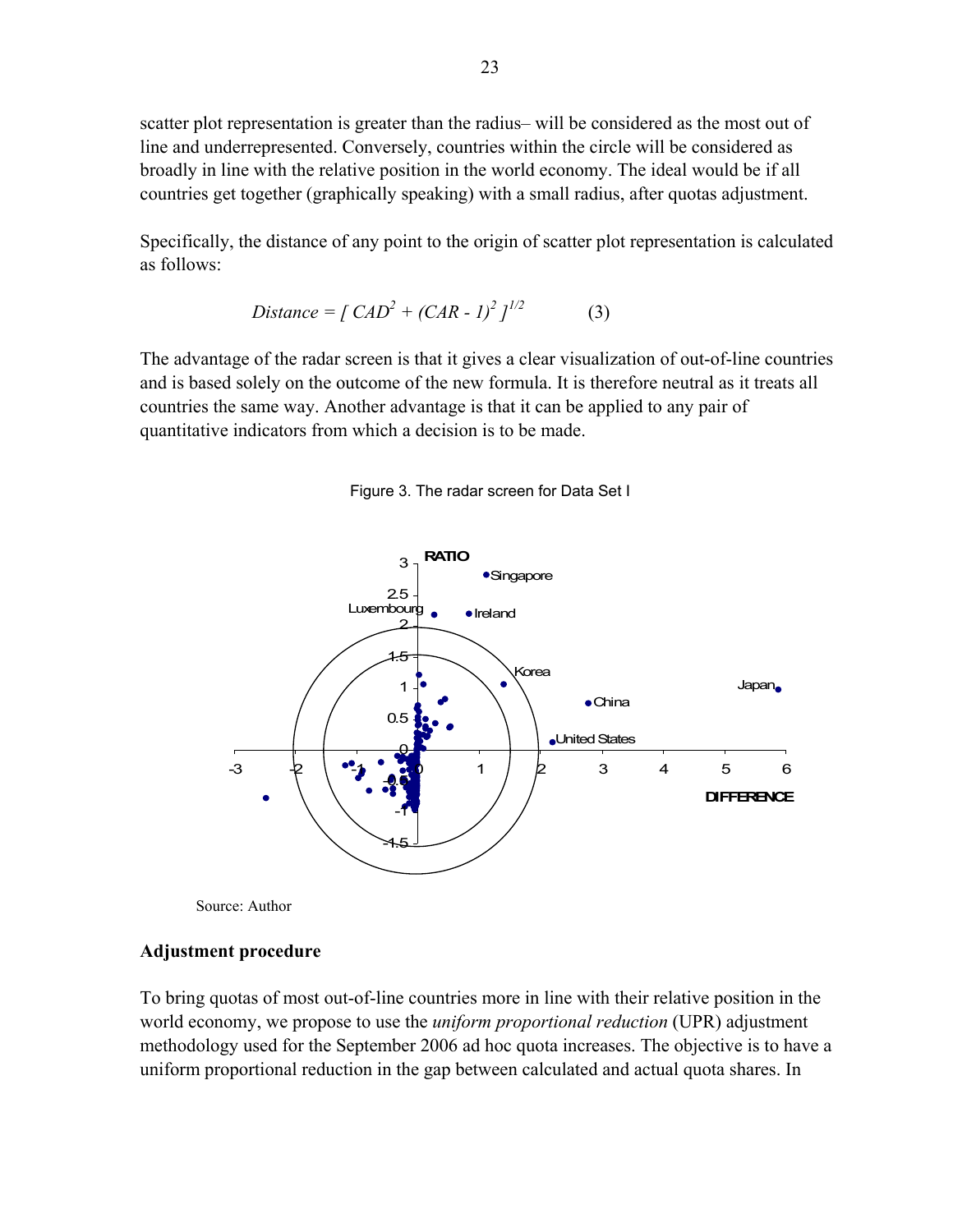scatter plot representation is greater than the radius– will be considered as the most out of line and underrepresented. Conversely, countries within the circle will be considered as broadly in line with the relative position in the world economy. The ideal would be if all countries get together (graphically speaking) with a small radius, after quotas adjustment.

Specifically, the distance of any point to the origin of scatter plot representation is calculated as follows:

Distance = 
$$
\int CAD^2 + (CAR - 1)^2 J^{1/2}
$$
 (3)

The advantage of the radar screen is that it gives a clear visualization of out-of-line countries and is based solely on the outcome of the new formula. It is therefore neutral as it treats all countries the same way. Another advantage is that it can be applied to any pair of quantitative indicators from which a decision is to be made.





Source: Author

#### **Adjustment procedure**

To bring quotas of most out-of-line countries more in line with their relative position in the world economy, we propose to use the *uniform proportional reduction* (UPR) adjustment methodology used for the September 2006 ad hoc quota increases. The objective is to have a uniform proportional reduction in the gap between calculated and actual quota shares. In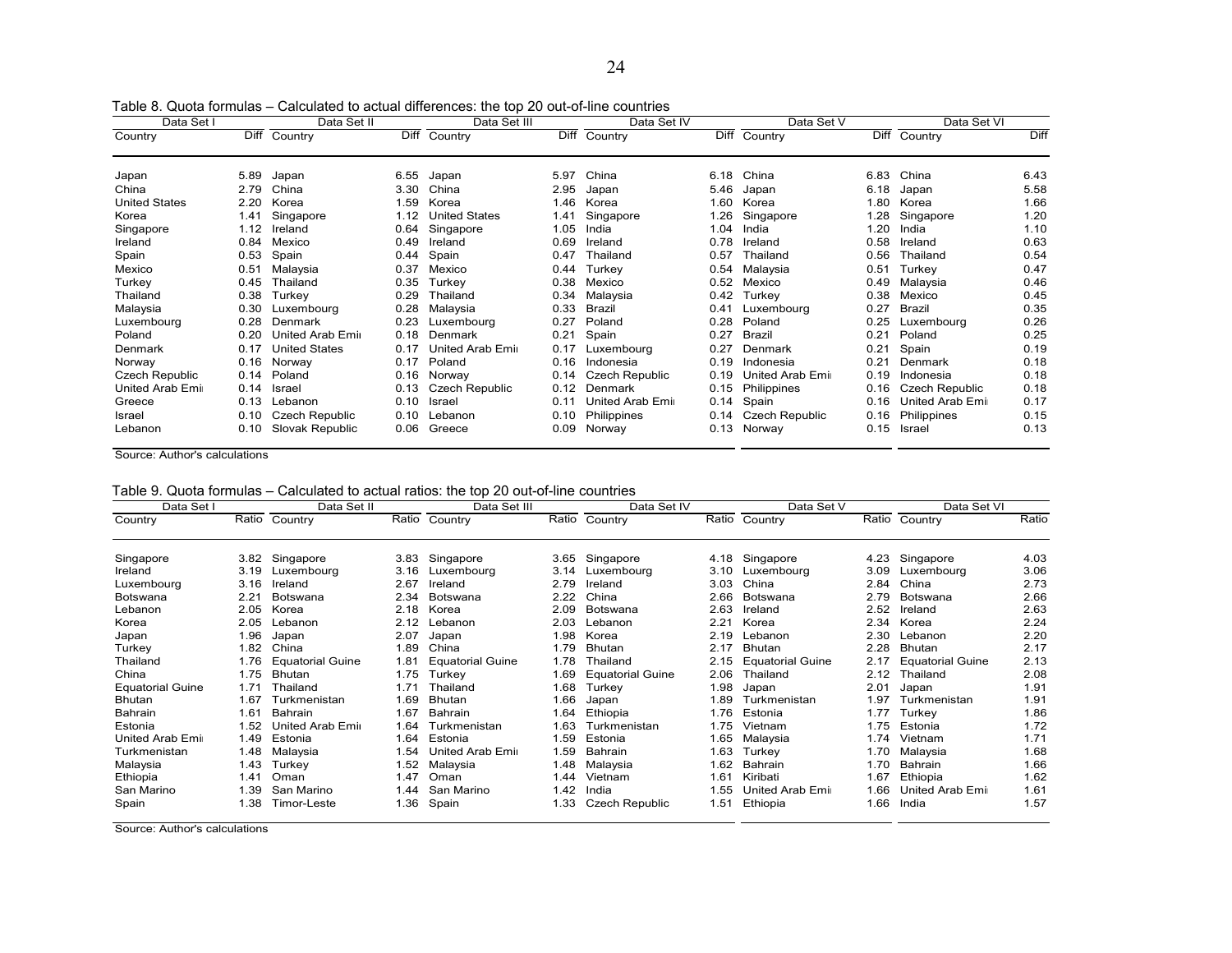| Data Set I            |      | Data Set II           |      | Data Set III            |      | Data Set IV      |      | Data Set V            |      | Data Set VI           |      |
|-----------------------|------|-----------------------|------|-------------------------|------|------------------|------|-----------------------|------|-----------------------|------|
| Country               |      | Diff Country          | Diff | Country                 |      | Diff Country     | Diff | Country               | Diff | Country               | Diff |
| Japan                 | 5.89 | Japan                 | 6.55 | Japan                   | 5.97 | China            | 6.18 | China                 | 6.83 | China                 | 6.43 |
| China                 | 2.79 | China                 | 3.30 | China                   | 2.95 | Japan            | 5.46 | Japan                 | 6.18 | Japan                 | 5.58 |
| <b>United States</b>  | 2.20 | Korea                 | 1.59 | Korea                   | 1.46 | Korea            | 1.60 | Korea                 | 1.80 | Korea                 | 1.66 |
| Korea                 | 1.41 | Singapore             | 1.12 | <b>United States</b>    | 1.41 | Singapore        | 1.26 | Singapore             | 1.28 | Singapore             | 1.20 |
| Singapore             | 1.12 | Ireland               | 0.64 | Singapore               | 1.05 | India            | 1.04 | India                 | 1.20 | India                 | 1.10 |
| Ireland               | 0.84 | Mexico                | 0.49 | Ireland                 | 0.69 | Ireland          | 0.78 | Ireland               | 0.58 | Ireland               | 0.63 |
| Spain                 | 0.53 | Spain                 | 0.44 | Spain                   | 0.47 | Thailand         | 0.57 | Thailand              | 0.56 | Thailand              | 0.54 |
| Mexico                | 0.51 | Malaysia              | 0.37 | Mexico                  | 0.44 | Turkev           | 0.54 | Malaysia              | 0.51 | Turkey                | 0.47 |
| Turkey                | 0.45 | Thailand              | 0.35 | Turkey                  | 0.38 | Mexico           | 0.52 | Mexico                | 0.49 | Malaysia              | 0.46 |
| Thailand              | 0.38 | Turkey                | 0.29 | Thailand                | 0.34 | Malaysia         | 0.42 | Turkey                | 0.38 | Mexico                | 0.45 |
| Malaysia              | 0.30 | Luxembourg            | 0.28 | Malaysia                | 0.33 | Brazil           | 0.41 | Luxembourg            | 0.27 | <b>Brazil</b>         | 0.35 |
| Luxembourg            | 0.28 | Denmark               | 0.23 | Luxembourg              | 0.27 | Poland           | 0.28 | Poland                | 0.25 | Luxembourg            | 0.26 |
| Poland                | 0.20 | United Arab Emi       | 0.18 | Denmark                 | 0.21 | Spain            | 0.27 | Brazil                | 0.21 | Poland                | 0.25 |
| Denmark               | 0.17 | <b>United States</b>  | 0.17 | <b>United Arab Emir</b> | 0.17 | Luxembourg       | 0.27 | Denmark               | 0.21 | Spain                 | 0.19 |
| Norway                | 0.16 | Norway                | 0.17 | Poland                  | 0.16 | Indonesia        | 0.19 | Indonesia             | 0.21 | Denmark               | 0.18 |
| <b>Czech Republic</b> | 0.14 | Poland                | 0.16 | Norway                  | 0.14 | Czech Republic   | 0.19 | United Arab Emir      | 0.19 | Indonesia             | 0.18 |
| United Arab Emir      | 0.14 | <b>Israel</b>         | 0.13 | Czech Republic          | 0.12 | Denmark          | 0.15 | Philippines           | 0.16 | <b>Czech Republic</b> | 0.18 |
| Greece                | 0.13 | Lebanon               | 0.10 | Israel                  | 0.11 | United Arab Emir | 0.14 | Spain                 | 0.16 | United Arab Emi       | 0.17 |
| Israel                | 0.10 | <b>Czech Republic</b> | 0.10 | Lebanon                 | 0.10 | Philippines      | 0.14 | <b>Czech Republic</b> | 0.16 | Philippines           | 0.15 |
| Lebanon               | 0.10 | Slovak Republic       | 0.06 | Greece                  | 0.09 | Norway           | 0.13 | Norway                | 0.15 | Israel                | 0.13 |

Table 8. Quota formulas – Calculated to actual differences: the top 20 out-of-line countries

Source: Author's calculations

|  |  |  |  |  |  |  |  |  |  |  |  |  | Table 9. Quota formulas – Calculated to actual ratios: the top 20 out-of-line countries |  |
|--|--|--|--|--|--|--|--|--|--|--|--|--|-----------------------------------------------------------------------------------------|--|
|--|--|--|--|--|--|--|--|--|--|--|--|--|-----------------------------------------------------------------------------------------|--|

| Data Set I              |      | Data Set II             |       | Data Set III            |      | Data Set IV             |      | Data Set V              |      | Data Set VI             |       |
|-------------------------|------|-------------------------|-------|-------------------------|------|-------------------------|------|-------------------------|------|-------------------------|-------|
| Country                 |      | Ratio Country           | Ratio | Country                 |      | Ratio Country           |      | Ratio Country           |      | Ratio Country           | Ratio |
| Singapore               | 3.82 | Singapore               | 3.83  | Singapore               |      | 3.65 Singapore          | 4.18 | Singapore               | 4.23 | Singapore               | 4.03  |
| Ireland                 | 3.19 | Luxembourg              | 3.16  | Luxembourg              |      | 3.14 Luxembourg         | 3.10 | Luxembourg              | 3.09 | Luxembourg              | 3.06  |
| Luxembourg              | 3.16 | Ireland                 | 2.67  | Ireland                 | 2.79 | Ireland                 | 3.03 | China                   | 2.84 | China                   | 2.73  |
| Botswana                | 2.21 | <b>Botswana</b>         | 2.34  | Botswana                | 2.22 | China                   | 2.66 | <b>Botswana</b>         | 2.79 | Botswana                | 2.66  |
| Lebanon                 | 2.05 | Korea                   | 2.18  | Korea                   | 2.09 | Botswana                | 2.63 | Ireland                 | 2.52 | Ireland                 | 2.63  |
| Korea                   | 2.05 | Lebanon                 | 2.12  | Lebanon                 | 2.03 | Lebanon                 | 2.21 | Korea                   | 2.34 | Korea                   | 2.24  |
| Japan                   | 1.96 | Japan                   | 2.07  | Japan                   | 1.98 | Korea                   | 2.19 | Lebanon                 | 2.30 | Lebanon                 | 2.20  |
| Turkey                  | 1.82 | China                   | 1.89  | China                   | 1.79 | <b>Bhutan</b>           | 2.17 | Bhutan                  | 2.28 | <b>Bhutan</b>           | 2.17  |
| Thailand                | 1.76 | <b>Equatorial Guine</b> | 1.81  | <b>Equatorial Guine</b> | 1.78 | Thailand                | 2.15 | <b>Equatorial Guine</b> | 2.17 | <b>Equatorial Guine</b> | 2.13  |
| China                   | 1.75 | <b>Bhutan</b>           | 1.75  | Turkey                  | 1.69 | <b>Equatorial Guine</b> | 2.06 | Thailand                | 2.12 | Thailand                | 2.08  |
| <b>Equatorial Guine</b> | 1.71 | Thailand                | 1.71  | Thailand                | 1.68 | Turkey                  | 1.98 | Japan                   | 2.01 | Japan                   | 1.91  |
| <b>Bhutan</b>           | 1.67 | Turkmenistan            | 1.69  | <b>Bhutan</b>           | 1.66 | Japan                   | 1.89 | Turkmenistan            | 1.97 | Turkmenistan            | 1.91  |
| Bahrain                 | 1.61 | <b>Bahrain</b>          | 1.67  | Bahrain                 | 1.64 | Ethiopia                | 1.76 | Estonia                 | 1.77 | Turkey                  | 1.86  |
| Estonia                 | 1.52 | United Arab Emi         | 1.64  | Turkmenistan            | 1.63 | Turkmenistan            | 1.75 | Vietnam                 | 1.75 | Estonia                 | 1.72  |
| United Arab Emir        | 1.49 | Estonia                 | 1.64  | Estonia                 | 1.59 | Estonia                 | 1.65 | Malaysia                | 1.74 | Vietnam                 | 1.71  |
| Turkmenistan            | 1.48 | Malaysia                | 1.54  | United Arab Emir        | 1.59 | <b>Bahrain</b>          | 1.63 | Turkey                  | 1.70 | Malaysia                | 1.68  |
| Malaysia                | 1.43 | Turkey                  | 1.52  | Malaysia                | 1.48 | Malaysia                | 1.62 | <b>Bahrain</b>          | 1.70 | Bahrain                 | 1.66  |
| Ethiopia                | 1.41 | Oman                    | 1.47  | Oman                    | 1.44 | Vietnam                 | 1.61 | Kiribati                | 1.67 | Ethiopia                | 1.62  |
| San Marino              | 1.39 | San Marino              | 1.44  | San Marino              | 1.42 | India                   | 1.55 | United Arab Emir        | 1.66 | United Arab Emi         | 1.61  |
| Spain                   | 1.38 | Timor-Leste             | 1.36  | Spain                   | 1.33 | <b>Czech Republic</b>   | 1.51 | Ethiopia                | 1.66 | India                   | 1.57  |

Source: Author's calculations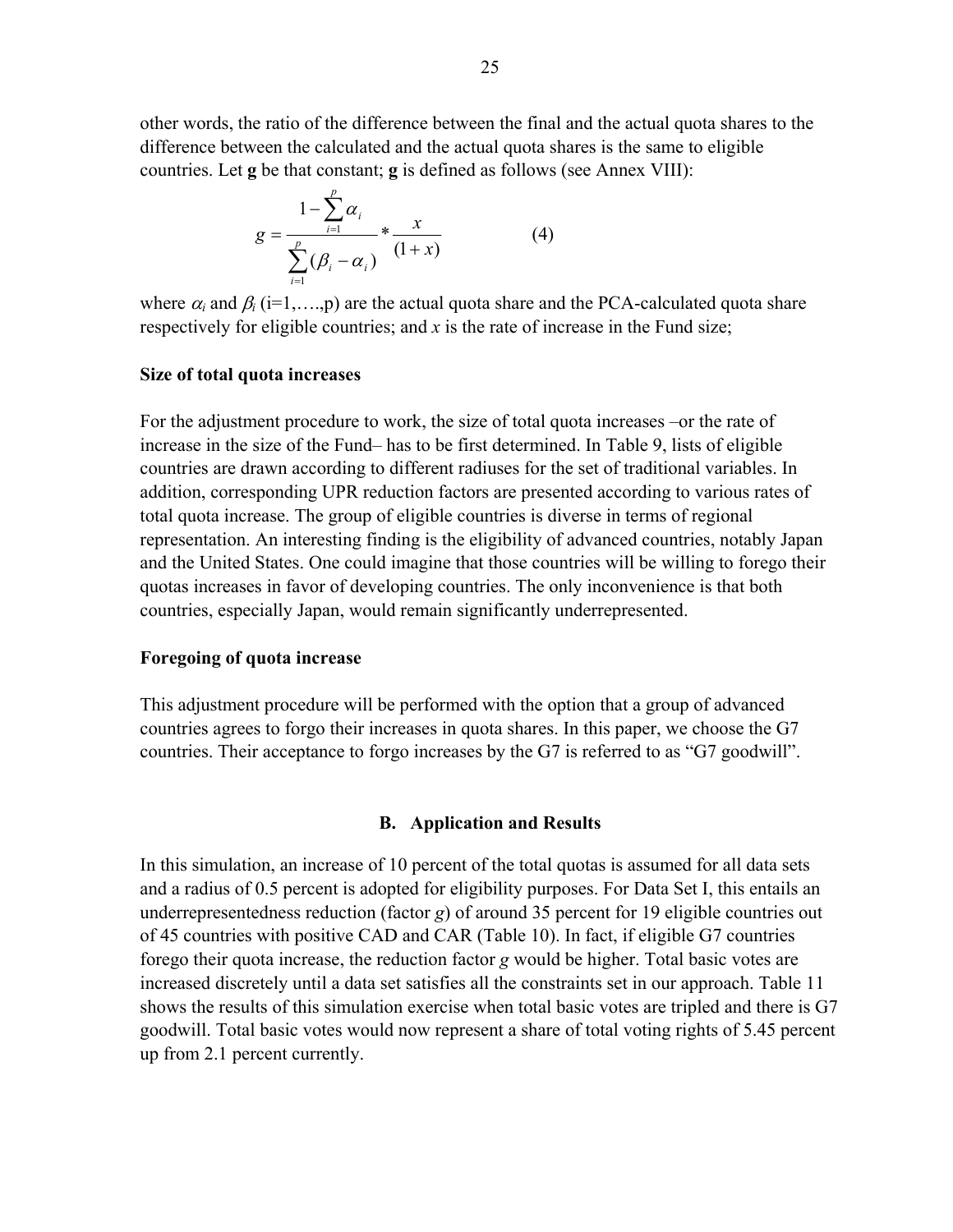other words, the ratio of the difference between the final and the actual quota shares to the difference between the calculated and the actual quota shares is the same to eligible countries. Let **g** be that constant; **g** is defined as follows (see Annex VIII):

$$
g = \frac{1 - \sum_{i=1}^{p} \alpha_i}{\sum_{i=1}^{p} (\beta_i - \alpha_i)} * \frac{x}{(1+x)}
$$
(4)

where  $\alpha_i$  and  $\beta_i$  (i=1,...,p) are the actual quota share and the PCA-calculated quota share respectively for eligible countries; and *x* is the rate of increase in the Fund size;

#### **Size of total quota increases**

For the adjustment procedure to work, the size of total quota increases –or the rate of increase in the size of the Fund– has to be first determined. In Table 9, lists of eligible countries are drawn according to different radiuses for the set of traditional variables. In addition, corresponding UPR reduction factors are presented according to various rates of total quota increase. The group of eligible countries is diverse in terms of regional representation. An interesting finding is the eligibility of advanced countries, notably Japan and the United States. One could imagine that those countries will be willing to forego their quotas increases in favor of developing countries. The only inconvenience is that both countries, especially Japan, would remain significantly underrepresented.

#### **Foregoing of quota increase**

This adjustment procedure will be performed with the option that a group of advanced countries agrees to forgo their increases in quota shares. In this paper, we choose the G7 countries. Their acceptance to forgo increases by the G7 is referred to as "G7 goodwill".

#### **B. Application and Results**

In this simulation, an increase of 10 percent of the total quotas is assumed for all data sets and a radius of 0.5 percent is adopted for eligibility purposes. For Data Set I, this entails an underrepresentedness reduction (factor *g*) of around 35 percent for 19 eligible countries out of 45 countries with positive CAD and CAR (Table 10). In fact, if eligible G7 countries forego their quota increase, the reduction factor *g* would be higher. Total basic votes are increased discretely until a data set satisfies all the constraints set in our approach. Table 11 shows the results of this simulation exercise when total basic votes are tripled and there is G7 goodwill. Total basic votes would now represent a share of total voting rights of 5.45 percent up from 2.1 percent currently.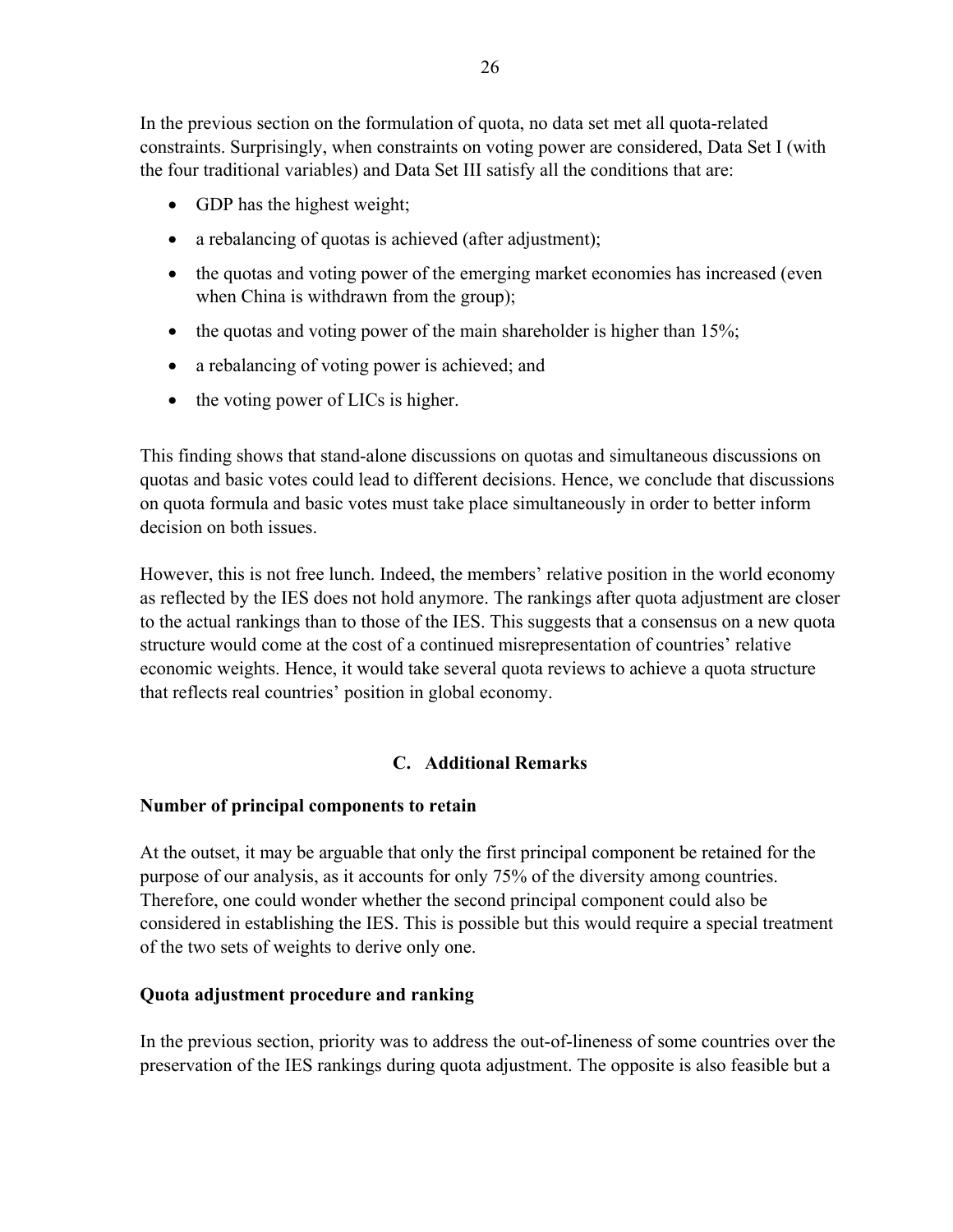In the previous section on the formulation of quota, no data set met all quota-related constraints. Surprisingly, when constraints on voting power are considered, Data Set I (with the four traditional variables) and Data Set III satisfy all the conditions that are:

- GDP has the highest weight;
- a rebalancing of quotas is achieved (after adjustment);
- the quotas and voting power of the emerging market economies has increased (even when China is withdrawn from the group);
- the quotas and voting power of the main shareholder is higher than 15%;
- a rebalancing of voting power is achieved; and
- the voting power of LICs is higher.

This finding shows that stand-alone discussions on quotas and simultaneous discussions on quotas and basic votes could lead to different decisions. Hence, we conclude that discussions on quota formula and basic votes must take place simultaneously in order to better inform decision on both issues.

However, this is not free lunch. Indeed, the members' relative position in the world economy as reflected by the IES does not hold anymore. The rankings after quota adjustment are closer to the actual rankings than to those of the IES. This suggests that a consensus on a new quota structure would come at the cost of a continued misrepresentation of countries' relative economic weights. Hence, it would take several quota reviews to achieve a quota structure that reflects real countries' position in global economy.

# **C. Additional Remarks**

# **Number of principal components to retain**

At the outset, it may be arguable that only the first principal component be retained for the purpose of our analysis, as it accounts for only 75% of the diversity among countries. Therefore, one could wonder whether the second principal component could also be considered in establishing the IES. This is possible but this would require a special treatment of the two sets of weights to derive only one.

# **Quota adjustment procedure and ranking**

In the previous section, priority was to address the out-of-lineness of some countries over the preservation of the IES rankings during quota adjustment. The opposite is also feasible but a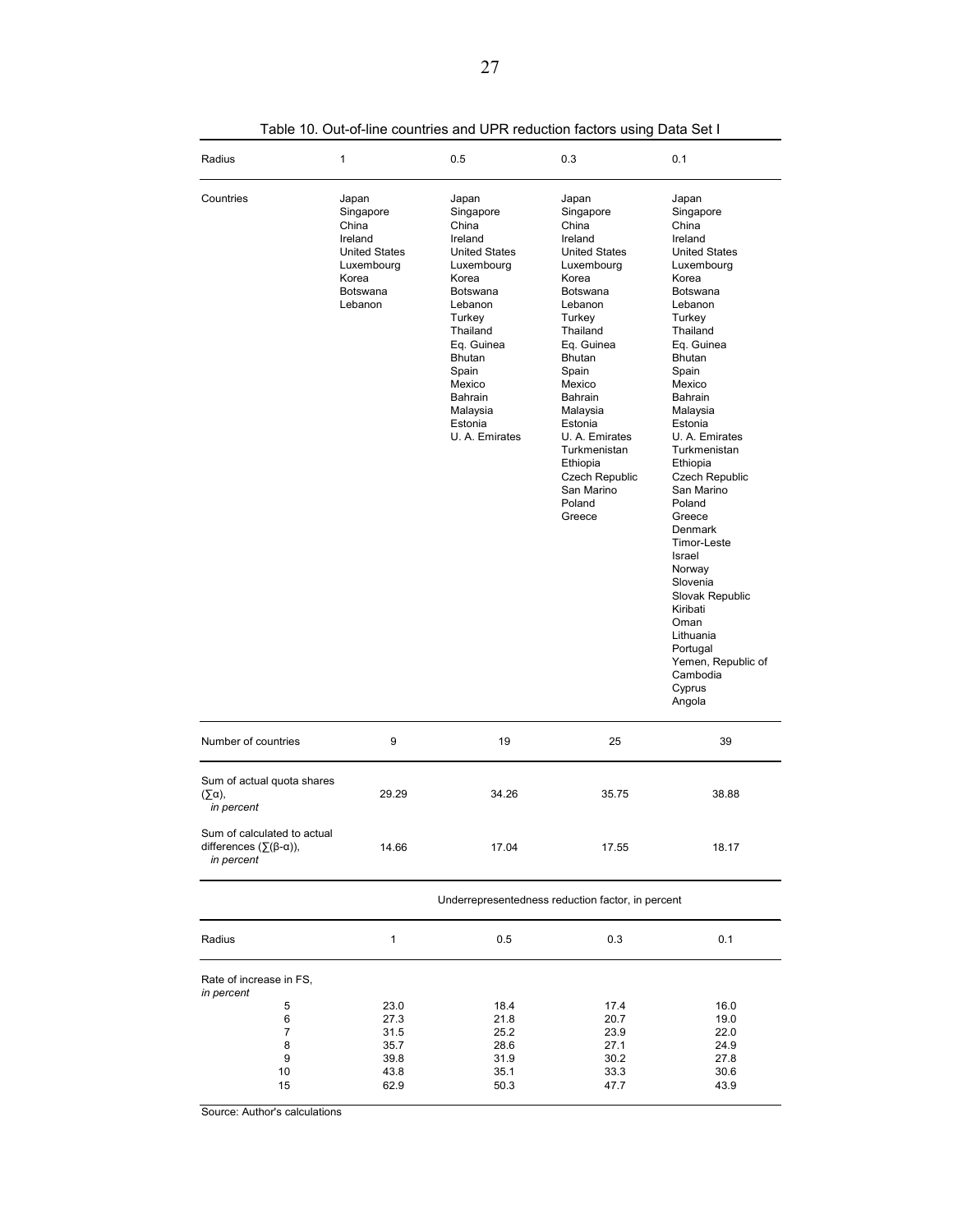| Radius                                                                              | 1                                                                                                                   | 0.5                                                                                                                                                                                                                               | 0.3                                                                                                                                                                                                                                                                                                                      | 0.1                                                                                                                                                                                                                                                                                                                                                                                                                                                                                                      |
|-------------------------------------------------------------------------------------|---------------------------------------------------------------------------------------------------------------------|-----------------------------------------------------------------------------------------------------------------------------------------------------------------------------------------------------------------------------------|--------------------------------------------------------------------------------------------------------------------------------------------------------------------------------------------------------------------------------------------------------------------------------------------------------------------------|----------------------------------------------------------------------------------------------------------------------------------------------------------------------------------------------------------------------------------------------------------------------------------------------------------------------------------------------------------------------------------------------------------------------------------------------------------------------------------------------------------|
| Countries                                                                           | Japan<br>Singapore<br>China<br>Ireland<br><b>United States</b><br>Luxembourg<br>Korea<br><b>Botswana</b><br>Lebanon | Japan<br>Singapore<br>China<br>Ireland<br><b>United States</b><br>Luxembourg<br>Korea<br>Botswana<br>Lebanon<br>Turkey<br>Thailand<br>Eq. Guinea<br>Bhutan<br>Spain<br>Mexico<br>Bahrain<br>Malaysia<br>Estonia<br>U. A. Emirates | Japan<br>Singapore<br>China<br>Ireland<br><b>United States</b><br>Luxembourg<br>Korea<br><b>Botswana</b><br>Lebanon<br>Turkey<br>Thailand<br>Eq. Guinea<br>Bhutan<br>Spain<br>Mexico<br>Bahrain<br>Malaysia<br>Estonia<br>U. A. Emirates<br>Turkmenistan<br>Ethiopia<br>Czech Republic<br>San Marino<br>Poland<br>Greece | Japan<br>Singapore<br>China<br>Ireland<br><b>United States</b><br>Luxembourg<br>Korea<br>Botswana<br>Lebanon<br>Turkey<br>Thailand<br>Eq. Guinea<br>Bhutan<br>Spain<br>Mexico<br>Bahrain<br>Malaysia<br>Estonia<br>U. A. Emirates<br>Turkmenistan<br>Ethiopia<br>Czech Republic<br>San Marino<br>Poland<br>Greece<br><b>Denmark</b><br>Timor-Leste<br>Israel<br>Norway<br>Slovenia<br>Slovak Republic<br>Kiribati<br>Oman<br>Lithuania<br>Portugal<br>Yemen, Republic of<br>Cambodia<br>Cyprus<br>Angola |
| Number of countries                                                                 | 9                                                                                                                   | 19                                                                                                                                                                                                                                | 25                                                                                                                                                                                                                                                                                                                       | 39                                                                                                                                                                                                                                                                                                                                                                                                                                                                                                       |
| Sum of actual quota shares<br>$(\Sigma \alpha)$ ,<br>in percent                     | 29.29                                                                                                               | 34.26                                                                                                                                                                                                                             | 35.75                                                                                                                                                                                                                                                                                                                    | 38.88                                                                                                                                                                                                                                                                                                                                                                                                                                                                                                    |
| Sum of calculated to actual<br>differences $(\Sigma(\beta-\alpha))$ ,<br>in percent | 14.66                                                                                                               | 17.04                                                                                                                                                                                                                             | 17.55                                                                                                                                                                                                                                                                                                                    | 18.17                                                                                                                                                                                                                                                                                                                                                                                                                                                                                                    |
|                                                                                     |                                                                                                                     |                                                                                                                                                                                                                                   | Underrepresentedness reduction factor, in percent                                                                                                                                                                                                                                                                        |                                                                                                                                                                                                                                                                                                                                                                                                                                                                                                          |
| Radius                                                                              | 1                                                                                                                   | 0.5                                                                                                                                                                                                                               | 0.3                                                                                                                                                                                                                                                                                                                      | 0.1                                                                                                                                                                                                                                                                                                                                                                                                                                                                                                      |
| Rate of increase in FS,<br>in percent<br>5<br>6<br>7<br>8<br>9<br>10<br>15          | 23.0<br>27.3<br>31.5<br>35.7<br>39.8<br>43.8<br>62.9                                                                | 18.4<br>21.8<br>25.2<br>28.6<br>31.9<br>35.1<br>50.3                                                                                                                                                                              | 17.4<br>20.7<br>23.9<br>27.1<br>30.2<br>33.3<br>47.7                                                                                                                                                                                                                                                                     | 16.0<br>19.0<br>22.0<br>24.9<br>27.8<br>30.6<br>43.9                                                                                                                                                                                                                                                                                                                                                                                                                                                     |

Table 10. Out-of-line countries and UPR reduction factors using Data Set I

Source: Author's calculations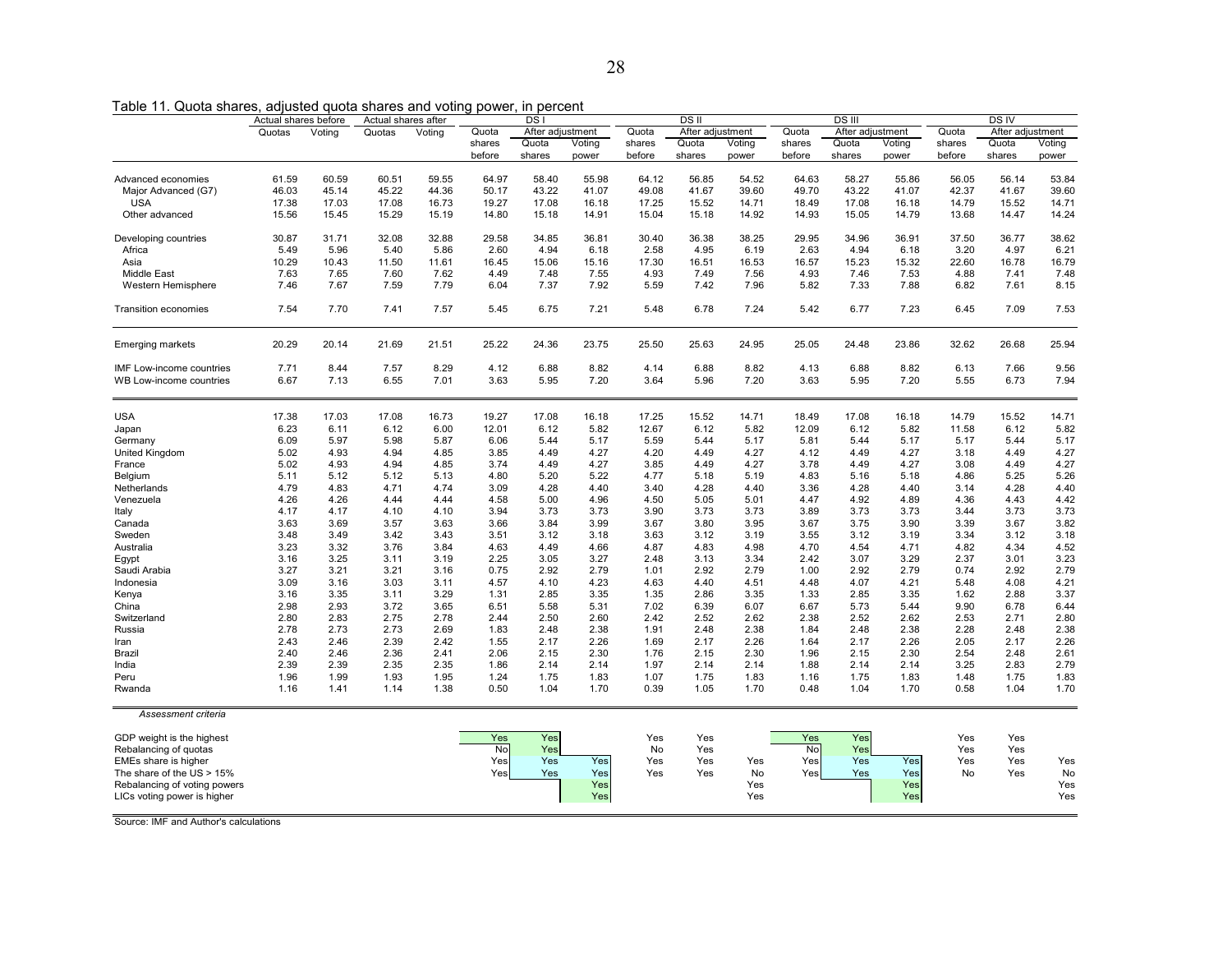Table 11. Quota shares, adjusted quota shares and voting power, in percent

| Quotas<br>Voting<br>Quotas<br>Voting<br>Quota<br>After adjustment<br>Quota<br>After adjustment<br>Quota<br>After adjustment<br>Quota<br>After adjustment<br>shares<br>Quota<br>Voting<br>shares<br>Quota<br>Voting<br>shares<br>Quota<br>Voting<br>shares<br>Quota<br>Voting<br>before<br>shares<br>before<br>shares<br>before<br>shares<br>before<br>shares<br>power<br>power<br>power<br>power<br>61.59<br>60.59<br>60.51<br>59.55<br>64.97<br>58.40<br>55.98<br>64.12<br>56.85<br>54.52<br>64.63<br>58.27<br>55.86<br>56.05<br>56.14<br>53.84<br>Advanced economies<br>46.03<br>45.14<br>45.22<br>44.36<br>50.17<br>43.22<br>41.07<br>49.08<br>41.67<br>39.60<br>49.70<br>43.22<br>41.07<br>42.37<br>41.67<br>39.60<br>Major Advanced (G7)<br><b>USA</b><br>18.49<br>17.08<br>14.79<br>15.52<br>17.38<br>17.03<br>17.08<br>16.73<br>19.27<br>17.08<br>16.18<br>17.25<br>15.52<br>14.71<br>16.18<br>14.71<br>15.56<br>15.19<br>15.18<br>13.68<br>14.24<br>Other advanced<br>15.45<br>15.29<br>14.80<br>14.91<br>15.04<br>15.18<br>14.92<br>14.93<br>15.05<br>14.79<br>14.47<br>32.88<br>30.87<br>31.71<br>32.08<br>29.58<br>34.85<br>36.81<br>30.40<br>36.38<br>38.25<br>29.95<br>34.96<br>36.91<br>37.50<br>36.77<br>38.62<br>Developing countries<br>5.49<br>5.96<br>5.40<br>2.60<br>4.94<br>2.58<br>4.95<br>6.19<br>2.63<br>4.94<br>6.18<br>3.20<br>4.97<br>6.21<br>Africa<br>5.86<br>6.18<br>17.30<br>16.57<br>15.23<br>22.60<br>16.78<br>16.79<br>Asia<br>10.29<br>10.43<br>11.50<br>11.61<br>16.45<br>15.06<br>15.16<br>16.51<br>16.53<br>15.32<br>7.48<br><b>Middle East</b><br>7.63<br>7.65<br>7.60<br>7.62<br>4.49<br>7.48<br>7.55<br>4.93<br>7.49<br>7.56<br>4.93<br>7.46<br>7.53<br>4.88<br>7.41<br>7.46<br>7.67<br>7.59<br>7.79<br>6.04<br>7.37<br>7.92<br>5.59<br>7.42<br>7.96<br>5.82<br>7.33<br>7.88<br>6.82<br>7.61<br>8.15<br>Western Hemisphere<br>7.54<br>7.70<br>7.41<br>7.57<br>5.45<br>6.75<br>7.21<br>5.48<br>6.78<br>7.24<br>5.42<br>6.77<br>7.23<br>6.45<br>7.09<br>7.53<br><b>Transition economies</b><br>20.29<br>20.14<br>21.69<br>21.51<br>25.22<br>24.36<br>23.75<br>25.50<br>25.63<br>24.95<br>25.05<br>24.48<br>23.86<br>32.62<br>26.68<br>25.94<br><b>Emerging markets</b><br>7.71<br>7.57<br>8.29<br>4.12<br>6.88<br>8.82<br>4.14<br>6.88<br>8.82<br>4.13<br>6.88<br>8.82<br>6.13<br>7.66<br>9.56<br>8.44<br>IMF Low-income countries<br>6.67<br>7.13<br>6.55<br>7.01<br>3.63<br>5.95<br>7.20<br>3.64<br>5.96<br>7.20<br>3.63<br>5.95<br>7.20<br>5.55<br>6.73<br>7.94<br>WB Low-income countries<br><b>USA</b><br>17.38<br>17.03<br>17.08<br>16.73<br>19.27<br>17.08<br>16.18<br>17.25<br>15.52<br>14.71<br>18.49<br>17.08<br>16.18<br>14.79<br>15.52<br>14.71<br>6.23<br>6.11<br>6.12<br>6.00<br>12.01<br>6.12<br>5.82<br>12.67<br>6.12<br>5.82<br>12.09<br>6.12<br>5.82<br>11.58<br>6.12<br>5.82<br>Japan<br>6.09<br>5.97<br>5.98<br>5.87<br>6.06<br>5.17<br>5.59<br>5.44<br>5.17<br>5.81<br>5.44<br>5.17<br>5.17<br>5.44<br>5.17<br>5.44<br>Germany<br>5.02<br>4.93<br>4.94<br>3.85<br>4.49<br>4.27<br>4.20<br>4.49<br>4.27<br>4.12<br>4.49<br>4.27<br>3.18<br>4.49<br>4.27<br>United Kingdom<br>4.85<br>5.02<br>4.93<br>4.94<br>4.85<br>3.74<br>4.49<br>4.27<br>3.85<br>4.49<br>4.27<br>3.78<br>4.49<br>4.27<br>3.08<br>4.49<br>4.27<br>France<br>5.11<br>5.12<br>4.80<br>5.20<br>5.22<br>4.77<br>5.18<br>5.19<br>4.83<br>5.16<br>4.86<br>5.25<br>5.26<br>5.12<br>5.13<br>5.18<br>Belgium<br>4.79<br>3.09<br>4.28<br>4.40<br>3.40<br>4.28<br>3.36<br>4.28<br>3.14<br>4.28<br>4.40<br>4.83<br>4.71<br>4.74<br>4.40<br>4.40<br>Netherlands<br>4.26<br>4.44<br>5.00<br>4.96<br>5.05<br>5.01<br>4.47<br>4.92<br>4.89<br>4.36<br>4.43<br>4.42<br>Venezuela<br>4.26<br>4.44<br>4.58<br>4.50<br>3.73<br>4.17<br>4.10<br>3.94<br>3.73<br>3.73<br>3.90<br>3.73<br>3.73<br>3.89<br>3.73<br>3.73<br>3.73<br>Italy<br>4.17<br>4.10<br>3.44<br>3.99<br>3.80<br>3.95<br>3.67<br>3.75<br>3.90<br>3.39<br>3.67<br>3.82<br>3.63<br>3.69<br>3.57<br>3.63<br>3.66<br>3.84<br>3.67<br>Canada<br>3.48<br>3.42<br>3.43<br>3.51<br>3.12<br>3.19<br>3.55<br>3.12<br>3.12<br>3.18<br>Sweden<br>3.49<br>3.18<br>3.63<br>3.12<br>3.19<br>3.34<br>3.23<br>3.32<br>3.76<br>3.84<br>4.63<br>4.49<br>4.66<br>4.87<br>4.83<br>4.98<br>4.70<br>4.54<br>4.71<br>4.82<br>4.34<br>4.52<br>Australia<br>3.16<br>3.25<br>3.19<br>2.25<br>3.05<br>3.27<br>3.13<br>3.34<br>2.42<br>3.07<br>3.29<br>2.37<br>3.01<br>3.23<br>3.11<br>2.48<br>Egypt<br>3.27<br>3.21<br>3.21<br>0.75<br>2.92<br>2.79<br>1.01<br>2.92<br>2.79<br>1.00<br>2.92<br>2.79<br>0.74<br>2.92<br>2.79<br>Saudi Arabia<br>3.16<br>3.09<br>3.03<br>4.57<br>4.10<br>4.63<br>4.40<br>4.48<br>5.48<br>4.08<br>4.21<br>Indonesia<br>3.16<br>3.11<br>4.23<br>4.51<br>4.07<br>4.21<br>3.16<br>3.35<br>3.29<br>2.85<br>3.35<br>1.35<br>2.86<br>3.35<br>1.33<br>2.85<br>3.35<br>1.62<br>2.88<br>3.37<br>Kenya<br>3.11<br>1.31<br>2.98<br>2.93<br>3.72<br>3.65<br>6.51<br>5.58<br>5.31<br>7.02<br>6.39<br>6.07<br>6.67<br>5.73<br>5.44<br>9.90<br>6.78<br>6.44<br>China<br>2.80<br>2.83<br>2.75<br>2.78<br>2.44<br>2.50<br>2.60<br>2.42<br>2.52<br>2.62<br>2.38<br>2.52<br>2.62<br>2.53<br>2.71<br>2.80<br>Switzerland<br>2.78<br>2.73<br>2.73<br>2.69<br>1.83<br>2.48<br>2.38<br>1.91<br>2.48<br>2.38<br>1.84<br>2.48<br>2.38<br>2.28<br>2.48<br>2.38<br>Russia<br>2.17<br>2.26<br>2.17<br>2.43<br>2.46<br>2.39<br>2.42<br>1.55<br>2.17<br>2.26<br>1.69<br>2.17<br>2.26<br>1.64<br>2.05<br>2.26<br>Iran<br>2.40<br>2.36<br>2.06<br>2.15<br>2.30<br>1.76<br>2.15<br>2.30<br>1.96<br>2.15<br>2.30<br>2.54<br>2.48<br>2.61<br>Brazil<br>2.46<br>2.41<br>2.39<br>2.39<br>2.35<br>2.35<br>2.14<br>2.14<br>1.97<br>2.14<br>2.14<br>2.14<br>2.14<br>3.25<br>2.83<br>2.79<br>India<br>1.86<br>1.88<br>1.96<br>1.93<br>1.95<br>1.75<br>1.75<br>1.83<br>1.83<br>1.83<br>Peru<br>1.99<br>1.24<br>1.83<br>1.07<br>1.16<br>1.75<br>1.48<br>1.75<br>1.04<br>1.05<br>0.48<br>1.04<br>0.58<br>1.04<br>Rwanda<br>1.16<br>1.41<br>1.14<br>1.38<br>0.50<br>1.70<br>0.39<br>1.70<br>1.70<br>1.70<br>Assessment criteria<br>Yes<br>Yes<br>Yes<br>Yes<br>GDP weight is the highest<br>Yes<br>Yes<br>Yes<br>Yes<br>No<br>Yes<br>No<br>Yes<br>No<br>Yes<br>Rebalancing of quotas<br>Yes<br>Yes<br>Yes<br>Yes<br>EMEs share is higher<br>Yes<br>Yes<br>Yes<br>Yes<br>Yes<br>Yes<br>Yes<br>Yes<br>Yes<br>Yes<br>The share of the $US > 15\%$<br>Yes<br>Yes<br>Yes<br>Yes<br>Yes<br>No<br>Yes<br>Yes<br>Yes<br>No<br>Yes<br>No<br>Rebalancing of voting powers<br>Yes<br>Yes<br>Yes<br>Yes<br>Yes<br>Yes<br>Yes<br>Yes<br>LICs voting power is higher | Actual shares before | Actual shares after |  | DS <sub>I</sub> |  | DS II | DS III |  | DS IV |  |  |  |
|-------------------------------------------------------------------------------------------------------------------------------------------------------------------------------------------------------------------------------------------------------------------------------------------------------------------------------------------------------------------------------------------------------------------------------------------------------------------------------------------------------------------------------------------------------------------------------------------------------------------------------------------------------------------------------------------------------------------------------------------------------------------------------------------------------------------------------------------------------------------------------------------------------------------------------------------------------------------------------------------------------------------------------------------------------------------------------------------------------------------------------------------------------------------------------------------------------------------------------------------------------------------------------------------------------------------------------------------------------------------------------------------------------------------------------------------------------------------------------------------------------------------------------------------------------------------------------------------------------------------------------------------------------------------------------------------------------------------------------------------------------------------------------------------------------------------------------------------------------------------------------------------------------------------------------------------------------------------------------------------------------------------------------------------------------------------------------------------------------------------------------------------------------------------------------------------------------------------------------------------------------------------------------------------------------------------------------------------------------------------------------------------------------------------------------------------------------------------------------------------------------------------------------------------------------------------------------------------------------------------------------------------------------------------------------------------------------------------------------------------------------------------------------------------------------------------------------------------------------------------------------------------------------------------------------------------------------------------------------------------------------------------------------------------------------------------------------------------------------------------------------------------------------------------------------------------------------------------------------------------------------------------------------------------------------------------------------------------------------------------------------------------------------------------------------------------------------------------------------------------------------------------------------------------------------------------------------------------------------------------------------------------------------------------------------------------------------------------------------------------------------------------------------------------------------------------------------------------------------------------------------------------------------------------------------------------------------------------------------------------------------------------------------------------------------------------------------------------------------------------------------------------------------------------------------------------------------------------------------------------------------------------------------------------------------------------------------------------------------------------------------------------------------------------------------------------------------------------------------------------------------------------------------------------------------------------------------------------------------------------------------------------------------------------------------------------------------------------------------------------------------------------------------------------------------------------------------------------------------------------------------------------------------------------------------------------------------------------------------------------------------------------------------------------------------------------------------------------------------------------------------------------------------------------------------------------------------------------------------------------------------------------------------------------------------------------------------------------------------------------------------------------------------------------------------------------------------------------------------------------------------------------------------------------------------------------------------------------------------------------------------------------------------------------------------------------------------------------------------------------------------------------------------------------------------------------------------------------------------------------------------------------------------------------------------------------------------------------------------------------------------------------------------------------------------------------------------------------------------------------------------------------------------------------------------------------------------------------------------------------------------------------------------------------------------------------------------------------------------------------------------------------------------------------------------------------------------------------------------------------------------------------------------------------------------------------------------------|----------------------|---------------------|--|-----------------|--|-------|--------|--|-------|--|--|--|
|                                                                                                                                                                                                                                                                                                                                                                                                                                                                                                                                                                                                                                                                                                                                                                                                                                                                                                                                                                                                                                                                                                                                                                                                                                                                                                                                                                                                                                                                                                                                                                                                                                                                                                                                                                                                                                                                                                                                                                                                                                                                                                                                                                                                                                                                                                                                                                                                                                                                                                                                                                                                                                                                                                                                                                                                                                                                                                                                                                                                                                                                                                                                                                                                                                                                                                                                                                                                                                                                                                                                                                                                                                                                                                                                                                                                                                                                                                                                                                                                                                                                                                                                                                                                                                                                                                                                                                                                                                                                                                                                                                                                                                                                                                                                                                                                                                                                                                                                                                                                                                                                                                                                                                                                                                                                                                                                                                                                                                                                                                                                                                                                                                                                                                                                                                                                                                                                                                                                                                                                                                                                                                                                                                                                                                                                                                                                                                                                                                                                                                                                                                                     |                      |                     |  |                 |  |       |        |  |       |  |  |  |
|                                                                                                                                                                                                                                                                                                                                                                                                                                                                                                                                                                                                                                                                                                                                                                                                                                                                                                                                                                                                                                                                                                                                                                                                                                                                                                                                                                                                                                                                                                                                                                                                                                                                                                                                                                                                                                                                                                                                                                                                                                                                                                                                                                                                                                                                                                                                                                                                                                                                                                                                                                                                                                                                                                                                                                                                                                                                                                                                                                                                                                                                                                                                                                                                                                                                                                                                                                                                                                                                                                                                                                                                                                                                                                                                                                                                                                                                                                                                                                                                                                                                                                                                                                                                                                                                                                                                                                                                                                                                                                                                                                                                                                                                                                                                                                                                                                                                                                                                                                                                                                                                                                                                                                                                                                                                                                                                                                                                                                                                                                                                                                                                                                                                                                                                                                                                                                                                                                                                                                                                                                                                                                                                                                                                                                                                                                                                                                                                                                                                                                                                                                                     |                      |                     |  |                 |  |       |        |  |       |  |  |  |
|                                                                                                                                                                                                                                                                                                                                                                                                                                                                                                                                                                                                                                                                                                                                                                                                                                                                                                                                                                                                                                                                                                                                                                                                                                                                                                                                                                                                                                                                                                                                                                                                                                                                                                                                                                                                                                                                                                                                                                                                                                                                                                                                                                                                                                                                                                                                                                                                                                                                                                                                                                                                                                                                                                                                                                                                                                                                                                                                                                                                                                                                                                                                                                                                                                                                                                                                                                                                                                                                                                                                                                                                                                                                                                                                                                                                                                                                                                                                                                                                                                                                                                                                                                                                                                                                                                                                                                                                                                                                                                                                                                                                                                                                                                                                                                                                                                                                                                                                                                                                                                                                                                                                                                                                                                                                                                                                                                                                                                                                                                                                                                                                                                                                                                                                                                                                                                                                                                                                                                                                                                                                                                                                                                                                                                                                                                                                                                                                                                                                                                                                                                                     |                      |                     |  |                 |  |       |        |  |       |  |  |  |
|                                                                                                                                                                                                                                                                                                                                                                                                                                                                                                                                                                                                                                                                                                                                                                                                                                                                                                                                                                                                                                                                                                                                                                                                                                                                                                                                                                                                                                                                                                                                                                                                                                                                                                                                                                                                                                                                                                                                                                                                                                                                                                                                                                                                                                                                                                                                                                                                                                                                                                                                                                                                                                                                                                                                                                                                                                                                                                                                                                                                                                                                                                                                                                                                                                                                                                                                                                                                                                                                                                                                                                                                                                                                                                                                                                                                                                                                                                                                                                                                                                                                                                                                                                                                                                                                                                                                                                                                                                                                                                                                                                                                                                                                                                                                                                                                                                                                                                                                                                                                                                                                                                                                                                                                                                                                                                                                                                                                                                                                                                                                                                                                                                                                                                                                                                                                                                                                                                                                                                                                                                                                                                                                                                                                                                                                                                                                                                                                                                                                                                                                                                                     |                      |                     |  |                 |  |       |        |  |       |  |  |  |
|                                                                                                                                                                                                                                                                                                                                                                                                                                                                                                                                                                                                                                                                                                                                                                                                                                                                                                                                                                                                                                                                                                                                                                                                                                                                                                                                                                                                                                                                                                                                                                                                                                                                                                                                                                                                                                                                                                                                                                                                                                                                                                                                                                                                                                                                                                                                                                                                                                                                                                                                                                                                                                                                                                                                                                                                                                                                                                                                                                                                                                                                                                                                                                                                                                                                                                                                                                                                                                                                                                                                                                                                                                                                                                                                                                                                                                                                                                                                                                                                                                                                                                                                                                                                                                                                                                                                                                                                                                                                                                                                                                                                                                                                                                                                                                                                                                                                                                                                                                                                                                                                                                                                                                                                                                                                                                                                                                                                                                                                                                                                                                                                                                                                                                                                                                                                                                                                                                                                                                                                                                                                                                                                                                                                                                                                                                                                                                                                                                                                                                                                                                                     |                      |                     |  |                 |  |       |        |  |       |  |  |  |
|                                                                                                                                                                                                                                                                                                                                                                                                                                                                                                                                                                                                                                                                                                                                                                                                                                                                                                                                                                                                                                                                                                                                                                                                                                                                                                                                                                                                                                                                                                                                                                                                                                                                                                                                                                                                                                                                                                                                                                                                                                                                                                                                                                                                                                                                                                                                                                                                                                                                                                                                                                                                                                                                                                                                                                                                                                                                                                                                                                                                                                                                                                                                                                                                                                                                                                                                                                                                                                                                                                                                                                                                                                                                                                                                                                                                                                                                                                                                                                                                                                                                                                                                                                                                                                                                                                                                                                                                                                                                                                                                                                                                                                                                                                                                                                                                                                                                                                                                                                                                                                                                                                                                                                                                                                                                                                                                                                                                                                                                                                                                                                                                                                                                                                                                                                                                                                                                                                                                                                                                                                                                                                                                                                                                                                                                                                                                                                                                                                                                                                                                                                                     |                      |                     |  |                 |  |       |        |  |       |  |  |  |
|                                                                                                                                                                                                                                                                                                                                                                                                                                                                                                                                                                                                                                                                                                                                                                                                                                                                                                                                                                                                                                                                                                                                                                                                                                                                                                                                                                                                                                                                                                                                                                                                                                                                                                                                                                                                                                                                                                                                                                                                                                                                                                                                                                                                                                                                                                                                                                                                                                                                                                                                                                                                                                                                                                                                                                                                                                                                                                                                                                                                                                                                                                                                                                                                                                                                                                                                                                                                                                                                                                                                                                                                                                                                                                                                                                                                                                                                                                                                                                                                                                                                                                                                                                                                                                                                                                                                                                                                                                                                                                                                                                                                                                                                                                                                                                                                                                                                                                                                                                                                                                                                                                                                                                                                                                                                                                                                                                                                                                                                                                                                                                                                                                                                                                                                                                                                                                                                                                                                                                                                                                                                                                                                                                                                                                                                                                                                                                                                                                                                                                                                                                                     |                      |                     |  |                 |  |       |        |  |       |  |  |  |
|                                                                                                                                                                                                                                                                                                                                                                                                                                                                                                                                                                                                                                                                                                                                                                                                                                                                                                                                                                                                                                                                                                                                                                                                                                                                                                                                                                                                                                                                                                                                                                                                                                                                                                                                                                                                                                                                                                                                                                                                                                                                                                                                                                                                                                                                                                                                                                                                                                                                                                                                                                                                                                                                                                                                                                                                                                                                                                                                                                                                                                                                                                                                                                                                                                                                                                                                                                                                                                                                                                                                                                                                                                                                                                                                                                                                                                                                                                                                                                                                                                                                                                                                                                                                                                                                                                                                                                                                                                                                                                                                                                                                                                                                                                                                                                                                                                                                                                                                                                                                                                                                                                                                                                                                                                                                                                                                                                                                                                                                                                                                                                                                                                                                                                                                                                                                                                                                                                                                                                                                                                                                                                                                                                                                                                                                                                                                                                                                                                                                                                                                                                                     |                      |                     |  |                 |  |       |        |  |       |  |  |  |
|                                                                                                                                                                                                                                                                                                                                                                                                                                                                                                                                                                                                                                                                                                                                                                                                                                                                                                                                                                                                                                                                                                                                                                                                                                                                                                                                                                                                                                                                                                                                                                                                                                                                                                                                                                                                                                                                                                                                                                                                                                                                                                                                                                                                                                                                                                                                                                                                                                                                                                                                                                                                                                                                                                                                                                                                                                                                                                                                                                                                                                                                                                                                                                                                                                                                                                                                                                                                                                                                                                                                                                                                                                                                                                                                                                                                                                                                                                                                                                                                                                                                                                                                                                                                                                                                                                                                                                                                                                                                                                                                                                                                                                                                                                                                                                                                                                                                                                                                                                                                                                                                                                                                                                                                                                                                                                                                                                                                                                                                                                                                                                                                                                                                                                                                                                                                                                                                                                                                                                                                                                                                                                                                                                                                                                                                                                                                                                                                                                                                                                                                                                                     |                      |                     |  |                 |  |       |        |  |       |  |  |  |
|                                                                                                                                                                                                                                                                                                                                                                                                                                                                                                                                                                                                                                                                                                                                                                                                                                                                                                                                                                                                                                                                                                                                                                                                                                                                                                                                                                                                                                                                                                                                                                                                                                                                                                                                                                                                                                                                                                                                                                                                                                                                                                                                                                                                                                                                                                                                                                                                                                                                                                                                                                                                                                                                                                                                                                                                                                                                                                                                                                                                                                                                                                                                                                                                                                                                                                                                                                                                                                                                                                                                                                                                                                                                                                                                                                                                                                                                                                                                                                                                                                                                                                                                                                                                                                                                                                                                                                                                                                                                                                                                                                                                                                                                                                                                                                                                                                                                                                                                                                                                                                                                                                                                                                                                                                                                                                                                                                                                                                                                                                                                                                                                                                                                                                                                                                                                                                                                                                                                                                                                                                                                                                                                                                                                                                                                                                                                                                                                                                                                                                                                                                                     |                      |                     |  |                 |  |       |        |  |       |  |  |  |
|                                                                                                                                                                                                                                                                                                                                                                                                                                                                                                                                                                                                                                                                                                                                                                                                                                                                                                                                                                                                                                                                                                                                                                                                                                                                                                                                                                                                                                                                                                                                                                                                                                                                                                                                                                                                                                                                                                                                                                                                                                                                                                                                                                                                                                                                                                                                                                                                                                                                                                                                                                                                                                                                                                                                                                                                                                                                                                                                                                                                                                                                                                                                                                                                                                                                                                                                                                                                                                                                                                                                                                                                                                                                                                                                                                                                                                                                                                                                                                                                                                                                                                                                                                                                                                                                                                                                                                                                                                                                                                                                                                                                                                                                                                                                                                                                                                                                                                                                                                                                                                                                                                                                                                                                                                                                                                                                                                                                                                                                                                                                                                                                                                                                                                                                                                                                                                                                                                                                                                                                                                                                                                                                                                                                                                                                                                                                                                                                                                                                                                                                                                                     |                      |                     |  |                 |  |       |        |  |       |  |  |  |
|                                                                                                                                                                                                                                                                                                                                                                                                                                                                                                                                                                                                                                                                                                                                                                                                                                                                                                                                                                                                                                                                                                                                                                                                                                                                                                                                                                                                                                                                                                                                                                                                                                                                                                                                                                                                                                                                                                                                                                                                                                                                                                                                                                                                                                                                                                                                                                                                                                                                                                                                                                                                                                                                                                                                                                                                                                                                                                                                                                                                                                                                                                                                                                                                                                                                                                                                                                                                                                                                                                                                                                                                                                                                                                                                                                                                                                                                                                                                                                                                                                                                                                                                                                                                                                                                                                                                                                                                                                                                                                                                                                                                                                                                                                                                                                                                                                                                                                                                                                                                                                                                                                                                                                                                                                                                                                                                                                                                                                                                                                                                                                                                                                                                                                                                                                                                                                                                                                                                                                                                                                                                                                                                                                                                                                                                                                                                                                                                                                                                                                                                                                                     |                      |                     |  |                 |  |       |        |  |       |  |  |  |
|                                                                                                                                                                                                                                                                                                                                                                                                                                                                                                                                                                                                                                                                                                                                                                                                                                                                                                                                                                                                                                                                                                                                                                                                                                                                                                                                                                                                                                                                                                                                                                                                                                                                                                                                                                                                                                                                                                                                                                                                                                                                                                                                                                                                                                                                                                                                                                                                                                                                                                                                                                                                                                                                                                                                                                                                                                                                                                                                                                                                                                                                                                                                                                                                                                                                                                                                                                                                                                                                                                                                                                                                                                                                                                                                                                                                                                                                                                                                                                                                                                                                                                                                                                                                                                                                                                                                                                                                                                                                                                                                                                                                                                                                                                                                                                                                                                                                                                                                                                                                                                                                                                                                                                                                                                                                                                                                                                                                                                                                                                                                                                                                                                                                                                                                                                                                                                                                                                                                                                                                                                                                                                                                                                                                                                                                                                                                                                                                                                                                                                                                                                                     |                      |                     |  |                 |  |       |        |  |       |  |  |  |
|                                                                                                                                                                                                                                                                                                                                                                                                                                                                                                                                                                                                                                                                                                                                                                                                                                                                                                                                                                                                                                                                                                                                                                                                                                                                                                                                                                                                                                                                                                                                                                                                                                                                                                                                                                                                                                                                                                                                                                                                                                                                                                                                                                                                                                                                                                                                                                                                                                                                                                                                                                                                                                                                                                                                                                                                                                                                                                                                                                                                                                                                                                                                                                                                                                                                                                                                                                                                                                                                                                                                                                                                                                                                                                                                                                                                                                                                                                                                                                                                                                                                                                                                                                                                                                                                                                                                                                                                                                                                                                                                                                                                                                                                                                                                                                                                                                                                                                                                                                                                                                                                                                                                                                                                                                                                                                                                                                                                                                                                                                                                                                                                                                                                                                                                                                                                                                                                                                                                                                                                                                                                                                                                                                                                                                                                                                                                                                                                                                                                                                                                                                                     |                      |                     |  |                 |  |       |        |  |       |  |  |  |
|                                                                                                                                                                                                                                                                                                                                                                                                                                                                                                                                                                                                                                                                                                                                                                                                                                                                                                                                                                                                                                                                                                                                                                                                                                                                                                                                                                                                                                                                                                                                                                                                                                                                                                                                                                                                                                                                                                                                                                                                                                                                                                                                                                                                                                                                                                                                                                                                                                                                                                                                                                                                                                                                                                                                                                                                                                                                                                                                                                                                                                                                                                                                                                                                                                                                                                                                                                                                                                                                                                                                                                                                                                                                                                                                                                                                                                                                                                                                                                                                                                                                                                                                                                                                                                                                                                                                                                                                                                                                                                                                                                                                                                                                                                                                                                                                                                                                                                                                                                                                                                                                                                                                                                                                                                                                                                                                                                                                                                                                                                                                                                                                                                                                                                                                                                                                                                                                                                                                                                                                                                                                                                                                                                                                                                                                                                                                                                                                                                                                                                                                                                                     |                      |                     |  |                 |  |       |        |  |       |  |  |  |
|                                                                                                                                                                                                                                                                                                                                                                                                                                                                                                                                                                                                                                                                                                                                                                                                                                                                                                                                                                                                                                                                                                                                                                                                                                                                                                                                                                                                                                                                                                                                                                                                                                                                                                                                                                                                                                                                                                                                                                                                                                                                                                                                                                                                                                                                                                                                                                                                                                                                                                                                                                                                                                                                                                                                                                                                                                                                                                                                                                                                                                                                                                                                                                                                                                                                                                                                                                                                                                                                                                                                                                                                                                                                                                                                                                                                                                                                                                                                                                                                                                                                                                                                                                                                                                                                                                                                                                                                                                                                                                                                                                                                                                                                                                                                                                                                                                                                                                                                                                                                                                                                                                                                                                                                                                                                                                                                                                                                                                                                                                                                                                                                                                                                                                                                                                                                                                                                                                                                                                                                                                                                                                                                                                                                                                                                                                                                                                                                                                                                                                                                                                                     |                      |                     |  |                 |  |       |        |  |       |  |  |  |
|                                                                                                                                                                                                                                                                                                                                                                                                                                                                                                                                                                                                                                                                                                                                                                                                                                                                                                                                                                                                                                                                                                                                                                                                                                                                                                                                                                                                                                                                                                                                                                                                                                                                                                                                                                                                                                                                                                                                                                                                                                                                                                                                                                                                                                                                                                                                                                                                                                                                                                                                                                                                                                                                                                                                                                                                                                                                                                                                                                                                                                                                                                                                                                                                                                                                                                                                                                                                                                                                                                                                                                                                                                                                                                                                                                                                                                                                                                                                                                                                                                                                                                                                                                                                                                                                                                                                                                                                                                                                                                                                                                                                                                                                                                                                                                                                                                                                                                                                                                                                                                                                                                                                                                                                                                                                                                                                                                                                                                                                                                                                                                                                                                                                                                                                                                                                                                                                                                                                                                                                                                                                                                                                                                                                                                                                                                                                                                                                                                                                                                                                                                                     |                      |                     |  |                 |  |       |        |  |       |  |  |  |
|                                                                                                                                                                                                                                                                                                                                                                                                                                                                                                                                                                                                                                                                                                                                                                                                                                                                                                                                                                                                                                                                                                                                                                                                                                                                                                                                                                                                                                                                                                                                                                                                                                                                                                                                                                                                                                                                                                                                                                                                                                                                                                                                                                                                                                                                                                                                                                                                                                                                                                                                                                                                                                                                                                                                                                                                                                                                                                                                                                                                                                                                                                                                                                                                                                                                                                                                                                                                                                                                                                                                                                                                                                                                                                                                                                                                                                                                                                                                                                                                                                                                                                                                                                                                                                                                                                                                                                                                                                                                                                                                                                                                                                                                                                                                                                                                                                                                                                                                                                                                                                                                                                                                                                                                                                                                                                                                                                                                                                                                                                                                                                                                                                                                                                                                                                                                                                                                                                                                                                                                                                                                                                                                                                                                                                                                                                                                                                                                                                                                                                                                                                                     |                      |                     |  |                 |  |       |        |  |       |  |  |  |
|                                                                                                                                                                                                                                                                                                                                                                                                                                                                                                                                                                                                                                                                                                                                                                                                                                                                                                                                                                                                                                                                                                                                                                                                                                                                                                                                                                                                                                                                                                                                                                                                                                                                                                                                                                                                                                                                                                                                                                                                                                                                                                                                                                                                                                                                                                                                                                                                                                                                                                                                                                                                                                                                                                                                                                                                                                                                                                                                                                                                                                                                                                                                                                                                                                                                                                                                                                                                                                                                                                                                                                                                                                                                                                                                                                                                                                                                                                                                                                                                                                                                                                                                                                                                                                                                                                                                                                                                                                                                                                                                                                                                                                                                                                                                                                                                                                                                                                                                                                                                                                                                                                                                                                                                                                                                                                                                                                                                                                                                                                                                                                                                                                                                                                                                                                                                                                                                                                                                                                                                                                                                                                                                                                                                                                                                                                                                                                                                                                                                                                                                                                                     |                      |                     |  |                 |  |       |        |  |       |  |  |  |
|                                                                                                                                                                                                                                                                                                                                                                                                                                                                                                                                                                                                                                                                                                                                                                                                                                                                                                                                                                                                                                                                                                                                                                                                                                                                                                                                                                                                                                                                                                                                                                                                                                                                                                                                                                                                                                                                                                                                                                                                                                                                                                                                                                                                                                                                                                                                                                                                                                                                                                                                                                                                                                                                                                                                                                                                                                                                                                                                                                                                                                                                                                                                                                                                                                                                                                                                                                                                                                                                                                                                                                                                                                                                                                                                                                                                                                                                                                                                                                                                                                                                                                                                                                                                                                                                                                                                                                                                                                                                                                                                                                                                                                                                                                                                                                                                                                                                                                                                                                                                                                                                                                                                                                                                                                                                                                                                                                                                                                                                                                                                                                                                                                                                                                                                                                                                                                                                                                                                                                                                                                                                                                                                                                                                                                                                                                                                                                                                                                                                                                                                                                                     |                      |                     |  |                 |  |       |        |  |       |  |  |  |
|                                                                                                                                                                                                                                                                                                                                                                                                                                                                                                                                                                                                                                                                                                                                                                                                                                                                                                                                                                                                                                                                                                                                                                                                                                                                                                                                                                                                                                                                                                                                                                                                                                                                                                                                                                                                                                                                                                                                                                                                                                                                                                                                                                                                                                                                                                                                                                                                                                                                                                                                                                                                                                                                                                                                                                                                                                                                                                                                                                                                                                                                                                                                                                                                                                                                                                                                                                                                                                                                                                                                                                                                                                                                                                                                                                                                                                                                                                                                                                                                                                                                                                                                                                                                                                                                                                                                                                                                                                                                                                                                                                                                                                                                                                                                                                                                                                                                                                                                                                                                                                                                                                                                                                                                                                                                                                                                                                                                                                                                                                                                                                                                                                                                                                                                                                                                                                                                                                                                                                                                                                                                                                                                                                                                                                                                                                                                                                                                                                                                                                                                                                                     |                      |                     |  |                 |  |       |        |  |       |  |  |  |
|                                                                                                                                                                                                                                                                                                                                                                                                                                                                                                                                                                                                                                                                                                                                                                                                                                                                                                                                                                                                                                                                                                                                                                                                                                                                                                                                                                                                                                                                                                                                                                                                                                                                                                                                                                                                                                                                                                                                                                                                                                                                                                                                                                                                                                                                                                                                                                                                                                                                                                                                                                                                                                                                                                                                                                                                                                                                                                                                                                                                                                                                                                                                                                                                                                                                                                                                                                                                                                                                                                                                                                                                                                                                                                                                                                                                                                                                                                                                                                                                                                                                                                                                                                                                                                                                                                                                                                                                                                                                                                                                                                                                                                                                                                                                                                                                                                                                                                                                                                                                                                                                                                                                                                                                                                                                                                                                                                                                                                                                                                                                                                                                                                                                                                                                                                                                                                                                                                                                                                                                                                                                                                                                                                                                                                                                                                                                                                                                                                                                                                                                                                                     |                      |                     |  |                 |  |       |        |  |       |  |  |  |
|                                                                                                                                                                                                                                                                                                                                                                                                                                                                                                                                                                                                                                                                                                                                                                                                                                                                                                                                                                                                                                                                                                                                                                                                                                                                                                                                                                                                                                                                                                                                                                                                                                                                                                                                                                                                                                                                                                                                                                                                                                                                                                                                                                                                                                                                                                                                                                                                                                                                                                                                                                                                                                                                                                                                                                                                                                                                                                                                                                                                                                                                                                                                                                                                                                                                                                                                                                                                                                                                                                                                                                                                                                                                                                                                                                                                                                                                                                                                                                                                                                                                                                                                                                                                                                                                                                                                                                                                                                                                                                                                                                                                                                                                                                                                                                                                                                                                                                                                                                                                                                                                                                                                                                                                                                                                                                                                                                                                                                                                                                                                                                                                                                                                                                                                                                                                                                                                                                                                                                                                                                                                                                                                                                                                                                                                                                                                                                                                                                                                                                                                                                                     |                      |                     |  |                 |  |       |        |  |       |  |  |  |
|                                                                                                                                                                                                                                                                                                                                                                                                                                                                                                                                                                                                                                                                                                                                                                                                                                                                                                                                                                                                                                                                                                                                                                                                                                                                                                                                                                                                                                                                                                                                                                                                                                                                                                                                                                                                                                                                                                                                                                                                                                                                                                                                                                                                                                                                                                                                                                                                                                                                                                                                                                                                                                                                                                                                                                                                                                                                                                                                                                                                                                                                                                                                                                                                                                                                                                                                                                                                                                                                                                                                                                                                                                                                                                                                                                                                                                                                                                                                                                                                                                                                                                                                                                                                                                                                                                                                                                                                                                                                                                                                                                                                                                                                                                                                                                                                                                                                                                                                                                                                                                                                                                                                                                                                                                                                                                                                                                                                                                                                                                                                                                                                                                                                                                                                                                                                                                                                                                                                                                                                                                                                                                                                                                                                                                                                                                                                                                                                                                                                                                                                                                                     |                      |                     |  |                 |  |       |        |  |       |  |  |  |
|                                                                                                                                                                                                                                                                                                                                                                                                                                                                                                                                                                                                                                                                                                                                                                                                                                                                                                                                                                                                                                                                                                                                                                                                                                                                                                                                                                                                                                                                                                                                                                                                                                                                                                                                                                                                                                                                                                                                                                                                                                                                                                                                                                                                                                                                                                                                                                                                                                                                                                                                                                                                                                                                                                                                                                                                                                                                                                                                                                                                                                                                                                                                                                                                                                                                                                                                                                                                                                                                                                                                                                                                                                                                                                                                                                                                                                                                                                                                                                                                                                                                                                                                                                                                                                                                                                                                                                                                                                                                                                                                                                                                                                                                                                                                                                                                                                                                                                                                                                                                                                                                                                                                                                                                                                                                                                                                                                                                                                                                                                                                                                                                                                                                                                                                                                                                                                                                                                                                                                                                                                                                                                                                                                                                                                                                                                                                                                                                                                                                                                                                                                                     |                      |                     |  |                 |  |       |        |  |       |  |  |  |
|                                                                                                                                                                                                                                                                                                                                                                                                                                                                                                                                                                                                                                                                                                                                                                                                                                                                                                                                                                                                                                                                                                                                                                                                                                                                                                                                                                                                                                                                                                                                                                                                                                                                                                                                                                                                                                                                                                                                                                                                                                                                                                                                                                                                                                                                                                                                                                                                                                                                                                                                                                                                                                                                                                                                                                                                                                                                                                                                                                                                                                                                                                                                                                                                                                                                                                                                                                                                                                                                                                                                                                                                                                                                                                                                                                                                                                                                                                                                                                                                                                                                                                                                                                                                                                                                                                                                                                                                                                                                                                                                                                                                                                                                                                                                                                                                                                                                                                                                                                                                                                                                                                                                                                                                                                                                                                                                                                                                                                                                                                                                                                                                                                                                                                                                                                                                                                                                                                                                                                                                                                                                                                                                                                                                                                                                                                                                                                                                                                                                                                                                                                                     |                      |                     |  |                 |  |       |        |  |       |  |  |  |
|                                                                                                                                                                                                                                                                                                                                                                                                                                                                                                                                                                                                                                                                                                                                                                                                                                                                                                                                                                                                                                                                                                                                                                                                                                                                                                                                                                                                                                                                                                                                                                                                                                                                                                                                                                                                                                                                                                                                                                                                                                                                                                                                                                                                                                                                                                                                                                                                                                                                                                                                                                                                                                                                                                                                                                                                                                                                                                                                                                                                                                                                                                                                                                                                                                                                                                                                                                                                                                                                                                                                                                                                                                                                                                                                                                                                                                                                                                                                                                                                                                                                                                                                                                                                                                                                                                                                                                                                                                                                                                                                                                                                                                                                                                                                                                                                                                                                                                                                                                                                                                                                                                                                                                                                                                                                                                                                                                                                                                                                                                                                                                                                                                                                                                                                                                                                                                                                                                                                                                                                                                                                                                                                                                                                                                                                                                                                                                                                                                                                                                                                                                                     |                      |                     |  |                 |  |       |        |  |       |  |  |  |
|                                                                                                                                                                                                                                                                                                                                                                                                                                                                                                                                                                                                                                                                                                                                                                                                                                                                                                                                                                                                                                                                                                                                                                                                                                                                                                                                                                                                                                                                                                                                                                                                                                                                                                                                                                                                                                                                                                                                                                                                                                                                                                                                                                                                                                                                                                                                                                                                                                                                                                                                                                                                                                                                                                                                                                                                                                                                                                                                                                                                                                                                                                                                                                                                                                                                                                                                                                                                                                                                                                                                                                                                                                                                                                                                                                                                                                                                                                                                                                                                                                                                                                                                                                                                                                                                                                                                                                                                                                                                                                                                                                                                                                                                                                                                                                                                                                                                                                                                                                                                                                                                                                                                                                                                                                                                                                                                                                                                                                                                                                                                                                                                                                                                                                                                                                                                                                                                                                                                                                                                                                                                                                                                                                                                                                                                                                                                                                                                                                                                                                                                                                                     |                      |                     |  |                 |  |       |        |  |       |  |  |  |
|                                                                                                                                                                                                                                                                                                                                                                                                                                                                                                                                                                                                                                                                                                                                                                                                                                                                                                                                                                                                                                                                                                                                                                                                                                                                                                                                                                                                                                                                                                                                                                                                                                                                                                                                                                                                                                                                                                                                                                                                                                                                                                                                                                                                                                                                                                                                                                                                                                                                                                                                                                                                                                                                                                                                                                                                                                                                                                                                                                                                                                                                                                                                                                                                                                                                                                                                                                                                                                                                                                                                                                                                                                                                                                                                                                                                                                                                                                                                                                                                                                                                                                                                                                                                                                                                                                                                                                                                                                                                                                                                                                                                                                                                                                                                                                                                                                                                                                                                                                                                                                                                                                                                                                                                                                                                                                                                                                                                                                                                                                                                                                                                                                                                                                                                                                                                                                                                                                                                                                                                                                                                                                                                                                                                                                                                                                                                                                                                                                                                                                                                                                                     |                      |                     |  |                 |  |       |        |  |       |  |  |  |
|                                                                                                                                                                                                                                                                                                                                                                                                                                                                                                                                                                                                                                                                                                                                                                                                                                                                                                                                                                                                                                                                                                                                                                                                                                                                                                                                                                                                                                                                                                                                                                                                                                                                                                                                                                                                                                                                                                                                                                                                                                                                                                                                                                                                                                                                                                                                                                                                                                                                                                                                                                                                                                                                                                                                                                                                                                                                                                                                                                                                                                                                                                                                                                                                                                                                                                                                                                                                                                                                                                                                                                                                                                                                                                                                                                                                                                                                                                                                                                                                                                                                                                                                                                                                                                                                                                                                                                                                                                                                                                                                                                                                                                                                                                                                                                                                                                                                                                                                                                                                                                                                                                                                                                                                                                                                                                                                                                                                                                                                                                                                                                                                                                                                                                                                                                                                                                                                                                                                                                                                                                                                                                                                                                                                                                                                                                                                                                                                                                                                                                                                                                                     |                      |                     |  |                 |  |       |        |  |       |  |  |  |
|                                                                                                                                                                                                                                                                                                                                                                                                                                                                                                                                                                                                                                                                                                                                                                                                                                                                                                                                                                                                                                                                                                                                                                                                                                                                                                                                                                                                                                                                                                                                                                                                                                                                                                                                                                                                                                                                                                                                                                                                                                                                                                                                                                                                                                                                                                                                                                                                                                                                                                                                                                                                                                                                                                                                                                                                                                                                                                                                                                                                                                                                                                                                                                                                                                                                                                                                                                                                                                                                                                                                                                                                                                                                                                                                                                                                                                                                                                                                                                                                                                                                                                                                                                                                                                                                                                                                                                                                                                                                                                                                                                                                                                                                                                                                                                                                                                                                                                                                                                                                                                                                                                                                                                                                                                                                                                                                                                                                                                                                                                                                                                                                                                                                                                                                                                                                                                                                                                                                                                                                                                                                                                                                                                                                                                                                                                                                                                                                                                                                                                                                                                                     |                      |                     |  |                 |  |       |        |  |       |  |  |  |
|                                                                                                                                                                                                                                                                                                                                                                                                                                                                                                                                                                                                                                                                                                                                                                                                                                                                                                                                                                                                                                                                                                                                                                                                                                                                                                                                                                                                                                                                                                                                                                                                                                                                                                                                                                                                                                                                                                                                                                                                                                                                                                                                                                                                                                                                                                                                                                                                                                                                                                                                                                                                                                                                                                                                                                                                                                                                                                                                                                                                                                                                                                                                                                                                                                                                                                                                                                                                                                                                                                                                                                                                                                                                                                                                                                                                                                                                                                                                                                                                                                                                                                                                                                                                                                                                                                                                                                                                                                                                                                                                                                                                                                                                                                                                                                                                                                                                                                                                                                                                                                                                                                                                                                                                                                                                                                                                                                                                                                                                                                                                                                                                                                                                                                                                                                                                                                                                                                                                                                                                                                                                                                                                                                                                                                                                                                                                                                                                                                                                                                                                                                                     |                      |                     |  |                 |  |       |        |  |       |  |  |  |
|                                                                                                                                                                                                                                                                                                                                                                                                                                                                                                                                                                                                                                                                                                                                                                                                                                                                                                                                                                                                                                                                                                                                                                                                                                                                                                                                                                                                                                                                                                                                                                                                                                                                                                                                                                                                                                                                                                                                                                                                                                                                                                                                                                                                                                                                                                                                                                                                                                                                                                                                                                                                                                                                                                                                                                                                                                                                                                                                                                                                                                                                                                                                                                                                                                                                                                                                                                                                                                                                                                                                                                                                                                                                                                                                                                                                                                                                                                                                                                                                                                                                                                                                                                                                                                                                                                                                                                                                                                                                                                                                                                                                                                                                                                                                                                                                                                                                                                                                                                                                                                                                                                                                                                                                                                                                                                                                                                                                                                                                                                                                                                                                                                                                                                                                                                                                                                                                                                                                                                                                                                                                                                                                                                                                                                                                                                                                                                                                                                                                                                                                                                                     |                      |                     |  |                 |  |       |        |  |       |  |  |  |
|                                                                                                                                                                                                                                                                                                                                                                                                                                                                                                                                                                                                                                                                                                                                                                                                                                                                                                                                                                                                                                                                                                                                                                                                                                                                                                                                                                                                                                                                                                                                                                                                                                                                                                                                                                                                                                                                                                                                                                                                                                                                                                                                                                                                                                                                                                                                                                                                                                                                                                                                                                                                                                                                                                                                                                                                                                                                                                                                                                                                                                                                                                                                                                                                                                                                                                                                                                                                                                                                                                                                                                                                                                                                                                                                                                                                                                                                                                                                                                                                                                                                                                                                                                                                                                                                                                                                                                                                                                                                                                                                                                                                                                                                                                                                                                                                                                                                                                                                                                                                                                                                                                                                                                                                                                                                                                                                                                                                                                                                                                                                                                                                                                                                                                                                                                                                                                                                                                                                                                                                                                                                                                                                                                                                                                                                                                                                                                                                                                                                                                                                                                                     |                      |                     |  |                 |  |       |        |  |       |  |  |  |
|                                                                                                                                                                                                                                                                                                                                                                                                                                                                                                                                                                                                                                                                                                                                                                                                                                                                                                                                                                                                                                                                                                                                                                                                                                                                                                                                                                                                                                                                                                                                                                                                                                                                                                                                                                                                                                                                                                                                                                                                                                                                                                                                                                                                                                                                                                                                                                                                                                                                                                                                                                                                                                                                                                                                                                                                                                                                                                                                                                                                                                                                                                                                                                                                                                                                                                                                                                                                                                                                                                                                                                                                                                                                                                                                                                                                                                                                                                                                                                                                                                                                                                                                                                                                                                                                                                                                                                                                                                                                                                                                                                                                                                                                                                                                                                                                                                                                                                                                                                                                                                                                                                                                                                                                                                                                                                                                                                                                                                                                                                                                                                                                                                                                                                                                                                                                                                                                                                                                                                                                                                                                                                                                                                                                                                                                                                                                                                                                                                                                                                                                                                                     |                      |                     |  |                 |  |       |        |  |       |  |  |  |
|                                                                                                                                                                                                                                                                                                                                                                                                                                                                                                                                                                                                                                                                                                                                                                                                                                                                                                                                                                                                                                                                                                                                                                                                                                                                                                                                                                                                                                                                                                                                                                                                                                                                                                                                                                                                                                                                                                                                                                                                                                                                                                                                                                                                                                                                                                                                                                                                                                                                                                                                                                                                                                                                                                                                                                                                                                                                                                                                                                                                                                                                                                                                                                                                                                                                                                                                                                                                                                                                                                                                                                                                                                                                                                                                                                                                                                                                                                                                                                                                                                                                                                                                                                                                                                                                                                                                                                                                                                                                                                                                                                                                                                                                                                                                                                                                                                                                                                                                                                                                                                                                                                                                                                                                                                                                                                                                                                                                                                                                                                                                                                                                                                                                                                                                                                                                                                                                                                                                                                                                                                                                                                                                                                                                                                                                                                                                                                                                                                                                                                                                                                                     |                      |                     |  |                 |  |       |        |  |       |  |  |  |
|                                                                                                                                                                                                                                                                                                                                                                                                                                                                                                                                                                                                                                                                                                                                                                                                                                                                                                                                                                                                                                                                                                                                                                                                                                                                                                                                                                                                                                                                                                                                                                                                                                                                                                                                                                                                                                                                                                                                                                                                                                                                                                                                                                                                                                                                                                                                                                                                                                                                                                                                                                                                                                                                                                                                                                                                                                                                                                                                                                                                                                                                                                                                                                                                                                                                                                                                                                                                                                                                                                                                                                                                                                                                                                                                                                                                                                                                                                                                                                                                                                                                                                                                                                                                                                                                                                                                                                                                                                                                                                                                                                                                                                                                                                                                                                                                                                                                                                                                                                                                                                                                                                                                                                                                                                                                                                                                                                                                                                                                                                                                                                                                                                                                                                                                                                                                                                                                                                                                                                                                                                                                                                                                                                                                                                                                                                                                                                                                                                                                                                                                                                                     |                      |                     |  |                 |  |       |        |  |       |  |  |  |
|                                                                                                                                                                                                                                                                                                                                                                                                                                                                                                                                                                                                                                                                                                                                                                                                                                                                                                                                                                                                                                                                                                                                                                                                                                                                                                                                                                                                                                                                                                                                                                                                                                                                                                                                                                                                                                                                                                                                                                                                                                                                                                                                                                                                                                                                                                                                                                                                                                                                                                                                                                                                                                                                                                                                                                                                                                                                                                                                                                                                                                                                                                                                                                                                                                                                                                                                                                                                                                                                                                                                                                                                                                                                                                                                                                                                                                                                                                                                                                                                                                                                                                                                                                                                                                                                                                                                                                                                                                                                                                                                                                                                                                                                                                                                                                                                                                                                                                                                                                                                                                                                                                                                                                                                                                                                                                                                                                                                                                                                                                                                                                                                                                                                                                                                                                                                                                                                                                                                                                                                                                                                                                                                                                                                                                                                                                                                                                                                                                                                                                                                                                                     |                      |                     |  |                 |  |       |        |  |       |  |  |  |
|                                                                                                                                                                                                                                                                                                                                                                                                                                                                                                                                                                                                                                                                                                                                                                                                                                                                                                                                                                                                                                                                                                                                                                                                                                                                                                                                                                                                                                                                                                                                                                                                                                                                                                                                                                                                                                                                                                                                                                                                                                                                                                                                                                                                                                                                                                                                                                                                                                                                                                                                                                                                                                                                                                                                                                                                                                                                                                                                                                                                                                                                                                                                                                                                                                                                                                                                                                                                                                                                                                                                                                                                                                                                                                                                                                                                                                                                                                                                                                                                                                                                                                                                                                                                                                                                                                                                                                                                                                                                                                                                                                                                                                                                                                                                                                                                                                                                                                                                                                                                                                                                                                                                                                                                                                                                                                                                                                                                                                                                                                                                                                                                                                                                                                                                                                                                                                                                                                                                                                                                                                                                                                                                                                                                                                                                                                                                                                                                                                                                                                                                                                                     |                      |                     |  |                 |  |       |        |  |       |  |  |  |
|                                                                                                                                                                                                                                                                                                                                                                                                                                                                                                                                                                                                                                                                                                                                                                                                                                                                                                                                                                                                                                                                                                                                                                                                                                                                                                                                                                                                                                                                                                                                                                                                                                                                                                                                                                                                                                                                                                                                                                                                                                                                                                                                                                                                                                                                                                                                                                                                                                                                                                                                                                                                                                                                                                                                                                                                                                                                                                                                                                                                                                                                                                                                                                                                                                                                                                                                                                                                                                                                                                                                                                                                                                                                                                                                                                                                                                                                                                                                                                                                                                                                                                                                                                                                                                                                                                                                                                                                                                                                                                                                                                                                                                                                                                                                                                                                                                                                                                                                                                                                                                                                                                                                                                                                                                                                                                                                                                                                                                                                                                                                                                                                                                                                                                                                                                                                                                                                                                                                                                                                                                                                                                                                                                                                                                                                                                                                                                                                                                                                                                                                                                                     |                      |                     |  |                 |  |       |        |  |       |  |  |  |
|                                                                                                                                                                                                                                                                                                                                                                                                                                                                                                                                                                                                                                                                                                                                                                                                                                                                                                                                                                                                                                                                                                                                                                                                                                                                                                                                                                                                                                                                                                                                                                                                                                                                                                                                                                                                                                                                                                                                                                                                                                                                                                                                                                                                                                                                                                                                                                                                                                                                                                                                                                                                                                                                                                                                                                                                                                                                                                                                                                                                                                                                                                                                                                                                                                                                                                                                                                                                                                                                                                                                                                                                                                                                                                                                                                                                                                                                                                                                                                                                                                                                                                                                                                                                                                                                                                                                                                                                                                                                                                                                                                                                                                                                                                                                                                                                                                                                                                                                                                                                                                                                                                                                                                                                                                                                                                                                                                                                                                                                                                                                                                                                                                                                                                                                                                                                                                                                                                                                                                                                                                                                                                                                                                                                                                                                                                                                                                                                                                                                                                                                                                                     |                      |                     |  |                 |  |       |        |  |       |  |  |  |
|                                                                                                                                                                                                                                                                                                                                                                                                                                                                                                                                                                                                                                                                                                                                                                                                                                                                                                                                                                                                                                                                                                                                                                                                                                                                                                                                                                                                                                                                                                                                                                                                                                                                                                                                                                                                                                                                                                                                                                                                                                                                                                                                                                                                                                                                                                                                                                                                                                                                                                                                                                                                                                                                                                                                                                                                                                                                                                                                                                                                                                                                                                                                                                                                                                                                                                                                                                                                                                                                                                                                                                                                                                                                                                                                                                                                                                                                                                                                                                                                                                                                                                                                                                                                                                                                                                                                                                                                                                                                                                                                                                                                                                                                                                                                                                                                                                                                                                                                                                                                                                                                                                                                                                                                                                                                                                                                                                                                                                                                                                                                                                                                                                                                                                                                                                                                                                                                                                                                                                                                                                                                                                                                                                                                                                                                                                                                                                                                                                                                                                                                                                                     |                      |                     |  |                 |  |       |        |  |       |  |  |  |
|                                                                                                                                                                                                                                                                                                                                                                                                                                                                                                                                                                                                                                                                                                                                                                                                                                                                                                                                                                                                                                                                                                                                                                                                                                                                                                                                                                                                                                                                                                                                                                                                                                                                                                                                                                                                                                                                                                                                                                                                                                                                                                                                                                                                                                                                                                                                                                                                                                                                                                                                                                                                                                                                                                                                                                                                                                                                                                                                                                                                                                                                                                                                                                                                                                                                                                                                                                                                                                                                                                                                                                                                                                                                                                                                                                                                                                                                                                                                                                                                                                                                                                                                                                                                                                                                                                                                                                                                                                                                                                                                                                                                                                                                                                                                                                                                                                                                                                                                                                                                                                                                                                                                                                                                                                                                                                                                                                                                                                                                                                                                                                                                                                                                                                                                                                                                                                                                                                                                                                                                                                                                                                                                                                                                                                                                                                                                                                                                                                                                                                                                                                                     |                      |                     |  |                 |  |       |        |  |       |  |  |  |
|                                                                                                                                                                                                                                                                                                                                                                                                                                                                                                                                                                                                                                                                                                                                                                                                                                                                                                                                                                                                                                                                                                                                                                                                                                                                                                                                                                                                                                                                                                                                                                                                                                                                                                                                                                                                                                                                                                                                                                                                                                                                                                                                                                                                                                                                                                                                                                                                                                                                                                                                                                                                                                                                                                                                                                                                                                                                                                                                                                                                                                                                                                                                                                                                                                                                                                                                                                                                                                                                                                                                                                                                                                                                                                                                                                                                                                                                                                                                                                                                                                                                                                                                                                                                                                                                                                                                                                                                                                                                                                                                                                                                                                                                                                                                                                                                                                                                                                                                                                                                                                                                                                                                                                                                                                                                                                                                                                                                                                                                                                                                                                                                                                                                                                                                                                                                                                                                                                                                                                                                                                                                                                                                                                                                                                                                                                                                                                                                                                                                                                                                                                                     |                      |                     |  |                 |  |       |        |  |       |  |  |  |
|                                                                                                                                                                                                                                                                                                                                                                                                                                                                                                                                                                                                                                                                                                                                                                                                                                                                                                                                                                                                                                                                                                                                                                                                                                                                                                                                                                                                                                                                                                                                                                                                                                                                                                                                                                                                                                                                                                                                                                                                                                                                                                                                                                                                                                                                                                                                                                                                                                                                                                                                                                                                                                                                                                                                                                                                                                                                                                                                                                                                                                                                                                                                                                                                                                                                                                                                                                                                                                                                                                                                                                                                                                                                                                                                                                                                                                                                                                                                                                                                                                                                                                                                                                                                                                                                                                                                                                                                                                                                                                                                                                                                                                                                                                                                                                                                                                                                                                                                                                                                                                                                                                                                                                                                                                                                                                                                                                                                                                                                                                                                                                                                                                                                                                                                                                                                                                                                                                                                                                                                                                                                                                                                                                                                                                                                                                                                                                                                                                                                                                                                                                                     |                      |                     |  |                 |  |       |        |  |       |  |  |  |
|                                                                                                                                                                                                                                                                                                                                                                                                                                                                                                                                                                                                                                                                                                                                                                                                                                                                                                                                                                                                                                                                                                                                                                                                                                                                                                                                                                                                                                                                                                                                                                                                                                                                                                                                                                                                                                                                                                                                                                                                                                                                                                                                                                                                                                                                                                                                                                                                                                                                                                                                                                                                                                                                                                                                                                                                                                                                                                                                                                                                                                                                                                                                                                                                                                                                                                                                                                                                                                                                                                                                                                                                                                                                                                                                                                                                                                                                                                                                                                                                                                                                                                                                                                                                                                                                                                                                                                                                                                                                                                                                                                                                                                                                                                                                                                                                                                                                                                                                                                                                                                                                                                                                                                                                                                                                                                                                                                                                                                                                                                                                                                                                                                                                                                                                                                                                                                                                                                                                                                                                                                                                                                                                                                                                                                                                                                                                                                                                                                                                                                                                                                                     |                      |                     |  |                 |  |       |        |  |       |  |  |  |
|                                                                                                                                                                                                                                                                                                                                                                                                                                                                                                                                                                                                                                                                                                                                                                                                                                                                                                                                                                                                                                                                                                                                                                                                                                                                                                                                                                                                                                                                                                                                                                                                                                                                                                                                                                                                                                                                                                                                                                                                                                                                                                                                                                                                                                                                                                                                                                                                                                                                                                                                                                                                                                                                                                                                                                                                                                                                                                                                                                                                                                                                                                                                                                                                                                                                                                                                                                                                                                                                                                                                                                                                                                                                                                                                                                                                                                                                                                                                                                                                                                                                                                                                                                                                                                                                                                                                                                                                                                                                                                                                                                                                                                                                                                                                                                                                                                                                                                                                                                                                                                                                                                                                                                                                                                                                                                                                                                                                                                                                                                                                                                                                                                                                                                                                                                                                                                                                                                                                                                                                                                                                                                                                                                                                                                                                                                                                                                                                                                                                                                                                                                                     |                      |                     |  |                 |  |       |        |  |       |  |  |  |
|                                                                                                                                                                                                                                                                                                                                                                                                                                                                                                                                                                                                                                                                                                                                                                                                                                                                                                                                                                                                                                                                                                                                                                                                                                                                                                                                                                                                                                                                                                                                                                                                                                                                                                                                                                                                                                                                                                                                                                                                                                                                                                                                                                                                                                                                                                                                                                                                                                                                                                                                                                                                                                                                                                                                                                                                                                                                                                                                                                                                                                                                                                                                                                                                                                                                                                                                                                                                                                                                                                                                                                                                                                                                                                                                                                                                                                                                                                                                                                                                                                                                                                                                                                                                                                                                                                                                                                                                                                                                                                                                                                                                                                                                                                                                                                                                                                                                                                                                                                                                                                                                                                                                                                                                                                                                                                                                                                                                                                                                                                                                                                                                                                                                                                                                                                                                                                                                                                                                                                                                                                                                                                                                                                                                                                                                                                                                                                                                                                                                                                                                                                                     |                      |                     |  |                 |  |       |        |  |       |  |  |  |
|                                                                                                                                                                                                                                                                                                                                                                                                                                                                                                                                                                                                                                                                                                                                                                                                                                                                                                                                                                                                                                                                                                                                                                                                                                                                                                                                                                                                                                                                                                                                                                                                                                                                                                                                                                                                                                                                                                                                                                                                                                                                                                                                                                                                                                                                                                                                                                                                                                                                                                                                                                                                                                                                                                                                                                                                                                                                                                                                                                                                                                                                                                                                                                                                                                                                                                                                                                                                                                                                                                                                                                                                                                                                                                                                                                                                                                                                                                                                                                                                                                                                                                                                                                                                                                                                                                                                                                                                                                                                                                                                                                                                                                                                                                                                                                                                                                                                                                                                                                                                                                                                                                                                                                                                                                                                                                                                                                                                                                                                                                                                                                                                                                                                                                                                                                                                                                                                                                                                                                                                                                                                                                                                                                                                                                                                                                                                                                                                                                                                                                                                                                                     |                      |                     |  |                 |  |       |        |  |       |  |  |  |
|                                                                                                                                                                                                                                                                                                                                                                                                                                                                                                                                                                                                                                                                                                                                                                                                                                                                                                                                                                                                                                                                                                                                                                                                                                                                                                                                                                                                                                                                                                                                                                                                                                                                                                                                                                                                                                                                                                                                                                                                                                                                                                                                                                                                                                                                                                                                                                                                                                                                                                                                                                                                                                                                                                                                                                                                                                                                                                                                                                                                                                                                                                                                                                                                                                                                                                                                                                                                                                                                                                                                                                                                                                                                                                                                                                                                                                                                                                                                                                                                                                                                                                                                                                                                                                                                                                                                                                                                                                                                                                                                                                                                                                                                                                                                                                                                                                                                                                                                                                                                                                                                                                                                                                                                                                                                                                                                                                                                                                                                                                                                                                                                                                                                                                                                                                                                                                                                                                                                                                                                                                                                                                                                                                                                                                                                                                                                                                                                                                                                                                                                                                                     |                      |                     |  |                 |  |       |        |  |       |  |  |  |

Source: IMF and Author's calculations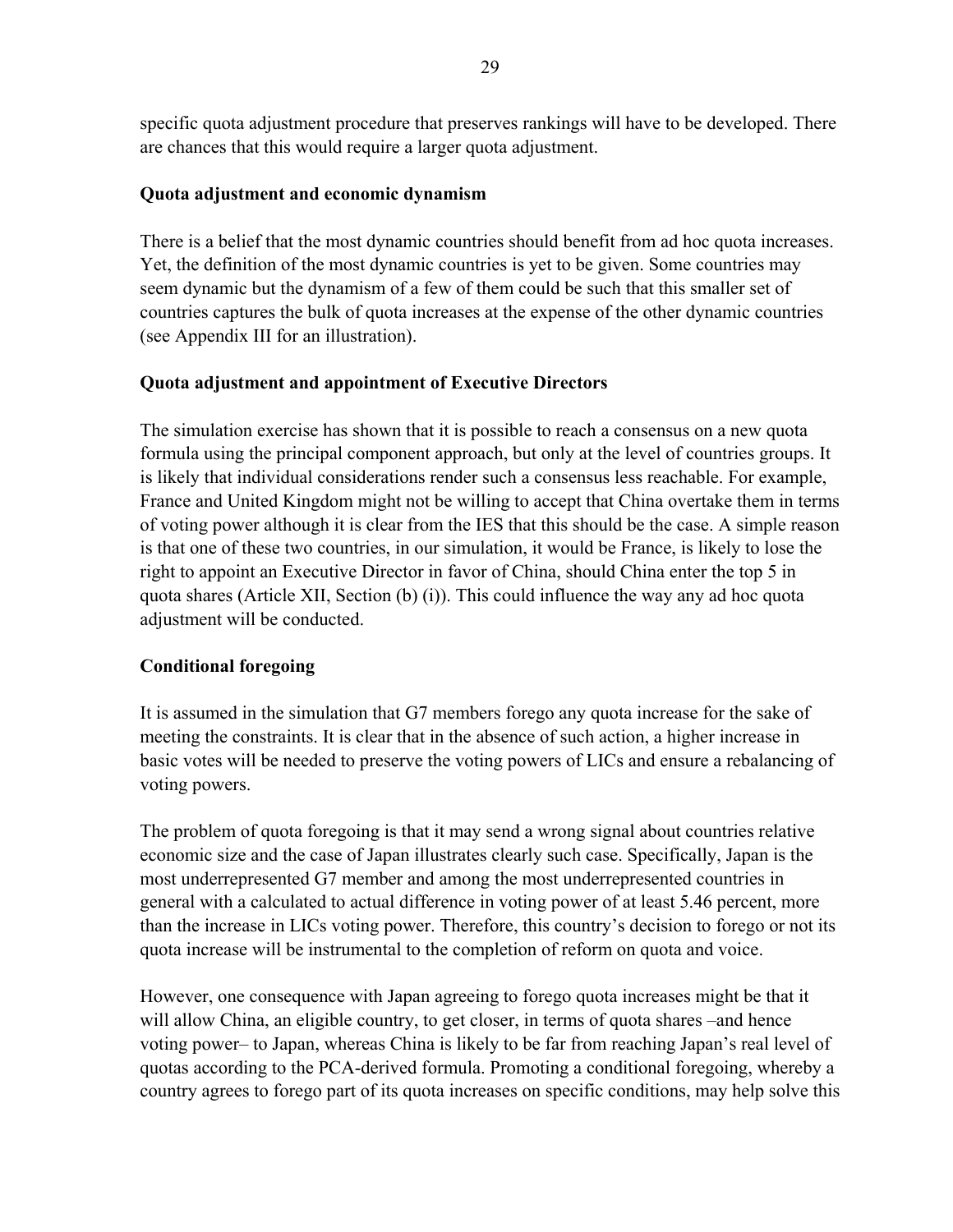specific quota adjustment procedure that preserves rankings will have to be developed. There are chances that this would require a larger quota adjustment.

# **Quota adjustment and economic dynamism**

There is a belief that the most dynamic countries should benefit from ad hoc quota increases. Yet, the definition of the most dynamic countries is yet to be given. Some countries may seem dynamic but the dynamism of a few of them could be such that this smaller set of countries captures the bulk of quota increases at the expense of the other dynamic countries (see Appendix III for an illustration).

# **Quota adjustment and appointment of Executive Directors**

The simulation exercise has shown that it is possible to reach a consensus on a new quota formula using the principal component approach, but only at the level of countries groups. It is likely that individual considerations render such a consensus less reachable. For example, France and United Kingdom might not be willing to accept that China overtake them in terms of voting power although it is clear from the IES that this should be the case. A simple reason is that one of these two countries, in our simulation, it would be France, is likely to lose the right to appoint an Executive Director in favor of China, should China enter the top 5 in quota shares (Article XII, Section (b) (i)). This could influence the way any ad hoc quota adjustment will be conducted.

# **Conditional foregoing**

It is assumed in the simulation that G7 members forego any quota increase for the sake of meeting the constraints. It is clear that in the absence of such action, a higher increase in basic votes will be needed to preserve the voting powers of LICs and ensure a rebalancing of voting powers.

The problem of quota foregoing is that it may send a wrong signal about countries relative economic size and the case of Japan illustrates clearly such case. Specifically, Japan is the most underrepresented G7 member and among the most underrepresented countries in general with a calculated to actual difference in voting power of at least 5.46 percent, more than the increase in LICs voting power. Therefore, this country's decision to forego or not its quota increase will be instrumental to the completion of reform on quota and voice.

However, one consequence with Japan agreeing to forego quota increases might be that it will allow China, an eligible country, to get closer, in terms of quota shares –and hence voting power– to Japan, whereas China is likely to be far from reaching Japan's real level of quotas according to the PCA-derived formula. Promoting a conditional foregoing, whereby a country agrees to forego part of its quota increases on specific conditions, may help solve this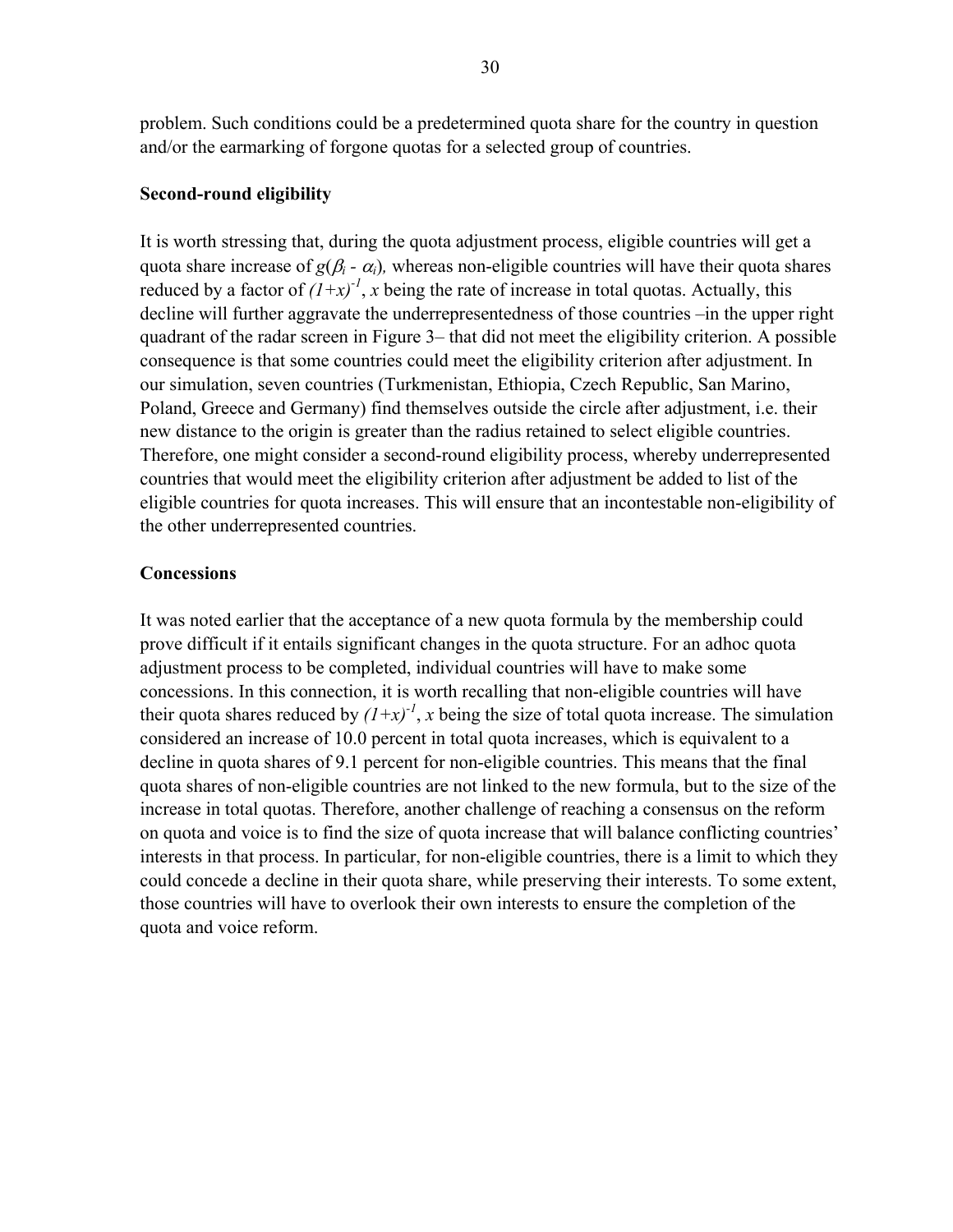problem. Such conditions could be a predetermined quota share for the country in question and/or the earmarking of forgone quotas for a selected group of countries.

### **Second-round eligibility**

It is worth stressing that, during the quota adjustment process, eligible countries will get a quota share increase of *g*( $\beta$ *<sub>i</sub>* -  $\alpha$ *<sub>i</sub>*), whereas non-eligible countries will have their quota shares reduced by a factor of  $(1+x)^{-1}$ , x being the rate of increase in total quotas. Actually, this decline will further aggravate the underrepresentedness of those countries –in the upper right quadrant of the radar screen in Figure 3– that did not meet the eligibility criterion. A possible consequence is that some countries could meet the eligibility criterion after adjustment. In our simulation, seven countries (Turkmenistan, Ethiopia, Czech Republic, San Marino, Poland, Greece and Germany) find themselves outside the circle after adjustment, i.e. their new distance to the origin is greater than the radius retained to select eligible countries. Therefore, one might consider a second-round eligibility process, whereby underrepresented countries that would meet the eligibility criterion after adjustment be added to list of the eligible countries for quota increases. This will ensure that an incontestable non-eligibility of the other underrepresented countries.

### **Concessions**

It was noted earlier that the acceptance of a new quota formula by the membership could prove difficult if it entails significant changes in the quota structure. For an adhoc quota adjustment process to be completed, individual countries will have to make some concessions. In this connection, it is worth recalling that non-eligible countries will have their quota shares reduced by  $(I+x)^{-1}$ , *x* being the size of total quota increase. The simulation considered an increase of 10.0 percent in total quota increases, which is equivalent to a decline in quota shares of 9.1 percent for non-eligible countries. This means that the final quota shares of non-eligible countries are not linked to the new formula, but to the size of the increase in total quotas. Therefore, another challenge of reaching a consensus on the reform on quota and voice is to find the size of quota increase that will balance conflicting countries' interests in that process. In particular, for non-eligible countries, there is a limit to which they could concede a decline in their quota share, while preserving their interests. To some extent, those countries will have to overlook their own interests to ensure the completion of the quota and voice reform.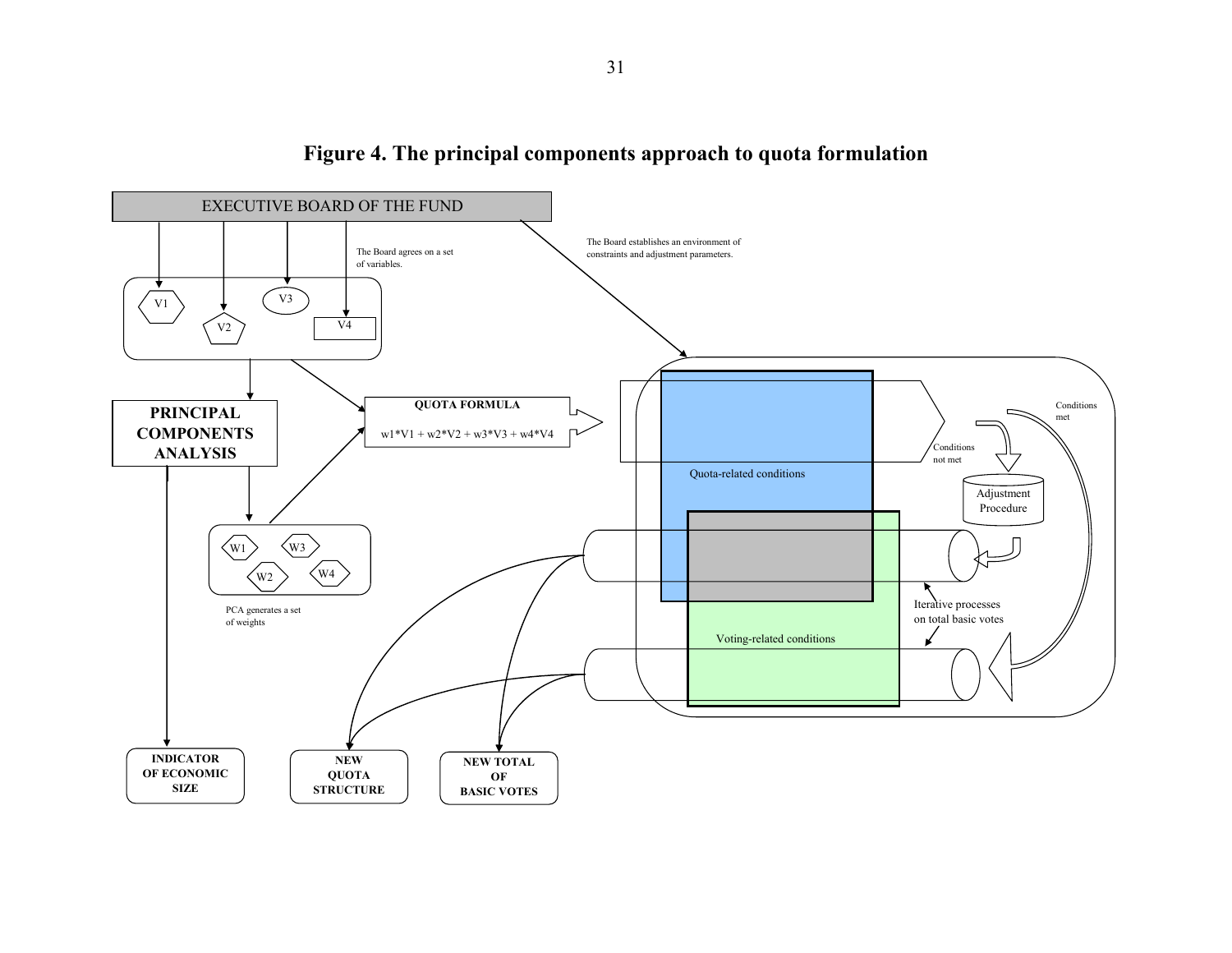

**Figure 4. The principal components approach to quota formulation**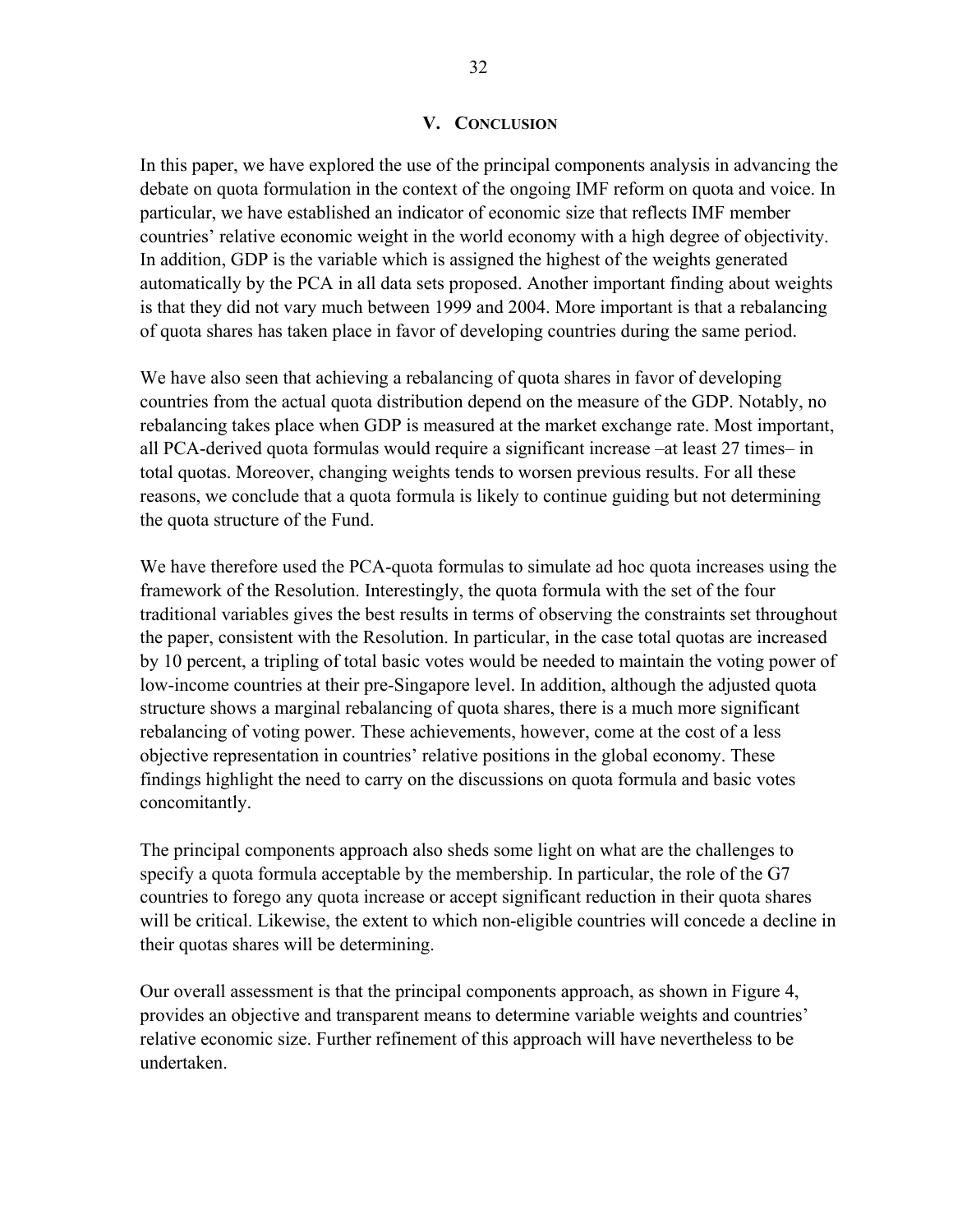#### **V. CONCLUSION**

In this paper, we have explored the use of the principal components analysis in advancing the debate on quota formulation in the context of the ongoing IMF reform on quota and voice. In particular, we have established an indicator of economic size that reflects IMF member countries' relative economic weight in the world economy with a high degree of objectivity. In addition, GDP is the variable which is assigned the highest of the weights generated automatically by the PCA in all data sets proposed. Another important finding about weights is that they did not vary much between 1999 and 2004. More important is that a rebalancing of quota shares has taken place in favor of developing countries during the same period.

We have also seen that achieving a rebalancing of quota shares in favor of developing countries from the actual quota distribution depend on the measure of the GDP. Notably, no rebalancing takes place when GDP is measured at the market exchange rate. Most important, all PCA-derived quota formulas would require a significant increase –at least 27 times– in total quotas. Moreover, changing weights tends to worsen previous results. For all these reasons, we conclude that a quota formula is likely to continue guiding but not determining the quota structure of the Fund.

We have therefore used the PCA-quota formulas to simulate ad hoc quota increases using the framework of the Resolution. Interestingly, the quota formula with the set of the four traditional variables gives the best results in terms of observing the constraints set throughout the paper, consistent with the Resolution. In particular, in the case total quotas are increased by 10 percent, a tripling of total basic votes would be needed to maintain the voting power of low-income countries at their pre-Singapore level. In addition, although the adjusted quota structure shows a marginal rebalancing of quota shares, there is a much more significant rebalancing of voting power. These achievements, however, come at the cost of a less objective representation in countries' relative positions in the global economy. These findings highlight the need to carry on the discussions on quota formula and basic votes concomitantly.

The principal components approach also sheds some light on what are the challenges to specify a quota formula acceptable by the membership. In particular, the role of the G7 countries to forego any quota increase or accept significant reduction in their quota shares will be critical. Likewise, the extent to which non-eligible countries will concede a decline in their quotas shares will be determining.

Our overall assessment is that the principal components approach, as shown in Figure 4, provides an objective and transparent means to determine variable weights and countries' relative economic size. Further refinement of this approach will have nevertheless to be undertaken.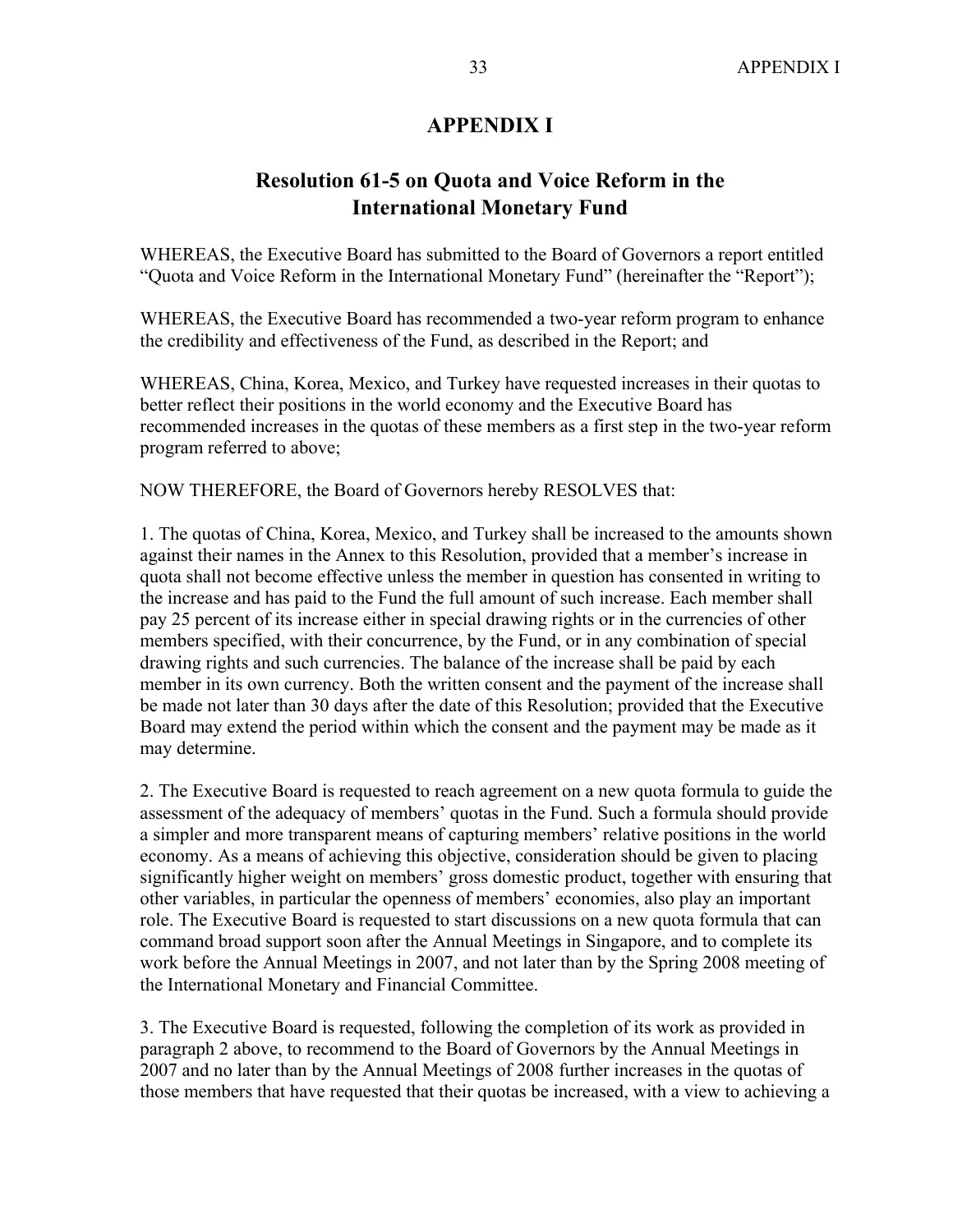# **APPENDIX I**

# **Resolution 61-5 on Quota and Voice Reform in the International Monetary Fund**

WHEREAS, the Executive Board has submitted to the Board of Governors a report entitled "Quota and Voice Reform in the International Monetary Fund" (hereinafter the "Report");

WHEREAS, the Executive Board has recommended a two-year reform program to enhance the credibility and effectiveness of the Fund, as described in the Report; and

WHEREAS, China, Korea, Mexico, and Turkey have requested increases in their quotas to better reflect their positions in the world economy and the Executive Board has recommended increases in the quotas of these members as a first step in the two-year reform program referred to above;

NOW THEREFORE, the Board of Governors hereby RESOLVES that:

1. The quotas of China, Korea, Mexico, and Turkey shall be increased to the amounts shown against their names in the Annex to this Resolution, provided that a member's increase in quota shall not become effective unless the member in question has consented in writing to the increase and has paid to the Fund the full amount of such increase. Each member shall pay 25 percent of its increase either in special drawing rights or in the currencies of other members specified, with their concurrence, by the Fund, or in any combination of special drawing rights and such currencies. The balance of the increase shall be paid by each member in its own currency. Both the written consent and the payment of the increase shall be made not later than 30 days after the date of this Resolution; provided that the Executive Board may extend the period within which the consent and the payment may be made as it may determine.

2. The Executive Board is requested to reach agreement on a new quota formula to guide the assessment of the adequacy of members' quotas in the Fund. Such a formula should provide a simpler and more transparent means of capturing members' relative positions in the world economy. As a means of achieving this objective, consideration should be given to placing significantly higher weight on members' gross domestic product, together with ensuring that other variables, in particular the openness of members' economies, also play an important role. The Executive Board is requested to start discussions on a new quota formula that can command broad support soon after the Annual Meetings in Singapore, and to complete its work before the Annual Meetings in 2007, and not later than by the Spring 2008 meeting of the International Monetary and Financial Committee.

3. The Executive Board is requested, following the completion of its work as provided in paragraph 2 above, to recommend to the Board of Governors by the Annual Meetings in 2007 and no later than by the Annual Meetings of 2008 further increases in the quotas of those members that have requested that their quotas be increased, with a view to achieving a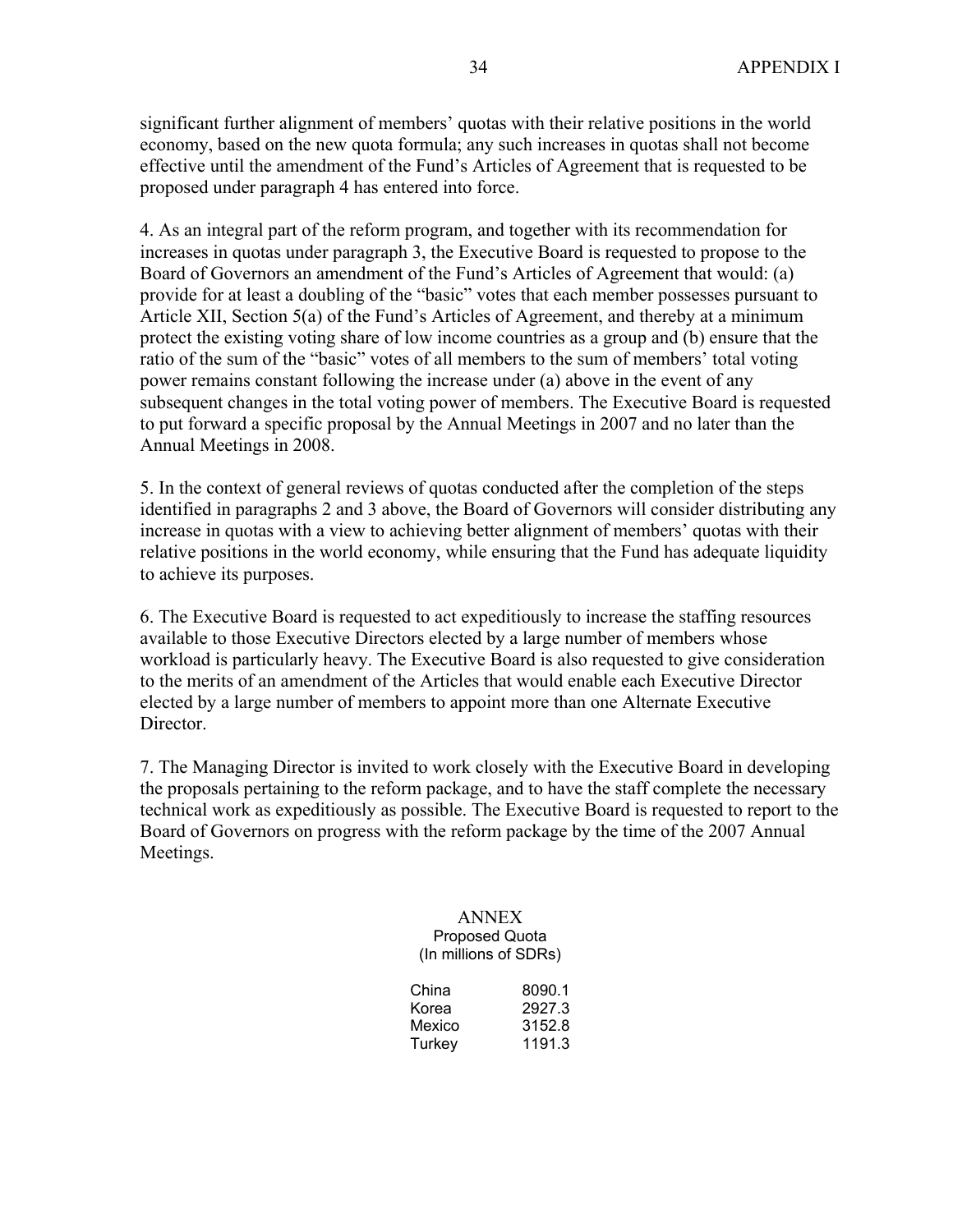significant further alignment of members' quotas with their relative positions in the world economy, based on the new quota formula; any such increases in quotas shall not become effective until the amendment of the Fund's Articles of Agreement that is requested to be proposed under paragraph 4 has entered into force.

4. As an integral part of the reform program, and together with its recommendation for increases in quotas under paragraph 3, the Executive Board is requested to propose to the Board of Governors an amendment of the Fund's Articles of Agreement that would: (a) provide for at least a doubling of the "basic" votes that each member possesses pursuant to Article XII, Section 5(a) of the Fund's Articles of Agreement, and thereby at a minimum protect the existing voting share of low income countries as a group and (b) ensure that the ratio of the sum of the "basic" votes of all members to the sum of members' total voting power remains constant following the increase under (a) above in the event of any subsequent changes in the total voting power of members. The Executive Board is requested to put forward a specific proposal by the Annual Meetings in 2007 and no later than the Annual Meetings in 2008.

5. In the context of general reviews of quotas conducted after the completion of the steps identified in paragraphs 2 and 3 above, the Board of Governors will consider distributing any increase in quotas with a view to achieving better alignment of members' quotas with their relative positions in the world economy, while ensuring that the Fund has adequate liquidity to achieve its purposes.

6. The Executive Board is requested to act expeditiously to increase the staffing resources available to those Executive Directors elected by a large number of members whose workload is particularly heavy. The Executive Board is also requested to give consideration to the merits of an amendment of the Articles that would enable each Executive Director elected by a large number of members to appoint more than one Alternate Executive Director.

7. The Managing Director is invited to work closely with the Executive Board in developing the proposals pertaining to the reform package, and to have the staff complete the necessary technical work as expeditiously as possible. The Executive Board is requested to report to the Board of Governors on progress with the reform package by the time of the 2007 Annual Meetings.

#### ANNEX Proposed Quota (In millions of SDRs)

China 8090.1 Korea 2927.3 Mexico 3152.8<br>Turkev 1191.3 Turkey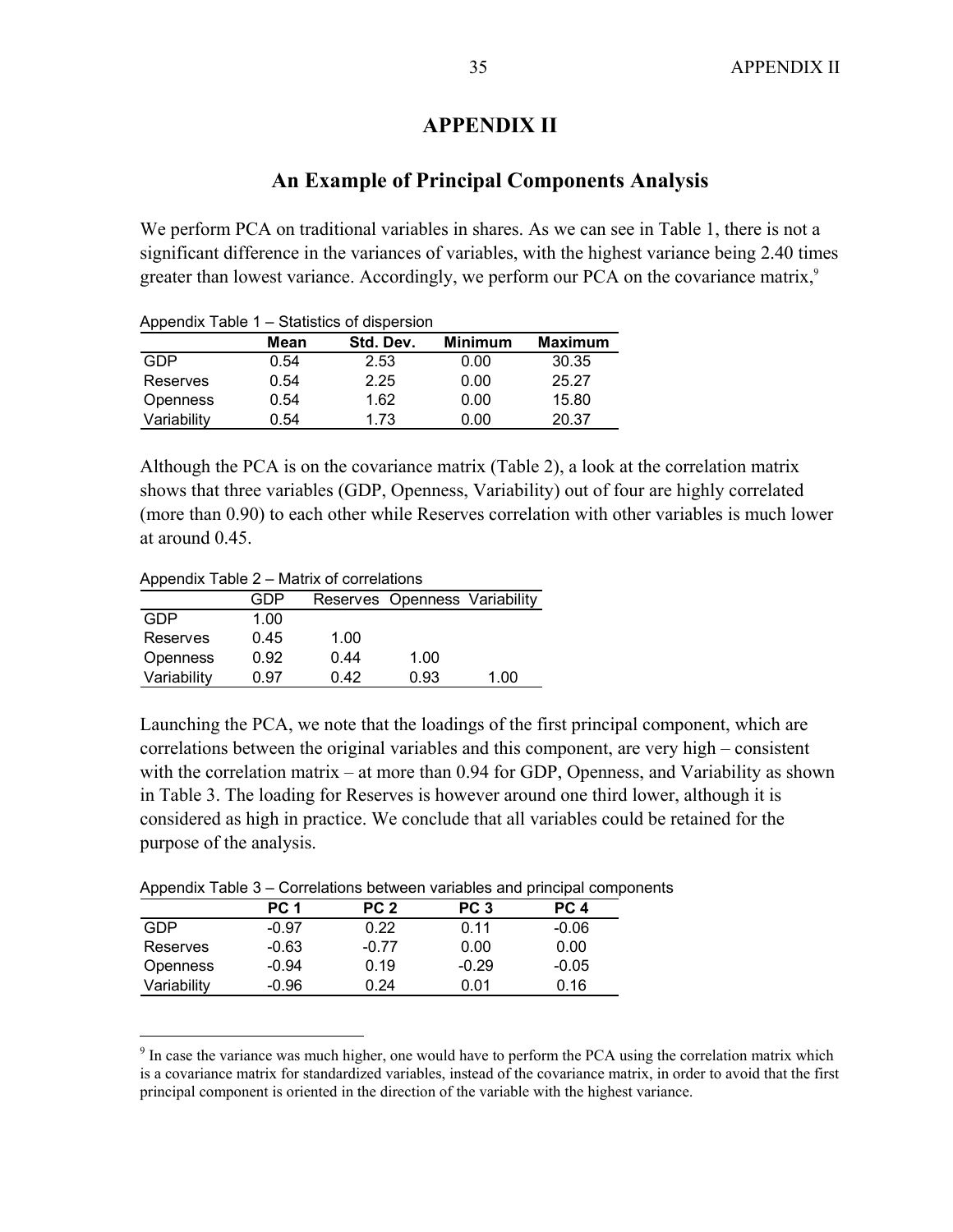# **APPENDIX II**

# **An Example of Principal Components Analysis**

We perform PCA on traditional variables in shares. As we can see in Table 1, there is not a significant difference in the variances of variables, with the highest variance being 2.40 times greater than lowest variance. Accordingly, we perform our PCA on the covariance matrix,<sup>9</sup>

| Appendix Table 1 – Statistics of dispersion |      |           |                |                |  |  |  |  |  |  |  |
|---------------------------------------------|------|-----------|----------------|----------------|--|--|--|--|--|--|--|
|                                             | Mean | Std. Dev. | <b>Minimum</b> | <b>Maximum</b> |  |  |  |  |  |  |  |
| GDP                                         | 0.54 | 2.53      | 0.00           | 30.35          |  |  |  |  |  |  |  |
| Reserves                                    | 0.54 | 2.25      | 0.00           | 25.27          |  |  |  |  |  |  |  |
| Openness                                    | 0.54 | 1.62      | 0.00           | 15.80          |  |  |  |  |  |  |  |
| Variability                                 | 0.54 | 1.73      | 0.00           | 20.37          |  |  |  |  |  |  |  |

Although the PCA is on the covariance matrix (Table 2), a look at the correlation matrix shows that three variables (GDP, Openness, Variability) out of four are highly correlated (more than 0.90) to each other while Reserves correlation with other variables is much lower at around 0.45.

Appendix Table 2 – Matrix of correlations

 $\overline{a}$ 

|                 | GDP  |      | Reserves Openness Variability |      |
|-----------------|------|------|-------------------------------|------|
| GDP             | 1.00 |      |                               |      |
| Reserves        | 0.45 | 1.00 |                               |      |
| <b>Openness</b> | 0.92 | 0.44 | 1.00                          |      |
| Variability     | 0.97 | 0.42 | 0.93                          | 1.00 |

Launching the PCA, we note that the loadings of the first principal component, which are correlations between the original variables and this component, are very high – consistent with the correlation matrix – at more than 0.94 for GDP, Openness, and Variability as shown in Table 3. The loading for Reserves is however around one third lower, although it is considered as high in practice. We conclude that all variables could be retained for the purpose of the analysis.

Appendix Table 3 – Correlations between variables and principal components

|             | PC 1    | PC <sub>2</sub> | PC <sub>3</sub> | PC 4    |
|-------------|---------|-----------------|-----------------|---------|
| GDP         | $-0.97$ | 0.22            | 0.11            | $-0.06$ |
| Reserves    | $-0.63$ | $-0.77$         | 0.00            | 0.00    |
| Openness    | $-0.94$ | 0.19            | $-0.29$         | $-0.05$ |
| Variability | $-0.96$ | 0.24            | 0.01            | 0.16    |

<sup>&</sup>lt;sup>9</sup> In case the variance was much higher, one would have to perform the PCA using the correlation matrix which is a covariance matrix for standardized variables, instead of the covariance matrix, in order to avoid that the first principal component is oriented in the direction of the variable with the highest variance.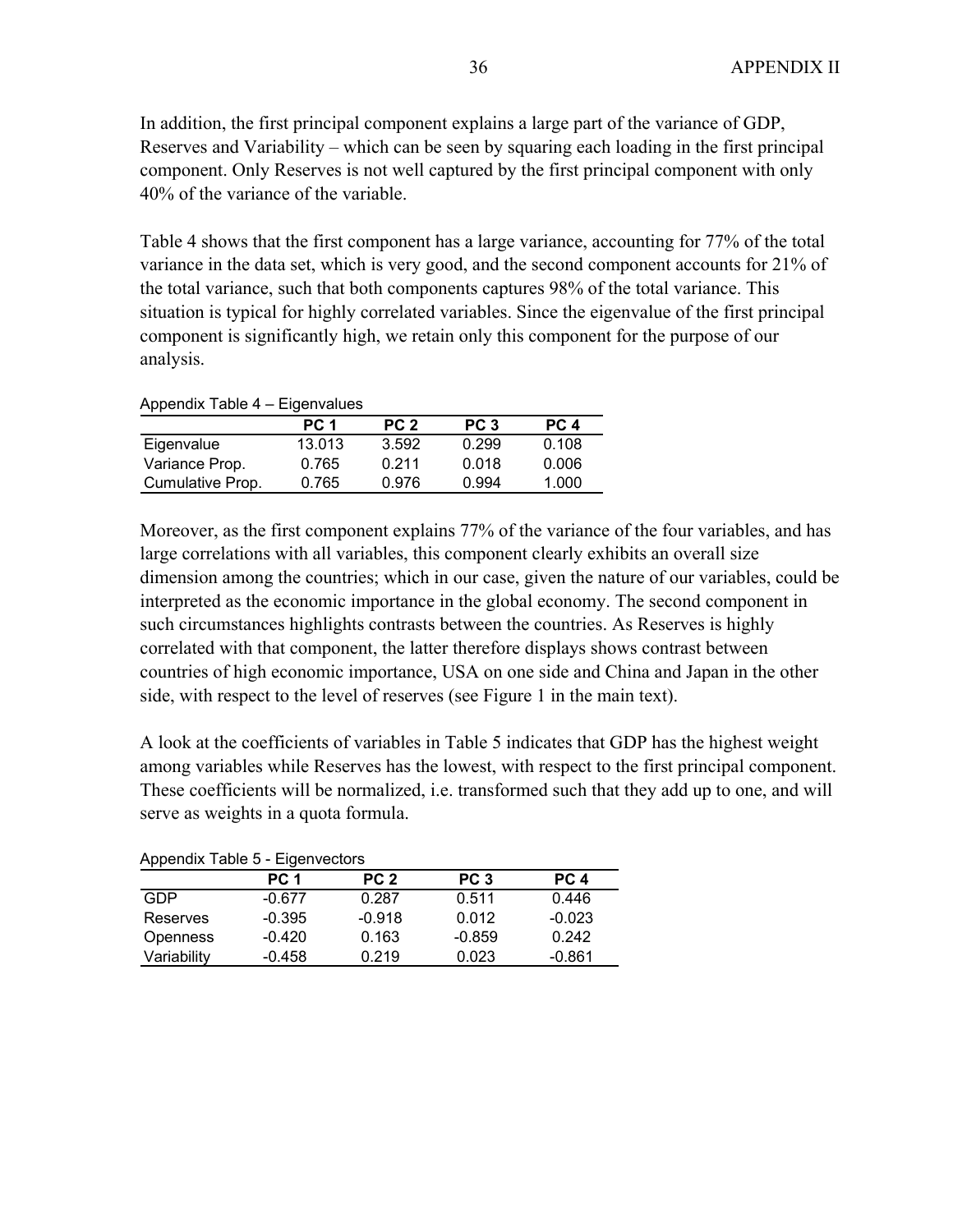In addition, the first principal component explains a large part of the variance of GDP, Reserves and Variability – which can be seen by squaring each loading in the first principal component. Only Reserves is not well captured by the first principal component with only 40% of the variance of the variable.

Table 4 shows that the first component has a large variance, accounting for 77% of the total variance in the data set, which is very good, and the second component accounts for 21% of the total variance, such that both components captures 98% of the total variance. This situation is typical for highly correlated variables. Since the eigenvalue of the first principal component is significantly high, we retain only this component for the purpose of our analysis.

| Appendix Table 4 – Eigenvalues |        |                 |                 |       |  |  |  |  |  |  |  |  |
|--------------------------------|--------|-----------------|-----------------|-------|--|--|--|--|--|--|--|--|
|                                | PC 1   | PC <sub>2</sub> | PC <sub>3</sub> | PC 4  |  |  |  |  |  |  |  |  |
| Eigenvalue                     | 13.013 | 3.592           | 0.299           | 0.108 |  |  |  |  |  |  |  |  |
| Variance Prop.                 | 0.765  | 0.211           | 0.018           | 0.006 |  |  |  |  |  |  |  |  |

Cumulative Prop. 0.765 0.976 0.994 1.000

Moreover, as the first component explains 77% of the variance of the four variables, and has large correlations with all variables, this component clearly exhibits an overall size dimension among the countries; which in our case, given the nature of our variables, could be interpreted as the economic importance in the global economy. The second component in such circumstances highlights contrasts between the countries. As Reserves is highly correlated with that component, the latter therefore displays shows contrast between countries of high economic importance, USA on one side and China and Japan in the other side, with respect to the level of reserves (see Figure 1 in the main text).

A look at the coefficients of variables in Table 5 indicates that GDP has the highest weight among variables while Reserves has the lowest, with respect to the first principal component. These coefficients will be normalized, i.e. transformed such that they add up to one, and will serve as weights in a quota formula.

|             | PC 1     | PC <sub>2</sub> | PC <sub>3</sub> | PC 4     |
|-------------|----------|-----------------|-----------------|----------|
| GDP         | $-0.677$ | 0.287           | 0.511           | 0.446    |
| Reserves    | $-0.395$ | $-0.918$        | 0.012           | $-0.023$ |
| Openness    | $-0.420$ | 0.163           | $-0.859$        | 0.242    |
| Variability | $-0.458$ | 0.219           | 0.023           | $-0.861$ |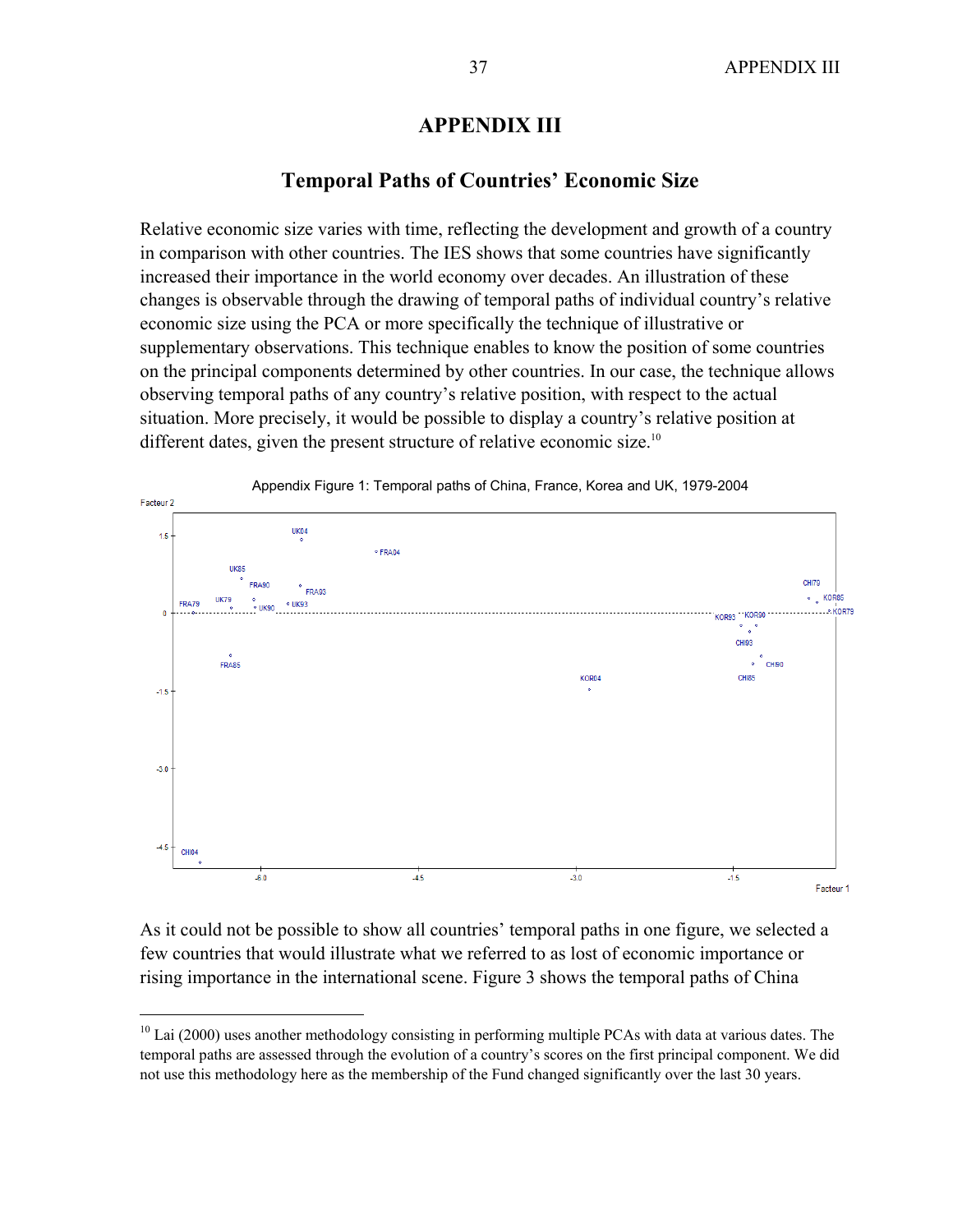# **APPENDIX III**

### **Temporal Paths of Countries' Economic Size**

Relative economic size varies with time, reflecting the development and growth of a country in comparison with other countries. The IES shows that some countries have significantly increased their importance in the world economy over decades. An illustration of these changes is observable through the drawing of temporal paths of individual country's relative economic size using the PCA or more specifically the technique of illustrative or supplementary observations. This technique enables to know the position of some countries on the principal components determined by other countries. In our case, the technique allows observing temporal paths of any country's relative position, with respect to the actual situation. More precisely, it would be possible to display a country's relative position at different dates, given the present structure of relative economic size.<sup>10</sup>



As it could not be possible to show all countries' temporal paths in one figure, we selected a few countries that would illustrate what we referred to as lost of economic importance or rising importance in the international scene. Figure 3 shows the temporal paths of China

<u>.</u>

 $10$  Lai (2000) uses another methodology consisting in performing multiple PCAs with data at various dates. The temporal paths are assessed through the evolution of a country's scores on the first principal component. We did not use this methodology here as the membership of the Fund changed significantly over the last 30 years.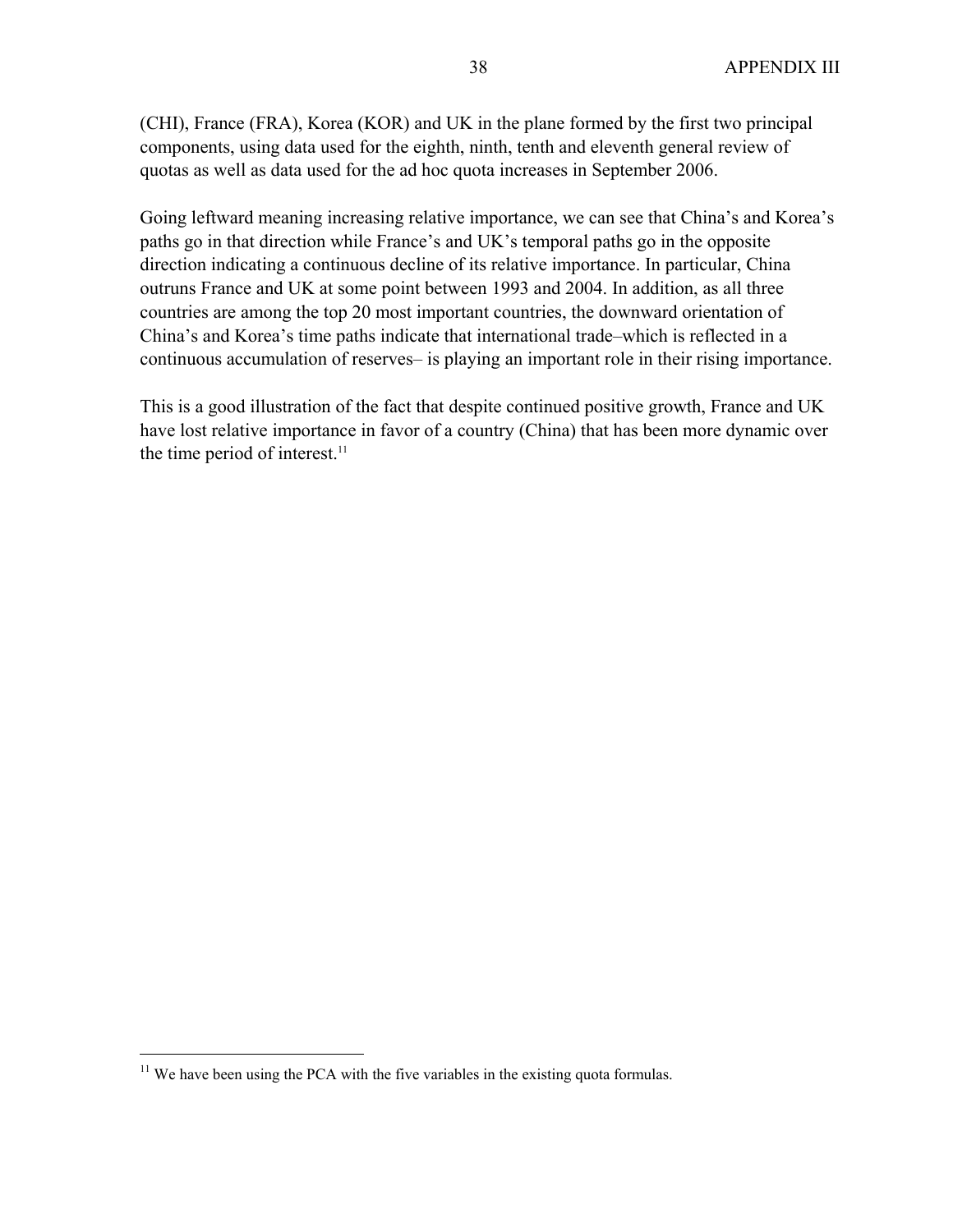(CHI), France (FRA), Korea (KOR) and UK in the plane formed by the first two principal components, using data used for the eighth, ninth, tenth and eleventh general review of quotas as well as data used for the ad hoc quota increases in September 2006.

Going leftward meaning increasing relative importance, we can see that China's and Korea's paths go in that direction while France's and UK's temporal paths go in the opposite direction indicating a continuous decline of its relative importance. In particular, China outruns France and UK at some point between 1993 and 2004. In addition, as all three countries are among the top 20 most important countries, the downward orientation of China's and Korea's time paths indicate that international trade–which is reflected in a continuous accumulation of reserves– is playing an important role in their rising importance.

This is a good illustration of the fact that despite continued positive growth, France and UK have lost relative importance in favor of a country (China) that has been more dynamic over the time period of interest.<sup>11</sup>

 $\overline{a}$ 

 $11$  We have been using the PCA with the five variables in the existing quota formulas.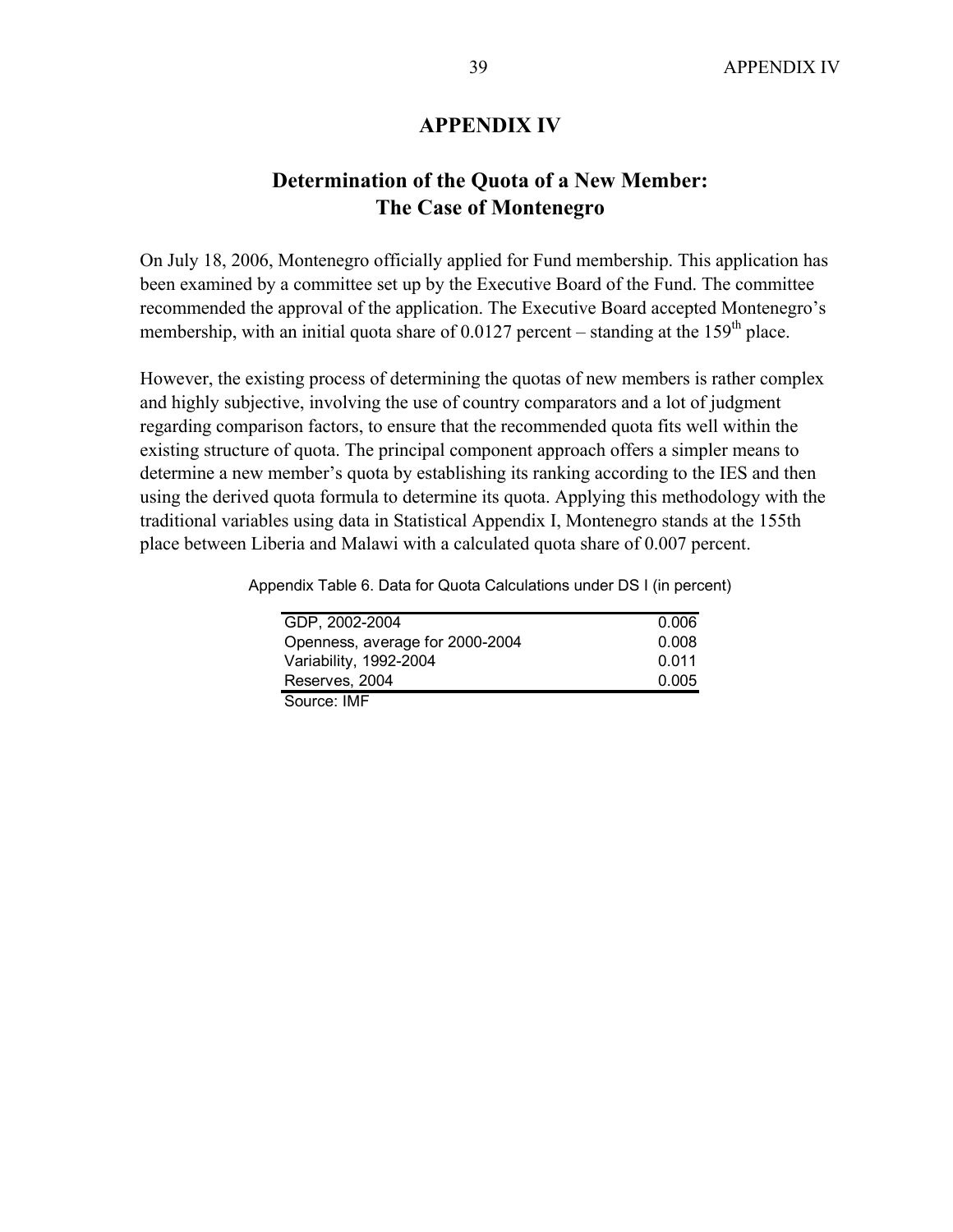### **APPENDIX IV**

# **Determination of the Quota of a New Member: The Case of Montenegro**

On July 18, 2006, Montenegro officially applied for Fund membership. This application has been examined by a committee set up by the Executive Board of the Fund. The committee recommended the approval of the application. The Executive Board accepted Montenegro's membership, with an initial quota share of 0.0127 percent – standing at the 159<sup>th</sup> place.

However, the existing process of determining the quotas of new members is rather complex and highly subjective, involving the use of country comparators and a lot of judgment regarding comparison factors, to ensure that the recommended quota fits well within the existing structure of quota. The principal component approach offers a simpler means to determine a new member's quota by establishing its ranking according to the IES and then using the derived quota formula to determine its quota. Applying this methodology with the traditional variables using data in Statistical Appendix I, Montenegro stands at the 155th place between Liberia and Malawi with a calculated quota share of 0.007 percent.

Appendix Table 6. Data for Quota Calculations under DS I (in percent)

| GDP, 2002-2004                  | 0.006 |
|---------------------------------|-------|
| Openness, average for 2000-2004 | 0.008 |
| Variability, 1992-2004          | 0.011 |
| Reserves, 2004                  | 0.005 |
| Source: IMF                     |       |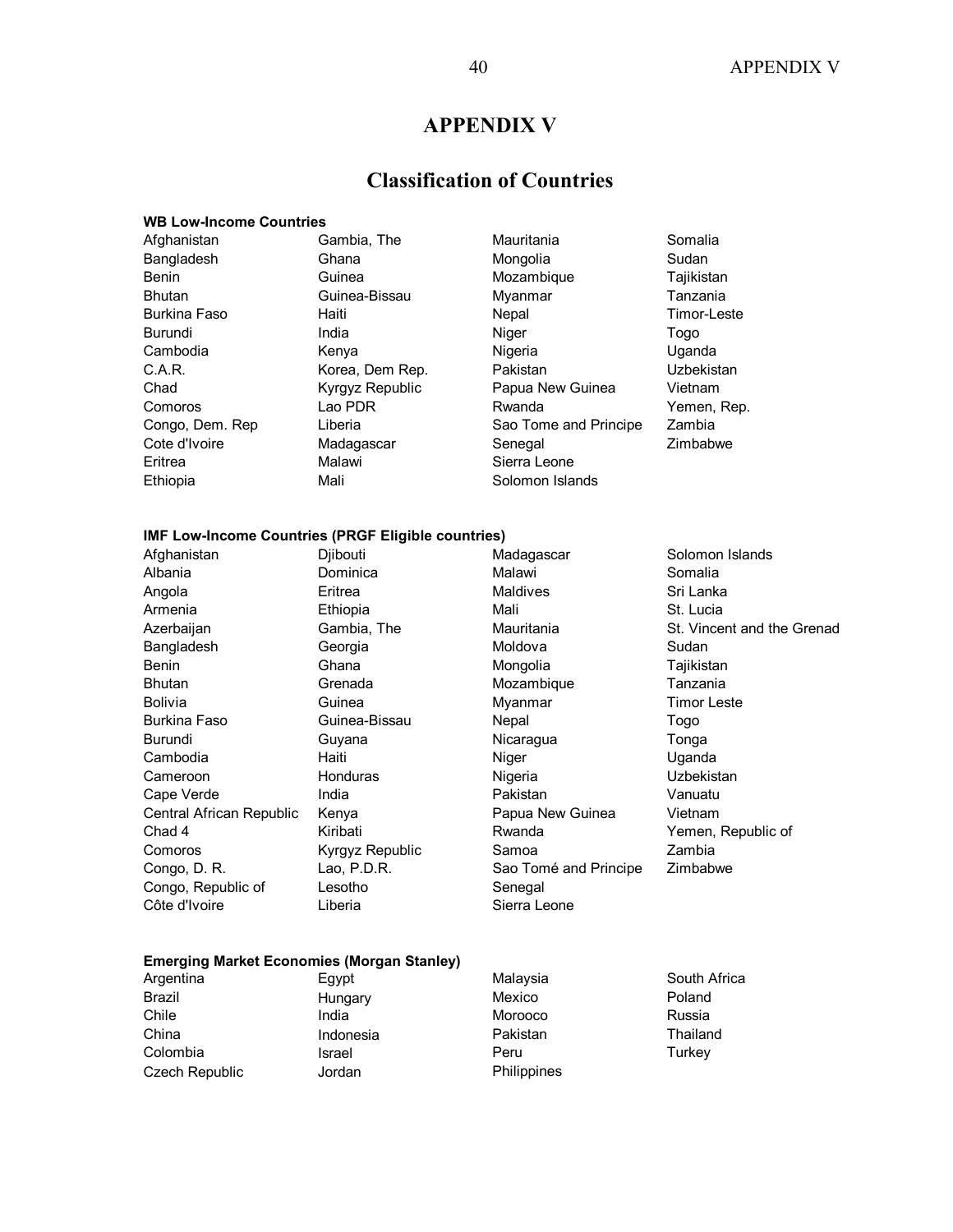# **APPENDIX V**

# **Classification of Countries**

#### **WB Low-Income Countries**

| Afghanistan     | Gambia, The     | Mauritania            | Somalia     |
|-----------------|-----------------|-----------------------|-------------|
| Bangladesh      | Ghana           | Mongolia              | Sudan       |
| Benin           | Guinea          | Mozambique            | Tajikistan  |
| Bhutan          | Guinea-Bissau   | Myanmar               | Tanzania    |
| Burkina Faso    | Haiti           | Nepal                 | Timor-Leste |
| Burundi         | India           | Niger                 | Togo        |
| Cambodia        | Kenya           | Nigeria               | Uganda      |
| C.A.R.          | Korea, Dem Rep. | Pakistan              | Uzbekistan  |
| Chad            | Kyrgyz Republic | Papua New Guinea      | Vietnam     |
| Comoros         | Lao PDR         | Rwanda                | Yemen, Rep. |
| Congo, Dem. Rep | Liberia         | Sao Tome and Principe | Zambia      |
| Cote d'Ivoire   | Madagascar      | Senegal               | Zimbabwe    |
| Eritrea         | Malawi          | Sierra Leone          |             |
| Ethiopia        | Mali            | Solomon Islands       |             |
|                 |                 |                       |             |

#### **IMF Low-Income Countries (PRGF Eligible countries)**

| Afghanistan              | Djibouti        | Madagascar            | Solomon Islands            |
|--------------------------|-----------------|-----------------------|----------------------------|
| Albania                  | Dominica        | Malawi                | Somalia                    |
| Angola                   | Eritrea         | Maldives              | Sri Lanka                  |
| Armenia                  | Ethiopia        | Mali                  | St. Lucia                  |
| Azerbaijan               | Gambia, The     | Mauritania            | St. Vincent and the Grenad |
| Bangladesh               | Georgia         | Moldova               | Sudan                      |
| Benin                    | Ghana           | Mongolia              | Tajikistan                 |
| <b>Bhutan</b>            | Grenada         | Mozambique            | Tanzania                   |
| <b>Bolivia</b>           | Guinea          | Myanmar               | <b>Timor Leste</b>         |
| Burkina Faso             | Guinea-Bissau   | Nepal                 | Togo                       |
| Burundi                  | Guyana          | Nicaragua             | Tonga                      |
| Cambodia                 | Haiti           | Niger                 | Uganda                     |
| Cameroon                 | <b>Honduras</b> | Nigeria               | Uzbekistan                 |
| Cape Verde               | India           | Pakistan              | Vanuatu                    |
| Central African Republic | Kenya           | Papua New Guinea      | Vietnam                    |
| Chad 4                   | Kiribati        | Rwanda                | Yemen, Republic of         |
| Comoros                  | Kyrgyz Republic | Samoa                 | Zambia                     |
| Congo, D. R.             | Lao, P.D.R.     | Sao Tomé and Principe | Zimbabwe                   |
| Congo, Republic of       | Lesotho         | Senegal               |                            |
| Côte d'Ivoire            | Liberia         | Sierra Leone          |                            |
|                          |                 |                       |                            |

#### **Emerging Market Economies (Morgan Stanley)**

| Argentina      | Egypt     | Malaysia    | South Africa |
|----------------|-----------|-------------|--------------|
| Brazil         | Hungary   | Mexico      | Poland       |
| Chile          | India     | Morooco     | Russia       |
| China          | Indonesia | Pakistan    | Thailand     |
| Colombia       | Israel    | Peru        | Turkey       |
| Czech Republic | Jordan    | Philippines |              |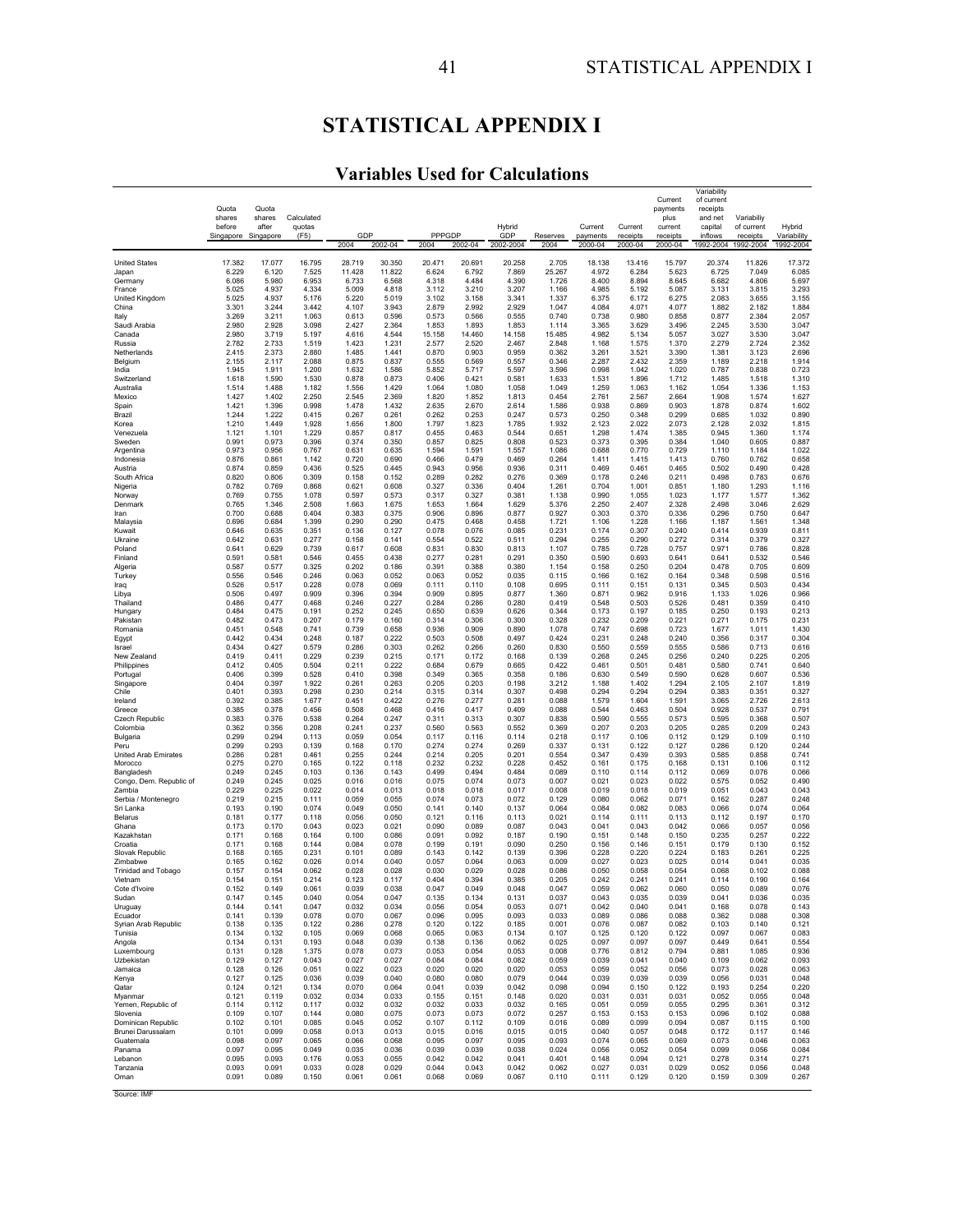# **STATISTICAL APPENDIX I**

# **Variables Used for Calculations**

|                                       |                     |                 |                 |                  |                  |                 |                 |                  |                  |                     |                     | Current             | Variability<br>of current |                       |                          |
|---------------------------------------|---------------------|-----------------|-----------------|------------------|------------------|-----------------|-----------------|------------------|------------------|---------------------|---------------------|---------------------|---------------------------|-----------------------|--------------------------|
|                                       | Quota               | Quota           | Calculated      |                  |                  |                 |                 |                  |                  |                     |                     | payments            | receipts                  | Variabiliy            |                          |
|                                       | shares<br>before    | shares<br>after | quotas          |                  |                  |                 |                 | Hybrid           |                  | Current             | Current             | plus<br>current     | and net<br>capital        | of current            | Hybrid                   |
|                                       | Singapore Singapore |                 | (F5)            | GDP<br>2004      | 2002-04          | PPPGDP<br>2004  | 2002-04         | GDP<br>2002-2004 | Reserves<br>2004 | payments<br>2000-04 | receipts<br>2000-04 | receipts<br>2000-04 | inflows<br>1992-2004      | receipts<br>1992-2004 | Variability<br>1992-2004 |
|                                       |                     |                 |                 |                  |                  |                 |                 |                  |                  |                     |                     |                     |                           |                       |                          |
| <b>United States</b><br>Japan         | 17.382<br>6.229     | 17.077<br>6.120 | 16.795<br>7.525 | 28.719<br>11.428 | 30.350<br>11.822 | 20.471<br>6.624 | 20.691<br>6.792 | 20.258<br>7.869  | 2.705<br>25.267  | 18.138<br>4.972     | 13.416<br>6.284     | 15.797<br>5.623     | 20.374<br>6.725           | 11.826<br>7.049       | 17.372<br>6.085          |
| Germany                               | 6.086               | 5.980           | 6.953           | 6.733            | 6.568            | 4.318           | 4.484           | 4.390            | 1.726            | 8.400               | 8.894               | 8.645               | 6.682                     | 4.806                 | 5.697                    |
| France<br>United Kingdom              | 5.025<br>5.025      | 4.937<br>4.937  | 4.334<br>5.176  | 5.009<br>5.220   | 4.818<br>5.019   | 3.112<br>3.102  | 3.210<br>3.158  | 3.207<br>3.341   | 1.166<br>1.337   | 4.985<br>6.375      | 5.192<br>6.172      | 5.087<br>6.275      | 3.131<br>2.083            | 3.815<br>3.655        | 3.293<br>3.155           |
| China                                 | 3.301               | 3.244           | 3.442           | 4.107            | 3.943            | 2.879           | 2.992           | 2.929            | 1.047            | 4.084               | 4.071               | 4.077               | 1.882                     | 2.182                 | 1.884                    |
| Italy<br>Saudi Arabia                 | 3.269<br>2.980      | 3.211<br>2.928  | 1.063<br>3.098  | 0.613<br>2.427   | 0.596<br>2.364   | 0.573<br>1.853  | 0.566<br>1.893  | 0.555<br>1.853   | 0.740<br>1.114   | 0.738<br>3.365      | 0.980<br>3.629      | 0.858<br>3.496      | 0.877<br>2.245            | 2.384<br>3.530        | 2.057<br>3.047           |
| Canada                                | 2.980               | 3.719           | 5.197           | 4.616            | 4.544            | 15.158          | 14.460          | 14.158           | 15.485           | 4.982               | 5.134               | 5.057               | 3.027                     | 3.530                 | 3.047                    |
| Russia<br>Netherlands                 | 2.782<br>2.415      | 2.733<br>2.373  | 1.519<br>2.880  | 1.423<br>1.485   | 1.231<br>1.441   | 2.577<br>0.870  | 2.520<br>0.903  | 2.467<br>0.959   | 2.848<br>0.362   | 1.168<br>3.261      | 1.575<br>3.521      | 1.370<br>3.390      | 2.279<br>1.381            | 2.724<br>3.123        | 2.352<br>2.696           |
| Belgium                               | 2.155               | 2.117           | 2.088           | 0.875            | 0.837            | 0.555           | 0.569           | 0.557            | 0.346            | 2.287               | 2.432               | 2.359               | 1.189                     | 2.218                 | 1.914                    |
| India<br>Switzerland                  | 1.945<br>1.618      | 1.911<br>1.590  | 1.200<br>1.530  | 1.632<br>0.878   | 1.586<br>0.873   | 5.852<br>0.406  | 5.717<br>0.421  | 5.597<br>0.581   | 3.596<br>1.633   | 0.998<br>1.531      | 1.042<br>1.896      | 1.020<br>1.712      | 0.787<br>1.485            | 0.838<br>1.518        | 0.723<br>1.310           |
| Australia                             | 1.514               | 1.488           | 1.182           | 1.556            | 1.429            | 1.064           | 1.080           | 1.058            | 1.049            | 1.259               | 1.063               | 1.162               | 1.054                     | 1.336                 | 1.153                    |
| Mexico<br>Spain                       | 1.427<br>1.421      | 1.402<br>1.396  | 2.250<br>0.998  | 2.545<br>1.478   | 2.369<br>1.432   | 1.820<br>2.635  | 1.852<br>2.670  | 1.813<br>2.614   | 0.454<br>1.586   | 2.761<br>0.938      | 2.567<br>0.869      | 2.664<br>0.903      | 1.908<br>1.878            | 1.574<br>0.874        | 1.627<br>1.602           |
| Brazil                                | 1.244               | 1.222           | 0.415           | 0.267            | 0.261            | 0.262           | 0.253           | 0.247            | 0.573            | 0.250               | 0.348               | 0.299               | 0.685                     | 1.032                 | 0.890                    |
| Korea<br>Venezuela                    | 1.210<br>1.121      | 1.449<br>1.101  | 1.928<br>1.229  | 1.656<br>0.857   | 1.800<br>0.817   | 1.797<br>0.455  | 1.823<br>0.463  | 1.785<br>0.544   | 1.932<br>0.651   | 2.123<br>1.298      | 2.022<br>1.474      | 2.073<br>1.385      | 2.128<br>0.945            | 2.032<br>1.360        | 1.815<br>1.174           |
| Sweden                                | 0.991               | 0.973           | 0.396           | 0.374            | 0.350            | 0.857           | 0.825           | 0.808            | 0.523            | 0.373               | 0.395               | 0.384               | 1.040                     | 0.605                 | 0.887                    |
| Argentina<br>Indonesia                | 0.973<br>0.876      | 0.956<br>0.861  | 0.767<br>1.142  | 0.631<br>0.720   | 0.635<br>0.690   | 1.594<br>0.466  | 1.591<br>0.479  | 1.557<br>0.469   | 1.086<br>0.264   | 0.688<br>1.411      | 0.770<br>1.415      | 0.729<br>1.413      | 1.110<br>0.760            | 1.184<br>0.762        | 1.022<br>0.658           |
| Austria                               | 0.874               | 0.859           | 0.436           | 0.525            | 0.445            | 0.943           | 0.956           | 0.936            | 0.311            | 0.469               | 0.461               | 0.465               | 0.502                     | 0.490                 | 0.428                    |
| South Africa                          | 0.820               | 0.806           | 0.309           | 0.158            | 0.152            | 0.289           | 0.282           | 0.276            | 0.369            | 0.178               | 0.246               | 0.211               | 0.498                     | 0.783                 | 0.676                    |
| Nigeria<br>Norway                     | 0.782<br>0.769      | 0.769<br>0.755  | 0.868<br>1.078  | 0.621<br>0.597   | 0.608<br>0.573   | 0.327<br>0.317  | 0.336<br>0.327  | 0.404<br>0.381   | 1.261<br>1.138   | 0.704<br>0.990      | 1.001<br>1.055      | 0.851<br>1.023      | 1.180<br>1.177            | 1.293<br>1.577        | 1.116<br>1.362           |
| Denmark                               | 0.765               | 1.346           | 2.508           | 1.663            | 1.675            | 1.653           | 1.664           | 1.629            | 5.376            | 2.250               | 2.407               | 2.328               | 2.498                     | 3.046                 | 2.629                    |
| Iran<br>Malaysia                      | 0.700<br>0.696      | 0.688<br>0.684  | 0.404<br>1.399  | 0.383<br>0.290   | 0.375<br>0.290   | 0.906<br>0.475  | 0.896<br>0.468  | 0.877<br>0.458   | 0.927<br>1.721   | 0.303<br>1.106      | 0.370<br>1.228      | 0.336<br>1.166      | 0.296<br>1.187            | 0.750<br>1.561        | 0.647<br>1.348           |
| Kuwait                                | 0.646               | 0.635           | 0.351           | 0.136            | 0.127            | 0.078           | 0.076           | 0.085            | 0.231            | 0.174               | 0.307               | 0.240               | 0.414                     | 0.939                 | 0.811                    |
| Ukraine                               | 0.642               | 0.631           | 0.277<br>0.739  | 0.158<br>0.617   | 0.141<br>0.608   | 0.554           | 0.522           | 0.511<br>0.813   | 0.294<br>1.107   | 0.255               | 0.290               | 0.272<br>0.757      | 0.314                     | 0.379                 | 0.327                    |
| Poland<br>Finland                     | 0.641<br>0.591      | 0.629<br>0.581  | 0.546           | 0.455            | 0.438            | 0.831<br>0.277  | 0.830<br>0.281  | 0.291            | 0.350            | 0.785<br>0.590      | 0.728<br>0.693      | 0.641               | 0.971<br>0.641            | 0.786<br>0.532        | 0.828<br>0.546           |
| Algeria                               | 0.587               | 0.577           | 0.325           | 0.202            | 0.186            | 0.391           | 0.388           | 0.380            | 1.154            | 0.158               | 0.250               | 0.204               | 0.478                     | 0.705                 | 0.609                    |
| Turkey<br>Irag                        | 0.556<br>0.526      | 0.546<br>0.517  | 0.246<br>0.228  | 0.063<br>0.078   | 0.052<br>0.069   | 0.063<br>0.111  | 0.052<br>0.110  | 0.035<br>0.108   | 0.115<br>0.695   | 0.166<br>0.111      | 0.162<br>0.151      | 0.164<br>0.131      | 0.348<br>0.345            | 0.598<br>0.503        | 0.516<br>0.434           |
| Libya                                 | 0.506               | 0.497           | 0.909           | 0.396            | 0.394            | 0.909           | 0.895           | 0.877            | 1.360            | 0.871               | 0.962               | 0.916               | 1.133                     | 1.026                 | 0.966                    |
| Thailand<br>Hungary                   | 0.486<br>0.484      | 0.477<br>0.475  | 0.468<br>0.191  | 0.246<br>0.252   | 0.227<br>0.245   | 0.284<br>0.650  | 0.286<br>0.639  | 0.280<br>0.626   | 0.419<br>0.344   | 0.548<br>0.173      | 0.503<br>0.197      | 0.526<br>0.185      | 0.481<br>0.250            | 0.359<br>0.193        | 0.410<br>0.213           |
| Pakistan                              | 0.482               | 0.473           | 0.207           | 0.179            | 0.160            | 0.314           | 0.306           | 0.300            | 0.328            | 0.232               | 0.209               | 0.221               | 0.271                     | 0.175                 | 0.231                    |
| Romania                               | 0.451<br>0.442      | 0.548<br>0.434  | 0.741<br>0.248  | 0.739<br>0.187   | 0.658<br>0.222   | 0.936<br>0.503  | 0.909<br>0.508  | 0.890<br>0.497   | 1.078<br>0.424   | 0.747<br>0.231      | 0.698<br>0.248      | 0.723<br>0.240      | 1.677<br>0.356            | 1.011<br>0.317        | 1.430<br>0.304           |
| Egypt<br>Israel                       | 0.434               | 0.427           | 0.579           | 0.286            | 0.303            | 0.262           | 0.266           | 0.260            | 0.830            | 0.550               | 0.559               | 0.555               | 0.586                     | 0.713                 | 0.616                    |
| New Zealand                           | 0.419               | 0.411           | 0.229           | 0.239            | 0.215            | 0.171           | 0.172           | 0.168            | 0.139            | 0.268               | 0.245               | 0.256               | 0.240                     | 0.225                 | 0.205                    |
| Philippines<br>Portugal               | 0.412<br>0.406      | 0.405<br>0.399  | 0.504<br>0.528  | 0.211<br>0.410   | 0.222<br>0.398   | 0.684<br>0.349  | 0.679<br>0.365  | 0.665<br>0.358   | 0.422<br>0.186   | 0.461<br>0.630      | 0.501<br>0.549      | 0.481<br>0.590      | 0.580<br>0.628            | 0.741<br>0.607        | 0.640<br>0.536           |
| Singapore                             | 0.404               | 0.397           | 1.922           | 0.261            | 0.263            | 0.205           | 0.203           | 0.198            | 3.212            | 1.188               | 1.402               | 1.294               | 2.105                     | 2.107                 | 1.819                    |
| Chile<br>Ireland                      | 0.401<br>0.392      | 0.393<br>0.385  | 0.298<br>1.677  | 0.230<br>0.451   | 0.214<br>0.422   | 0.315<br>0.276  | 0.314<br>0.277  | 0.307<br>0.281   | 0.498<br>0.088   | 0.294<br>1.579      | 0.294<br>1.604      | 0.294<br>1.591      | 0.383<br>3.065            | 0.351<br>2.726        | 0.327<br>2.613           |
| Greece                                | 0.385               | 0.378           | 0.456           | 0.508            | 0.468            | 0.416           | 0.417           | 0.409            | 0.088            | 0.544               | 0.463               | 0.504               | 0.928                     | 0.537                 | 0.791                    |
| Czech Republic<br>Colombia            | 0.383<br>0.362      | 0.376<br>0.356  | 0.538<br>0.208  | 0.264<br>0.241   | 0.247<br>0.237   | 0.311<br>0.560  | 0.313<br>0.563  | 0.307<br>0.552   | 0.838<br>0.369   | 0.590<br>0.207      | 0.555<br>0.203      | 0.573<br>0.205      | 0.595<br>0.285            | 0.368<br>0.209        | 0.507<br>0.243           |
| Bulgaria                              | 0.299               | 0.294           | 0.113           | 0.059            | 0.054            | 0.117           | 0.116           | 0.114            | 0.218            | 0.117               | 0.106               | 0.112               | 0.129                     | 0.109                 | 0.110                    |
| Peru<br><b>United Arab Emirates</b>   | 0.299<br>0.286      | 0.293<br>0.281  | 0.139<br>0.461  | 0.168<br>0.255   | 0.170<br>0.244   | 0.274<br>0.214  | 0.274<br>0.205  | 0.269<br>0.201   | 0.337<br>0.554   | 0.131<br>0.347      | 0.122<br>0.439      | 0.127<br>0.393      | 0.286<br>0.585            | 0.120<br>0.858        | 0.244<br>0.741           |
| Morocco                               | 0.275               | 0.270           | 0.165           | 0.122            | 0.118            | 0.232           | 0.232           | 0.228            | 0.452            | 0.161               | 0.175               | 0.168               | 0.131                     | 0.106                 | 0.112                    |
| Bangladesh<br>Congo, Dem. Republic of | 0.249<br>0.249      | 0.245<br>0.245  | 0.103<br>0.025  | 0.136<br>0.016   | 0.143<br>0.016   | 0.499<br>0.075  | 0.494<br>0.074  | 0.484<br>0.073   | 0.089<br>0.007   | 0.110<br>0.021      | 0.114<br>0.023      | 0.112<br>0.022      | 0.069<br>0.575            | 0.076<br>0.052        | 0.066<br>0.490           |
| Zambia                                | 0.229               | 0.225           | 0.022           | 0.014            | 0.013            | 0.018           | 0.018           | 0.017            | 0.008            | 0.019               | 0.018               | 0.019               | 0.051                     | 0.043                 | 0.043                    |
| Serbia / Montenegro<br>Sri Lanka      | 0.219<br>0.193      | 0.215           | 0.111           | 0.059            | 0.055            | 0.074           | 0.073           | 0.072            | 0.129            | 0.080               | 0.062               | 0.071               | 0.162                     | 0.287                 | 0.248                    |
| Belarus                               | 0.181               | 0.190<br>0.177  | 0.074<br>0.118  | 0.049<br>0.056   | 0.050<br>0.050   | 0.141<br>0.121  | 0.140<br>0.116  | 0.137<br>0.113   | 0.064<br>0.021   | 0.084<br>0.114      | 0.082<br>0.111      | 0.083<br>0.113      | 0.066<br>0.112            | 0.074<br>0.197        | 0.064<br>0.170           |
| Ghana                                 | 0.173               | 0.170           | 0.043           | 0.023            | 0.021            | 0.090           | 0.089           | 0.087            | 0.043            | 0.041               | 0.043               | 0.042               | 0.066                     | 0.057                 | 0.056                    |
| Kazakhstan<br>Croatia                 | 0.171<br>0.171      | 0.168<br>0.168  | 0.164<br>0.144  | 0.100<br>0.084   | 0.086<br>0.078   | 0.091<br>0.199  | 0.092<br>0.191  | 0.187<br>0.090   | 0.190<br>0.250   | 0.151<br>0.156      | 0.148<br>0.146      | 0.150<br>0.151      | 0.235<br>0.179            | 0.257<br>0.130        | 0.222<br>0.152           |
| Slovak Republic                       | 0.168               | 0.165           | 0.231           | 0.101            | 0.089            | 0.143           | 0.142           | 0.139            | 0.396            | 0.228               | 0.220               | 0.224               | 0.183                     | 0.261                 | 0.225                    |
| Zimbabwe<br>Trinidad and Tobago       | 0.165<br>0.157      | 0.162<br>0.154  | 0.026<br>0.062  | 0.014<br>0.028   | 0.040<br>0.028   | 0.057<br>0.030  | 0.064<br>0.029  | 0.063<br>0.028   | 0.009<br>0.086   | 0.027<br>0.050      | 0.023<br>0.058      | 0.025<br>0.054      | 0.014<br>0.068            | 0.041<br>0.102        | 0.035<br>0.088           |
| Vietnam                               | 0.154               | 0.151           | 0.214           | 0.123            | 0.117            | 0.404           | 0.394           | 0.385            | 0.205            | 0.242               | 0.241               | 0.241               | 0.114                     | 0.190                 | 0.164                    |
| Cote d'Ivoire<br>Sudan                | 0.152<br>0.147      | 0.149<br>0.145  | 0.061<br>0.040  | 0.039<br>0.054   | 0.038<br>0.047   | 0.047<br>0.135  | 0.049<br>0.134  | 0.048<br>0.131   | 0.047<br>0.037   | 0.059<br>0.043      | 0.062<br>0.035      | 0.060<br>0.039      | 0.050<br>0.041            | 0.089<br>0.036        | 0.076<br>0.035           |
| Uruguay                               | 0.144               | 0.141           | 0.047           | 0.032            | 0.034            | 0.056           | 0.054           | 0.053            | 0.071            | 0.042               | 0.040               | 0.041               | 0.168                     | 0.078                 | 0.143                    |
| Ecuador<br>Syrian Arab Republic       | 0.141<br>0.138      | 0.139<br>0.135  | 0.078<br>0.122  | 0.070<br>0.286   | 0.067<br>0.278   | 0.096<br>0.120  | 0.095<br>0.122  | 0.093<br>0.185   | 0.033<br>0.001   | 0.089<br>0.076      | 0.086<br>0.087      | 0.088<br>0.082      | 0.362<br>0.103            | 0.088<br>0.140        | 0.308<br>0.121           |
| Tunisia                               | 0.134               | 0.132           | 0.105           | 0.069            | 0.068            | 0.065           | 0.063           | 0.134            | 0.107            | 0.125               | 0.120               | 0.122               | 0.097                     | 0.067                 | 0.083                    |
| Angola                                | 0.134               | 0.131           | 0.193           | 0.048            | 0.039            | 0.138           | 0.136           | 0.062            | 0.025            | 0.097               | 0.097               | 0.097               | 0.449                     | 0.641                 | 0.554                    |
| Luxembourg<br>Uzbekistan              | 0.131<br>0.129      | 0.128<br>0.127  | 1.375<br>0.043  | 0.078<br>0.027   | 0.073<br>0.027   | 0.053<br>0.084  | 0.054<br>0.084  | 0.053<br>0.082   | 0.008<br>0.059   | 0.776<br>0.039      | 0.812<br>0.041      | 0.794<br>0.040      | 0.881<br>0.109            | 1.085<br>0.062        | 0.936<br>0.093           |
| Jamaica                               | 0.128               | 0.126           | 0.051           | 0.022            | 0.023            | 0.020           | 0.020           | 0.020            | 0.053            | 0.059               | 0.052               | 0.056               | 0.073                     | 0.028                 | 0.063                    |
| Kenya<br>Qatar                        | 0.127<br>0.124      | 0.125<br>0.121  | 0.036<br>0.134  | 0.039<br>0.070   | 0.040<br>0.064   | 0.080<br>0.041  | 0.080<br>0.039  | 0.079<br>0.042   | 0.044<br>0.098   | 0.039<br>0.094      | 0.039<br>0.150      | 0.039<br>0.122      | 0.056<br>0.193            | 0.031<br>0.254        | 0.048<br>0.220           |
| Myanmar                               | 0.121               | 0.119           | 0.032           | 0.034            | 0.033            | 0.155           | 0.151           | 0.148            | 0.020            | 0.031               | 0.031               | 0.031               | 0.052                     | 0.055                 | 0.048                    |
| Yemen, Republic of<br>Slovenia        | 0.114<br>0.109      | 0.112<br>0.107  | 0.117<br>0.144  | 0.032<br>0.080   | 0.032<br>0.075   | 0.032<br>0.073  | 0.033<br>0.073  | 0.032<br>0.072   | 0.165<br>0.257   | 0.051<br>0.153      | 0.059<br>0.153      | 0.055<br>0.153      | 0.295<br>0.096            | 0.361<br>0.102        | 0.312<br>0.088           |
| Dominican Republic                    | 0.102               | 0.101           | 0.085           | 0.045            | 0.052            | 0.107           | 0.112           | 0.109            | 0.016            | 0.089               | 0.099               | 0.094               | 0.087                     | 0.115                 | 0.100                    |
| Brunei Darussalam<br>Guatemala        | 0.101<br>0.098      | 0.099<br>0.097  | 0.058<br>0.065  | 0.013<br>0.066   | 0.013<br>0.068   | 0.015<br>0.095  | 0.016<br>0.097  | 0.015<br>0.095   | 0.015<br>0.093   | 0.040<br>0.074      | 0.057<br>0.065      | 0.048<br>0.069      | 0.172<br>0.073            | 0.117<br>0.046        | 0.146<br>0.063           |
| Panama                                | 0.097               | 0.095           | 0.049           | 0.035            | 0.036            | 0.039           | 0.039           | 0.038            | 0.024            | 0.056               | 0.052               | 0.054               | 0.099                     | 0.056                 | 0.084                    |
| Lebanon<br>Tanzania                   | 0.095               | 0.093           | 0.176           | 0.053            | 0.055            | 0.042           | 0.042           | 0.041            | 0.401            | 0.148               | 0.094<br>0.031      | 0.121               | 0.278                     | 0.314                 | 0.271                    |
| Oman                                  | 0.093<br>0.091      | 0.091<br>0.089  | 0.033<br>0.150  | 0.028<br>0.061   | 0.029<br>0.061   | 0.044<br>0.068  | 0.043<br>0.069  | 0.042<br>0.067   | 0.062<br>0.110   | 0.027<br>0.111      | 0.129               | 0.029<br>0.120      | 0.052<br>0.159            | 0.056<br>0.309        | 0.048<br>0.267           |
|                                       |                     |                 |                 |                  |                  |                 |                 |                  |                  |                     |                     |                     |                           |                       |                          |

Source: IMF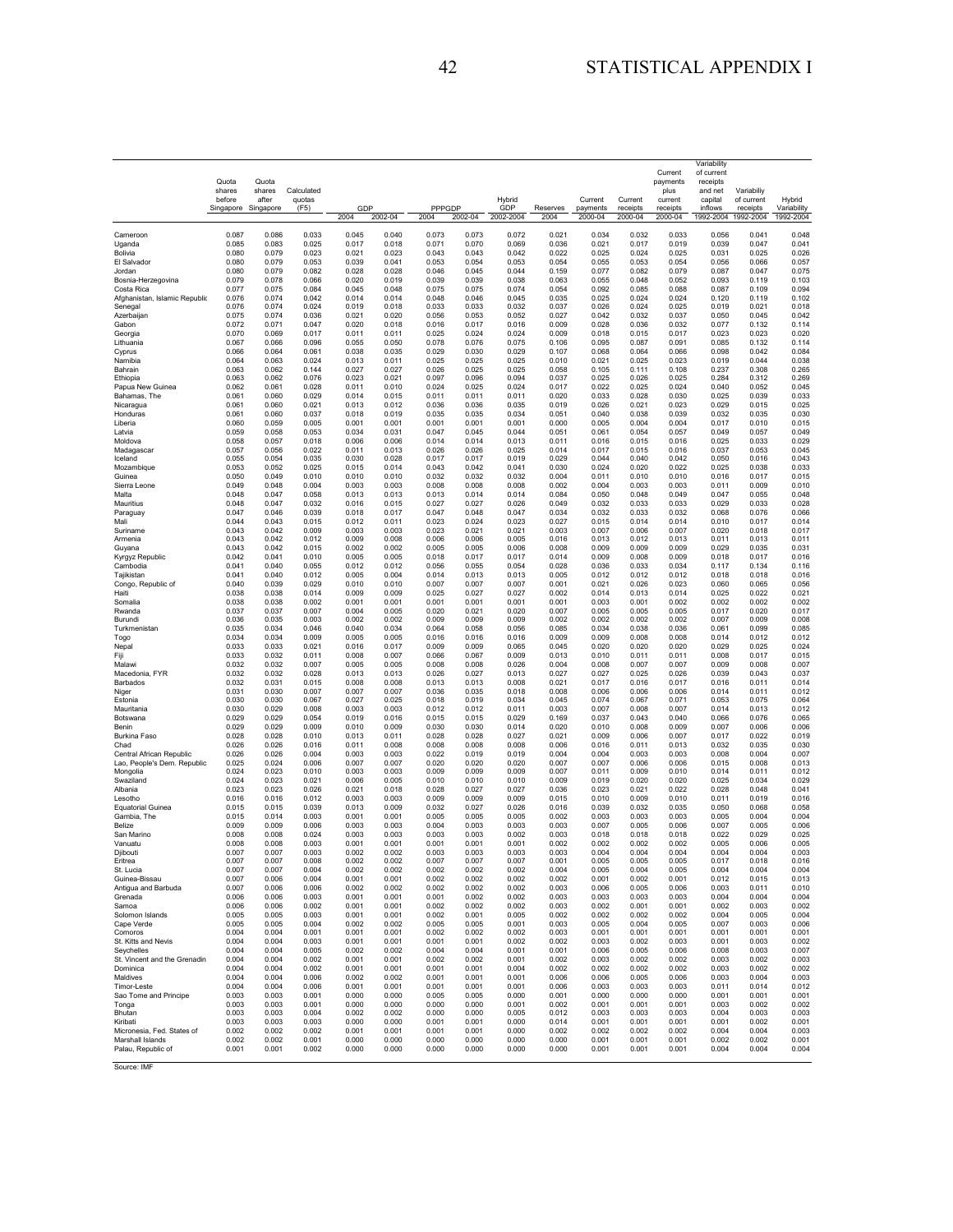|                                             | Quota               | Quota              |                |                |                |                |                |                |                |                     |                     | Current<br>payments | Variability<br>of current |                        |                       |
|---------------------------------------------|---------------------|--------------------|----------------|----------------|----------------|----------------|----------------|----------------|----------------|---------------------|---------------------|---------------------|---------------------------|------------------------|-----------------------|
|                                             | shares              | shares             | Calculated     |                |                |                |                |                |                |                     |                     | plus                | receipts<br>and net       | Variabiliy             |                       |
|                                             | before<br>Singapore | after<br>Singapore | quotas<br>(F5) | GDP            |                | PPPGDP         |                | Hybrid<br>GDP  | Reserves       | Current<br>payments | Current<br>receipts | current<br>receipts | capital<br>inflows        | of current<br>receipts | Hybrid<br>Variability |
|                                             |                     |                    |                | 2004           | 2002-04        | 2004           | 2002-04        | 2002-2004      | 2004           | 2000-04             | 2000-04             | 2000-04             | 1992-2004                 | 1992-2004              | 1992-2004             |
| Cameroon                                    | 0.087               | 0.086              | 0.033          | 0.045          | 0.040          | 0.073          | 0.073          | 0.072          | 0.021          | 0.034               | 0.032               | 0.033               | 0.056                     | 0.041                  | 0.048                 |
| Uganda                                      | 0.085               | 0.083              | 0.025          | 0.017          | 0.018          | 0.071          | 0.070          | 0.069          | 0.036          | 0.021               | 0.017               | 0.019               | 0.039                     | 0.047                  | 0.041                 |
| Bolivia                                     | 0.080               | 0.079              | 0.023          | 0.021          | 0.023          | 0.043          | 0.043          | 0.042          | 0.022          | 0.025               | 0.024               | 0.025               | 0.031                     | 0.025                  | 0.026                 |
| El Salvador                                 | 0.080               | 0.079              | 0.053          | 0.039          | 0.041          | 0.053          | 0.054          | 0.053          | 0.054          | 0.055               | 0.053               | 0.054               | 0.056                     | 0.066                  | 0.057                 |
| Jordan                                      | 0.080               | 0.079              | 0.082          | 0.028          | 0.028          | 0.046          | 0.045          | 0.044          | 0.159          | 0.077               | 0.082               | 0.079               | 0.087                     | 0.047                  | 0.075                 |
| Bosnia-Herzegovina                          | 0.079               | 0.078              | 0.066<br>0.084 | 0.020          | 0.019          | 0.039<br>0.075 | 0.039          | 0.038          | 0.063          | 0.055               | 0.048               | 0.052               | 0.093                     | 0.119                  | 0.103                 |
| Costa Rica<br>Afghanistan, Islamic Republic | 0.077<br>0.076      | 0.075<br>0.074     | 0.042          | 0.045<br>0.014 | 0.048<br>0.014 | 0.048          | 0.075<br>0.046 | 0.074<br>0.045 | 0.054<br>0.035 | 0.092<br>0.025      | 0.085<br>0.024      | 0.088<br>0.024      | 0.087<br>0.120            | 0.109<br>0.119         | 0.094<br>0.102        |
| Senegal                                     | 0.076               | 0.074              | 0.024          | 0.019          | 0.018          | 0.033          | 0.033          | 0.032          | 0.037          | 0.026               | 0.024               | 0.025               | 0.019                     | 0.021                  | 0.018                 |
| Azerbaijan                                  | 0.075               | 0.074              | 0.036          | 0.021          | 0.020          | 0.056          | 0.053          | 0.052          | 0.027          | 0.042               | 0.032               | 0.037               | 0.050                     | 0.045                  | 0.042                 |
| Gabon                                       | 0.072               | 0.071              | 0.047          | 0.020          | 0.018          | 0.016          | 0.017          | 0.016          | 0.009          | 0.028               | 0.036               | 0.032               | 0.077                     | 0.132                  | 0.114                 |
| Georgia                                     | 0.070               | 0.069              | 0.017          | 0.011          | 0.011          | 0.025          | 0.024          | 0.024          | 0.009          | 0.018               | 0.015               | 0.017               | 0.023                     | 0.023                  | 0.020                 |
| Lithuania                                   | 0.067               | 0.066              | 0.096          | 0.055          | 0.050          | 0.078          | 0.076          | 0.075          | 0.106          | 0.095               | 0.087               | 0.091               | 0.085                     | 0.132                  | 0.114                 |
| Cyprus                                      | 0.066               | 0.064              | 0.061          | 0.038          | 0.035          | 0.029          | 0.030          | 0.029          | 0.107          | 0.068               | 0.064               | 0.066               | 0.098                     | 0.042                  | 0.084                 |
| Namibia                                     | 0.064               | 0.063              | 0.024          | 0.013          | 0.011          | 0.025          | 0.025          | 0.025          | 0.010          | 0.021               | 0.025               | 0.023               | 0.019                     | 0.044                  | 0.038                 |
| Bahrain                                     | 0.063               | 0.062              | 0.144          | 0.027          | 0.027          | 0.026          | 0.025          | 0.025          | 0.058          | 0.105               | 0.111               | 0.108               | 0.237                     | 0.308                  | 0.265                 |
| Ethiopia                                    | 0.063               | 0.062              | 0.076          | 0.023          | 0.021          | 0.097          | 0.096          | 0.094          | 0.037          | 0.025               | 0.026               | 0.025               | 0.284                     | 0.312                  | 0.269                 |
| Papua New Guinea                            | 0.062               | 0.061              | 0.028          | 0.011          | 0.010          | 0.024          | 0.025          | 0.024          | 0.017          | 0.022               | 0.025               | 0.024               | 0.040                     | 0.052                  | 0.045                 |
| Bahamas, The                                | 0.061               | 0.060              | 0.029          | 0.014          | 0.015          | 0.011          | 0.011          | 0.011          | 0.020          | 0.033               | 0.028               | 0.030               | 0.025                     | 0.039                  | 0.033                 |
| Nicaragua                                   | 0.061               | 0.060              | 0.021          | 0.013          | 0.012          | 0.036          | 0.036          | 0.035          | 0.019          | 0.026               | 0.021               | 0.023               | 0.029                     | 0.015                  | 0.025                 |
| Honduras                                    | 0.061               | 0.060              | 0.037          | 0.018          | 0.019          | 0.035          | 0.035          | 0.034          | 0.051          | 0.040               | 0.038               | 0.039               | 0.032                     | 0.035                  | 0.030                 |
| Liberia                                     | 0.060               | 0.059              | 0.005          | 0.001          | 0.001          | 0.001          | 0.001          | 0.001          | 0.000          | 0.005               | 0.004               | 0.004               | 0.017                     | 0.010                  | 0.015                 |
| Latvia                                      | 0.059               | 0.058              | 0.053          | 0.034          | 0.031          | 0.047          | 0.045          | 0.044          | 0.051          | 0.061               | 0.054               | 0.057               | 0.049                     | 0.057                  | 0.049                 |
| Moldova                                     | 0.058               | 0.057              | 0.018          | 0.006          | 0.006          | 0.014          | 0.014          | 0.013          | 0.011          | 0.016               | 0.015               | 0.016               | 0.025                     | 0.033                  | 0.029                 |
| Madagascar                                  | 0.057               | 0.056              | 0.022          | 0.011          | 0.013          | 0.026          | 0.026          | 0.025          | 0.014          | 0.017               | 0.015               | 0.016               | 0.037                     | 0.053                  | 0.045                 |
| Iceland                                     | 0.055               | 0.054              | 0.035          | 0.030          | 0.028          | 0.017          | 0.017          | 0.019          | 0.029          | 0.044               | 0.040               | 0.042               | 0.050                     | 0.016                  | 0.043                 |
| Mozambique                                  | 0.053               | 0.052              | 0.025          | 0.015          | 0.014          | 0.043          | 0.042          | 0.041          | 0.030          | 0.024               | 0.020               | 0.022               | 0.025                     | 0.038                  | 0.033                 |
| Guinea                                      | 0.050               | 0.049              | 0.010          | 0.010          | 0.010          | 0.032          | 0.032          | 0.032          | 0.004          | 0.011               | 0.010               | 0.010               | 0.016                     | 0.017                  | 0.015                 |
| Sierra Leone                                | 0.049               | 0.048              | 0.004          | 0.003          | 0.003          | 0.008          | 0.008          | 0.008          | 0.002          | 0.004               | 0.003               | 0.003               | 0.011                     | 0.009                  | 0.010                 |
| Malta                                       | 0.048               | 0.047              | 0.058          | 0.013          | 0.013          | 0.013          | 0.014          | 0.014          | 0.084          | 0.050               | 0.048               | 0.049               | 0.047                     | 0.055                  | 0.048                 |
| Mauritius                                   | 0.048               | 0.047              | 0.032          | 0.016          | 0.015          | 0.027          | 0.027          | 0.026          | 0.049          | 0.032               | 0.033               | 0.033               | 0.029                     | 0.033                  | 0.028                 |
| Paraguay                                    | 0.047               | 0.046              | 0.039          | 0.018          | 0.017          | 0.047          | 0.048          | 0.047          | 0.034          | 0.032               | 0.033               | 0.032               | 0.068                     | 0.076                  | 0.066                 |
| Mali                                        | 0.044               | 0.043              | 0.015          | 0.012          | 0.011          | 0.023          | 0.024          | 0.023          | 0.027          | 0.015               | 0.014               | 0.014               | 0.010                     | 0.017                  | 0.014                 |
| Suriname                                    | 0.043               | 0.042              | 0.009          | 0.003          | 0.003          | 0.023          | 0.021          | 0.021          | 0.003          | 0.007               | 0.006               | 0.007               | 0.020                     | 0.018                  | 0.017                 |
| Armenia                                     | 0.043               | 0.042              | 0.012          | 0.009          | 0.008          | 0.006          | 0.006          | 0.005          | 0.016          | 0.013               | 0.012               | 0.013               | 0.011                     | 0.013                  | 0.011                 |
| Guyana                                      | 0.043               | 0.042              | 0.015          | 0.002          | 0.002          | 0.005          | 0.005          | 0.006          | 0.008          | 0.009               | 0.009               | 0.009               | 0.029                     | 0.035                  | 0.031                 |
| Kyrgyz Republic                             | 0.042               | 0.041              | 0.010          | 0.005          | 0.005          | 0.018          | 0.017          | 0.017          | 0.014          | 0.009               | 0.008               | 0.009               | 0.018                     | 0.017                  | 0.016                 |
| Cambodia                                    | 0.041               | 0.040              | 0.055          | 0.012          | 0.012          | 0.056          | 0.055          | 0.054          | 0.028          | 0.036               | 0.033               | 0.034               | 0.117                     | 0.134                  | 0.116                 |
| Tajikistan                                  | 0.041               | 0.040              | 0.012          | 0.005          | 0.004          | 0.014          | 0.013          | 0.013          | 0.005          | 0.012               | 0.012               | 0.012               | 0.018                     | 0.018                  | 0.016                 |
| Congo, Republic of                          | 0.040               | 0.039              | 0.029          | 0.010          | 0.010          | 0.007          | 0.007          | 0.007          | 0.001          | 0.021               | 0.026               | 0.023               | 0.060                     | 0.065                  | 0.056                 |
| Haiti                                       | 0.038               | 0.038              | 0.014          | 0.009          | 0.009          | 0.025          | 0.027          | 0.027          | 0.002          | 0.014               | 0.013               | 0.014               | 0.025                     | 0.022                  | 0.021                 |
| Somalia                                     | 0.038               | 0.038              | 0.002          | 0.001          | 0.001          | 0.001          | 0.001          | 0.001          | 0.001          | 0.003               | 0.001               | 0.002               | 0.002                     | 0.002                  | 0.002                 |
| Rwanda                                      | 0.037               | 0.037              | 0.007          | 0.004          | 0.005          | 0.020          | 0.021          | 0.020          | 0.007          | 0.005               | 0.005               | 0.005               | 0.017                     | 0.020                  | 0.017                 |
| Burundi                                     | 0.036               | 0.035              | 0.003          | 0.002          | 0.002          | 0.009          | 0.009          | 0.009          | 0.002          | 0.002               | 0.002               | 0.002               | 0.007                     | 0.009                  | 0.008                 |
| Turkmenistan                                | 0.035               | 0.034              | 0.046          | 0.040          | 0.034          | 0.064          | 0.058          | 0.056          | 0.085          | 0.034               | 0.038               | 0.036               | 0.061                     | 0.099                  | 0.085                 |
| Togo                                        | 0.034               | 0.034              | 0.009          | 0.005          | 0.005          | 0.016          | 0.016          | 0.016          | 0.009          | 0.009               | 0.008               | 0.008               | 0.014                     | 0.012                  | 0.012                 |
| Nepal                                       | 0.033               | 0.033              | 0.021          | 0.016          | 0.017          | 0.009          | 0.009          | 0.065          | 0.045          | 0.020               | 0.020               | 0.020               | 0.029                     | 0.025                  | 0.024                 |
| Fiji                                        | 0.033               | 0.032              | 0.011          | 0.008          | 0.007          | 0.066          | 0.067          | 0.009          | 0.013          | 0.010               | 0.011               | 0.011               | 0.008                     | 0.017                  | 0.015                 |
| Malawi                                      | 0.032               | 0.032              | 0.007          | 0.005          | 0.005          | 0.008          | 0.008          | 0.026          | 0.004          | 0.008               | 0.007               | 0.007               | 0.009                     | 0.008                  | 0.007                 |
| Macedonia, FYR                              | 0.032               | 0.032              | 0.028          | 0.013          | 0.013          | 0.026          | 0.027          | 0.013          | 0.027          | 0.027               | 0.025               | 0.026               | 0.039                     | 0.043                  | 0.037                 |
| Barbados                                    | 0.032               | 0.031              | 0.015          | 0.008          | 0.008          | 0.013          | 0.013          | 0.008          | 0.021          | 0.017               | 0.016               | 0.017               | 0.016                     | 0.011                  | 0.014                 |
| Niger                                       | 0.031               | 0.030              | 0.007          | 0.007          | 0.007          | 0.036          | 0.035          | 0.018          | 0.008          | 0.006               | 0.006               | 0.006               | 0.014                     | 0.011                  | 0.012                 |
| Estonia                                     | 0.030               | 0.030              | 0.067          | 0.027          | 0.025          | 0.018          | 0.019          | 0.034          | 0.045          | 0.074               | 0.067               | 0.071               | 0.053                     | 0.075                  | 0.064                 |
| Mauritania                                  | 0.030               | 0.029              | 0.008          | 0.003          | 0.003          | 0.012          | 0.012          | 0.011          | 0.003          | 0.007               | 0.008               | 0.007               | 0.014                     | 0.013                  | 0.012                 |
| Botswana                                    | 0.029               | 0.029              | 0.054          | 0.019          | 0.016          | 0.015          | 0.015          | 0.029          | 0.169          | 0.037               | 0.043               | 0.040               | 0.066                     | 0.076                  | 0.065                 |
| Benin                                       | 0.029               | 0.029              | 0.009          | 0.010          | 0.009          | 0.030          | 0.030          | 0.014          | 0.020          | 0.010               | 0.008               | 0.009               | 0.007                     | 0.006                  | 0.006                 |
| Burkina Faso                                | 0.028               | 0.028              | 0.010          | 0.013          | 0.011          | 0.028          | 0.028          | 0.027          | 0.021          | 0.009               | 0.006               | 0.007               | 0.017                     | 0.022                  | 0.019                 |
| Chad                                        | 0.026               | 0.026              | 0.016          | 0.011          | 0.008          | 0.008          | 0.008          | 0.008          | 0.006          | 0.016               | 0.011               | 0.013               | 0.032                     | 0.035                  | 0.030                 |
| Central African Republic                    | 0.026               | 0.026              | 0.004          | 0.003          | 0.003          | 0.022          | 0.019          | 0.019          | 0.004          | 0.004               | 0.003               | 0.003               | 0.008                     | 0.004                  | 0.007                 |
| Lao, People's Dem. Republic                 | 0.025               | 0.024              | 0.006          | 0.007          | 0.007          | 0.020          | 0.020          | 0.020          | 0.007          | 0.007               | 0.006               | 0.006               | 0.015                     | 0.008                  | 0.013                 |
| Mongolia                                    | 0.024               | 0.023              | 0.010          | 0.003          | 0.003          | 0.009          | 0.009          | 0.009          | 0.007          | 0.011               | 0.009               | 0.010               | 0.014                     | 0.011                  | 0.012                 |
| Swaziland                                   | 0.024               | 0.023              | 0.021          | 0.006          | 0.005          | 0.010          | 0.010          | 0.010          | 0.009          | 0.019               | 0.020               | 0.020               | 0.025                     | 0.034                  | 0.029                 |
| Albania                                     | 0.023               | 0.023              | 0.026          | 0.021          | 0.018          | 0.028          | 0.027          | 0.027          | 0.036          | 0.023               | 0.021               | 0.022               | 0.028                     | 0.048                  | 0.041                 |
| Lesotho                                     | 0.016               | 0.016              | 0.012          | 0.003          | 0.003          | 0.009          | 0.009          | 0.009          | 0.015          | 0.010               | 0.009               | 0.010               | 0.011                     | 0.019                  | 0.016                 |
| <b>Equatorial Guinea</b>                    | 0.015               | 0.015              | 0.039          | 0.013          | 0.009          | 0.032          | 0.027          | 0.026          | 0.016          | 0.039               | 0.032               | 0.035               | 0.050                     | 0.068                  | 0.058                 |
| Gambia, The                                 | 0.015               | 0.014              | 0.003          | 0.001          | 0.001          | 0.005          | 0.005          | 0.005          | 0.002          | 0.003               | 0.003               | 0.003               | 0.005                     | 0.004                  | 0.004                 |
| Belize                                      | 0.009               | 0.009              | 0.006          | 0.003          | 0.003          | 0.004          | 0.003          | 0.003          | 0.003          | 0.007               | 0.005               | 0.006               | 0.007                     | 0.005                  | 0.006                 |
| San Marino                                  | 0.008               | 0.008              | 0.024          | 0.003          | 0.003          | 0.003          | 0.003          | 0.002          | 0.003          | 0.018               | 0.018               | 0.018               | 0.022                     | 0.029                  | 0.025                 |
| Vanuatu                                     | 0.008               | 0.008              | 0.003          | 0.001          | 0.001          | 0.001          | 0.001          | 0.001          | 0.002          | 0.002               | 0.002               | 0.002               | 0.005                     | 0.006                  | 0.005                 |
| Djibouti                                    | 0.007               | 0.007              | 0.003          | 0.002          | 0.002          | 0.003          | 0.003          | 0.003          | 0.003          | 0.004               | 0.004               | 0.004               | 0.004                     | 0.004                  | 0.003                 |
| Eritrea                                     | 0.007               | 0.007              | 0.008          | 0.002          | 0.002          | 0.007          | 0.007          | 0.007          | 0.001          | 0.005               | 0.005               | 0.005               | 0.017                     | 0.018                  | 0.016                 |
| St. Lucia                                   | 0.007               | 0.007              | 0.004          | 0.002          | 0.002          | 0.002          | 0.002          | 0.002          | 0.004          | 0.005               | 0.004               | 0.005               | 0.004                     | 0.004                  | 0.004                 |
| Guinea-Bissau                               | 0.007               | 0.006              | 0.004          | 0.001          | 0.001          | 0.002          | 0.002          | 0.002          | 0.002          | 0.001               | 0.002               | 0.001               | 0.012                     | 0.015                  | 0.013                 |
|                                             | 0.007               | 0.006              | 0.006          | 0.002          | 0.002          | 0.002          | 0.002          | 0.002          | 0.003          | 0.006               | 0.005               | 0.006               | 0.003                     | 0.011                  | 0.010                 |
| Antigua and Barbuda<br>Grenada              | 0.006               | 0.006              | 0.003          | 0.001          | 0.001          | 0.001          | 0.002          | 0.002          | 0.003          | 0.003               | 0.003               | 0.003               | 0.004                     | 0.004                  | 0.004                 |
| Samoa                                       | 0.006               | 0.006              | 0.002          | 0.001          | 0.001          | 0.002          | 0.002          | 0.002          | 0.003          | 0.002               | 0.001               | 0.001               | 0.002                     | 0.003                  | 0.002                 |
| Solomon Islands                             | 0.005               | 0.005              | 0.003          | 0.001          | 0.001          | 0.002          | 0.001          | 0.005          | 0.002          | 0.002               | 0.002               | 0.002               | 0.004                     | 0.005                  | 0.004                 |
| Cape Verde                                  | 0.005               | 0.005              | 0.004          | 0.002          | 0.002          | 0.005          | 0.005          | 0.001          | 0.003          | 0.005               | 0.004               | 0.005               | 0.007                     | 0.003                  | 0.006                 |
| Comoros                                     | 0.004               | 0.004              | 0.001          | 0.001          | 0.001          | 0.002          | 0.002          | 0.002          | 0.003          | 0.001               | 0.001               | 0.001               | 0.001                     | 0.001                  | 0.001                 |
| St. Kitts and Nevis                         | 0.004               | 0.004              | 0.003          | 0.001          | 0.001          | 0.001          | 0.001          | 0.002          | 0.002          | 0.003               | 0.002               | 0.003               | 0.001                     | 0.003                  | 0.002                 |
| Seychelles                                  | 0.004               | 0.004              | 0.005          | 0.002          | 0.002          | 0.004          | 0.004          | 0.001          | 0.001          | 0.006               | 0.005               | 0.006               | 0.008                     | 0.003                  | 0.007                 |
| St. Vincent and the Grenadin                | 0.004               | 0.004              | 0.002          | 0.001          | 0.001          | 0.002          | 0.002          | 0.001          | 0.002          | 0.003               | 0.002               | 0.002               | 0.003                     | 0.002                  | 0.003                 |
| Dominica                                    | 0.004               | 0.004              | 0.002          | 0.001          | 0.001          | 0.001          | 0.001          | 0.004          | 0.002          | 0.002               | 0.002               | 0.002               | 0.003                     | 0.002                  | 0.002                 |
| Maldives                                    | 0.004               | 0.004              | 0.006          | 0.002          | 0.002          | 0.001          | 0.001          | 0.001          | 0.006          | 0.006               | 0.005               | 0.006               | 0.003                     | 0.004                  | 0.003                 |
| Timor-Leste                                 | 0.004               | 0.004              | 0.006          | 0.001          | 0.001          | 0.001          | 0.001          | 0.001          | 0.006          | 0.003               | 0.003               | 0.003               | 0.011                     | 0.014                  | 0.012                 |
| Sao Tome and Principe                       | 0.003               | 0.003              | 0.001          | 0.000          | 0.000          | 0.005          | 0.005          | 0.000          | 0.001          | 0.000               | 0.000               | 0.000               | 0.001                     | 0.001                  | 0.001                 |
| Tonga                                       | 0.003               | 0.003              | 0.001          | 0.000          | 0.000          | 0.000          | 0.000          | 0.001          | 0.002          | 0.001               | 0.001               | 0.001               | 0.003                     | 0.002                  | 0.002                 |
| Bhutan                                      | 0.003               | 0.003              | 0.004          | 0.002          | 0.002          | 0.000          | 0.000          | 0.005          | 0.012          | 0.003               | 0.003               | 0.003               | 0.004                     | 0.003                  | 0.003                 |
| Kiribati                                    | 0.003               | 0.003              | 0.003          | 0.000          | 0.000          | 0.001          | 0.001          | 0.000          | 0.014          | 0.001               | 0.001               | 0.001               | 0.001                     | 0.002                  | 0.001                 |
| Micronesia, Fed. States of                  | 0.002               | 0.002              | 0.002          | 0.001          | 0.001          | 0.001          | 0.001          | 0.000          | 0.002          | 0.002               | 0.002               | 0.002               | 0.004                     | 0.004                  | 0.003                 |
| Marshall Islands                            | 0.002               | 0.002              | 0.001          | 0.000          | 0.000          | 0.000          | 0.000          | 0.000          | 0.000          | 0.001               | 0.001               | 0.001               | 0.002                     | 0.002                  | 0.001                 |
| Palau, Republic of                          | 0.001               | 0.001              | 0.002          | 0.000          | 0.000          | 0.000          | 0.000          | 0.000          | 0.000          | 0.001               | 0.001               | 0.001               | 0.004                     | 0.004                  | 0.004                 |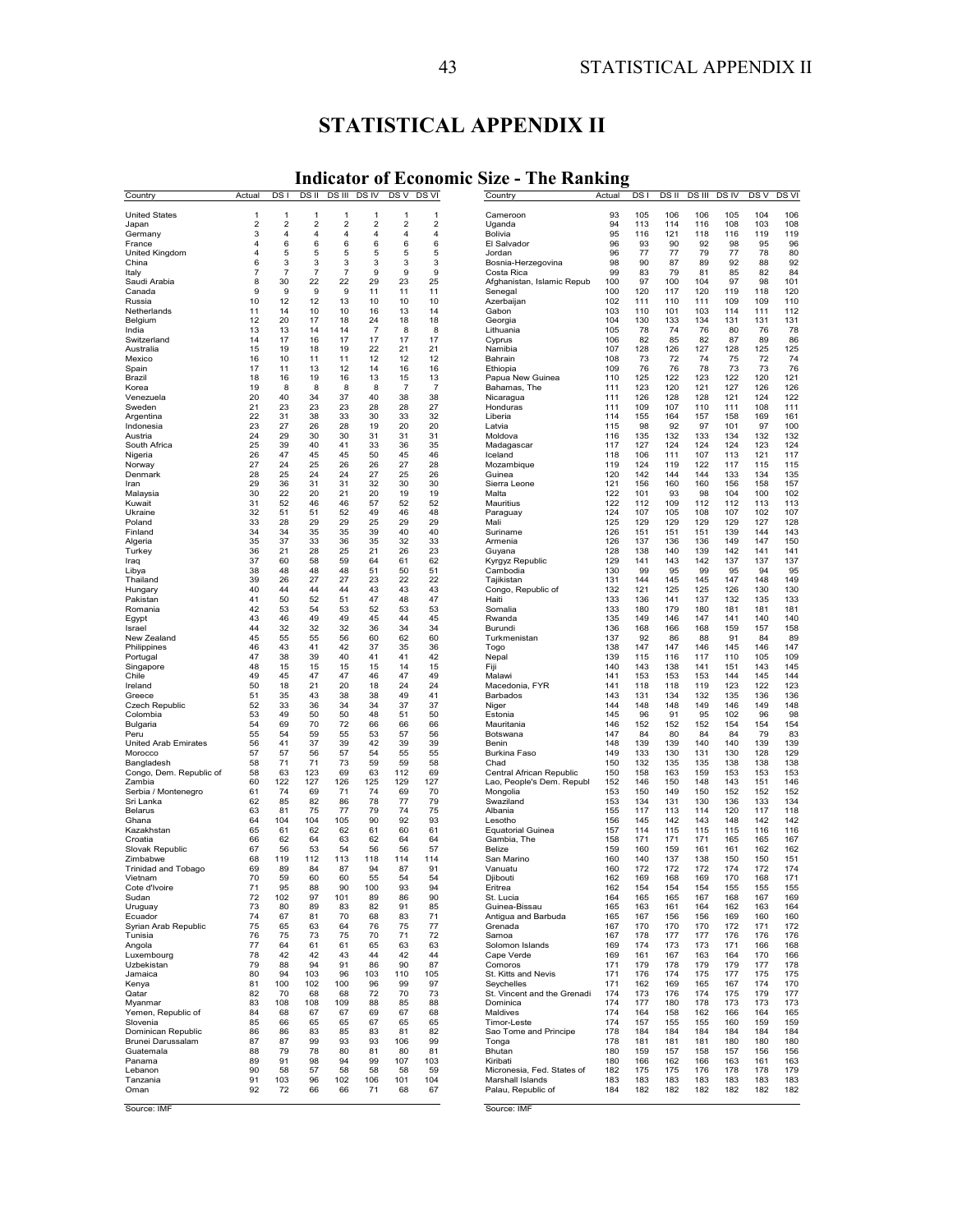# **STATISTICAL APPENDIX II**

# **Indicator of Economic Size - The Ranking**

| Country                               | Actual              | DS I                |                     |                         | DS II DS III DS IV      |           | DS V DS VI | Country                                | Actual     | DS <sub>1</sub> |            | DS II DS III DS IV |            | DSV DSVI   |            |
|---------------------------------------|---------------------|---------------------|---------------------|-------------------------|-------------------------|-----------|------------|----------------------------------------|------------|-----------------|------------|--------------------|------------|------------|------------|
| <b>United States</b>                  | 1                   | 1                   | 1                   | 1                       | 1                       | 1         | 1          | Cameroon                               | 93         | 105             | 106        | 106                | 105        | 104        | 106        |
| Japan                                 | $\overline{2}$      | $\overline{2}$      | 2                   | $\overline{\mathbf{c}}$ | $\overline{\mathbf{c}}$ | 2         | 2          | Uganda                                 | 94         | 113             | 114        | 116                | 108        | 103        | 108        |
| Germany                               | 3                   | 4                   | 4                   | 4                       | 4                       | 4         | 4          | Bolivia                                | 95         | 116             | 121        | 118                | 116        | 119        | 119        |
| France                                | 4                   | 6                   | 6                   | 6                       | 6                       | 6         | 6          | El Salvador                            | 96         | 93              | 90         | 92                 | 98         | 95         | 96         |
| United Kingdom                        | 4                   | 5                   | 5                   | 5                       | 5                       | 5         | 5          | Jordan                                 | 96         | 77              | 77         | 79                 | 77         | 78         | 80         |
| China<br>Italy                        | 6<br>$\overline{7}$ | 3<br>$\overline{7}$ | 3<br>$\overline{7}$ | 3<br>$\overline{7}$     | 3<br>9                  | 3<br>9    | 3<br>9     | Bosnia-Herzegovina<br>Costa Rica       | 98<br>99   | 90<br>83        | 87<br>79   | 89<br>81           | 92<br>85   | 88<br>82   | 92<br>84   |
| Saudi Arabia                          | 8                   | 30                  | 22                  | 22                      | 29                      | 23        | 25         | Afghanistan, Islamic Repub             | 100        | 97              | 100        | 104                | 97         | 98         | 101        |
| Canada                                | 9                   | 9                   | 9                   | 9                       | 11                      | 11        | 11         | Senegal                                | 100        | 120             | 117        | 120                | 119        | 118        | 120        |
| Russia                                | 10                  | 12                  | 12                  | 13                      | 10                      | 10        | 10         | Azerbaijan                             | 102        | 111             | 110        | 111                | 109        | 109        | 110        |
| Netherlands                           | 11                  | 14                  | 10                  | 10                      | 16                      | 13        | 14         | Gabon                                  | 103        | 110             | 101        | 103                | 114        | 111        | 112        |
| Belgium                               | 12                  | 20                  | 17                  | 18                      | 24                      | 18        | 18         | Georgia                                | 104        | 130             | 133        | 134                | 131        | 131        | 131        |
| India<br>Switzerland                  | 13<br>14            | 13<br>17            | 14<br>16            | 14<br>17                | $\overline{7}$<br>17    | 8<br>17   | 8<br>17    | Lithuania<br>Cyprus                    | 105<br>106 | 78<br>82        | 74<br>85   | 76<br>82           | 80<br>87   | 76<br>89   | 78<br>86   |
| Australia                             | 15                  | 19                  | 18                  | 19                      | 22                      | 21        | 21         | Namibia                                | 107        | 128             | 126        | 127                | 128        | 125        | 125        |
| Mexico                                | 16                  | 10                  | 11                  | 11                      | 12                      | 12        | 12         | Bahrain                                | 108        | 73              | 72         | 74                 | 75         | 72         | 74         |
| Spain                                 | 17                  | 11                  | 13                  | 12                      | 14                      | 16        | 16         | Ethiopia                               | 109        | 76              | 76         | 78                 | 73         | 73         | 76         |
| Brazil                                | 18                  | 16                  | 19                  | 16                      | 13                      | 15        | 13         | Papua New Guinea                       | 110        | 125             | 122        | 123                | 122        | 120        | 121        |
| Korea                                 | 19                  | 8                   | 8                   | 8                       | 8                       | 7         | 7          | Bahamas, The                           | 111        | 123             | 120        | 121                | 127        | 126        | 126        |
| Venezuela<br>Sweden                   | 20<br>21            | 40<br>23            | 34<br>23            | 37<br>23                | 40<br>28                | 38<br>28  | 38<br>27   | Nicaragua<br>Honduras                  | 111<br>111 | 126<br>109      | 128<br>107 | 128<br>110         | 121<br>111 | 124<br>108 | 122<br>111 |
| Argentina                             | 22                  | 31                  | 38                  | 33                      | 30                      | 33        | 32         | Liberia                                | 114        | 155             | 164        | 157                | 158        | 169        | 161        |
| Indonesia                             | 23                  | 27                  | 26                  | 28                      | 19                      | 20        | 20         | Latvia                                 | 115        | 98              | 92         | 97                 | 101        | 97         | 100        |
| Austria                               | 24                  | 29                  | 30                  | 30                      | 31                      | 31        | 31         | Moldova                                | 116        | 135             | 132        | 133                | 134        | 132        | 132        |
| South Africa                          | 25                  | 39                  | 40                  | 41                      | 33                      | 36        | 35         | Madagascar                             | 117        | 127             | 124        | 124                | 124        | 123        | 124        |
| Nigeria                               | 26                  | 47                  | 45                  | 45                      | 50                      | 45        | 46         | Iceland                                | 118        | 106             | 111        | 107                | 113        | 121        | 117        |
| Norway                                | 27<br>28            | 24<br>25            | 25<br>24            | 26<br>24                | 26<br>27                | 27<br>25  | 28<br>26   | Mozambique<br>Guinea                   | 119<br>120 | 124<br>142      | 119<br>144 | 122<br>144         | 117<br>133 | 115<br>134 | 115        |
| Denmark<br>Iran                       | 29                  | 36                  | 31                  | 31                      | 32                      | 30        | 30         | Sierra Leone                           | 121        | 156             | 160        | 160                | 156        | 158        | 135<br>157 |
| Malaysia                              | 30                  | 22                  | 20                  | 21                      | 20                      | 19        | 19         | Malta                                  | 122        | 101             | 93         | 98                 | 104        | 100        | 102        |
| Kuwait                                | 31                  | 52                  | 46                  | 46                      | 57                      | 52        | 52         | Mauritius                              | 122        | 112             | 109        | 112                | 112        | 113        | 113        |
| Ukraine                               | 32                  | 51                  | 51                  | 52                      | 49                      | 46        | 48         | Paraguay                               | 124        | 107             | 105        | 108                | 107        | 102        | 107        |
| Poland                                | 33                  | 28                  | 29                  | 29                      | 25                      | 29        | 29         | Mali                                   | 125        | 129             | 129        | 129                | 129        | 127        | 128        |
| Finland                               | 34                  | 34<br>37            | 35<br>33            | 35<br>36                | 39<br>35                | 40<br>32  | 40<br>33   | Suriname                               | 126        | 151             | 151        | 151                | 139        | 144        | 143<br>150 |
| Algeria<br>Turkey                     | 35<br>36            | 21                  | 28                  | 25                      | 21                      | 26        | 23         | Armenia<br>Guyana                      | 126<br>128 | 137<br>138      | 136<br>140 | 136<br>139         | 149<br>142 | 147<br>141 | 141        |
| Iraq                                  | 37                  | 60                  | 58                  | 59                      | 64                      | 61        | 62         | Kyrgyz Republic                        | 129        | 141             | 143        | 142                | 137        | 137        | 137        |
| Libya                                 | 38                  | 48                  | 48                  | 48                      | 51                      | 50        | 51         | Cambodia                               | 130        | 99              | 95         | 99                 | 95         | 94         | 95         |
| Thailand                              | 39                  | 26                  | 27                  | 27                      | 23                      | 22        | 22         | Tajikistan                             | 131        | 144             | 145        | 145                | 147        | 148        | 149        |
| Hungary                               | 40                  | 44                  | 44                  | 44                      | 43                      | 43        | 43         | Congo, Republic of                     | 132        | 121             | 125        | 125                | 126        | 130        | 130        |
| Pakistan                              | 41                  | 50                  | 52                  | 51                      | 47                      | 48        | 47         | Haiti                                  | 133        | 136             | 141        | 137                | 132        | 135        | 133        |
| Romania<br>Egypt                      | 42<br>43            | 53<br>46            | 54<br>49            | 53<br>49                | 52<br>45                | 53<br>44  | 53<br>45   | Somalia<br>Rwanda                      | 133<br>135 | 180<br>149      | 179<br>146 | 180<br>147         | 181<br>141 | 181<br>140 | 181<br>140 |
| Israel                                | 44                  | 32                  | 32                  | 32                      | 36                      | 34        | 34         | Burundi                                | 136        | 168             | 166        | 168                | 159        | 157        | 158        |
| New Zealand                           | 45                  | 55                  | 55                  | 56                      | 60                      | 62        | 60         | Turkmenistan                           | 137        | 92              | 86         | 88                 | 91         | 84         | 89         |
| Philippines                           | 46                  | 43                  | 41                  | 42                      | 37                      | 35        | 36         | Togo                                   | 138        | 147             | 147        | 146                | 145        | 146        | 147        |
| Portugal                              | 47                  | 38                  | 39                  | 40                      | 41                      | 41        | 42         | Nepal                                  | 139        | 115             | 116        | 117                | 110        | 105        | 109        |
| Singapore                             | 48<br>49            | 15<br>45            | 15<br>47            | 15<br>47                | 15<br>46                | 14<br>47  | 15<br>49   | Fiji                                   | 140<br>141 | 143<br>153      | 138<br>153 | 141<br>153         | 151<br>144 | 143<br>145 | 145<br>144 |
| Chile<br>Ireland                      | 50                  | 18                  | 21                  | 20                      | 18                      | 24        | 24         | Malawi<br>Macedonia, FYR               | 141        | 118             | 118        | 119                | 123        | 122        | 123        |
| Greece                                | 51                  | 35                  | 43                  | 38                      | 38                      | 49        | 41         | Barbados                               | 143        | 131             | 134        | 132                | 135        | 136        | 136        |
| Czech Republic                        | 52                  | 33                  | 36                  | 34                      | 34                      | 37        | 37         | Niger                                  | 144        | 148             | 148        | 149                | 146        | 149        | 148        |
| Colombia                              | 53                  | 49                  | 50                  | 50                      | 48                      | 51        | 50         | Estonia                                | 145        | 96              | 91         | 95                 | 102        | 96         | 98         |
| Bulgaria                              | 54                  | 69                  | 70                  | 72                      | 66                      | 66        | 66         | Mauritania                             | 146        | 152             | 152        | 152                | 154        | 154        | 154        |
| Peru                                  | 55                  | 54                  | 59                  | 55                      | 53                      | 57        | 56         | Botswana                               | 147        | 84              | 80         | 84                 | 84         | 79         | 83         |
| United Arab Emirates<br>Morocco       | 56<br>57            | 41<br>57            | 37<br>56            | 39<br>57                | 42<br>54                | 39<br>55  | 39<br>55   | <b>Benin</b><br>Burkina Faso           | 148<br>149 | 139<br>133      | 139<br>130 | 140<br>131         | 140<br>130 | 139<br>128 | 139<br>129 |
| Bangladesh                            | 58                  | 71                  | 71                  | 73                      | 59                      | 59        | 58         | Chad                                   | 150        | 132             | 135        | 135                | 138        | 138        | 138        |
| Congo, Dem. Republic of               | 58                  | 63                  | 123                 | 69                      | 63                      | 112       | 69         | Central African Republic               | 150        | 158             | 163        | 159                | 153        | 153        | 153        |
| Zambia                                | 60                  | 122                 | 127                 | 126                     | 125                     | 129       | 127        | Lao, People's Dem. Republ              | 152        | 146             | 150        | 148                | 143        | 151        | 146        |
| Serbia / Montenegro                   | 61                  | 74                  | 69                  | 71                      | 74                      | 69        | 70         | Mongolia                               | 153        | 150             | 149        | 150                | 152        | 152        | 152        |
| Sri Lanka<br><b>Belarus</b>           | 62                  | 85                  | 82<br>75            | 86<br>77                | 78<br>79                | 77<br>74  | 79<br>75   | Swaziland<br>Albania                   | 153<br>155 | 134             | 131        | 130                | 136        | 133        | 134<br>118 |
| Ghana                                 | 63<br>64            | 81<br>104           | 104                 | 105                     | 90                      | 92        | 93         | Lesotho                                | 156        | 117<br>145      | 113<br>142 | 114<br>143         | 120<br>148 | 117<br>142 | 142        |
| Kazakhstan                            | 65                  | 61                  | 62                  | 62                      | 61                      | 60        | 61         | <b>Equatorial Guinea</b>               | 157        | 114             | 115        | 115                | 115        | 116        | 116        |
| Croatia                               | 66                  | 62                  | 64                  | 63                      | 62                      | 64        | 64         | Gambia, The                            | 158        | 171             | 171        | 171                | 165        | 165        | 167        |
| Slovak Republic                       | 67                  | 56                  | 53                  | 54                      | 56                      | 56        | 57         | Belize                                 | 159        | 160             | 159        | 161                | 161        | 162        | 162        |
| Zimbabwe                              | 68                  | 119                 | 112                 | 113                     | 118                     | 114       | 114        | San Marino                             | 160        | 140             | 137        | 138                | 150        | 150        | 151        |
| <b>Trinidad and Tobago</b><br>Vietnam | 69<br>70            | 89<br>59            | 84<br>60            | 87<br>60                | 94<br>55                | 87<br>54  | 91<br>54   | Vanuatu<br>Djibouti                    | 160<br>162 | 172<br>169      | 172<br>168 | 172<br>169         | 174<br>170 | 172<br>168 | 174<br>171 |
| Cote d'Ivoire                         | 71                  | 95                  | 88                  | 90                      | 100                     | 93        | 94         | <b>Fritrea</b>                         | 162        | 154             | 154        | 154                | 155        | 155        | 155        |
| Sudan                                 | 72                  | 102                 | 97                  | 101                     | 89                      | 86        | 90         | St. Lucia                              | 164        | 165             | 165        | 167                | 168        | 167        | 169        |
| Uruguay                               | 73                  | 80                  | 89                  | 83                      | 82                      | 91        | 85         | Guinea-Bissau                          | 165        | 163             | 161        | 164                | 162        | 163        | 164        |
| Ecuador                               | 74                  | 67                  | 81                  | 70                      | 68                      | 83        | 71         | Antigua and Barbuda                    | 165        | 167             | 156        | 156                | 169        | 160        | 160        |
| Syrian Arab Republic                  | 75                  | 65                  | 63                  | 64                      | 76                      | 75        | 77         | Grenada                                | 167        | 170             | 170        | 170                | 172        | 171        | 172        |
| Tunisia                               | 76<br>77            | 75                  | 73                  | 75                      | 70                      | 71        | 72         | Samoa                                  | 167        | 178             | 177        | 177                | 176        | 176        | 176        |
| Angola<br>Luxembourg                  | 78                  | 64<br>42            | 61<br>42            | 61<br>43                | 65<br>44                | 63<br>42  | 63<br>44   | Solomon Islands<br>Cape Verde          | 169<br>169 | 174<br>161      | 173<br>167 | 173<br>163         | 171<br>164 | 166<br>170 | 168<br>166 |
| Uzbekistan                            | 79                  | 88                  | 94                  | 91                      | 86                      | 90        | 87         | Comoros                                | 171        | 179             | 178        | 179                | 179        | 177        | 178        |
| Jamaica                               | 80                  | 94                  | 103                 | 96                      | 103                     | 110       | 105        | St. Kitts and Nevis                    | 171        | 176             | 174        | 175                | 177        | 175        | 175        |
| Kenya                                 | 81                  | 100                 | 102                 | 100                     | 96                      | 99        | 97         | Seychelles                             | 171        | 162             | 169        | 165                | 167        | 174        | 170        |
| Qatar                                 | 82                  | 70                  | 68                  | 68                      | 72                      | 70        | 73         | St. Vincent and the Grenadi            | 174        | 173             | 176        | 174                | 175        | 179        | 177        |
| Myanmar                               | 83                  | 108                 | 108                 | 109                     | 88                      | 85        | 88         | Dominica                               | 174        | 177             | 180        | 178                | 173        | 173        | 173        |
| Yemen, Republic of<br>Slovenia        | 84<br>85            | 68<br>66            | 67<br>65            | 67<br>65                | 69<br>67                | 67<br>65  | 68<br>65   | Maldives<br>Timor-Leste                | 174<br>174 | 164<br>157      | 158<br>155 | 162<br>155         | 166<br>160 | 164<br>159 | 165<br>159 |
| Dominican Republic                    | 86                  | 86                  | 83                  | 85                      | 83                      | 81        | 82         | Sao Tome and Principe                  | 178        | 184             | 184        | 184                | 184        | 184        | 184        |
| Brunei Darussalam                     | 87                  | 87                  | 99                  | 93                      | 93                      | 106       | 99         | Tonga                                  | 178        | 181             | 181        | 181                | 180        | 180        | 180        |
| Guatemala                             | 88                  | 79                  | 78                  | 80                      | 81                      | 80        | 81         | Bhutan                                 | 180        | 159             | 157        | 158                | 157        | 156        | 156        |
| Panama                                | 89                  | 91                  | 98                  | 94                      | 99                      | 107       | 103        | Kiribati                               | 180        | 166             | 162        | 166                | 163        | 161        | 163        |
| Lebanon                               | 90                  | 58                  | 57                  | 58                      | 58                      | 58        | 59         | Micronesia, Fed. States of             | 182        | 175             | 175        | 176                | 178        | 178        | 179        |
| Tanzania<br>Oman                      | 91<br>92            | 103<br>72           | 96<br>66            | 102<br>66               | 106<br>71               | 101<br>68 | 104<br>67  | Marshall Islands<br>Palau, Republic of | 183<br>184 | 183<br>182      | 183<br>182 | 183<br>182         | 183<br>182 | 183<br>182 | 183<br>182 |
|                                       |                     |                     |                     |                         |                         |           |            |                                        |            |                 |            |                    |            |            |            |

Source: IMF Source: IMF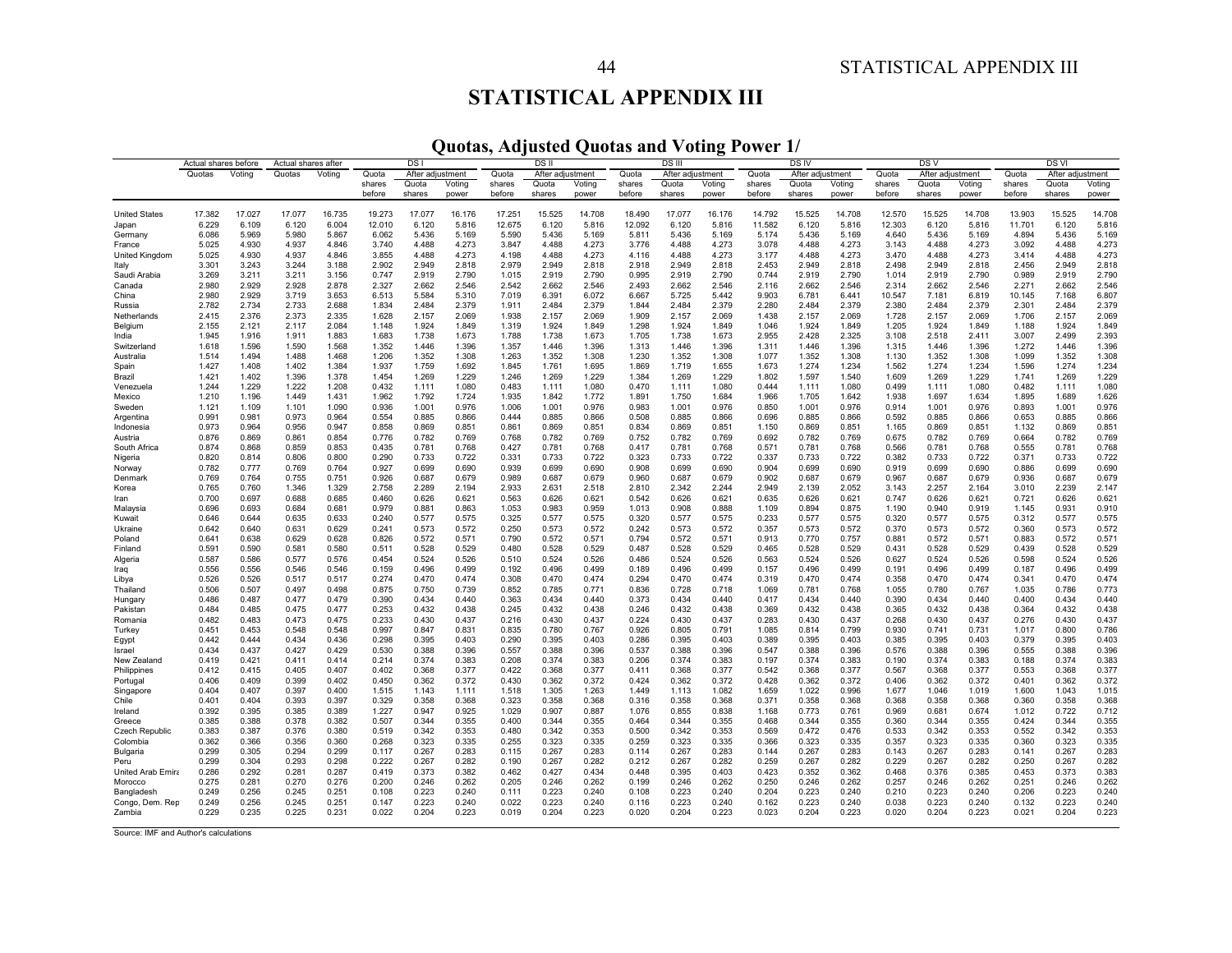# **STATISTICAL APPENDIX III**

**Quotas, Adjusted Quotas and Voting Power 1/** 

|                               | Actual shares before |                 | Actual shares after        |                 | DS                        |                 | DS II           |                  |                 | <b>DSIII</b>    |                  |                 |                 | DS IV            |                 |                 | DS V             |                 | <b>DSVI</b>     |                  |                 |                 |
|-------------------------------|----------------------|-----------------|----------------------------|-----------------|---------------------------|-----------------|-----------------|------------------|-----------------|-----------------|------------------|-----------------|-----------------|------------------|-----------------|-----------------|------------------|-----------------|-----------------|------------------|-----------------|-----------------|
|                               | Quotas               | Voting          | Quotas                     | Voting          | Quota<br>After adjustment |                 | Quota           | After adjustment |                 | Quota           | After adjustment |                 | Quota           | After adjustment |                 | Quota           | After adjustment |                 | Quota           | After adjustment |                 |                 |
|                               |                      |                 |                            |                 | shares                    | Quota           | Voting          | shares           | Quota           | Voting          | shares           | Quota           | Voting          | shares           | Quota           | Voting          | shares           | Quota           | Voting          | shares           | Quota           | Voting          |
|                               |                      |                 |                            |                 | before                    | shares          | power           | before           | shares          | power           | before           | shares          | power           | before           | shares          | power           | before           | shares          | power           | before           | shares          | power           |
|                               |                      |                 |                            |                 |                           |                 |                 |                  |                 |                 |                  |                 |                 |                  |                 |                 |                  |                 |                 |                  |                 |                 |
| <b>United States</b><br>Japan | 17.382<br>6.229      | 17.027<br>6.109 | 17.077<br>6.120            | 16.735<br>6.004 | 19.273<br>12.010          | 17.077<br>6.120 | 16.176<br>5.816 | 17.251<br>12.675 | 15.525<br>6.120 | 14.708<br>5.816 | 18.490<br>12.092 | 17.077<br>6.120 | 16.176<br>5.816 | 14.792<br>11.582 | 15.525<br>6.120 | 14.708<br>5.816 | 12.570<br>12.303 | 15.525<br>6.120 | 14.708<br>5.816 | 13.903<br>11.701 | 15.525<br>6.120 | 14.708<br>5.816 |
| Germany                       | 6.086                | 5.969           | 5.980                      | 5.867           | 6.062                     | 5.436           | 5.169           | 5.590            | 5.436           | 5.169           | 5.811            | 5.436           | 5.169           | 5.174            | 5.436           | 5.169           | 4.640            | 5.436           | 5.169           | 4.894            | 5.436           | 5.169           |
| France                        | 5.025                | 4.930           | 4.937                      | 4.846           | 3.740                     | 4.488           | 4.273           | 3.847            | 4.488           | 4.273           | 3.776            | 4.488           | 4.273           | 3.078            | 4.488           | 4.273           | 3.143            | 4.488           | 4.273           | 3.092            | 4.488           | 4.273           |
| United Kingdom                | 5.025                | 4.930           | 4.937                      | 4.846           | 3.855                     | 4.488           | 4.273           | 4.198            | 4.488           | 4.273           | 4.116            | 4.488           | 4.273           | 3.177            | 4.488           | 4.273           | 3.470            | 4.488           | 4.273           | 3.414            | 4.488           | 4.273           |
| Italy                         | 3.301                | 3.243           | 3.244                      | 3.188           | 2.902                     | 2.949           | 2.818           | 2.979            | 2.949           | 2.818           | 2.918            | 2.949           | 2.818           | 2.453            | 2.949           | 2.818           | 2.498            | 2.949           | 2.818           | 2.456            | 2.949           | 2.818           |
| Saudi Arabia                  | 3.269                | 3.211           | 3.211                      | 3.156           | 0.747                     | 2.919           | 2.790           | 1.015            | 2.919           | 2.790           | 0.995            | 2.919           | 2.790           | 0.744            | 2.919           | 2.790           | 1.014            | 2.919           | 2.790           | 0.989            | 2.919           | 2.790           |
| Canada                        | 2.980                | 2.929           | 2.928                      | 2.878           | 2.327                     | 2.662           | 2.546           | 2.542            | 2.662           | 2.546           | 2.493            | 2.662           | 2.546           | 2.116            | 2.662           | 2.546           | 2.314            | 2.662           | 2.546           | 2.271            | 2.662           | 2.546           |
| China                         | 2.980                | 2.929           | 3.719                      | 3.653           | 6.513                     | 5.584           | 5.310           | 7.019            | 6.391           | 6.072           | 6.667            | 5.725           | 5.442           | 9.903            | 6.781           | 6.441           | 10.547           | 7.181           | 6.819           | 10.145           | 7.168           | 6.807           |
| Russia                        | 2.782                | 2.734           | 2.733                      | 2.688           | 1.834                     | 2.484           | 2.379           | 1.911            | 2.484           | 2.379           | 1.844            | 2.484           | 2.379           | 2.280            | 2.484           | 2.379           | 2.380            | 2.484           | 2.379           | 2.301            | 2.484           | 2.379           |
| Netherlands                   | 2.415                | 2.376           | 2.373                      | 2.335           | 1.628                     | 2.157           | 2.069           | 1.938            | 2.157           | 2.069           | 1.909            | 2.157           | 2.069           | 1.438            | 2.157           | 2.069           | 1.728            | 2.157           | 2.069           | 1.706            | 2.157           | 2.069           |
| Belgium                       | 2.155                | 2.121           | 2.117                      | 2.084           | 1.148                     | 1.924           | 1.849           | 1.319            | 1.924           | 1.849           | 1.298            | 1.924           | 1.849           | 1.046            | 1.924           | 1.849           | 1.205            | 1.924           | 1.849           | 1.188            | 1.924           | 1.849           |
| India                         | 1.945                | 1.916           | 1.911                      | 1.883           | 1.683                     | 1.738           | 1.673           | 1.788            | 1.738           | 1.673           | 1.705            | 1.738           | 1.673           | 2.955            | 2.428           | 2.325           | 3.108            | 2.518           | 2.411           | 3.007            | 2.499           | 2.393           |
| Switzerland<br>Australia      | 1.618<br>1.514       | 1.596<br>1.494  | 1.590<br>1.488             | 1.568<br>1.468  | 1.352<br>1.206            | 1.446<br>1.352  | 1.396<br>1.308  | 1.357<br>1.263   | 1.446<br>1.352  | 1.396<br>1.308  | 1.313<br>1.230   | 1.446<br>1.352  | 1.396<br>1.308  | 1.311<br>1.077   | 1.446<br>1.352  | 1.396<br>1.308  | 1.315<br>1.130   | 1.446<br>1.352  | 1.396<br>1.308  | 1.272<br>1.099   | 1.446<br>1.352  | 1.396<br>1.308  |
| Spain                         | 1.427                | 1.408           | 1.402                      | 1.384           | 1.937                     | 1.759           | 1.692           | 1.845            | 1.761           | 1.695           | 1.869            | 1.719           | 1.655           | 1.673            | 1.274           | 1.234           | 1.562            | 1.274           | 1.234           | 1.596            | 1.274           | 1.234           |
| Brazil                        | 1.421                | 1.402           | 1.396                      | 1.378           | 1.454                     | 1.269           | 1.229           | 1.246            | 1.269           | 1.229           | 1.384            | 1.269           | 1.229           | 1.802            | 1.597           | 1.540           | 1.609            | 1.269           | 1.229           | 1.741            | 1.269           | 1.229           |
| Venezuela                     | 1.244                | 1.229           | 1.222                      | 1.208           | 0.432                     | 1.111           | 1.080           | 0.483            | 1.111           | 1.080           | 0.470            | 1.111           | 1.080           | 0.444            | 1.111           | 1.080           | 0.499            | 1.111           | 1.080           | 0.482            | 1.111           | 1.080           |
| Mexico                        | 1.210                | 1.196           | 1.449                      | 1.431           | 1.962                     | 1.792           | 1.724           | 1.935            | 1.842           | 1.772           | 1.891            | 1.750           | 1.684           | 1.966            | 1.705           | 1.642           | 1.938            | 1.697           | 1.634           | 1.895            | 1.689           | 1.626           |
| Sweden                        | 1.121                | 1.109           | 1.101                      | 1.090           | 0.936                     | 1.001           | 0.976           | 1.006            | 1.001           | 0.976           | 0.983            | 1.001           | 0.976           | 0.850            | 1.001           | 0.976           | 0.914            | 1.001           | 0.976           | 0.893            | 1.001           | 0.976           |
| Argentina                     | 0.991                | 0.981           | 0.973                      | 0.964           | 0.554                     | 0.885           | 0.866           | 0.444            | 0.885           | 0.866           | 0.508            | 0.885           | 0.866           | 0.696            | 0.885           | 0.866           | 0.592            | 0.885           | 0.866           | 0.653            | 0.885           | 0.866           |
| Indonesia                     | 0.973                | 0.964           | 0.956                      | 0.947           | 0.858                     | 0.869           | 0.851           | 0.861            | 0.869           | 0.851           | 0.834            | 0.869           | 0.851           | 1.150            | 0.869           | 0.851           | 1.165            | 0.869           | 0.851           | 1.132            | 0.869           | 0.851           |
| Austria                       | 0.876                | 0.869           | 0.861                      | 0.854           | 0.776                     | 0.782           | 0.769           | 0.768            | 0.782           | 0.769           | 0.752            | 0.782           | 0.769           | 0.692            | 0.782           | 0.769           | 0.675            | 0.782           | 0.769           | 0.664            | 0.782           | 0.769           |
| South Africa                  | 0.874                | 0.868           | 0.859                      | 0.853           | 0.435                     | 0.781           | 0.768           | 0.427            | 0.781           | 0.768           | 0.417            | 0.781           | 0.768           | 0.571            | 0.781           | 0.768           | 0.566            | 0.781           | 0.768           | 0.555            | 0.781           | 0.768           |
| Nigeria<br>Norway             | 0.820<br>0.782       | 0.814<br>0.777  | 0.806<br>0.769             | 0.800<br>0.764  | 0.290<br>0.927            | 0.733<br>0.699  | 0.722<br>0.690  | 0.331<br>0.939   | 0.733<br>0.699  | 0.722<br>0.690  | 0.323<br>0.908   | 0.733<br>0.699  | 0.722<br>0.690  | 0.337<br>0.904   | 0.733<br>0.699  | 0.722<br>0.690  | 0.382<br>0.919   | 0.733<br>0.699  | 0.722<br>0.690  | 0.371<br>0.886   | 0.733<br>0.699  | 0.722<br>0.690  |
| Denmark                       | 0.769                | 0.764           | 0.755                      | 0.751           | 0.926                     | 0.687           | 0.679           | 0.989            | 0.687           | 0.679           | 0.960            | 0.687           | 0.679           | 0.902            | 0.687           | 0.679           | 0.967            | 0.687           | 0.679           | 0.936            | 0.687           | 0.679           |
| Korea                         | 0.765                | 0.760           | 1.346                      | 1.329           | 2.758                     | 2.289           | 2.194           | 2.933            | 2.631           | 2.518           | 2.810            | 2.342           | 2.244           | 2.949            | 2.139           | 2.052           | 3.143            | 2.257           | 2.164           | 3.010            | 2.239           | 2.147           |
| Iran                          | 0.700                | 0.697           | 0.688                      | 0.685           | 0.460                     | 0.626           | 0.621           | 0.563            | 0.626           | 0.621           | 0.542            | 0.626           | 0.621           | 0.635            | 0.626           | 0.621           | 0.747            | 0.626           | 0.621           | 0.721            | 0.626           | 0.621           |
| Malaysia                      | 0.696                | 0.693           | 0.684                      | 0.681           | 0.979                     | 0.881           | 0.863           | 1.053            | 0.983           | 0.959           | 1.013            | 0.908           | 0.888           | 1.109            | 0.894           | 0.875           | 1.190            | 0.940           | 0.919           | 1.145            | 0.931           | 0.910           |
| Kuwait                        | 0.646                | 0.644           | 0.635                      | 0.633           | 0.240                     | 0.577           | 0.575           | 0.325            | 0.577           | 0.575           | 0.320            | 0.577           | 0.575           | 0.233            | 0.577           | 0.575           | 0.320            | 0.577           | 0.575           | 0.312            | 0.577           | 0.575           |
| Ukraine                       | 0.642                | 0.640           | 0.631                      | 0.629           | 0.241                     | 0.573           | 0.572           | 0.250            | 0.573           | 0.572           | 0.242            | 0.573           | 0.572           | 0.357            | 0.573           | 0.572           | 0.370            | 0.573           | 0.572           | 0.360            | 0.573           | 0.572           |
| Poland                        | 0.641                | 0.638           | 0.629                      | 0.628           | 0.826                     | 0.572           | 0.571           | 0.790            | 0.572           | 0.571           | 0.794            | 0.572           | 0.571           | 0.913            | 0.770           | 0.757           | 0.881            | 0.572           | 0.571           | 0.883            | 0.572           | 0.57            |
| Finland                       | 0.591<br>0.587       | 0.590<br>0.586  | 0.58 <sup>°</sup><br>0.577 | 0.580<br>0.576  | 0.511<br>0.454            | 0.528<br>0.524  | 0.529<br>0.526  | 0.480<br>0.510   | 0.528<br>0.524  | 0.529<br>0.526  | 0.487<br>0.486   | 0.528<br>0.524  | 0.529<br>0.526  | 0.465<br>0.563   | 0.528<br>0.524  | 0.529<br>0.526  | 0.431<br>0.627   | 0.528<br>0.524  | 0.529<br>0.526  | 0.439<br>0.598   | 0.528<br>0.524  | 0.529<br>0.526  |
| Algeria<br>Iraq               | 0.556                | 0.556           | 0.546                      | 0.546           | 0.159                     | 0.496           | 0.499           | 0.192            | 0.496           | 0.499           | 0.189            | 0.496           | 0.499           | 0.157            | 0.496           | 0.499           | 0.191            | 0.496           | 0.499           | 0.187            | 0.496           | 0.499           |
| Libya                         | 0.526                | 0.526           | 0.517                      | 0.517           | 0.274                     | 0.470           | 0.474           | 0.308            | 0.470           | 0.474           | 0.294            | 0.470           | 0.474           | 0.319            | 0.470           | 0.474           | 0.358            | 0.470           | 0.474           | 0.341            | 0.470           | 0.474           |
| Thailand                      | 0.506                | 0.507           | 0.497                      | 0.498           | 0.875                     | 0.750           | 0.739           | 0.852            | 0.785           | 0.771           | 0.836            | 0.728           | 0.718           | 1.069            | 0.781           | 0.768           | 1.055            | 0.780           | 0.767           | 1.035            | 0.786           | 0.773           |
| Hungary                       | 0.486                | 0.487           | 0.477                      | 0.479           | 0.390                     | 0.434           | 0.440           | 0.363            | 0.434           | 0.440           | 0.373            | 0.434           | 0.440           | 0.417            | 0.434           | 0.440           | 0.390            | 0.434           | 0.440           | 0.400            | 0.434           | 0.440           |
| Pakistan                      | 0.484                | 0.485           | 0.475                      | 0.477           | 0.253                     | 0.432           | 0.438           | 0.245            | 0.432           | 0.438           | 0.246            | 0.432           | 0.438           | 0.369            | 0.432           | 0.438           | 0.365            | 0.432           | 0.438           | 0.364            | 0.432           | 0.438           |
| Romania                       | 0.482                | 0.483           | 0.473                      | 0.475           | 0.233                     | 0.430           | 0.437           | 0.216            | 0.430           | 0.437           | 0.224            | 0.430           | 0.437           | 0.283            | 0.430           | 0.437           | 0.268            | 0.430           | 0.437           | 0.276            | 0.430           | 0.437           |
| Turkey                        | 0.451                | 0.453           | 0.548                      | 0.548           | 0.997                     | 0.847           | 0.831           | 0.835            | 0.780           | 0.767           | 0.926            | 0.805           | 0.791           | 1.085            | 0.814           | 0.799           | 0.930            | 0.741           | 0.731           | 1.017            | 0.800           | 0.786           |
| Egypt                         | 0.442                | 0.444           | 0.434                      | 0.436           | 0.298                     | 0.395           | 0.403           | 0.290            | 0.395           | 0.403           | 0.286            | 0.395           | 0.403           | 0.389            | 0.395           | 0.403           | 0.385            | 0.395           | 0.403           | 0.379            | 0.395           | 0.403           |
| Israel                        | 0.434                | 0.437           | 0.427                      | 0.429           | 0.530                     | 0.388           | 0.396           | 0.557            | 0.388           | 0.396           | 0.537            | 0.388           | 0.396           | 0.547            | 0.388           | 0.396           | 0.576            | 0.388           | 0.396           | 0.555            | 0.388           | 0.396           |
| New Zealand<br>Philippines    | 0.419<br>0.412       | 0.421<br>0.415  | 0.411<br>0.405             | 0.414<br>0.407  | 0.214<br>0.402            | 0.374<br>0.368  | 0.383<br>0.377  | 0.208<br>0.422   | 0.374<br>0.368  | 0.383<br>0.377  | 0.206<br>0.411   | 0.374<br>0.368  | 0.383<br>0.377  | 0.197<br>0.542   | 0.374<br>0.368  | 0.383<br>0.377  | 0.190<br>0.567   | 0.374<br>0.368  | 0.383<br>0.377  | 0.188<br>0.553   | 0.374<br>0.368  | 0.383<br>0.377  |
| Portugal                      | 0.406                | 0.409           | 0.399                      | 0.402           | 0.450                     | 0.362           | 0.372           | 0.430            | 0.362           | 0.372           | 0.424            | 0.362           | 0.372           | 0.428            | 0.362           | 0.372           | 0.406            | 0.362           | 0.372           | 0.401            | 0.362           | 0.372           |
| Singapore                     | 0.404                | 0.407           | 0.397                      | 0.400           | 1.515                     | 1.143           | 1.111           | 1.518            | 1.305           | 1.263           | 1.449            | 1.113           | 1.082           | 1.659            | 1.022           | 0.996           | 1.677            | 1.046           | 1.019           | 1.600            | 1.043           | 1.015           |
| Chile                         | 0.401                | 0.404           | 0.393                      | 0.397           | 0.329                     | 0.358           | 0.368           | 0.323            | 0.358           | 0.368           | 0.316            | 0.358           | 0.368           | 0.371            | 0.358           | 0.368           | 0.368            | 0.358           | 0.368           | 0.360            | 0.358           | 0.368           |
| Ireland                       | 0.392                | 0.395           | 0.385                      | 0.389           | 1.227                     | 0.947           | 0.925           | 1.029            | 0.907           | 0.887           | 1.076            | 0.855           | 0.838           | 1.168            | 0.773           | 0.761           | 0.969            | 0.681           | 0.674           | 1.012            | 0.722           | 0.712           |
| Greece                        | 0.385                | 0.388           | 0.378                      | 0.382           | 0.507                     | 0.344           | 0.355           | 0.400            | 0.344           | 0.355           | 0.464            | 0.344           | 0.355           | 0.468            | 0.344           | 0.355           | 0.360            | 0.344           | 0.355           | 0.424            | 0.344           | 0.355           |
| <b>Czech Republic</b>         | 0.383                | 0.387           | 0.376                      | 0.380           | 0.519                     | 0.342           | 0.353           | 0.480            | 0.342           | 0.353           | 0.500            | 0.342           | 0.353           | 0.569            | 0.472           | 0.476           | 0.533            | 0.342           | 0.353           | 0.552            | 0.342           | 0.353           |
| Colombia                      | 0.362                | 0.366           | 0.356                      | 0.360           | 0.268                     | 0.323           | 0.335           | 0.255            | 0.323           | 0.335           | 0.259            | 0.323           | 0.335           | 0.366            | 0.323           | 0.335           | 0.357            | 0.323           | 0.335           | 0.360            | 0.323           | 0.335           |
| Bulgaria                      | 0.299<br>0.299       | 0.305           | 0.294<br>0.293             | 0.299<br>0.298  | 0.117                     | 0.267           | 0.283<br>0.282  | 0.115            | 0.267           | 0.283<br>0.282  | 0.114<br>0.212   | 0.267           | 0.283<br>0.282  | 0.144            | 0.267           | 0.283<br>0.282  | 0.143            | 0.267           | 0.283           | 0.141<br>0.250   | 0.267           | 0.283<br>0.282  |
| Peru<br>United Arab Emira     | 0.286                | 0.304<br>0.292  | 0.281                      | 0.287           | 0.222<br>0.419            | 0.267<br>0.373  | 0.382           | 0.190<br>0.462   | 0.267<br>0.427  | 0.434           | 0.448            | 0.267<br>0.395  | 0.403           | 0.259<br>0.423   | 0.267<br>0.352  | 0.362           | 0.229<br>0.468   | 0.267<br>0.376  | 0.282<br>0.385  | 0.453            | 0.267<br>0.373  | 0.383           |
| Morocco                       | 0.275                | 0.281           | 0.270                      | 0.276           | 0.200                     | 0.246           | 0.262           | 0.205            | 0.246           | 0.262           | 0.199            | 0.246           | 0.262           | 0.250            | 0.246           | 0.262           | 0.257            | 0.246           | 0.262           | 0.251            | 0.246           | 0.262           |
| Bangladesh                    | 0.249                | 0.256           | 0.245                      | 0.251           | 0.108                     | 0.223           | 0.240           | 0.111            | 0.223           | 0.240           | 0.108            | 0.223           | 0.240           | 0.204            | 0.223           | 0.240           | 0.210            | 0.223           | 0.240           | 0.206            | 0.223           | 0.240           |
| Congo, Dem. Rep               | 0.249                | 0.256           | 0.245                      | 0.251           | 0.147                     | 0.223           | 0.240           | 0.022            | 0.223           | 0.240           | 0.116            | 0.223           | 0.240           | 0.162            | 0.223           | 0.240           | 0.038            | 0.223           | 0.240           | 0.132            | 0.223           | 0.240           |
| Zambia                        | 0.229                | 0.235           | 0.225                      | 0.231           | 0.022                     | 0.204           | 0.223           | 0.019            | 0.204           | 0.223           | 0.020            | 0.204           | 0.223           | 0.023            | 0.204           | 0.223           | 0.020            | 0.204           | 0.223           | 0.021            | 0.204           | 0.223           |

Source: IMF and Author's calculations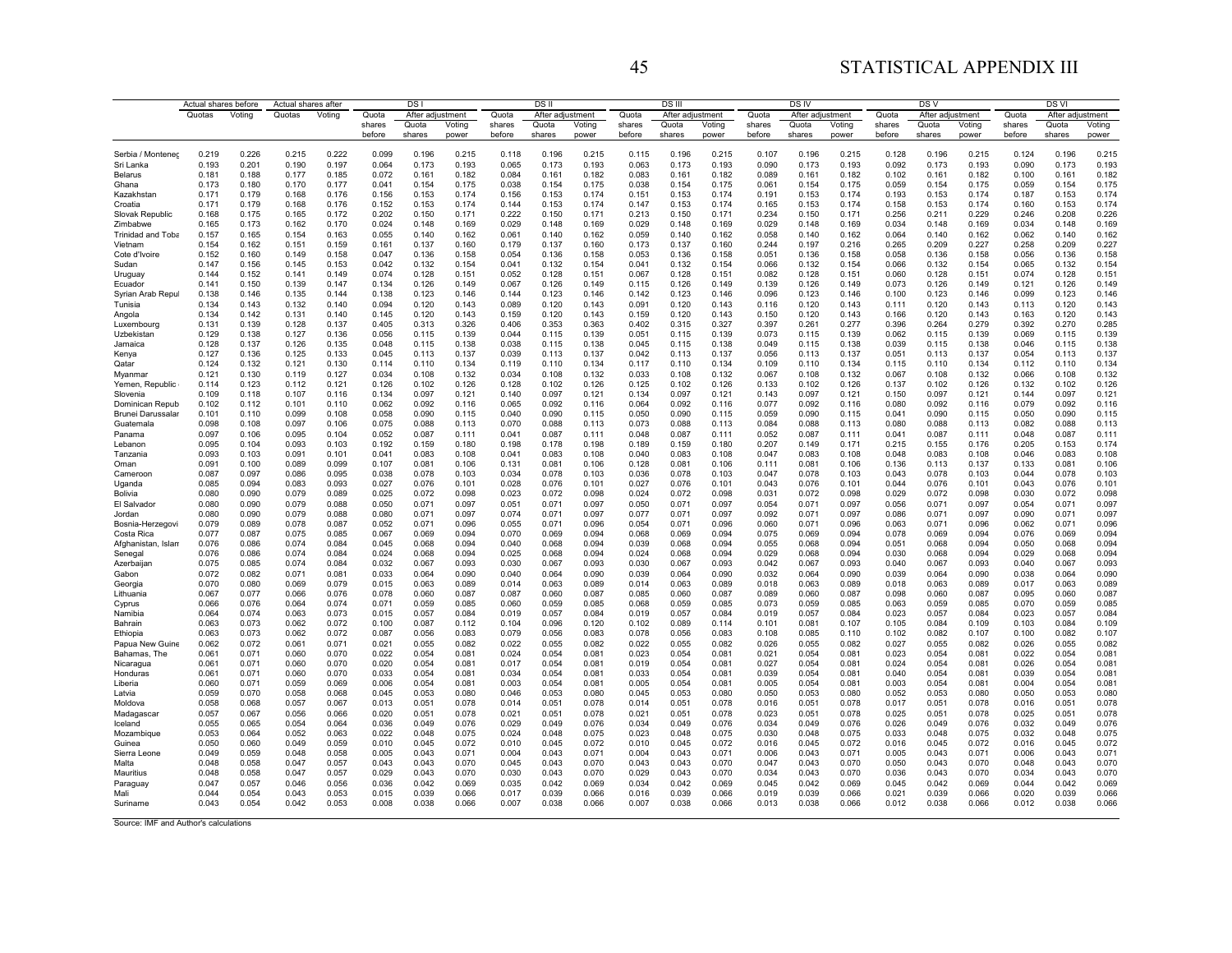# 45 STATISTICAL APPENDIX III

|                                      | Actual shares before |                |                | Actual shares after | DS I             |                 |                 |                  | DSII            |                 |                  | <b>DS</b> III   |                 |                  | DS IV           |                 |                  | DS V            |                 | DS VI            |                 |                 |
|--------------------------------------|----------------------|----------------|----------------|---------------------|------------------|-----------------|-----------------|------------------|-----------------|-----------------|------------------|-----------------|-----------------|------------------|-----------------|-----------------|------------------|-----------------|-----------------|------------------|-----------------|-----------------|
| Quotas<br>Voting                     |                      | Quotas         | Voting         | Quota               | After adjustment |                 | Quota           | After adjustment |                 | Quota           | After adjustment |                 | Quota           | After adjustment |                 | Quota           | After adjustment |                 | Quota           | After adjustment |                 |                 |
|                                      |                      |                |                |                     | shares<br>before | Quota<br>shares | Voting<br>power | shares<br>before | Quota<br>shares | Voting<br>power | shares<br>before | Quota<br>shares | Voting<br>power | shares<br>before | Quota<br>shares | Voting<br>power | shares<br>before | Quota<br>shares | Voting<br>power | shares<br>before | Quota<br>shares | Voting<br>power |
|                                      |                      |                |                |                     |                  |                 |                 |                  |                 |                 |                  |                 |                 |                  |                 |                 |                  |                 |                 |                  |                 |                 |
| Serbia / Montenec                    | 0.219                | 0.226          | 0.215          | 0.222               | 0.099            | 0.196           | 0.215           | 0.118            | 0.196           | 0.215           | 0.115            | 0.196           | 0.215           | 0.107            | 0.196           | 0.215           | 0.128            | 0.196           | 0.215           | 0.124            | 0.196           | 0.215           |
| Sri Lanka<br>Belarus                 | 0.193<br>0.181       | 0.201<br>0.188 | 0.190<br>0.177 | 0.197<br>0.185      | 0.064<br>0.072   | 0.173<br>0.161  | 0.193<br>0.182  | 0.065<br>0.084   | 0.173<br>0.161  | 0.193<br>0.182  | 0.063<br>0.083   | 0.173<br>0.161  | 0.193<br>0.182  | 0.090<br>0.089   | 0.173<br>0.161  | 0.193<br>0.182  | 0.092<br>0.102   | 0.173<br>0.161  | 0.193<br>0.182  | 0.090<br>0.100   | 0.173<br>0.161  | 0.193<br>0.182  |
| Ghana                                | 0.173                | 0.180          | 0.170          | 0.177               | 0.041            | 0.154           | 0.175           | 0.038            | 0.154           | 0.175           | 0.038            | 0.154           | 0.175           | 0.061            | 0.154           | 0.175           | 0.059            | 0.154           | 0.175           | 0.059            | 0.154           | 0.175           |
| Kazakhstan                           | 0.171                | 0.179          | 0.168          | 0.176               | 0.156            | 0.153           | 0.174           | 0.156            | 0.153           | 0.174           | 0.151            | 0.153           | 0.174           | 0.191            | 0.153           | 0.174           | 0.193            | 0.153           | 0.174           | 0.187            | 0.153           | 0.174           |
| Croatia                              | 0.171                | 0.179          | 0.168          | 0.176               | 0.152            | 0.153           | 0.174           | 0.144            | 0.153           | 0.174           | 0.147            | 0.153           | 0.174           | 0.165            | 0.153           | 0.174           | 0.158            | 0.153           | 0.174           | 0.160            | 0.153           | 0.174           |
| Slovak Republic                      | 0.168                | 0.175          | 0.165          | 0.172               | 0.202            | 0.150           | 0.171           | 0.222            | 0.150           | 0.171           | 0.213            | 0.150           | 0.171           | 0.234            | 0.150           | 0.171           | 0.256            | 0.211           | 0.229           | 0.246            | 0.208<br>0.148  | 0.226           |
| Zimbabwe<br><b>Trinidad and Toba</b> | 0.165<br>0.157       | 0.173<br>0.165 | 0.162<br>0.154 | 0.170<br>0.163      | 0.024<br>0.055   | 0.148<br>0.140  | 0.169<br>0.162  | 0.029<br>0.061   | 0.148<br>0.140  | 0.169<br>0.162  | 0.029<br>0.059   | 0.148<br>0.140  | 0.169<br>0.162  | 0.029<br>0.058   | 0.148<br>0.140  | 0.169<br>0.162  | 0.034<br>0.064   | 0.148<br>0.140  | 0.169<br>0.162  | 0.034<br>0.062   | 0.140           | 0.169<br>0.162  |
| Vietnam                              | 0.154                | 0.162          | 0.151          | 0.159               | 0.161            | 0.137           | 0.160           | 0.179            | 0.137           | 0.160           | 0.173            | 0.137           | 0.160           | 0.244            | 0.197           | 0.216           | 0.265            | 0.209           | 0.227           | 0.258            | 0.209           | 0.227           |
| Cote d'Ivoire                        | 0.152                | 0.160          | 0.149          | 0.158               | 0.047            | 0.136           | 0.158           | 0.054            | 0.136           | 0.158           | 0.053            | 0.136           | 0.158           | 0.051            | 0.136           | 0.158           | 0.058            | 0.136           | 0.158           | 0.056            | 0.136           | 0.158           |
| Sudan                                | 0.147                | 0.156          | 0.145          | 0.153               | 0.042            | 0.132           | 0.154           | 0.041            | 0.132           | 0.154           | 0.041            | 0.132           | 0.154           | 0.066            | 0.132           | 0.154           | 0.066            | 0.132           | 0.154           | 0.065            | 0.132           | 0.154           |
| Uruguay<br>Ecuador                   | 0.144<br>0.141       | 0.152<br>0.150 | 0.141<br>0.139 | 0.149<br>0.147      | 0.074<br>0.134   | 0.128<br>0.126  | 0.151<br>0.149  | 0.052<br>0.067   | 0.128<br>0.126  | 0.151<br>0.149  | 0.067<br>0.115   | 0.128<br>0.126  | 0.151<br>0.149  | 0.082<br>0.139   | 0.128<br>0.126  | 0.151<br>0.149  | 0.060<br>0.073   | 0.128<br>0.126  | 0.151<br>0.149  | 0.074<br>0.121   | 0.128<br>0.126  | 0.151<br>0.149  |
| Syrian Arab Repul                    | 0.138                | 0.146          | 0.135          | 0.144               | 0.138            | 0.123           | 0.146           | 0.144            | 0.123           | 0.146           | 0.142            | 0.123           | 0.146           | 0.096            | 0.123           | 0.146           | 0.100            | 0.123           | 0.146           | 0.099            | 0.123           | 0.146           |
| Tunisia                              | 0.134                | 0.143          | 0.132          | 0.140               | 0.094            | 0.120           | 0.143           | 0.089            | 0.120           | 0.143           | 0.091            | 0.120           | 0.143           | 0.116            | 0.120           | 0.143           | 0.111            | 0.120           | 0.143           | 0.113            | 0.120           | 0.143           |
| Angola                               | 0.134                | 0.142          | 0.131          | 0.140               | 0.145            | 0.120           | 0.143           | 0.159            | 0.120           | 0.143           | 0.159            | 0.120           | 0.143           | 0.150            | 0.120           | 0.143           | 0.166            | 0.120           | 0.143           | 0.163            | 0.120           | 0.143           |
| Luxembourg                           | 0.131<br>0.129       | 0.139          | 0.128<br>0.127 | 0.137<br>0.136      | 0.405<br>0.056   | 0.313<br>0.115  | 0.326<br>0.139  | 0.406<br>0.044   | 0.353           | 0.363<br>0.139  | 0.402<br>0.051   | 0.315           | 0.327<br>0.139  | 0.397            | 0.261           | 0.277           | 0.396            | 0.264           | 0.279<br>0.139  | 0.392<br>0.069   | 0.270           | 0.285<br>0.139  |
| Uzbekistan<br>Jamaica                | 0.128                | 0.138<br>0.137 | 0.126          | 0.135               | 0.048            | 0.115           | 0.138           | 0.038            | 0.115<br>0.115  | 0.138           | 0.045            | 0.115<br>0.115  | 0.138           | 0.073<br>0.049   | 0.115<br>0.115  | 0.139<br>0.138  | 0.062<br>0.039   | 0.115<br>0.115  | 0.138           | 0.046            | 0.115<br>0.115  | 0.138           |
| Kenya                                | 0.127                | 0.136          | 0.125          | 0.133               | 0.045            | 0.113           | 0.137           | 0.039            | 0.113           | 0.137           | 0.042            | 0.113           | 0.137           | 0.056            | 0.113           | 0.137           | 0.051            | 0.113           | 0.137           | 0.054            | 0.113           | 0.137           |
| Qatar                                | 0.124                | 0.132          | 0.121          | 0.130               | 0.114            | 0.110           | 0.134           | 0.119            | 0.110           | 0.134           | 0.117            | 0.110           | 0.134           | 0.109            | 0.110           | 0.134           | 0.115            | 0.110           | 0.134           | 0.112            | 0.110           | 0.134           |
| Myanmar                              | 0.121                | 0.130          | 0.119          | 0.127               | 0.034            | 0.108           | 0.132           | 0.034            | 0.108           | 0.132           | 0.033            | 0.108           | 0.132           | 0.067            | 0.108           | 0.132           | 0.067            | 0.108           | 0.132           | 0.066            | 0.108           | 0.132           |
| Yemen, Republic<br>Slovenia          | 0.114<br>0.109       | 0.123<br>0.118 | 0.112<br>0.107 | 0.121<br>0.116      | 0.126<br>0.134   | 0.102<br>0.097  | 0.126<br>0.121  | 0.128<br>0.140   | 0.102<br>0.097  | 0.126<br>0.121  | 0.125<br>0.134   | 0.102<br>0.097  | 0.126<br>0.121  | 0.133<br>0.143   | 0.102<br>0.097  | 0.126<br>0.121  | 0.137<br>0.150   | 0.102<br>0.097  | 0.126<br>0.121  | 0.132<br>0.144   | 0.102<br>0.097  | 0.126<br>0.121  |
| Dominican Repub                      | 0.102                | 0.112          | 0.101          | 0.110               | 0.062            | 0.092           | 0.116           | 0.065            | 0.092           | 0.116           | 0.064            | 0.092           | 0.116           | 0.077            | 0.092           | 0.116           | 0.080            | 0.092           | 0.116           | 0.079            | 0.092           | 0.116           |
| Brunei Darussalar                    | 0.101                | 0.110          | 0.099          | 0.108               | 0.058            | 0.090           | 0.115           | 0.040            | 0.090           | 0.115           | 0.050            | 0.090           | 0.115           | 0.059            | 0.090           | 0.115           | 0.041            | 0.090           | 0.115           | 0.050            | 0.090           | 0.115           |
| Guatemala                            | 0.098                | 0.108          | 0.097          | 0.106               | 0.075            | 0.088           | 0.113           | 0.070            | 0.088           | 0.113           | 0.073            | 0.088           | 0.113           | 0.084            | 0.088           | 0.113           | 0.080            | 0.088           | 0.113           | 0.082            | 0.088           | 0.113           |
| Panama<br>Lebanon                    | 0.097<br>0.095       | 0.106<br>0.104 | 0.095<br>0.093 | 0.104<br>0.103      | 0.052<br>0.192   | 0.087<br>0.159  | 0.111<br>0.180  | 0.041<br>0.198   | 0.087<br>0.178  | 0.111<br>0.198  | 0.048<br>0.189   | 0.087<br>0.159  | 0.111<br>0.180  | 0.052<br>0.207   | 0.087<br>0.149  | 0.111<br>0.171  | 0.041<br>0.215   | 0.087<br>0.155  | 0.111<br>0.176  | 0.048<br>0.205   | 0.087<br>0.153  | 0.111<br>0.174  |
| Tanzania                             | 0.093                | 0.103          | 0.091          | 0.101               | 0.041            | 0.083           | 0.108           | 0.041            | 0.083           | 0.108           | 0.040            | 0.083           | 0.108           | 0.047            | 0.083           | 0.108           | 0.048            | 0.083           | 0.108           | 0.046            | 0.083           | 0.108           |
| Oman                                 | 0.091                | 0.100          | 0.089          | 0.099               | 0.107            | 0.081           | 0.106           | 0.131            | 0.081           | 0.106           | 0.128            | 0.081           | 0.106           | 0.111            | 0.081           | 0.106           | 0.136            | 0.113           | 0.137           | 0.133            | 0.081           | 0.106           |
| Cameroon                             | 0.087                | 0.097          | 0.086          | 0.095               | 0.038            | 0.078           | 0.103           | 0.034            | 0.078           | 0.103           | 0.036            | 0.078           | 0.103           | 0.047            | 0.078           | 0.103           | 0.043            | 0.078           | 0.103           | 0.044            | 0.078           | 0.103           |
| Uganda<br>Bolivia                    | 0.085<br>0.080       | 0.094<br>0.090 | 0.083<br>0.079 | 0.093<br>0.089      | 0.027<br>0.025   | 0.076<br>0.072  | 0.101<br>0.098  | 0.028<br>0.023   | 0.076<br>0.072  | 0.101<br>0.098  | 0.027<br>0.024   | 0.076<br>0.072  | 0.101<br>0.098  | 0.043<br>0.031   | 0.076<br>0.072  | 0.101<br>0.098  | 0.044<br>0.029   | 0.076<br>0.072  | 0.101<br>0.098  | 0.043<br>0.030   | 0.076<br>0.072  | 0.101<br>0.098  |
| El Salvador                          | 0.080                | 0.090          | 0.079          | 0.088               | 0.050            | 0.071           | 0.097           | 0.051            | 0.071           | 0.097           | 0.050            | 0.071           | 0.097           | 0.054            | 0.071           | 0.097           | 0.056            | 0.071           | 0.097           | 0.054            | 0.071           | 0.097           |
| Jordan                               | 0.080                | 0.090          | 0.079          | 0.088               | 0.080            | 0.071           | 0.097           | 0.074            | 0.071           | 0.097           | 0.077            | 0.071           | 0.097           | 0.092            | 0.071           | 0.097           | 0.086            | 0.071           | 0.097           | 0.090            | 0.071           | 0.097           |
| Bosnia-Herzegovi                     | 0.079                | 0.089          | 0.078          | 0.087               | 0.052            | 0.071           | 0.096           | 0.055            | 0.071           | 0.096           | 0.054            | 0.071           | 0.096           | 0.060            | 0.071           | 0.096           | 0.063            | 0.071           | 0.096           | 0.062            | 0.071           | 0.096           |
| Costa Rica                           | 0.077<br>0.076       | 0.087          | 0.075<br>0.074 | 0.085<br>0.084      | 0.067<br>0.045   | 0.069<br>0.068  | 0.094<br>0.094  | 0.070<br>0.040   | 0.069<br>0.068  | 0.094<br>0.094  | 0.068<br>0.039   | 0.069<br>0.068  | 0.094<br>0.094  | 0.075<br>0.055   | 0.069<br>0.068  | 0.094<br>0.094  | 0.078            | 0.069<br>0.068  | 0.094<br>0.094  | 0.076<br>0.050   | 0.069<br>0.068  | 0.094<br>0.094  |
| Afghanistan, Islam<br>Senegal        | 0.076                | 0.086<br>0.086 | 0.074          | 0.084               | 0.024            | 0.068           | 0.094           | 0.025            | 0.068           | 0.094           | 0.024            | 0.068           | 0.094           | 0.029            | 0.068           | 0.094           | 0.051<br>0.030   | 0.068           | 0.094           | 0.029            | 0.068           | 0.094           |
| Azerbaijan                           | 0.075                | 0.085          | 0.074          | 0.084               | 0.032            | 0.067           | 0.093           | 0.030            | 0.067           | 0.093           | 0.030            | 0.067           | 0.093           | 0.042            | 0.067           | 0.093           | 0.040            | 0.067           | 0.093           | 0.040            | 0.067           | 0.093           |
| Gabon                                | 0.072                | 0.082          | 0.071          | 0.081               | 0.033            | 0.064           | 0.090           | 0.040            | 0.064           | 0.090           | 0.039            | 0.064           | 0.090           | 0.032            | 0.064           | 0.090           | 0.039            | 0.064           | 0.090           | 0.038            | 0.064           | 0.090           |
| Georgia                              | 0.070<br>0.067       | 0.080          | 0.069          | 0.079               | 0.015            | 0.063           | 0.089           | 0.014            | 0.063           | 0.089           | 0.014            | 0.063           | 0.089           | 0.018            | 0.063           | 0.089           | 0.018            | 0.063           | 0.089           | 0.017            | 0.063           | 0.089<br>0.087  |
| Lithuania<br>Cyprus                  | 0.066                | 0.077<br>0.076 | 0.066<br>0.064 | 0.076<br>0.074      | 0.078<br>0.071   | 0.060<br>0.059  | 0.087<br>0.085  | 0.087<br>0.060   | 0.060<br>0.059  | 0.087<br>0.085  | 0.085<br>0.068   | 0.060<br>0.059  | 0.087<br>0.085  | 0.089<br>0.073   | 0.060<br>0.059  | 0.087<br>0.085  | 0.098<br>0.063   | 0.060<br>0.059  | 0.087<br>0.085  | 0.095<br>0.070   | 0.060<br>0.059  | 0.085           |
| Namibia                              | 0.064                | 0.074          | 0.063          | 0.073               | 0.015            | 0.057           | 0.084           | 0.019            | 0.057           | 0.084           | 0.019            | 0.057           | 0.084           | 0.019            | 0.057           | 0.084           | 0.023            | 0.057           | 0.084           | 0.023            | 0.057           | 0.084           |
| Bahrain                              | 0.063                | 0.073          | 0.062          | 0.072               | 0.100            | 0.087           | 0.112           | 0.104            | 0.096           | 0.120           | 0.102            | 0.089           | 0.114           | 0.101            | 0.081           | 0.107           | 0.105            | 0.084           | 0.109           | 0.103            | 0.084           | 0.109           |
| Ethiopia                             | 0.063                | 0.073          | 0.062          | 0.072               | 0.087            | 0.056           | 0.083           | 0.079            | 0.056           | 0.083           | 0.078            | 0.056           | 0.083           | 0.108            | 0.085           | 0.110           | 0.102            | 0.082           | 0.107           | 0.100            | 0.082           | 0.107           |
| Papua New Guine<br>Bahamas, The      | 0.062<br>0.061       | 0.072<br>0.071 | 0.061<br>0.060 | 0.071<br>0.070      | 0.021<br>0.022   | 0.055<br>0.054  | 0.082<br>0.081  | 0.022<br>0.024   | 0.055<br>0.054  | 0.082<br>0.081  | 0.022<br>0.023   | 0.055<br>0.054  | 0.082<br>0.081  | 0.026<br>0.021   | 0.055<br>0.054  | 0.082<br>0.081  | 0.027<br>0.023   | 0.055<br>0.054  | 0.082<br>0.081  | 0.026<br>0.022   | 0.055<br>0.054  | 0.082<br>0.081  |
| Nicaragua                            | 0.061                | 0.071          | 0.060          | 0.070               | 0.020            | 0.054           | 0.081           | 0.017            | 0.054           | 0.081           | 0.019            | 0.054           | 0.081           | 0.027            | 0.054           | 0.081           | 0.024            | 0.054           | 0.081           | 0.026            | 0.054           | 0.081           |
| Honduras                             | 0.061                | 0.071          | 0.060          | 0.070               | 0.033            | 0.054           | 0.081           | 0.034            | 0.054           | 0.081           | 0.033            | 0.054           | 0.081           | 0.039            | 0.054           | 0.081           | 0.040            | 0.054           | 0.081           | 0.039            | 0.054           | 0.081           |
| Liberia                              | 0.060                | 0.071          | 0.059          | 0.069               | 0.006            | 0.054           | 0.081           | 0.003            | 0.054           | 0.081           | 0.005            | 0.054           | 0.081           | 0.005            | 0.054           | 0.081           | 0.003            | 0.054           | 0.081           | 0.004            | 0.054           | 0.081           |
| Latvia<br>Moldova                    | 0.059<br>0.058       | 0.070<br>0.068 | 0.058<br>0.057 | 0.068<br>0.067      | 0.045<br>0.013   | 0.053<br>0.051  | 0.080<br>0.078  | 0.046<br>0.014   | 0.053<br>0.051  | 0.080<br>0.078  | 0.045<br>0.014   | 0.053<br>0.051  | 0.080<br>0.078  | 0.050<br>0.016   | 0.053<br>0.051  | 0.080<br>0.078  | 0.052<br>0.017   | 0.053<br>0.051  | 0.080<br>0.078  | 0.050<br>0.016   | 0.053<br>0.051  | 0.080<br>0.078  |
| Madagascar                           | 0.057                | 0.067          | 0.056          | 0.066               | 0.020            | 0.051           | 0.078           | 0.021            | 0.051           | 0.078           | 0.021            | 0.051           | 0.078           | 0.023            | 0.051           | 0.078           | 0.025            | 0.051           | 0.078           | 0.025            | 0.051           | 0.078           |
| Iceland                              | 0.055                | 0.065          | 0.054          | 0.064               | 0.036            | 0.049           | 0.076           | 0.029            | 0.049           | 0.076           | 0.034            | 0.049           | 0.076           | 0.034            | 0.049           | 0.076           | 0.026            | 0.049           | 0.076           | 0.032            | 0.049           | 0.076           |
| Mozambique                           | 0.053                | 0.064          | 0.052          | 0.063               | 0.022            | 0.048           | 0.075           | 0.024            | 0.048           | 0.075           | 0.023            | 0.048           | 0.075           | 0.030            | 0.048           | 0.075           | 0.033            | 0.048           | 0.075           | 0.032            | 0.048           | 0.075           |
| Guinea                               | 0.050<br>0.049       | 0.060<br>0.059 | 0.049<br>0.048 | 0.059<br>0.058      | 0.010<br>0.005   | 0.045<br>0.043  | 0.072<br>0.071  | 0.010<br>0.004   | 0.045<br>0.043  | 0.072<br>0.071  | 0.010<br>0.004   | 0.045<br>0.043  | 0.072<br>0.071  | 0.016<br>0.006   | 0.045<br>0.043  | 0.072<br>0.071  | 0.016<br>0.005   | 0.045<br>0.043  | 0.072<br>0.071  | 0.016<br>0.006   | 0.045<br>0.043  | 0.072<br>0.071  |
| Sierra Leone<br>Malta                | 0.048                | 0.058          | 0.047          | 0.057               | 0.043            | 0.043           | 0.070           | 0.045            | 0.043           | 0.070           | 0.043            | 0.043           | 0.070           | 0.047            | 0.043           | 0.070           | 0.050            | 0.043           | 0.070           | 0.048            | 0.043           | 0.070           |
| Mauritius                            | 0.048                | 0.058          | 0.047          | 0.057               | 0.029            | 0.043           | 0.070           | 0.030            | 0.043           | 0.070           | 0.029            | 0.043           | 0.070           | 0.034            | 0.043           | 0.070           | 0.036            | 0.043           | 0.070           | 0.034            | 0.043           | 0.070           |
| Paraguay                             | 0.047                | 0.057          | 0.046          | 0.056               | 0.036            | 0.042           | 0.069           | 0.035            | 0.042           | 0.069           | 0.034            | 0.042           | 0.069           | 0.045            | 0.042           | 0.069           | 0.045            | 0.042           | 0.069           | 0.044            | 0.042           | 0.069           |
| Mali                                 | 0.044                | 0.054          | 0.043          | 0.053               | 0.015            | 0.039           | 0.066           | 0.017            | 0.039           | 0.066           | 0.016            | 0.039           | 0.066           | 0.019            | 0.039           | 0.066           | 0.021            | 0.039           | 0.066           | 0.020            | 0.039           | 0.066           |
| Suriname                             | 0.043                | 0.054          | 0.042          | 0.053               | 0.008            | 0.038           | 0.066           | 0.007            | 0.038           | 0.066           | 0.007            | 0.038           | 0.066           | 0.013            | 0.038           | 0.066           | 0.012            | 0.038           | 0.066           | 0.012            | 0.038           | 0.066           |

Source: IMF and Author's calculations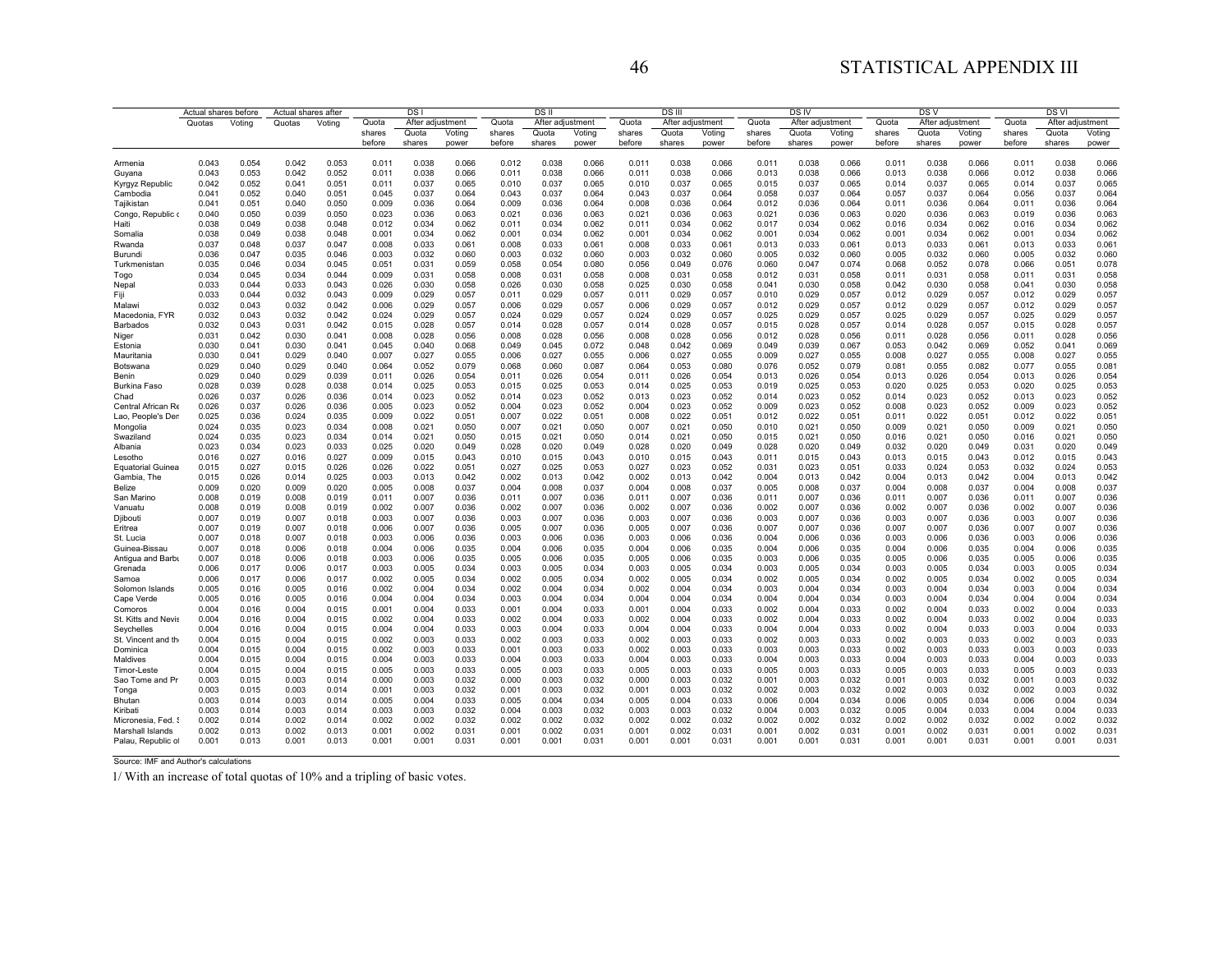| Quota<br>Quota<br>Quota<br>After adjustment<br>After adjustment<br>Quota<br>After adjustment<br>Quota<br>After adjustment<br>Quota<br>After adjustment<br>Quotas<br>Votina<br>Quotas<br>Votina<br>After adjustment<br>Quota<br>Quota<br>Quota<br>Quota<br>Quota<br>Quota<br>Voting<br>shares<br>Voting<br>Voting<br>shares<br>Voting<br>Voting<br>shares<br>Voting<br>shares<br>shares<br>shares<br>before<br>shares<br>before<br>shares<br>before<br>shares<br>before<br>shares<br>before<br>shares<br>before<br>shares<br>power<br>power<br>power<br>power<br>power<br>power<br>0.043<br>0.054<br>0.042<br>0.053<br>0.038<br>0.066<br>0.012<br>0.038<br>0.066<br>0.011<br>0.038<br>0.066<br>0.066<br>0.011<br>0.038<br>0.066<br>0.011<br>0.038<br>0.066<br>0.011<br>0.011<br>0.038<br>Armenia<br>0.043<br>0.053<br>0.042<br>0.052<br>0.011<br>0.038<br>0.066<br>0.011<br>0.038<br>0.066<br>0.011<br>0.038<br>0.066<br>0.013<br>0.038<br>0.066<br>0.013<br>0.038<br>0.066<br>0.012<br>0.038<br>0.066<br>Guyana<br>0.042<br>0.052<br>0.041<br>0.051<br>0.011<br>0.037<br>0.065<br>0.010<br>0.037<br>0.065<br>0.010<br>0.037<br>0.065<br>0.015<br>0.037<br>0.065<br>0.014<br>0.037<br>0.065<br>0.014<br>0.037<br>0.065<br>Kyrgyz Republic<br>0.064<br>0.064<br>0.041<br>0.052<br>0.040<br>0.051<br>0.045<br>0.037<br>0.064<br>0.043<br>0.037<br>0.064<br>0.043<br>0.037<br>0.058<br>0.037<br>0.064<br>0.057<br>0.037<br>0.064<br>0.056<br>0.037<br>Cambodia<br>0.036<br>0.009<br>0.008<br>0.064<br>0.036<br>0.064<br>0.041<br>0.051<br>0.040<br>0.050<br>0.009<br>0.064<br>0.036<br>0.064<br>0.036<br>0.012<br>0.036<br>0.064<br>0.011<br>0.064<br>0.011<br>0.036<br>Tajikistan<br>0.040<br>0.050<br>0.039<br>0.050<br>0.023<br>0.036<br>0.063<br>0.021<br>0.063<br>0.036<br>0.063<br>0.036<br>0.063<br>0.020<br>0.036<br>0.063<br>0.019<br>0.036<br>0.063<br>Congo, Republic o<br>0.036<br>0.021<br>0.021<br>0.062<br>0.038<br>0.049<br>0.038<br>0.048<br>0.012<br>0.034<br>0.062<br>0.011<br>0.034<br>0.062<br>0.034<br>0.062<br>0.034<br>0.062<br>0.016<br>0.034<br>0.062<br>0.016<br>0.034<br>Haiti<br>0.011<br>0.017<br>0.038<br>0.034<br>0.034<br>0.062<br>0.049<br>0.038<br>0.048<br>0.001<br>0.034<br>0.062<br>0.001<br>0.034<br>0.062<br>0.001<br>0.034<br>0.062<br>0.001<br>0.034<br>0.062<br>0.001<br>0.062<br>0.001<br>Somalia<br>0.037<br>0.048<br>0.037<br>0.033<br>0.008<br>0.061<br>0.061<br>0.033<br>0.061<br>0.033<br>0.013<br>0.033<br>0.061<br>Rwanda<br>0.047<br>0.008<br>0.061<br>0.033<br>0.008<br>0.033<br>0.013<br>0.013<br>0.061<br>0.060<br>0.036<br>0.047<br>0.032<br>0.060<br>0.003<br>0.060<br>0.003<br>0.032<br>0.060<br>0.060<br>0.005<br>0.032<br>0.060<br>0.032<br>Burundi<br>0.035<br>0.046<br>0.003<br>0.032<br>0.005<br>0.032<br>0.005<br>0.078<br>0.035<br>0.046<br>0.034<br>0.045<br>0.051<br>0.031<br>0.059<br>0.058<br>0.054<br>0.080<br>0.056<br>0.049<br>0.076<br>0.060<br>0.047<br>0.074<br>0.068<br>0.052<br>0.078<br>0.066<br>0.051<br>Turkmenistan<br>0.034<br>0.058<br>0.058<br>0.045<br>0.034<br>0.044<br>0.009<br>0.031<br>0.058<br>0.008<br>0.031<br>0.058<br>0.008<br>0.031<br>0.012<br>0.031<br>0.058<br>0.011<br>0.031<br>0.058<br>0.011<br>0.031<br>Togo<br>0.058<br>0.033<br>0.044<br>0.033<br>0.043<br>0.026<br>0.030<br>0.058<br>0.026<br>0.030<br>0.058<br>0.025<br>0.030<br>0.058<br>0.041<br>0.030<br>0.058<br>0.042<br>0.030<br>0.058<br>0.041<br>0.030<br>Nepal<br>Fiji<br>0.033<br>0.032<br>0.043<br>0.009<br>0.029<br>0.029<br>0.057<br>0.011<br>0.029<br>0.057<br>0.010<br>0.029<br>0.057<br>0.012<br>0.029<br>0.012<br>0.029<br>0.057<br>0.044<br>0.057<br>0.011<br>0.057<br>0.032<br>0.057<br>Malawi<br>0.043<br>0.032<br>0.042<br>0.006<br>0.029<br>0.057<br>0.006<br>0.029<br>0.057<br>0.006<br>0.029<br>0.057<br>0.012<br>0.029<br>0.057<br>0.012<br>0.029<br>0.057<br>0.012<br>0.029<br>0.032<br>0.043<br>0.032<br>0.042<br>0.029<br>0.057<br>0.024<br>0.029<br>0.057<br>0.024<br>0.029<br>0.057<br>0.025<br>0.029<br>0.057<br>0.025<br>0.029<br>0.057<br>0.025<br>0.029<br>0.057<br>Macedonia, FYR<br>0.024<br>0.032<br>0.028<br>0.028<br>0.028<br>0.057<br>0.028<br>0.028<br>0.057<br>0.043<br>0.031<br>0.042<br>0.015<br>0.057<br>0.014<br>0.057<br>0.014<br>0.015<br>0.028<br>0.057<br>0.014<br>0.057<br>0.015<br>Barbados<br>0.056<br>0.031<br>0.042<br>0.030<br>0.041<br>0.008<br>0.028<br>0.056<br>0.008<br>0.028<br>0.056<br>0.008<br>0.028<br>0.056<br>0.012<br>0.028<br>0.056<br>0.011<br>0.028<br>0.056<br>0.011<br>0.028<br>Niger<br>0.030<br>0.041<br>0.040<br>0.068<br>0.049<br>0.045<br>0.072<br>0.048<br>0.069<br>0.039<br>0.067<br>0.053<br>0.042<br>0.041<br>0.069<br>Estonia<br>0.041<br>0.030<br>0.045<br>0.042<br>0.049<br>0.069<br>0.052<br>0.027<br>0.027<br>0.027<br>0.027<br>0.008<br>0.027<br>0.055<br>0.030<br>0.041<br>0.029<br>0.040<br>0.007<br>0.055<br>0.006<br>0.055<br>0.006<br>0.055<br>0.009<br>0.027<br>0.055<br>0.008<br>0.055<br>Mauritania<br>0.029<br>0.040<br>0.029<br>0.040<br>0.064<br>0.052<br>0.079<br>0.068<br>0.060<br>0.087<br>0.064<br>0.053<br>0.080<br>0.076<br>0.052<br>0.079<br>0.081<br>0.055<br>0.082<br>0.077<br>0.055<br>0.081<br>Botswana<br>0.029<br>0.026<br>0.054<br>0.054<br>0.054<br>0.040<br>0.029<br>0.039<br>0.011<br>0.011<br>0.026<br>0.054<br>0.011<br>0.026<br>0.013<br>0.026<br>0.054<br>0.013<br>0.026<br>0.054<br>0.013<br>0.026<br>Benin<br>0.025<br>0.053<br>0.053<br>0.028<br>0.039<br>0.028<br>0.038<br>0.053<br>0.025<br>0.053<br>0.014<br>0.025<br>0.025<br>0.053<br>0.020<br>0.025<br>0.053<br>0.020<br>0.025<br>Burkina Faso<br>0.014<br>0.015<br>0.019<br>0.026<br>0.037<br>0.026<br>0.036<br>0.014<br>0.023<br>0.052<br>0.014<br>0.023<br>0.052<br>0.013<br>0.023<br>0.052<br>0.014<br>0.023<br>0.052<br>0.014<br>0.023<br>0.052<br>0.013<br>0.023<br>0.052<br>Chad<br>0.052<br>0.052<br>0.026<br>0.037<br>0.026<br>0.036<br>0.005<br>0.023<br>0.052<br>0.004<br>0.023<br>0.052<br>0.004<br>0.023<br>0.009<br>0.023<br>0.052<br>0.008<br>0.023<br>0.052<br>0.009<br>0.023<br>Central African Re<br>0.025<br>0.035<br>0.022<br>0.022<br>0.051<br>0.008<br>0.022<br>0.051<br>0.022<br>0.051<br>0.022<br>0.012<br>0.022<br>0.051<br>Lao, People's Den<br>0.036<br>0.024<br>0.009<br>0.051<br>0.007<br>0.012<br>0.011<br>0.051<br>0.024<br>0.035<br>0.023<br>0.034<br>0.021<br>0.050<br>0.050<br>0.050<br>0.021<br>0.050<br>0.021<br>0.050<br>0.008<br>0.050<br>0.007<br>0.021<br>0.007<br>0.021<br>0.010<br>0.021<br>0.009<br>0.009<br>Mongolia<br>0.024<br>0.035<br>0.023<br>0.034<br>0.014<br>0.021<br>0.050<br>0.015<br>0.021<br>0.050<br>0.014<br>0.021<br>0.050<br>0.015<br>0.021<br>0.050<br>0.016<br>0.021<br>0.050<br>0.016<br>0.021<br>0.050<br>Swaziland<br>0.023<br>0.023<br>0.020<br>0.028<br>0.032<br>0.049<br>Albania<br>0.034<br>0.033<br>0.025<br>0.049<br>0.028<br>0.020<br>0.049<br>0.020<br>0.049<br>0.028<br>0.020<br>0.049<br>0.020<br>0.049<br>0.031<br>0.020<br>0.043<br>0.016<br>0.027<br>0.016<br>0.027<br>0.009<br>0.015<br>0.043<br>0.010<br>0.015<br>0.043<br>0.010<br>0.015<br>0.043<br>0.01'<br>0.015<br>0.043<br>0.013<br>0.015<br>0.043<br>0.012<br>0.015<br>Lesotho<br>0.015<br>0.027<br>0.015<br>0.026<br>0.026<br>0.022<br>0.051<br>0.027<br>0.025<br>0.053<br>0.027<br>0.023<br>0.052<br>0.031<br>0.023<br>0.051<br>0.033<br>0.024<br>0.053<br>0.032<br>0.024<br>0.053<br><b>Equatorial Guinea</b><br>0.015<br>0.026<br>0.025<br>0.002<br>0.042<br>0.004<br>0.042<br>Gambia, The<br>0.014<br>0.003<br>0.013<br>0.042<br>0.013<br>0.042<br>0.002<br>0.013<br>0.004<br>0.013<br>0.042<br>0.004<br>0.013<br>0.042<br>0.013<br>0.037<br>0.009<br>0.020<br>0.009<br>0.020<br>0.008<br>0.037<br>0.004<br>0.037<br>0.004<br>0.008<br>0.037<br>0.037<br>0.004<br>0.008<br>0.037<br>0.004<br>0.008<br>Belize<br>0.005<br>0.008<br>0.005<br>0.008<br>0.008<br>0.019<br>0.008<br>0.019<br>0.011<br>0.007<br>0.036<br>0.011<br>0.007<br>0.036<br>0.011<br>0.007<br>0.036<br>0.007<br>0.036<br>0.011<br>0.007<br>0.036<br>0.011<br>0.007<br>0.036<br>0.011<br>San Marino<br>0.036<br>0.008<br>0.019<br>0.008<br>0.019<br>0.002<br>0.007<br>0.036<br>0.002<br>0.007<br>0.036<br>0.002<br>0.007<br>0.036<br>0.002<br>0.007<br>0.036<br>0.002<br>0.007<br>0.036<br>0.002<br>0.007<br>Vanuatu<br>0.036<br>0.007<br>0.036<br>0.036<br>0.036<br>0.007<br>0.036<br>0.007<br>Djibouti<br>0.019<br>0.007<br>0.018<br>0.003<br>0.007<br>0.036<br>0.003<br>0.007<br>0.003<br>0.007<br>0.003<br>0.007<br>0.003<br>0.003<br>0.007<br>0.019<br>0.007<br>0.018<br>0.007<br>0.036<br>0.005<br>0.007<br>0.036<br>0.005<br>0.007<br>0.036<br>0.007<br>0.007<br>0.036<br>0.007<br>0.007<br>0.036<br>0.007<br>0.007<br>0.036<br>Eritrea<br>0.006<br>0.036<br>St. Lucia<br>0.007<br>0.018<br>0.007<br>0.018<br>0.003<br>0.006<br>0.036<br>0.003<br>0.006<br>0.036<br>0.003<br>0.006<br>0.036<br>0.004<br>0.006<br>0.036<br>0.003<br>0.006<br>0.036<br>0.003<br>0.006<br>0.035<br>0.035<br>Guinea-Bissau<br>0.007<br>0.018<br>0.006<br>0.018<br>0.004<br>0.006<br>0.035<br>0.004<br>0.006<br>0.035<br>0.004<br>0.006<br>0.004<br>0.006<br>0.035<br>0.004<br>0.006<br>0.035<br>0.004<br>0.006<br>0.007<br>0.006<br>0.035<br>0.005<br>0.005<br>0.035<br>0.005<br>0.006<br>0.035<br>0.005<br>0.006<br>0.035<br>Antigua and Barbu<br>0.018<br>0.006<br>0.018<br>0.003<br>0.006<br>0.035<br>0.006<br>0.003<br>0.006<br>0.035<br>0.034<br>0.006<br>0.017<br>0.006<br>0.017<br>0.003<br>0.005<br>0.034<br>0.003<br>0.005<br>0.034<br>0.003<br>0.005<br>0.034<br>0.003<br>0.005<br>0.034<br>0.003<br>0.005<br>0.034<br>0.003<br>0.005<br>Grenada<br>0.034<br>0.006<br>0.017<br>0.006<br>0.017<br>0.002<br>0.005<br>0.034<br>0.002<br>0.005<br>0.034<br>0.002<br>0.005<br>0.034<br>0.002<br>0.005<br>0.034<br>0.002<br>0.005<br>0.034<br>0.002<br>0.005<br>Samoa<br>0.034<br>0.003<br>0.004<br>0.034<br>0.005<br>0.016<br>0.005<br>0.016<br>0.002<br>0.004<br>0.034<br>0.002<br>0.004<br>0.034<br>0.002<br>0.004<br>0.003<br>0.004<br>0.034<br>0.003<br>0.004<br>0.034<br>Solomon Islands<br>Cape Verde<br>0.005<br>0.016<br>0.005<br>0.016<br>0.004<br>0.004<br>0.034<br>0.003<br>0.004<br>0.034<br>0.004<br>0.004<br>0.034<br>0.004<br>0.004<br>0.034<br>0.003<br>0.004<br>0.034<br>0.004<br>0.004<br>0.034<br>0.033<br>Comoros<br>0.004<br>0.016<br>0.004<br>0.015<br>0.001<br>0.004<br>0.033<br>0.001<br>0.004<br>0.033<br>0.001<br>0.004<br>0.033<br>0.002<br>0.004<br>0.033<br>0.002<br>0.004<br>0.033<br>0.002<br>0.004<br>0.033<br>0.004<br>0.016<br>0.002<br>0.004<br>0.033<br>0.002<br>0.033<br>0.002<br>0.004<br>0.033<br>0.002<br>0.004<br>0.033<br>0.002<br>0.004<br>0.033<br>0.002<br>0.004<br>St. Kitts and Nevis<br>0.004<br>0.015<br>0.004<br>0.004<br>0.016<br>0.004<br>0.015<br>0.004<br>0.004<br>0.033<br>0.003<br>0.004<br>0.033<br>0.004<br>0.004<br>0.033<br>0.004<br>0.004<br>0.033<br>0.002<br>0.004<br>0.033<br>0.003<br>0.004<br>0.033<br>Seychelles<br>0.033<br>0.004<br>0.015<br>0.004<br>0.015<br>0.002<br>0.003<br>0.033<br>0.002<br>0.003<br>0.033<br>0.002<br>0.003<br>0.033<br>0.002<br>0.003<br>0.033<br>0.002<br>0.003<br>0.033<br>0.002<br>0.003<br>St. Vincent and the<br>0.033<br>0.004<br>0.003<br>0.033<br>0.003<br>0.033<br>0.002<br>0.033<br>0.003<br>0.033<br>0.003<br>0.033<br>0.003<br>0.003<br>Dominica<br>0.015<br>0.004<br>0.015<br>0.002<br>0.001<br>0.003<br>0.003<br>0.002<br>0.004<br>0.015<br>0.004<br>0.015<br>0.004<br>0.003<br>0.033<br>0.004<br>0.003<br>0.033<br>0.004<br>0.003<br>0.033<br>0.004<br>0.003<br>0.033<br>0.004<br>0.003<br>0.033<br>0.004<br>0.003<br>0.033<br>Maldives<br>0.004<br>0.015<br>0.004<br>0.003<br>0.033<br>0.005<br>0.003<br>0.033<br>0.005<br>0.003<br>0.033<br>0.005<br>0.003<br>0.033<br>0.005<br>0.003<br>0.033<br>0.005<br>0.003<br>0.033<br>Timor-Leste<br>0.015<br>0.005<br>0.003<br>0.032<br>0.003<br>0.032<br>Sao Tome and Pr<br>0.015<br>0.003<br>0.014<br>0.000<br>0.003<br>0.032<br>0.000<br>0.003<br>0.032<br>0.000<br>0.003<br>0.001<br>0.003<br>0.032<br>0.001<br>0.032<br>0.001<br>0.003<br>0.003<br>0.015<br>0.003<br>0.014<br>0.003<br>0.032<br>0.001<br>0.003<br>0.032<br>0.001<br>0.003<br>0.032<br>0.002<br>0.003<br>0.032<br>0.002<br>0.003<br>0.032<br>0.002<br>0.003<br>0.032<br>0.001<br>Tonga<br>0.003<br>0.004<br>0.033<br>0.005<br>0.034<br>0.005<br>0.033<br>0.004<br>0.034<br>0.005<br>0.034<br>0.006<br>0.004<br>0.034<br>Bhutan<br>0.014<br>0.003<br>0.014<br>0.005<br>0.004<br>0.004<br>0.006<br>0.006<br>0.033<br>Kiribati<br>0.003<br>0.014<br>0.003<br>0.014<br>0.003<br>0.003<br>0.032<br>0.004<br>0.003<br>0.032<br>0.003<br>0.003<br>0.032<br>0.004<br>0.003<br>0.032<br>0.005<br>0.004<br>0.033<br>0.004<br>0.004<br>0.002<br>0.014<br>0.002<br>0.002<br>0.032<br>0.002<br>0.032<br>0.002<br>0.032<br>0.002<br>0.032<br>0.002<br>0.002<br>0.032<br>0.002<br>0.002<br>0.032<br>Micronesia, Fed. 9<br>0.002<br>0.014<br>0.002<br>0.002<br>0.002<br>0.002<br>0.013<br>0.002<br>0.013<br>0.001<br>0.002<br>0.031<br>0.001<br>0.002<br>0.031<br>0.001<br>0.002<br>0.031<br>0.001<br>0.002<br>0.031<br>0.001<br>0.002<br>0.031<br>0.001<br>0.002<br>0.03'<br>Marshall Islands<br>Palau, Republic of<br>0.001<br>0.013<br>0.001<br>0.013<br>0.001<br>0.001<br>0.031<br>0.001<br>0.001<br>0.031<br>0.001<br>0.001<br>0.031<br>0.001<br>0.001<br>0.031<br>0.001<br>0.001<br>0.031<br>0.001<br>0.001<br>0.03 <sup>2</sup> | Actual shares before | Actual shares after |  |  | DS <sub>I</sub> |  |  | DSII |  | <b>DS</b> III |  | <b>DS<sub>IV</sub></b> |  | DS V | <b>DSVI</b> |  |  |
|-----------------------------------------------------------------------------------------------------------------------------------------------------------------------------------------------------------------------------------------------------------------------------------------------------------------------------------------------------------------------------------------------------------------------------------------------------------------------------------------------------------------------------------------------------------------------------------------------------------------------------------------------------------------------------------------------------------------------------------------------------------------------------------------------------------------------------------------------------------------------------------------------------------------------------------------------------------------------------------------------------------------------------------------------------------------------------------------------------------------------------------------------------------------------------------------------------------------------------------------------------------------------------------------------------------------------------------------------------------------------------------------------------------------------------------------------------------------------------------------------------------------------------------------------------------------------------------------------------------------------------------------------------------------------------------------------------------------------------------------------------------------------------------------------------------------------------------------------------------------------------------------------------------------------------------------------------------------------------------------------------------------------------------------------------------------------------------------------------------------------------------------------------------------------------------------------------------------------------------------------------------------------------------------------------------------------------------------------------------------------------------------------------------------------------------------------------------------------------------------------------------------------------------------------------------------------------------------------------------------------------------------------------------------------------------------------------------------------------------------------------------------------------------------------------------------------------------------------------------------------------------------------------------------------------------------------------------------------------------------------------------------------------------------------------------------------------------------------------------------------------------------------------------------------------------------------------------------------------------------------------------------------------------------------------------------------------------------------------------------------------------------------------------------------------------------------------------------------------------------------------------------------------------------------------------------------------------------------------------------------------------------------------------------------------------------------------------------------------------------------------------------------------------------------------------------------------------------------------------------------------------------------------------------------------------------------------------------------------------------------------------------------------------------------------------------------------------------------------------------------------------------------------------------------------------------------------------------------------------------------------------------------------------------------------------------------------------------------------------------------------------------------------------------------------------------------------------------------------------------------------------------------------------------------------------------------------------------------------------------------------------------------------------------------------------------------------------------------------------------------------------------------------------------------------------------------------------------------------------------------------------------------------------------------------------------------------------------------------------------------------------------------------------------------------------------------------------------------------------------------------------------------------------------------------------------------------------------------------------------------------------------------------------------------------------------------------------------------------------------------------------------------------------------------------------------------------------------------------------------------------------------------------------------------------------------------------------------------------------------------------------------------------------------------------------------------------------------------------------------------------------------------------------------------------------------------------------------------------------------------------------------------------------------------------------------------------------------------------------------------------------------------------------------------------------------------------------------------------------------------------------------------------------------------------------------------------------------------------------------------------------------------------------------------------------------------------------------------------------------------------------------------------------------------------------------------------------------------------------------------------------------------------------------------------------------------------------------------------------------------------------------------------------------------------------------------------------------------------------------------------------------------------------------------------------------------------------------------------------------------------------------------------------------------------------------------------------------------------------------------------------------------------------------------------------------------------------------------------------------------------------------------------------------------------------------------------------------------------------------------------------------------------------------------------------------------------------------------------------------------------------------------------------------------------------------------------------------------------------------------------------------------------------------------------------------------------------------------------------------------------------------------------------------------------------------------------------------------------------------------------------------------------------------------------------------------------------------------------------------------------------------------------------------------------------------------------------------------------------------------------------------------------------------------------------------------------------------------------------------------------------------------------------------------------------------------------------------------------------------------------------------------------------------------------------------------------------------------------------------------------------------------------------------------------------------------------------------------------------------------------------------------------------------------------------------------------------------------------------------------------------------------------------------------------------------------------------------------------------------------------------------------------------------------------------------------------------------------------------------------------------------------------------------------------------------------------------------------------------------------------------------------------------------------------------------------------------------------------------------------------------------------------------------------------------------------------------------------------------------------------------------------------------------------------------------------------------------------------------------------------------------------------------------------------------------------------------------------------------------------------------------------------------------------------------------------------------------------------------------------------------------------------------------------------------------------------------------------------------------------------------------------------------------------------------------------------------------------------------------------------------------------------------------------------------------------------------------------------------------------------------------------------------------------------------------------------------------------------------------------------------------------------------------------------------------------------------------------------------------------------------------------------------------------------------------------------------------------------------------------------------------------------------------------------------------------------------------------------------------------------------------------------------------------------------------------------------------------------------------------------------------------------------------------------------------------------------------------------------------------------------------------------------------------------------------------------------------------------------------------------------------------------------------------------------------------------------------------------------------------------------------------------------------------------------------------------------------------------------------------------------------------------------------------------------------------------------------------------------------------------------------------------------------------------------------------------------------------------------------------------------------------------------------------------------------------------------------------------------------------------------------------------------------------------------------------------------------------------------------------------------------------------------------------------------------------------------------------------------------------------------------------------------------------------------------------------------------------------------------------------------------------------------------------------------------------------------------------------------------------------------------------------------------------------------------------------------------------------------------------------------------------------------------------------------------------------------------------------------------------------------------------------------------------------------------------------------------------------------------------------------------------------------------------------------------------------------------------------------------------------------------------------------------------------------------------------------------------------------------------------------------------------------------------------------------------------------------------------------------------------------------------------------------------------------------------------------------------------------------------------------------------------------------------------------------------------------------------------------------------------------------------------------------------------------------------------------------------------------------------------------------------------------------------------------------------------------------------------------------------------------------------------------------------------------------------------------------------------------------------------------------------|----------------------|---------------------|--|--|-----------------|--|--|------|--|---------------|--|------------------------|--|------|-------------|--|--|
|                                                                                                                                                                                                                                                                                                                                                                                                                                                                                                                                                                                                                                                                                                                                                                                                                                                                                                                                                                                                                                                                                                                                                                                                                                                                                                                                                                                                                                                                                                                                                                                                                                                                                                                                                                                                                                                                                                                                                                                                                                                                                                                                                                                                                                                                                                                                                                                                                                                                                                                                                                                                                                                                                                                                                                                                                                                                                                                                                                                                                                                                                                                                                                                                                                                                                                                                                                                                                                                                                                                                                                                                                                                                                                                                                                                                                                                                                                                                                                                                                                                                                                                                                                                                                                                                                                                                                                                                                                                                                                                                                                                                                                                                                                                                                                                                                                                                                                                                                                                                                                                                                                                                                                                                                                                                                                                                                                                                                                                                                                                                                                                                                                                                                                                                                                                                                                                                                                                                                                                                                                                                                                                                                                                                                                                                                                                                                                                                                                                                                                                                                                                                                                                                                                                                                                                                                                                                                                                                                                                                                                                                                                                                                                                                                                                                                                                                                                                                                                                                                                                                                                                                                                                                                                                                                                                                                                                                                                                                                                                                                                                                                                                                                                                                                                                                                                                                                                                                                                                                                                                                                                                                                                                                                                                                                                                                                                                                                                                                                                                                                                                                                                                                                                                                                                                                                                                                                                                                                                                                                                                                                                                                                                                                                                                                                                                                                                                                                                                                                                                                                                                                                                                                                                                                                                                                                                                                                                                                                                                                                                                                                                                                                                                                                                                                                                                                                                                                                                                                                                                                                                                                                                                                                                                                                                                                                                                                                                                                                                                                                                                                                                                                                                                                                                                                                                                                                                                                                                                                                                                                                                                                                                                                                                                                                                                                                                                                                                                                                                                                                                                                                                                                                                                                                                                                                                                                                                                                                                                                                                                                                                                                                                                                                                                                                                                                                                                                                                                               |                      |                     |  |  |                 |  |  |      |  |               |  |                        |  |      |             |  |  |
|                                                                                                                                                                                                                                                                                                                                                                                                                                                                                                                                                                                                                                                                                                                                                                                                                                                                                                                                                                                                                                                                                                                                                                                                                                                                                                                                                                                                                                                                                                                                                                                                                                                                                                                                                                                                                                                                                                                                                                                                                                                                                                                                                                                                                                                                                                                                                                                                                                                                                                                                                                                                                                                                                                                                                                                                                                                                                                                                                                                                                                                                                                                                                                                                                                                                                                                                                                                                                                                                                                                                                                                                                                                                                                                                                                                                                                                                                                                                                                                                                                                                                                                                                                                                                                                                                                                                                                                                                                                                                                                                                                                                                                                                                                                                                                                                                                                                                                                                                                                                                                                                                                                                                                                                                                                                                                                                                                                                                                                                                                                                                                                                                                                                                                                                                                                                                                                                                                                                                                                                                                                                                                                                                                                                                                                                                                                                                                                                                                                                                                                                                                                                                                                                                                                                                                                                                                                                                                                                                                                                                                                                                                                                                                                                                                                                                                                                                                                                                                                                                                                                                                                                                                                                                                                                                                                                                                                                                                                                                                                                                                                                                                                                                                                                                                                                                                                                                                                                                                                                                                                                                                                                                                                                                                                                                                                                                                                                                                                                                                                                                                                                                                                                                                                                                                                                                                                                                                                                                                                                                                                                                                                                                                                                                                                                                                                                                                                                                                                                                                                                                                                                                                                                                                                                                                                                                                                                                                                                                                                                                                                                                                                                                                                                                                                                                                                                                                                                                                                                                                                                                                                                                                                                                                                                                                                                                                                                                                                                                                                                                                                                                                                                                                                                                                                                                                                                                                                                                                                                                                                                                                                                                                                                                                                                                                                                                                                                                                                                                                                                                                                                                                                                                                                                                                                                                                                                                                                                                                                                                                                                                                                                                                                                                                                                                                                                                                                                                                                               |                      |                     |  |  |                 |  |  |      |  |               |  |                        |  |      |             |  |  |
|                                                                                                                                                                                                                                                                                                                                                                                                                                                                                                                                                                                                                                                                                                                                                                                                                                                                                                                                                                                                                                                                                                                                                                                                                                                                                                                                                                                                                                                                                                                                                                                                                                                                                                                                                                                                                                                                                                                                                                                                                                                                                                                                                                                                                                                                                                                                                                                                                                                                                                                                                                                                                                                                                                                                                                                                                                                                                                                                                                                                                                                                                                                                                                                                                                                                                                                                                                                                                                                                                                                                                                                                                                                                                                                                                                                                                                                                                                                                                                                                                                                                                                                                                                                                                                                                                                                                                                                                                                                                                                                                                                                                                                                                                                                                                                                                                                                                                                                                                                                                                                                                                                                                                                                                                                                                                                                                                                                                                                                                                                                                                                                                                                                                                                                                                                                                                                                                                                                                                                                                                                                                                                                                                                                                                                                                                                                                                                                                                                                                                                                                                                                                                                                                                                                                                                                                                                                                                                                                                                                                                                                                                                                                                                                                                                                                                                                                                                                                                                                                                                                                                                                                                                                                                                                                                                                                                                                                                                                                                                                                                                                                                                                                                                                                                                                                                                                                                                                                                                                                                                                                                                                                                                                                                                                                                                                                                                                                                                                                                                                                                                                                                                                                                                                                                                                                                                                                                                                                                                                                                                                                                                                                                                                                                                                                                                                                                                                                                                                                                                                                                                                                                                                                                                                                                                                                                                                                                                                                                                                                                                                                                                                                                                                                                                                                                                                                                                                                                                                                                                                                                                                                                                                                                                                                                                                                                                                                                                                                                                                                                                                                                                                                                                                                                                                                                                                                                                                                                                                                                                                                                                                                                                                                                                                                                                                                                                                                                                                                                                                                                                                                                                                                                                                                                                                                                                                                                                                                                                                                                                                                                                                                                                                                                                                                                                                                                                                                                                                               |                      |                     |  |  |                 |  |  |      |  |               |  |                        |  |      |             |  |  |
|                                                                                                                                                                                                                                                                                                                                                                                                                                                                                                                                                                                                                                                                                                                                                                                                                                                                                                                                                                                                                                                                                                                                                                                                                                                                                                                                                                                                                                                                                                                                                                                                                                                                                                                                                                                                                                                                                                                                                                                                                                                                                                                                                                                                                                                                                                                                                                                                                                                                                                                                                                                                                                                                                                                                                                                                                                                                                                                                                                                                                                                                                                                                                                                                                                                                                                                                                                                                                                                                                                                                                                                                                                                                                                                                                                                                                                                                                                                                                                                                                                                                                                                                                                                                                                                                                                                                                                                                                                                                                                                                                                                                                                                                                                                                                                                                                                                                                                                                                                                                                                                                                                                                                                                                                                                                                                                                                                                                                                                                                                                                                                                                                                                                                                                                                                                                                                                                                                                                                                                                                                                                                                                                                                                                                                                                                                                                                                                                                                                                                                                                                                                                                                                                                                                                                                                                                                                                                                                                                                                                                                                                                                                                                                                                                                                                                                                                                                                                                                                                                                                                                                                                                                                                                                                                                                                                                                                                                                                                                                                                                                                                                                                                                                                                                                                                                                                                                                                                                                                                                                                                                                                                                                                                                                                                                                                                                                                                                                                                                                                                                                                                                                                                                                                                                                                                                                                                                                                                                                                                                                                                                                                                                                                                                                                                                                                                                                                                                                                                                                                                                                                                                                                                                                                                                                                                                                                                                                                                                                                                                                                                                                                                                                                                                                                                                                                                                                                                                                                                                                                                                                                                                                                                                                                                                                                                                                                                                                                                                                                                                                                                                                                                                                                                                                                                                                                                                                                                                                                                                                                                                                                                                                                                                                                                                                                                                                                                                                                                                                                                                                                                                                                                                                                                                                                                                                                                                                                                                                                                                                                                                                                                                                                                                                                                                                                                                                                                                                                               |                      |                     |  |  |                 |  |  |      |  |               |  |                        |  |      |             |  |  |
|                                                                                                                                                                                                                                                                                                                                                                                                                                                                                                                                                                                                                                                                                                                                                                                                                                                                                                                                                                                                                                                                                                                                                                                                                                                                                                                                                                                                                                                                                                                                                                                                                                                                                                                                                                                                                                                                                                                                                                                                                                                                                                                                                                                                                                                                                                                                                                                                                                                                                                                                                                                                                                                                                                                                                                                                                                                                                                                                                                                                                                                                                                                                                                                                                                                                                                                                                                                                                                                                                                                                                                                                                                                                                                                                                                                                                                                                                                                                                                                                                                                                                                                                                                                                                                                                                                                                                                                                                                                                                                                                                                                                                                                                                                                                                                                                                                                                                                                                                                                                                                                                                                                                                                                                                                                                                                                                                                                                                                                                                                                                                                                                                                                                                                                                                                                                                                                                                                                                                                                                                                                                                                                                                                                                                                                                                                                                                                                                                                                                                                                                                                                                                                                                                                                                                                                                                                                                                                                                                                                                                                                                                                                                                                                                                                                                                                                                                                                                                                                                                                                                                                                                                                                                                                                                                                                                                                                                                                                                                                                                                                                                                                                                                                                                                                                                                                                                                                                                                                                                                                                                                                                                                                                                                                                                                                                                                                                                                                                                                                                                                                                                                                                                                                                                                                                                                                                                                                                                                                                                                                                                                                                                                                                                                                                                                                                                                                                                                                                                                                                                                                                                                                                                                                                                                                                                                                                                                                                                                                                                                                                                                                                                                                                                                                                                                                                                                                                                                                                                                                                                                                                                                                                                                                                                                                                                                                                                                                                                                                                                                                                                                                                                                                                                                                                                                                                                                                                                                                                                                                                                                                                                                                                                                                                                                                                                                                                                                                                                                                                                                                                                                                                                                                                                                                                                                                                                                                                                                                                                                                                                                                                                                                                                                                                                                                                                                                                                                                                               |                      |                     |  |  |                 |  |  |      |  |               |  |                        |  |      |             |  |  |
|                                                                                                                                                                                                                                                                                                                                                                                                                                                                                                                                                                                                                                                                                                                                                                                                                                                                                                                                                                                                                                                                                                                                                                                                                                                                                                                                                                                                                                                                                                                                                                                                                                                                                                                                                                                                                                                                                                                                                                                                                                                                                                                                                                                                                                                                                                                                                                                                                                                                                                                                                                                                                                                                                                                                                                                                                                                                                                                                                                                                                                                                                                                                                                                                                                                                                                                                                                                                                                                                                                                                                                                                                                                                                                                                                                                                                                                                                                                                                                                                                                                                                                                                                                                                                                                                                                                                                                                                                                                                                                                                                                                                                                                                                                                                                                                                                                                                                                                                                                                                                                                                                                                                                                                                                                                                                                                                                                                                                                                                                                                                                                                                                                                                                                                                                                                                                                                                                                                                                                                                                                                                                                                                                                                                                                                                                                                                                                                                                                                                                                                                                                                                                                                                                                                                                                                                                                                                                                                                                                                                                                                                                                                                                                                                                                                                                                                                                                                                                                                                                                                                                                                                                                                                                                                                                                                                                                                                                                                                                                                                                                                                                                                                                                                                                                                                                                                                                                                                                                                                                                                                                                                                                                                                                                                                                                                                                                                                                                                                                                                                                                                                                                                                                                                                                                                                                                                                                                                                                                                                                                                                                                                                                                                                                                                                                                                                                                                                                                                                                                                                                                                                                                                                                                                                                                                                                                                                                                                                                                                                                                                                                                                                                                                                                                                                                                                                                                                                                                                                                                                                                                                                                                                                                                                                                                                                                                                                                                                                                                                                                                                                                                                                                                                                                                                                                                                                                                                                                                                                                                                                                                                                                                                                                                                                                                                                                                                                                                                                                                                                                                                                                                                                                                                                                                                                                                                                                                                                                                                                                                                                                                                                                                                                                                                                                                                                                                                                                                                               |                      |                     |  |  |                 |  |  |      |  |               |  |                        |  |      |             |  |  |
|                                                                                                                                                                                                                                                                                                                                                                                                                                                                                                                                                                                                                                                                                                                                                                                                                                                                                                                                                                                                                                                                                                                                                                                                                                                                                                                                                                                                                                                                                                                                                                                                                                                                                                                                                                                                                                                                                                                                                                                                                                                                                                                                                                                                                                                                                                                                                                                                                                                                                                                                                                                                                                                                                                                                                                                                                                                                                                                                                                                                                                                                                                                                                                                                                                                                                                                                                                                                                                                                                                                                                                                                                                                                                                                                                                                                                                                                                                                                                                                                                                                                                                                                                                                                                                                                                                                                                                                                                                                                                                                                                                                                                                                                                                                                                                                                                                                                                                                                                                                                                                                                                                                                                                                                                                                                                                                                                                                                                                                                                                                                                                                                                                                                                                                                                                                                                                                                                                                                                                                                                                                                                                                                                                                                                                                                                                                                                                                                                                                                                                                                                                                                                                                                                                                                                                                                                                                                                                                                                                                                                                                                                                                                                                                                                                                                                                                                                                                                                                                                                                                                                                                                                                                                                                                                                                                                                                                                                                                                                                                                                                                                                                                                                                                                                                                                                                                                                                                                                                                                                                                                                                                                                                                                                                                                                                                                                                                                                                                                                                                                                                                                                                                                                                                                                                                                                                                                                                                                                                                                                                                                                                                                                                                                                                                                                                                                                                                                                                                                                                                                                                                                                                                                                                                                                                                                                                                                                                                                                                                                                                                                                                                                                                                                                                                                                                                                                                                                                                                                                                                                                                                                                                                                                                                                                                                                                                                                                                                                                                                                                                                                                                                                                                                                                                                                                                                                                                                                                                                                                                                                                                                                                                                                                                                                                                                                                                                                                                                                                                                                                                                                                                                                                                                                                                                                                                                                                                                                                                                                                                                                                                                                                                                                                                                                                                                                                                                                                                                               |                      |                     |  |  |                 |  |  |      |  |               |  |                        |  |      |             |  |  |
|                                                                                                                                                                                                                                                                                                                                                                                                                                                                                                                                                                                                                                                                                                                                                                                                                                                                                                                                                                                                                                                                                                                                                                                                                                                                                                                                                                                                                                                                                                                                                                                                                                                                                                                                                                                                                                                                                                                                                                                                                                                                                                                                                                                                                                                                                                                                                                                                                                                                                                                                                                                                                                                                                                                                                                                                                                                                                                                                                                                                                                                                                                                                                                                                                                                                                                                                                                                                                                                                                                                                                                                                                                                                                                                                                                                                                                                                                                                                                                                                                                                                                                                                                                                                                                                                                                                                                                                                                                                                                                                                                                                                                                                                                                                                                                                                                                                                                                                                                                                                                                                                                                                                                                                                                                                                                                                                                                                                                                                                                                                                                                                                                                                                                                                                                                                                                                                                                                                                                                                                                                                                                                                                                                                                                                                                                                                                                                                                                                                                                                                                                                                                                                                                                                                                                                                                                                                                                                                                                                                                                                                                                                                                                                                                                                                                                                                                                                                                                                                                                                                                                                                                                                                                                                                                                                                                                                                                                                                                                                                                                                                                                                                                                                                                                                                                                                                                                                                                                                                                                                                                                                                                                                                                                                                                                                                                                                                                                                                                                                                                                                                                                                                                                                                                                                                                                                                                                                                                                                                                                                                                                                                                                                                                                                                                                                                                                                                                                                                                                                                                                                                                                                                                                                                                                                                                                                                                                                                                                                                                                                                                                                                                                                                                                                                                                                                                                                                                                                                                                                                                                                                                                                                                                                                                                                                                                                                                                                                                                                                                                                                                                                                                                                                                                                                                                                                                                                                                                                                                                                                                                                                                                                                                                                                                                                                                                                                                                                                                                                                                                                                                                                                                                                                                                                                                                                                                                                                                                                                                                                                                                                                                                                                                                                                                                                                                                                                                                                                               |                      |                     |  |  |                 |  |  |      |  |               |  |                        |  |      |             |  |  |
|                                                                                                                                                                                                                                                                                                                                                                                                                                                                                                                                                                                                                                                                                                                                                                                                                                                                                                                                                                                                                                                                                                                                                                                                                                                                                                                                                                                                                                                                                                                                                                                                                                                                                                                                                                                                                                                                                                                                                                                                                                                                                                                                                                                                                                                                                                                                                                                                                                                                                                                                                                                                                                                                                                                                                                                                                                                                                                                                                                                                                                                                                                                                                                                                                                                                                                                                                                                                                                                                                                                                                                                                                                                                                                                                                                                                                                                                                                                                                                                                                                                                                                                                                                                                                                                                                                                                                                                                                                                                                                                                                                                                                                                                                                                                                                                                                                                                                                                                                                                                                                                                                                                                                                                                                                                                                                                                                                                                                                                                                                                                                                                                                                                                                                                                                                                                                                                                                                                                                                                                                                                                                                                                                                                                                                                                                                                                                                                                                                                                                                                                                                                                                                                                                                                                                                                                                                                                                                                                                                                                                                                                                                                                                                                                                                                                                                                                                                                                                                                                                                                                                                                                                                                                                                                                                                                                                                                                                                                                                                                                                                                                                                                                                                                                                                                                                                                                                                                                                                                                                                                                                                                                                                                                                                                                                                                                                                                                                                                                                                                                                                                                                                                                                                                                                                                                                                                                                                                                                                                                                                                                                                                                                                                                                                                                                                                                                                                                                                                                                                                                                                                                                                                                                                                                                                                                                                                                                                                                                                                                                                                                                                                                                                                                                                                                                                                                                                                                                                                                                                                                                                                                                                                                                                                                                                                                                                                                                                                                                                                                                                                                                                                                                                                                                                                                                                                                                                                                                                                                                                                                                                                                                                                                                                                                                                                                                                                                                                                                                                                                                                                                                                                                                                                                                                                                                                                                                                                                                                                                                                                                                                                                                                                                                                                                                                                                                                                                                                                               |                      |                     |  |  |                 |  |  |      |  |               |  |                        |  |      |             |  |  |
|                                                                                                                                                                                                                                                                                                                                                                                                                                                                                                                                                                                                                                                                                                                                                                                                                                                                                                                                                                                                                                                                                                                                                                                                                                                                                                                                                                                                                                                                                                                                                                                                                                                                                                                                                                                                                                                                                                                                                                                                                                                                                                                                                                                                                                                                                                                                                                                                                                                                                                                                                                                                                                                                                                                                                                                                                                                                                                                                                                                                                                                                                                                                                                                                                                                                                                                                                                                                                                                                                                                                                                                                                                                                                                                                                                                                                                                                                                                                                                                                                                                                                                                                                                                                                                                                                                                                                                                                                                                                                                                                                                                                                                                                                                                                                                                                                                                                                                                                                                                                                                                                                                                                                                                                                                                                                                                                                                                                                                                                                                                                                                                                                                                                                                                                                                                                                                                                                                                                                                                                                                                                                                                                                                                                                                                                                                                                                                                                                                                                                                                                                                                                                                                                                                                                                                                                                                                                                                                                                                                                                                                                                                                                                                                                                                                                                                                                                                                                                                                                                                                                                                                                                                                                                                                                                                                                                                                                                                                                                                                                                                                                                                                                                                                                                                                                                                                                                                                                                                                                                                                                                                                                                                                                                                                                                                                                                                                                                                                                                                                                                                                                                                                                                                                                                                                                                                                                                                                                                                                                                                                                                                                                                                                                                                                                                                                                                                                                                                                                                                                                                                                                                                                                                                                                                                                                                                                                                                                                                                                                                                                                                                                                                                                                                                                                                                                                                                                                                                                                                                                                                                                                                                                                                                                                                                                                                                                                                                                                                                                                                                                                                                                                                                                                                                                                                                                                                                                                                                                                                                                                                                                                                                                                                                                                                                                                                                                                                                                                                                                                                                                                                                                                                                                                                                                                                                                                                                                                                                                                                                                                                                                                                                                                                                                                                                                                                                                                                                                               |                      |                     |  |  |                 |  |  |      |  |               |  |                        |  |      |             |  |  |
|                                                                                                                                                                                                                                                                                                                                                                                                                                                                                                                                                                                                                                                                                                                                                                                                                                                                                                                                                                                                                                                                                                                                                                                                                                                                                                                                                                                                                                                                                                                                                                                                                                                                                                                                                                                                                                                                                                                                                                                                                                                                                                                                                                                                                                                                                                                                                                                                                                                                                                                                                                                                                                                                                                                                                                                                                                                                                                                                                                                                                                                                                                                                                                                                                                                                                                                                                                                                                                                                                                                                                                                                                                                                                                                                                                                                                                                                                                                                                                                                                                                                                                                                                                                                                                                                                                                                                                                                                                                                                                                                                                                                                                                                                                                                                                                                                                                                                                                                                                                                                                                                                                                                                                                                                                                                                                                                                                                                                                                                                                                                                                                                                                                                                                                                                                                                                                                                                                                                                                                                                                                                                                                                                                                                                                                                                                                                                                                                                                                                                                                                                                                                                                                                                                                                                                                                                                                                                                                                                                                                                                                                                                                                                                                                                                                                                                                                                                                                                                                                                                                                                                                                                                                                                                                                                                                                                                                                                                                                                                                                                                                                                                                                                                                                                                                                                                                                                                                                                                                                                                                                                                                                                                                                                                                                                                                                                                                                                                                                                                                                                                                                                                                                                                                                                                                                                                                                                                                                                                                                                                                                                                                                                                                                                                                                                                                                                                                                                                                                                                                                                                                                                                                                                                                                                                                                                                                                                                                                                                                                                                                                                                                                                                                                                                                                                                                                                                                                                                                                                                                                                                                                                                                                                                                                                                                                                                                                                                                                                                                                                                                                                                                                                                                                                                                                                                                                                                                                                                                                                                                                                                                                                                                                                                                                                                                                                                                                                                                                                                                                                                                                                                                                                                                                                                                                                                                                                                                                                                                                                                                                                                                                                                                                                                                                                                                                                                                                                                                               |                      |                     |  |  |                 |  |  |      |  |               |  |                        |  |      |             |  |  |
|                                                                                                                                                                                                                                                                                                                                                                                                                                                                                                                                                                                                                                                                                                                                                                                                                                                                                                                                                                                                                                                                                                                                                                                                                                                                                                                                                                                                                                                                                                                                                                                                                                                                                                                                                                                                                                                                                                                                                                                                                                                                                                                                                                                                                                                                                                                                                                                                                                                                                                                                                                                                                                                                                                                                                                                                                                                                                                                                                                                                                                                                                                                                                                                                                                                                                                                                                                                                                                                                                                                                                                                                                                                                                                                                                                                                                                                                                                                                                                                                                                                                                                                                                                                                                                                                                                                                                                                                                                                                                                                                                                                                                                                                                                                                                                                                                                                                                                                                                                                                                                                                                                                                                                                                                                                                                                                                                                                                                                                                                                                                                                                                                                                                                                                                                                                                                                                                                                                                                                                                                                                                                                                                                                                                                                                                                                                                                                                                                                                                                                                                                                                                                                                                                                                                                                                                                                                                                                                                                                                                                                                                                                                                                                                                                                                                                                                                                                                                                                                                                                                                                                                                                                                                                                                                                                                                                                                                                                                                                                                                                                                                                                                                                                                                                                                                                                                                                                                                                                                                                                                                                                                                                                                                                                                                                                                                                                                                                                                                                                                                                                                                                                                                                                                                                                                                                                                                                                                                                                                                                                                                                                                                                                                                                                                                                                                                                                                                                                                                                                                                                                                                                                                                                                                                                                                                                                                                                                                                                                                                                                                                                                                                                                                                                                                                                                                                                                                                                                                                                                                                                                                                                                                                                                                                                                                                                                                                                                                                                                                                                                                                                                                                                                                                                                                                                                                                                                                                                                                                                                                                                                                                                                                                                                                                                                                                                                                                                                                                                                                                                                                                                                                                                                                                                                                                                                                                                                                                                                                                                                                                                                                                                                                                                                                                                                                                                                                                                                                               |                      |                     |  |  |                 |  |  |      |  |               |  |                        |  |      |             |  |  |
|                                                                                                                                                                                                                                                                                                                                                                                                                                                                                                                                                                                                                                                                                                                                                                                                                                                                                                                                                                                                                                                                                                                                                                                                                                                                                                                                                                                                                                                                                                                                                                                                                                                                                                                                                                                                                                                                                                                                                                                                                                                                                                                                                                                                                                                                                                                                                                                                                                                                                                                                                                                                                                                                                                                                                                                                                                                                                                                                                                                                                                                                                                                                                                                                                                                                                                                                                                                                                                                                                                                                                                                                                                                                                                                                                                                                                                                                                                                                                                                                                                                                                                                                                                                                                                                                                                                                                                                                                                                                                                                                                                                                                                                                                                                                                                                                                                                                                                                                                                                                                                                                                                                                                                                                                                                                                                                                                                                                                                                                                                                                                                                                                                                                                                                                                                                                                                                                                                                                                                                                                                                                                                                                                                                                                                                                                                                                                                                                                                                                                                                                                                                                                                                                                                                                                                                                                                                                                                                                                                                                                                                                                                                                                                                                                                                                                                                                                                                                                                                                                                                                                                                                                                                                                                                                                                                                                                                                                                                                                                                                                                                                                                                                                                                                                                                                                                                                                                                                                                                                                                                                                                                                                                                                                                                                                                                                                                                                                                                                                                                                                                                                                                                                                                                                                                                                                                                                                                                                                                                                                                                                                                                                                                                                                                                                                                                                                                                                                                                                                                                                                                                                                                                                                                                                                                                                                                                                                                                                                                                                                                                                                                                                                                                                                                                                                                                                                                                                                                                                                                                                                                                                                                                                                                                                                                                                                                                                                                                                                                                                                                                                                                                                                                                                                                                                                                                                                                                                                                                                                                                                                                                                                                                                                                                                                                                                                                                                                                                                                                                                                                                                                                                                                                                                                                                                                                                                                                                                                                                                                                                                                                                                                                                                                                                                                                                                                                                                                                                               |                      |                     |  |  |                 |  |  |      |  |               |  |                        |  |      |             |  |  |
|                                                                                                                                                                                                                                                                                                                                                                                                                                                                                                                                                                                                                                                                                                                                                                                                                                                                                                                                                                                                                                                                                                                                                                                                                                                                                                                                                                                                                                                                                                                                                                                                                                                                                                                                                                                                                                                                                                                                                                                                                                                                                                                                                                                                                                                                                                                                                                                                                                                                                                                                                                                                                                                                                                                                                                                                                                                                                                                                                                                                                                                                                                                                                                                                                                                                                                                                                                                                                                                                                                                                                                                                                                                                                                                                                                                                                                                                                                                                                                                                                                                                                                                                                                                                                                                                                                                                                                                                                                                                                                                                                                                                                                                                                                                                                                                                                                                                                                                                                                                                                                                                                                                                                                                                                                                                                                                                                                                                                                                                                                                                                                                                                                                                                                                                                                                                                                                                                                                                                                                                                                                                                                                                                                                                                                                                                                                                                                                                                                                                                                                                                                                                                                                                                                                                                                                                                                                                                                                                                                                                                                                                                                                                                                                                                                                                                                                                                                                                                                                                                                                                                                                                                                                                                                                                                                                                                                                                                                                                                                                                                                                                                                                                                                                                                                                                                                                                                                                                                                                                                                                                                                                                                                                                                                                                                                                                                                                                                                                                                                                                                                                                                                                                                                                                                                                                                                                                                                                                                                                                                                                                                                                                                                                                                                                                                                                                                                                                                                                                                                                                                                                                                                                                                                                                                                                                                                                                                                                                                                                                                                                                                                                                                                                                                                                                                                                                                                                                                                                                                                                                                                                                                                                                                                                                                                                                                                                                                                                                                                                                                                                                                                                                                                                                                                                                                                                                                                                                                                                                                                                                                                                                                                                                                                                                                                                                                                                                                                                                                                                                                                                                                                                                                                                                                                                                                                                                                                                                                                                                                                                                                                                                                                                                                                                                                                                                                                                                                                                               |                      |                     |  |  |                 |  |  |      |  |               |  |                        |  |      |             |  |  |
|                                                                                                                                                                                                                                                                                                                                                                                                                                                                                                                                                                                                                                                                                                                                                                                                                                                                                                                                                                                                                                                                                                                                                                                                                                                                                                                                                                                                                                                                                                                                                                                                                                                                                                                                                                                                                                                                                                                                                                                                                                                                                                                                                                                                                                                                                                                                                                                                                                                                                                                                                                                                                                                                                                                                                                                                                                                                                                                                                                                                                                                                                                                                                                                                                                                                                                                                                                                                                                                                                                                                                                                                                                                                                                                                                                                                                                                                                                                                                                                                                                                                                                                                                                                                                                                                                                                                                                                                                                                                                                                                                                                                                                                                                                                                                                                                                                                                                                                                                                                                                                                                                                                                                                                                                                                                                                                                                                                                                                                                                                                                                                                                                                                                                                                                                                                                                                                                                                                                                                                                                                                                                                                                                                                                                                                                                                                                                                                                                                                                                                                                                                                                                                                                                                                                                                                                                                                                                                                                                                                                                                                                                                                                                                                                                                                                                                                                                                                                                                                                                                                                                                                                                                                                                                                                                                                                                                                                                                                                                                                                                                                                                                                                                                                                                                                                                                                                                                                                                                                                                                                                                                                                                                                                                                                                                                                                                                                                                                                                                                                                                                                                                                                                                                                                                                                                                                                                                                                                                                                                                                                                                                                                                                                                                                                                                                                                                                                                                                                                                                                                                                                                                                                                                                                                                                                                                                                                                                                                                                                                                                                                                                                                                                                                                                                                                                                                                                                                                                                                                                                                                                                                                                                                                                                                                                                                                                                                                                                                                                                                                                                                                                                                                                                                                                                                                                                                                                                                                                                                                                                                                                                                                                                                                                                                                                                                                                                                                                                                                                                                                                                                                                                                                                                                                                                                                                                                                                                                                                                                                                                                                                                                                                                                                                                                                                                                                                                                                                                               |                      |                     |  |  |                 |  |  |      |  |               |  |                        |  |      |             |  |  |
|                                                                                                                                                                                                                                                                                                                                                                                                                                                                                                                                                                                                                                                                                                                                                                                                                                                                                                                                                                                                                                                                                                                                                                                                                                                                                                                                                                                                                                                                                                                                                                                                                                                                                                                                                                                                                                                                                                                                                                                                                                                                                                                                                                                                                                                                                                                                                                                                                                                                                                                                                                                                                                                                                                                                                                                                                                                                                                                                                                                                                                                                                                                                                                                                                                                                                                                                                                                                                                                                                                                                                                                                                                                                                                                                                                                                                                                                                                                                                                                                                                                                                                                                                                                                                                                                                                                                                                                                                                                                                                                                                                                                                                                                                                                                                                                                                                                                                                                                                                                                                                                                                                                                                                                                                                                                                                                                                                                                                                                                                                                                                                                                                                                                                                                                                                                                                                                                                                                                                                                                                                                                                                                                                                                                                                                                                                                                                                                                                                                                                                                                                                                                                                                                                                                                                                                                                                                                                                                                                                                                                                                                                                                                                                                                                                                                                                                                                                                                                                                                                                                                                                                                                                                                                                                                                                                                                                                                                                                                                                                                                                                                                                                                                                                                                                                                                                                                                                                                                                                                                                                                                                                                                                                                                                                                                                                                                                                                                                                                                                                                                                                                                                                                                                                                                                                                                                                                                                                                                                                                                                                                                                                                                                                                                                                                                                                                                                                                                                                                                                                                                                                                                                                                                                                                                                                                                                                                                                                                                                                                                                                                                                                                                                                                                                                                                                                                                                                                                                                                                                                                                                                                                                                                                                                                                                                                                                                                                                                                                                                                                                                                                                                                                                                                                                                                                                                                                                                                                                                                                                                                                                                                                                                                                                                                                                                                                                                                                                                                                                                                                                                                                                                                                                                                                                                                                                                                                                                                                                                                                                                                                                                                                                                                                                                                                                                                                                                                                                                               |                      |                     |  |  |                 |  |  |      |  |               |  |                        |  |      |             |  |  |
|                                                                                                                                                                                                                                                                                                                                                                                                                                                                                                                                                                                                                                                                                                                                                                                                                                                                                                                                                                                                                                                                                                                                                                                                                                                                                                                                                                                                                                                                                                                                                                                                                                                                                                                                                                                                                                                                                                                                                                                                                                                                                                                                                                                                                                                                                                                                                                                                                                                                                                                                                                                                                                                                                                                                                                                                                                                                                                                                                                                                                                                                                                                                                                                                                                                                                                                                                                                                                                                                                                                                                                                                                                                                                                                                                                                                                                                                                                                                                                                                                                                                                                                                                                                                                                                                                                                                                                                                                                                                                                                                                                                                                                                                                                                                                                                                                                                                                                                                                                                                                                                                                                                                                                                                                                                                                                                                                                                                                                                                                                                                                                                                                                                                                                                                                                                                                                                                                                                                                                                                                                                                                                                                                                                                                                                                                                                                                                                                                                                                                                                                                                                                                                                                                                                                                                                                                                                                                                                                                                                                                                                                                                                                                                                                                                                                                                                                                                                                                                                                                                                                                                                                                                                                                                                                                                                                                                                                                                                                                                                                                                                                                                                                                                                                                                                                                                                                                                                                                                                                                                                                                                                                                                                                                                                                                                                                                                                                                                                                                                                                                                                                                                                                                                                                                                                                                                                                                                                                                                                                                                                                                                                                                                                                                                                                                                                                                                                                                                                                                                                                                                                                                                                                                                                                                                                                                                                                                                                                                                                                                                                                                                                                                                                                                                                                                                                                                                                                                                                                                                                                                                                                                                                                                                                                                                                                                                                                                                                                                                                                                                                                                                                                                                                                                                                                                                                                                                                                                                                                                                                                                                                                                                                                                                                                                                                                                                                                                                                                                                                                                                                                                                                                                                                                                                                                                                                                                                                                                                                                                                                                                                                                                                                                                                                                                                                                                                                                                                                               |                      |                     |  |  |                 |  |  |      |  |               |  |                        |  |      |             |  |  |
|                                                                                                                                                                                                                                                                                                                                                                                                                                                                                                                                                                                                                                                                                                                                                                                                                                                                                                                                                                                                                                                                                                                                                                                                                                                                                                                                                                                                                                                                                                                                                                                                                                                                                                                                                                                                                                                                                                                                                                                                                                                                                                                                                                                                                                                                                                                                                                                                                                                                                                                                                                                                                                                                                                                                                                                                                                                                                                                                                                                                                                                                                                                                                                                                                                                                                                                                                                                                                                                                                                                                                                                                                                                                                                                                                                                                                                                                                                                                                                                                                                                                                                                                                                                                                                                                                                                                                                                                                                                                                                                                                                                                                                                                                                                                                                                                                                                                                                                                                                                                                                                                                                                                                                                                                                                                                                                                                                                                                                                                                                                                                                                                                                                                                                                                                                                                                                                                                                                                                                                                                                                                                                                                                                                                                                                                                                                                                                                                                                                                                                                                                                                                                                                                                                                                                                                                                                                                                                                                                                                                                                                                                                                                                                                                                                                                                                                                                                                                                                                                                                                                                                                                                                                                                                                                                                                                                                                                                                                                                                                                                                                                                                                                                                                                                                                                                                                                                                                                                                                                                                                                                                                                                                                                                                                                                                                                                                                                                                                                                                                                                                                                                                                                                                                                                                                                                                                                                                                                                                                                                                                                                                                                                                                                                                                                                                                                                                                                                                                                                                                                                                                                                                                                                                                                                                                                                                                                                                                                                                                                                                                                                                                                                                                                                                                                                                                                                                                                                                                                                                                                                                                                                                                                                                                                                                                                                                                                                                                                                                                                                                                                                                                                                                                                                                                                                                                                                                                                                                                                                                                                                                                                                                                                                                                                                                                                                                                                                                                                                                                                                                                                                                                                                                                                                                                                                                                                                                                                                                                                                                                                                                                                                                                                                                                                                                                                                                                                                                                               |                      |                     |  |  |                 |  |  |      |  |               |  |                        |  |      |             |  |  |
|                                                                                                                                                                                                                                                                                                                                                                                                                                                                                                                                                                                                                                                                                                                                                                                                                                                                                                                                                                                                                                                                                                                                                                                                                                                                                                                                                                                                                                                                                                                                                                                                                                                                                                                                                                                                                                                                                                                                                                                                                                                                                                                                                                                                                                                                                                                                                                                                                                                                                                                                                                                                                                                                                                                                                                                                                                                                                                                                                                                                                                                                                                                                                                                                                                                                                                                                                                                                                                                                                                                                                                                                                                                                                                                                                                                                                                                                                                                                                                                                                                                                                                                                                                                                                                                                                                                                                                                                                                                                                                                                                                                                                                                                                                                                                                                                                                                                                                                                                                                                                                                                                                                                                                                                                                                                                                                                                                                                                                                                                                                                                                                                                                                                                                                                                                                                                                                                                                                                                                                                                                                                                                                                                                                                                                                                                                                                                                                                                                                                                                                                                                                                                                                                                                                                                                                                                                                                                                                                                                                                                                                                                                                                                                                                                                                                                                                                                                                                                                                                                                                                                                                                                                                                                                                                                                                                                                                                                                                                                                                                                                                                                                                                                                                                                                                                                                                                                                                                                                                                                                                                                                                                                                                                                                                                                                                                                                                                                                                                                                                                                                                                                                                                                                                                                                                                                                                                                                                                                                                                                                                                                                                                                                                                                                                                                                                                                                                                                                                                                                                                                                                                                                                                                                                                                                                                                                                                                                                                                                                                                                                                                                                                                                                                                                                                                                                                                                                                                                                                                                                                                                                                                                                                                                                                                                                                                                                                                                                                                                                                                                                                                                                                                                                                                                                                                                                                                                                                                                                                                                                                                                                                                                                                                                                                                                                                                                                                                                                                                                                                                                                                                                                                                                                                                                                                                                                                                                                                                                                                                                                                                                                                                                                                                                                                                                                                                                                                                                                               |                      |                     |  |  |                 |  |  |      |  |               |  |                        |  |      |             |  |  |
|                                                                                                                                                                                                                                                                                                                                                                                                                                                                                                                                                                                                                                                                                                                                                                                                                                                                                                                                                                                                                                                                                                                                                                                                                                                                                                                                                                                                                                                                                                                                                                                                                                                                                                                                                                                                                                                                                                                                                                                                                                                                                                                                                                                                                                                                                                                                                                                                                                                                                                                                                                                                                                                                                                                                                                                                                                                                                                                                                                                                                                                                                                                                                                                                                                                                                                                                                                                                                                                                                                                                                                                                                                                                                                                                                                                                                                                                                                                                                                                                                                                                                                                                                                                                                                                                                                                                                                                                                                                                                                                                                                                                                                                                                                                                                                                                                                                                                                                                                                                                                                                                                                                                                                                                                                                                                                                                                                                                                                                                                                                                                                                                                                                                                                                                                                                                                                                                                                                                                                                                                                                                                                                                                                                                                                                                                                                                                                                                                                                                                                                                                                                                                                                                                                                                                                                                                                                                                                                                                                                                                                                                                                                                                                                                                                                                                                                                                                                                                                                                                                                                                                                                                                                                                                                                                                                                                                                                                                                                                                                                                                                                                                                                                                                                                                                                                                                                                                                                                                                                                                                                                                                                                                                                                                                                                                                                                                                                                                                                                                                                                                                                                                                                                                                                                                                                                                                                                                                                                                                                                                                                                                                                                                                                                                                                                                                                                                                                                                                                                                                                                                                                                                                                                                                                                                                                                                                                                                                                                                                                                                                                                                                                                                                                                                                                                                                                                                                                                                                                                                                                                                                                                                                                                                                                                                                                                                                                                                                                                                                                                                                                                                                                                                                                                                                                                                                                                                                                                                                                                                                                                                                                                                                                                                                                                                                                                                                                                                                                                                                                                                                                                                                                                                                                                                                                                                                                                                                                                                                                                                                                                                                                                                                                                                                                                                                                                                                                                                                               |                      |                     |  |  |                 |  |  |      |  |               |  |                        |  |      |             |  |  |
|                                                                                                                                                                                                                                                                                                                                                                                                                                                                                                                                                                                                                                                                                                                                                                                                                                                                                                                                                                                                                                                                                                                                                                                                                                                                                                                                                                                                                                                                                                                                                                                                                                                                                                                                                                                                                                                                                                                                                                                                                                                                                                                                                                                                                                                                                                                                                                                                                                                                                                                                                                                                                                                                                                                                                                                                                                                                                                                                                                                                                                                                                                                                                                                                                                                                                                                                                                                                                                                                                                                                                                                                                                                                                                                                                                                                                                                                                                                                                                                                                                                                                                                                                                                                                                                                                                                                                                                                                                                                                                                                                                                                                                                                                                                                                                                                                                                                                                                                                                                                                                                                                                                                                                                                                                                                                                                                                                                                                                                                                                                                                                                                                                                                                                                                                                                                                                                                                                                                                                                                                                                                                                                                                                                                                                                                                                                                                                                                                                                                                                                                                                                                                                                                                                                                                                                                                                                                                                                                                                                                                                                                                                                                                                                                                                                                                                                                                                                                                                                                                                                                                                                                                                                                                                                                                                                                                                                                                                                                                                                                                                                                                                                                                                                                                                                                                                                                                                                                                                                                                                                                                                                                                                                                                                                                                                                                                                                                                                                                                                                                                                                                                                                                                                                                                                                                                                                                                                                                                                                                                                                                                                                                                                                                                                                                                                                                                                                                                                                                                                                                                                                                                                                                                                                                                                                                                                                                                                                                                                                                                                                                                                                                                                                                                                                                                                                                                                                                                                                                                                                                                                                                                                                                                                                                                                                                                                                                                                                                                                                                                                                                                                                                                                                                                                                                                                                                                                                                                                                                                                                                                                                                                                                                                                                                                                                                                                                                                                                                                                                                                                                                                                                                                                                                                                                                                                                                                                                                                                                                                                                                                                                                                                                                                                                                                                                                                                                                                                                               |                      |                     |  |  |                 |  |  |      |  |               |  |                        |  |      |             |  |  |
|                                                                                                                                                                                                                                                                                                                                                                                                                                                                                                                                                                                                                                                                                                                                                                                                                                                                                                                                                                                                                                                                                                                                                                                                                                                                                                                                                                                                                                                                                                                                                                                                                                                                                                                                                                                                                                                                                                                                                                                                                                                                                                                                                                                                                                                                                                                                                                                                                                                                                                                                                                                                                                                                                                                                                                                                                                                                                                                                                                                                                                                                                                                                                                                                                                                                                                                                                                                                                                                                                                                                                                                                                                                                                                                                                                                                                                                                                                                                                                                                                                                                                                                                                                                                                                                                                                                                                                                                                                                                                                                                                                                                                                                                                                                                                                                                                                                                                                                                                                                                                                                                                                                                                                                                                                                                                                                                                                                                                                                                                                                                                                                                                                                                                                                                                                                                                                                                                                                                                                                                                                                                                                                                                                                                                                                                                                                                                                                                                                                                                                                                                                                                                                                                                                                                                                                                                                                                                                                                                                                                                                                                                                                                                                                                                                                                                                                                                                                                                                                                                                                                                                                                                                                                                                                                                                                                                                                                                                                                                                                                                                                                                                                                                                                                                                                                                                                                                                                                                                                                                                                                                                                                                                                                                                                                                                                                                                                                                                                                                                                                                                                                                                                                                                                                                                                                                                                                                                                                                                                                                                                                                                                                                                                                                                                                                                                                                                                                                                                                                                                                                                                                                                                                                                                                                                                                                                                                                                                                                                                                                                                                                                                                                                                                                                                                                                                                                                                                                                                                                                                                                                                                                                                                                                                                                                                                                                                                                                                                                                                                                                                                                                                                                                                                                                                                                                                                                                                                                                                                                                                                                                                                                                                                                                                                                                                                                                                                                                                                                                                                                                                                                                                                                                                                                                                                                                                                                                                                                                                                                                                                                                                                                                                                                                                                                                                                                                                                                                                               |                      |                     |  |  |                 |  |  |      |  |               |  |                        |  |      |             |  |  |
|                                                                                                                                                                                                                                                                                                                                                                                                                                                                                                                                                                                                                                                                                                                                                                                                                                                                                                                                                                                                                                                                                                                                                                                                                                                                                                                                                                                                                                                                                                                                                                                                                                                                                                                                                                                                                                                                                                                                                                                                                                                                                                                                                                                                                                                                                                                                                                                                                                                                                                                                                                                                                                                                                                                                                                                                                                                                                                                                                                                                                                                                                                                                                                                                                                                                                                                                                                                                                                                                                                                                                                                                                                                                                                                                                                                                                                                                                                                                                                                                                                                                                                                                                                                                                                                                                                                                                                                                                                                                                                                                                                                                                                                                                                                                                                                                                                                                                                                                                                                                                                                                                                                                                                                                                                                                                                                                                                                                                                                                                                                                                                                                                                                                                                                                                                                                                                                                                                                                                                                                                                                                                                                                                                                                                                                                                                                                                                                                                                                                                                                                                                                                                                                                                                                                                                                                                                                                                                                                                                                                                                                                                                                                                                                                                                                                                                                                                                                                                                                                                                                                                                                                                                                                                                                                                                                                                                                                                                                                                                                                                                                                                                                                                                                                                                                                                                                                                                                                                                                                                                                                                                                                                                                                                                                                                                                                                                                                                                                                                                                                                                                                                                                                                                                                                                                                                                                                                                                                                                                                                                                                                                                                                                                                                                                                                                                                                                                                                                                                                                                                                                                                                                                                                                                                                                                                                                                                                                                                                                                                                                                                                                                                                                                                                                                                                                                                                                                                                                                                                                                                                                                                                                                                                                                                                                                                                                                                                                                                                                                                                                                                                                                                                                                                                                                                                                                                                                                                                                                                                                                                                                                                                                                                                                                                                                                                                                                                                                                                                                                                                                                                                                                                                                                                                                                                                                                                                                                                                                                                                                                                                                                                                                                                                                                                                                                                                                                                                                                               |                      |                     |  |  |                 |  |  |      |  |               |  |                        |  |      |             |  |  |
|                                                                                                                                                                                                                                                                                                                                                                                                                                                                                                                                                                                                                                                                                                                                                                                                                                                                                                                                                                                                                                                                                                                                                                                                                                                                                                                                                                                                                                                                                                                                                                                                                                                                                                                                                                                                                                                                                                                                                                                                                                                                                                                                                                                                                                                                                                                                                                                                                                                                                                                                                                                                                                                                                                                                                                                                                                                                                                                                                                                                                                                                                                                                                                                                                                                                                                                                                                                                                                                                                                                                                                                                                                                                                                                                                                                                                                                                                                                                                                                                                                                                                                                                                                                                                                                                                                                                                                                                                                                                                                                                                                                                                                                                                                                                                                                                                                                                                                                                                                                                                                                                                                                                                                                                                                                                                                                                                                                                                                                                                                                                                                                                                                                                                                                                                                                                                                                                                                                                                                                                                                                                                                                                                                                                                                                                                                                                                                                                                                                                                                                                                                                                                                                                                                                                                                                                                                                                                                                                                                                                                                                                                                                                                                                                                                                                                                                                                                                                                                                                                                                                                                                                                                                                                                                                                                                                                                                                                                                                                                                                                                                                                                                                                                                                                                                                                                                                                                                                                                                                                                                                                                                                                                                                                                                                                                                                                                                                                                                                                                                                                                                                                                                                                                                                                                                                                                                                                                                                                                                                                                                                                                                                                                                                                                                                                                                                                                                                                                                                                                                                                                                                                                                                                                                                                                                                                                                                                                                                                                                                                                                                                                                                                                                                                                                                                                                                                                                                                                                                                                                                                                                                                                                                                                                                                                                                                                                                                                                                                                                                                                                                                                                                                                                                                                                                                                                                                                                                                                                                                                                                                                                                                                                                                                                                                                                                                                                                                                                                                                                                                                                                                                                                                                                                                                                                                                                                                                                                                                                                                                                                                                                                                                                                                                                                                                                                                                                                                                                               |                      |                     |  |  |                 |  |  |      |  |               |  |                        |  |      |             |  |  |
|                                                                                                                                                                                                                                                                                                                                                                                                                                                                                                                                                                                                                                                                                                                                                                                                                                                                                                                                                                                                                                                                                                                                                                                                                                                                                                                                                                                                                                                                                                                                                                                                                                                                                                                                                                                                                                                                                                                                                                                                                                                                                                                                                                                                                                                                                                                                                                                                                                                                                                                                                                                                                                                                                                                                                                                                                                                                                                                                                                                                                                                                                                                                                                                                                                                                                                                                                                                                                                                                                                                                                                                                                                                                                                                                                                                                                                                                                                                                                                                                                                                                                                                                                                                                                                                                                                                                                                                                                                                                                                                                                                                                                                                                                                                                                                                                                                                                                                                                                                                                                                                                                                                                                                                                                                                                                                                                                                                                                                                                                                                                                                                                                                                                                                                                                                                                                                                                                                                                                                                                                                                                                                                                                                                                                                                                                                                                                                                                                                                                                                                                                                                                                                                                                                                                                                                                                                                                                                                                                                                                                                                                                                                                                                                                                                                                                                                                                                                                                                                                                                                                                                                                                                                                                                                                                                                                                                                                                                                                                                                                                                                                                                                                                                                                                                                                                                                                                                                                                                                                                                                                                                                                                                                                                                                                                                                                                                                                                                                                                                                                                                                                                                                                                                                                                                                                                                                                                                                                                                                                                                                                                                                                                                                                                                                                                                                                                                                                                                                                                                                                                                                                                                                                                                                                                                                                                                                                                                                                                                                                                                                                                                                                                                                                                                                                                                                                                                                                                                                                                                                                                                                                                                                                                                                                                                                                                                                                                                                                                                                                                                                                                                                                                                                                                                                                                                                                                                                                                                                                                                                                                                                                                                                                                                                                                                                                                                                                                                                                                                                                                                                                                                                                                                                                                                                                                                                                                                                                                                                                                                                                                                                                                                                                                                                                                                                                                                                                                                                               |                      |                     |  |  |                 |  |  |      |  |               |  |                        |  |      |             |  |  |
|                                                                                                                                                                                                                                                                                                                                                                                                                                                                                                                                                                                                                                                                                                                                                                                                                                                                                                                                                                                                                                                                                                                                                                                                                                                                                                                                                                                                                                                                                                                                                                                                                                                                                                                                                                                                                                                                                                                                                                                                                                                                                                                                                                                                                                                                                                                                                                                                                                                                                                                                                                                                                                                                                                                                                                                                                                                                                                                                                                                                                                                                                                                                                                                                                                                                                                                                                                                                                                                                                                                                                                                                                                                                                                                                                                                                                                                                                                                                                                                                                                                                                                                                                                                                                                                                                                                                                                                                                                                                                                                                                                                                                                                                                                                                                                                                                                                                                                                                                                                                                                                                                                                                                                                                                                                                                                                                                                                                                                                                                                                                                                                                                                                                                                                                                                                                                                                                                                                                                                                                                                                                                                                                                                                                                                                                                                                                                                                                                                                                                                                                                                                                                                                                                                                                                                                                                                                                                                                                                                                                                                                                                                                                                                                                                                                                                                                                                                                                                                                                                                                                                                                                                                                                                                                                                                                                                                                                                                                                                                                                                                                                                                                                                                                                                                                                                                                                                                                                                                                                                                                                                                                                                                                                                                                                                                                                                                                                                                                                                                                                                                                                                                                                                                                                                                                                                                                                                                                                                                                                                                                                                                                                                                                                                                                                                                                                                                                                                                                                                                                                                                                                                                                                                                                                                                                                                                                                                                                                                                                                                                                                                                                                                                                                                                                                                                                                                                                                                                                                                                                                                                                                                                                                                                                                                                                                                                                                                                                                                                                                                                                                                                                                                                                                                                                                                                                                                                                                                                                                                                                                                                                                                                                                                                                                                                                                                                                                                                                                                                                                                                                                                                                                                                                                                                                                                                                                                                                                                                                                                                                                                                                                                                                                                                                                                                                                                                                                                                                               |                      |                     |  |  |                 |  |  |      |  |               |  |                        |  |      |             |  |  |
|                                                                                                                                                                                                                                                                                                                                                                                                                                                                                                                                                                                                                                                                                                                                                                                                                                                                                                                                                                                                                                                                                                                                                                                                                                                                                                                                                                                                                                                                                                                                                                                                                                                                                                                                                                                                                                                                                                                                                                                                                                                                                                                                                                                                                                                                                                                                                                                                                                                                                                                                                                                                                                                                                                                                                                                                                                                                                                                                                                                                                                                                                                                                                                                                                                                                                                                                                                                                                                                                                                                                                                                                                                                                                                                                                                                                                                                                                                                                                                                                                                                                                                                                                                                                                                                                                                                                                                                                                                                                                                                                                                                                                                                                                                                                                                                                                                                                                                                                                                                                                                                                                                                                                                                                                                                                                                                                                                                                                                                                                                                                                                                                                                                                                                                                                                                                                                                                                                                                                                                                                                                                                                                                                                                                                                                                                                                                                                                                                                                                                                                                                                                                                                                                                                                                                                                                                                                                                                                                                                                                                                                                                                                                                                                                                                                                                                                                                                                                                                                                                                                                                                                                                                                                                                                                                                                                                                                                                                                                                                                                                                                                                                                                                                                                                                                                                                                                                                                                                                                                                                                                                                                                                                                                                                                                                                                                                                                                                                                                                                                                                                                                                                                                                                                                                                                                                                                                                                                                                                                                                                                                                                                                                                                                                                                                                                                                                                                                                                                                                                                                                                                                                                                                                                                                                                                                                                                                                                                                                                                                                                                                                                                                                                                                                                                                                                                                                                                                                                                                                                                                                                                                                                                                                                                                                                                                                                                                                                                                                                                                                                                                                                                                                                                                                                                                                                                                                                                                                                                                                                                                                                                                                                                                                                                                                                                                                                                                                                                                                                                                                                                                                                                                                                                                                                                                                                                                                                                                                                                                                                                                                                                                                                                                                                                                                                                                                                                                                                                               |                      |                     |  |  |                 |  |  |      |  |               |  |                        |  |      |             |  |  |
|                                                                                                                                                                                                                                                                                                                                                                                                                                                                                                                                                                                                                                                                                                                                                                                                                                                                                                                                                                                                                                                                                                                                                                                                                                                                                                                                                                                                                                                                                                                                                                                                                                                                                                                                                                                                                                                                                                                                                                                                                                                                                                                                                                                                                                                                                                                                                                                                                                                                                                                                                                                                                                                                                                                                                                                                                                                                                                                                                                                                                                                                                                                                                                                                                                                                                                                                                                                                                                                                                                                                                                                                                                                                                                                                                                                                                                                                                                                                                                                                                                                                                                                                                                                                                                                                                                                                                                                                                                                                                                                                                                                                                                                                                                                                                                                                                                                                                                                                                                                                                                                                                                                                                                                                                                                                                                                                                                                                                                                                                                                                                                                                                                                                                                                                                                                                                                                                                                                                                                                                                                                                                                                                                                                                                                                                                                                                                                                                                                                                                                                                                                                                                                                                                                                                                                                                                                                                                                                                                                                                                                                                                                                                                                                                                                                                                                                                                                                                                                                                                                                                                                                                                                                                                                                                                                                                                                                                                                                                                                                                                                                                                                                                                                                                                                                                                                                                                                                                                                                                                                                                                                                                                                                                                                                                                                                                                                                                                                                                                                                                                                                                                                                                                                                                                                                                                                                                                                                                                                                                                                                                                                                                                                                                                                                                                                                                                                                                                                                                                                                                                                                                                                                                                                                                                                                                                                                                                                                                                                                                                                                                                                                                                                                                                                                                                                                                                                                                                                                                                                                                                                                                                                                                                                                                                                                                                                                                                                                                                                                                                                                                                                                                                                                                                                                                                                                                                                                                                                                                                                                                                                                                                                                                                                                                                                                                                                                                                                                                                                                                                                                                                                                                                                                                                                                                                                                                                                                                                                                                                                                                                                                                                                                                                                                                                                                                                                                                                                                               |                      |                     |  |  |                 |  |  |      |  |               |  |                        |  |      |             |  |  |
|                                                                                                                                                                                                                                                                                                                                                                                                                                                                                                                                                                                                                                                                                                                                                                                                                                                                                                                                                                                                                                                                                                                                                                                                                                                                                                                                                                                                                                                                                                                                                                                                                                                                                                                                                                                                                                                                                                                                                                                                                                                                                                                                                                                                                                                                                                                                                                                                                                                                                                                                                                                                                                                                                                                                                                                                                                                                                                                                                                                                                                                                                                                                                                                                                                                                                                                                                                                                                                                                                                                                                                                                                                                                                                                                                                                                                                                                                                                                                                                                                                                                                                                                                                                                                                                                                                                                                                                                                                                                                                                                                                                                                                                                                                                                                                                                                                                                                                                                                                                                                                                                                                                                                                                                                                                                                                                                                                                                                                                                                                                                                                                                                                                                                                                                                                                                                                                                                                                                                                                                                                                                                                                                                                                                                                                                                                                                                                                                                                                                                                                                                                                                                                                                                                                                                                                                                                                                                                                                                                                                                                                                                                                                                                                                                                                                                                                                                                                                                                                                                                                                                                                                                                                                                                                                                                                                                                                                                                                                                                                                                                                                                                                                                                                                                                                                                                                                                                                                                                                                                                                                                                                                                                                                                                                                                                                                                                                                                                                                                                                                                                                                                                                                                                                                                                                                                                                                                                                                                                                                                                                                                                                                                                                                                                                                                                                                                                                                                                                                                                                                                                                                                                                                                                                                                                                                                                                                                                                                                                                                                                                                                                                                                                                                                                                                                                                                                                                                                                                                                                                                                                                                                                                                                                                                                                                                                                                                                                                                                                                                                                                                                                                                                                                                                                                                                                                                                                                                                                                                                                                                                                                                                                                                                                                                                                                                                                                                                                                                                                                                                                                                                                                                                                                                                                                                                                                                                                                                                                                                                                                                                                                                                                                                                                                                                                                                                                                                                                                               |                      |                     |  |  |                 |  |  |      |  |               |  |                        |  |      |             |  |  |
|                                                                                                                                                                                                                                                                                                                                                                                                                                                                                                                                                                                                                                                                                                                                                                                                                                                                                                                                                                                                                                                                                                                                                                                                                                                                                                                                                                                                                                                                                                                                                                                                                                                                                                                                                                                                                                                                                                                                                                                                                                                                                                                                                                                                                                                                                                                                                                                                                                                                                                                                                                                                                                                                                                                                                                                                                                                                                                                                                                                                                                                                                                                                                                                                                                                                                                                                                                                                                                                                                                                                                                                                                                                                                                                                                                                                                                                                                                                                                                                                                                                                                                                                                                                                                                                                                                                                                                                                                                                                                                                                                                                                                                                                                                                                                                                                                                                                                                                                                                                                                                                                                                                                                                                                                                                                                                                                                                                                                                                                                                                                                                                                                                                                                                                                                                                                                                                                                                                                                                                                                                                                                                                                                                                                                                                                                                                                                                                                                                                                                                                                                                                                                                                                                                                                                                                                                                                                                                                                                                                                                                                                                                                                                                                                                                                                                                                                                                                                                                                                                                                                                                                                                                                                                                                                                                                                                                                                                                                                                                                                                                                                                                                                                                                                                                                                                                                                                                                                                                                                                                                                                                                                                                                                                                                                                                                                                                                                                                                                                                                                                                                                                                                                                                                                                                                                                                                                                                                                                                                                                                                                                                                                                                                                                                                                                                                                                                                                                                                                                                                                                                                                                                                                                                                                                                                                                                                                                                                                                                                                                                                                                                                                                                                                                                                                                                                                                                                                                                                                                                                                                                                                                                                                                                                                                                                                                                                                                                                                                                                                                                                                                                                                                                                                                                                                                                                                                                                                                                                                                                                                                                                                                                                                                                                                                                                                                                                                                                                                                                                                                                                                                                                                                                                                                                                                                                                                                                                                                                                                                                                                                                                                                                                                                                                                                                                                                                                                                                                               |                      |                     |  |  |                 |  |  |      |  |               |  |                        |  |      |             |  |  |
|                                                                                                                                                                                                                                                                                                                                                                                                                                                                                                                                                                                                                                                                                                                                                                                                                                                                                                                                                                                                                                                                                                                                                                                                                                                                                                                                                                                                                                                                                                                                                                                                                                                                                                                                                                                                                                                                                                                                                                                                                                                                                                                                                                                                                                                                                                                                                                                                                                                                                                                                                                                                                                                                                                                                                                                                                                                                                                                                                                                                                                                                                                                                                                                                                                                                                                                                                                                                                                                                                                                                                                                                                                                                                                                                                                                                                                                                                                                                                                                                                                                                                                                                                                                                                                                                                                                                                                                                                                                                                                                                                                                                                                                                                                                                                                                                                                                                                                                                                                                                                                                                                                                                                                                                                                                                                                                                                                                                                                                                                                                                                                                                                                                                                                                                                                                                                                                                                                                                                                                                                                                                                                                                                                                                                                                                                                                                                                                                                                                                                                                                                                                                                                                                                                                                                                                                                                                                                                                                                                                                                                                                                                                                                                                                                                                                                                                                                                                                                                                                                                                                                                                                                                                                                                                                                                                                                                                                                                                                                                                                                                                                                                                                                                                                                                                                                                                                                                                                                                                                                                                                                                                                                                                                                                                                                                                                                                                                                                                                                                                                                                                                                                                                                                                                                                                                                                                                                                                                                                                                                                                                                                                                                                                                                                                                                                                                                                                                                                                                                                                                                                                                                                                                                                                                                                                                                                                                                                                                                                                                                                                                                                                                                                                                                                                                                                                                                                                                                                                                                                                                                                                                                                                                                                                                                                                                                                                                                                                                                                                                                                                                                                                                                                                                                                                                                                                                                                                                                                                                                                                                                                                                                                                                                                                                                                                                                                                                                                                                                                                                                                                                                                                                                                                                                                                                                                                                                                                                                                                                                                                                                                                                                                                                                                                                                                                                                                                                                                                               |                      |                     |  |  |                 |  |  |      |  |               |  |                        |  |      |             |  |  |
|                                                                                                                                                                                                                                                                                                                                                                                                                                                                                                                                                                                                                                                                                                                                                                                                                                                                                                                                                                                                                                                                                                                                                                                                                                                                                                                                                                                                                                                                                                                                                                                                                                                                                                                                                                                                                                                                                                                                                                                                                                                                                                                                                                                                                                                                                                                                                                                                                                                                                                                                                                                                                                                                                                                                                                                                                                                                                                                                                                                                                                                                                                                                                                                                                                                                                                                                                                                                                                                                                                                                                                                                                                                                                                                                                                                                                                                                                                                                                                                                                                                                                                                                                                                                                                                                                                                                                                                                                                                                                                                                                                                                                                                                                                                                                                                                                                                                                                                                                                                                                                                                                                                                                                                                                                                                                                                                                                                                                                                                                                                                                                                                                                                                                                                                                                                                                                                                                                                                                                                                                                                                                                                                                                                                                                                                                                                                                                                                                                                                                                                                                                                                                                                                                                                                                                                                                                                                                                                                                                                                                                                                                                                                                                                                                                                                                                                                                                                                                                                                                                                                                                                                                                                                                                                                                                                                                                                                                                                                                                                                                                                                                                                                                                                                                                                                                                                                                                                                                                                                                                                                                                                                                                                                                                                                                                                                                                                                                                                                                                                                                                                                                                                                                                                                                                                                                                                                                                                                                                                                                                                                                                                                                                                                                                                                                                                                                                                                                                                                                                                                                                                                                                                                                                                                                                                                                                                                                                                                                                                                                                                                                                                                                                                                                                                                                                                                                                                                                                                                                                                                                                                                                                                                                                                                                                                                                                                                                                                                                                                                                                                                                                                                                                                                                                                                                                                                                                                                                                                                                                                                                                                                                                                                                                                                                                                                                                                                                                                                                                                                                                                                                                                                                                                                                                                                                                                                                                                                                                                                                                                                                                                                                                                                                                                                                                                                                                                                                                                               |                      |                     |  |  |                 |  |  |      |  |               |  |                        |  |      |             |  |  |
|                                                                                                                                                                                                                                                                                                                                                                                                                                                                                                                                                                                                                                                                                                                                                                                                                                                                                                                                                                                                                                                                                                                                                                                                                                                                                                                                                                                                                                                                                                                                                                                                                                                                                                                                                                                                                                                                                                                                                                                                                                                                                                                                                                                                                                                                                                                                                                                                                                                                                                                                                                                                                                                                                                                                                                                                                                                                                                                                                                                                                                                                                                                                                                                                                                                                                                                                                                                                                                                                                                                                                                                                                                                                                                                                                                                                                                                                                                                                                                                                                                                                                                                                                                                                                                                                                                                                                                                                                                                                                                                                                                                                                                                                                                                                                                                                                                                                                                                                                                                                                                                                                                                                                                                                                                                                                                                                                                                                                                                                                                                                                                                                                                                                                                                                                                                                                                                                                                                                                                                                                                                                                                                                                                                                                                                                                                                                                                                                                                                                                                                                                                                                                                                                                                                                                                                                                                                                                                                                                                                                                                                                                                                                                                                                                                                                                                                                                                                                                                                                                                                                                                                                                                                                                                                                                                                                                                                                                                                                                                                                                                                                                                                                                                                                                                                                                                                                                                                                                                                                                                                                                                                                                                                                                                                                                                                                                                                                                                                                                                                                                                                                                                                                                                                                                                                                                                                                                                                                                                                                                                                                                                                                                                                                                                                                                                                                                                                                                                                                                                                                                                                                                                                                                                                                                                                                                                                                                                                                                                                                                                                                                                                                                                                                                                                                                                                                                                                                                                                                                                                                                                                                                                                                                                                                                                                                                                                                                                                                                                                                                                                                                                                                                                                                                                                                                                                                                                                                                                                                                                                                                                                                                                                                                                                                                                                                                                                                                                                                                                                                                                                                                                                                                                                                                                                                                                                                                                                                                                                                                                                                                                                                                                                                                                                                                                                                                                                                                                                               |                      |                     |  |  |                 |  |  |      |  |               |  |                        |  |      |             |  |  |
|                                                                                                                                                                                                                                                                                                                                                                                                                                                                                                                                                                                                                                                                                                                                                                                                                                                                                                                                                                                                                                                                                                                                                                                                                                                                                                                                                                                                                                                                                                                                                                                                                                                                                                                                                                                                                                                                                                                                                                                                                                                                                                                                                                                                                                                                                                                                                                                                                                                                                                                                                                                                                                                                                                                                                                                                                                                                                                                                                                                                                                                                                                                                                                                                                                                                                                                                                                                                                                                                                                                                                                                                                                                                                                                                                                                                                                                                                                                                                                                                                                                                                                                                                                                                                                                                                                                                                                                                                                                                                                                                                                                                                                                                                                                                                                                                                                                                                                                                                                                                                                                                                                                                                                                                                                                                                                                                                                                                                                                                                                                                                                                                                                                                                                                                                                                                                                                                                                                                                                                                                                                                                                                                                                                                                                                                                                                                                                                                                                                                                                                                                                                                                                                                                                                                                                                                                                                                                                                                                                                                                                                                                                                                                                                                                                                                                                                                                                                                                                                                                                                                                                                                                                                                                                                                                                                                                                                                                                                                                                                                                                                                                                                                                                                                                                                                                                                                                                                                                                                                                                                                                                                                                                                                                                                                                                                                                                                                                                                                                                                                                                                                                                                                                                                                                                                                                                                                                                                                                                                                                                                                                                                                                                                                                                                                                                                                                                                                                                                                                                                                                                                                                                                                                                                                                                                                                                                                                                                                                                                                                                                                                                                                                                                                                                                                                                                                                                                                                                                                                                                                                                                                                                                                                                                                                                                                                                                                                                                                                                                                                                                                                                                                                                                                                                                                                                                                                                                                                                                                                                                                                                                                                                                                                                                                                                                                                                                                                                                                                                                                                                                                                                                                                                                                                                                                                                                                                                                                                                                                                                                                                                                                                                                                                                                                                                                                                                                                                                                               |                      |                     |  |  |                 |  |  |      |  |               |  |                        |  |      |             |  |  |
|                                                                                                                                                                                                                                                                                                                                                                                                                                                                                                                                                                                                                                                                                                                                                                                                                                                                                                                                                                                                                                                                                                                                                                                                                                                                                                                                                                                                                                                                                                                                                                                                                                                                                                                                                                                                                                                                                                                                                                                                                                                                                                                                                                                                                                                                                                                                                                                                                                                                                                                                                                                                                                                                                                                                                                                                                                                                                                                                                                                                                                                                                                                                                                                                                                                                                                                                                                                                                                                                                                                                                                                                                                                                                                                                                                                                                                                                                                                                                                                                                                                                                                                                                                                                                                                                                                                                                                                                                                                                                                                                                                                                                                                                                                                                                                                                                                                                                                                                                                                                                                                                                                                                                                                                                                                                                                                                                                                                                                                                                                                                                                                                                                                                                                                                                                                                                                                                                                                                                                                                                                                                                                                                                                                                                                                                                                                                                                                                                                                                                                                                                                                                                                                                                                                                                                                                                                                                                                                                                                                                                                                                                                                                                                                                                                                                                                                                                                                                                                                                                                                                                                                                                                                                                                                                                                                                                                                                                                                                                                                                                                                                                                                                                                                                                                                                                                                                                                                                                                                                                                                                                                                                                                                                                                                                                                                                                                                                                                                                                                                                                                                                                                                                                                                                                                                                                                                                                                                                                                                                                                                                                                                                                                                                                                                                                                                                                                                                                                                                                                                                                                                                                                                                                                                                                                                                                                                                                                                                                                                                                                                                                                                                                                                                                                                                                                                                                                                                                                                                                                                                                                                                                                                                                                                                                                                                                                                                                                                                                                                                                                                                                                                                                                                                                                                                                                                                                                                                                                                                                                                                                                                                                                                                                                                                                                                                                                                                                                                                                                                                                                                                                                                                                                                                                                                                                                                                                                                                                                                                                                                                                                                                                                                                                                                                                                                                                                                                                                                               |                      |                     |  |  |                 |  |  |      |  |               |  |                        |  |      |             |  |  |
|                                                                                                                                                                                                                                                                                                                                                                                                                                                                                                                                                                                                                                                                                                                                                                                                                                                                                                                                                                                                                                                                                                                                                                                                                                                                                                                                                                                                                                                                                                                                                                                                                                                                                                                                                                                                                                                                                                                                                                                                                                                                                                                                                                                                                                                                                                                                                                                                                                                                                                                                                                                                                                                                                                                                                                                                                                                                                                                                                                                                                                                                                                                                                                                                                                                                                                                                                                                                                                                                                                                                                                                                                                                                                                                                                                                                                                                                                                                                                                                                                                                                                                                                                                                                                                                                                                                                                                                                                                                                                                                                                                                                                                                                                                                                                                                                                                                                                                                                                                                                                                                                                                                                                                                                                                                                                                                                                                                                                                                                                                                                                                                                                                                                                                                                                                                                                                                                                                                                                                                                                                                                                                                                                                                                                                                                                                                                                                                                                                                                                                                                                                                                                                                                                                                                                                                                                                                                                                                                                                                                                                                                                                                                                                                                                                                                                                                                                                                                                                                                                                                                                                                                                                                                                                                                                                                                                                                                                                                                                                                                                                                                                                                                                                                                                                                                                                                                                                                                                                                                                                                                                                                                                                                                                                                                                                                                                                                                                                                                                                                                                                                                                                                                                                                                                                                                                                                                                                                                                                                                                                                                                                                                                                                                                                                                                                                                                                                                                                                                                                                                                                                                                                                                                                                                                                                                                                                                                                                                                                                                                                                                                                                                                                                                                                                                                                                                                                                                                                                                                                                                                                                                                                                                                                                                                                                                                                                                                                                                                                                                                                                                                                                                                                                                                                                                                                                                                                                                                                                                                                                                                                                                                                                                                                                                                                                                                                                                                                                                                                                                                                                                                                                                                                                                                                                                                                                                                                                                                                                                                                                                                                                                                                                                                                                                                                                                                                                                                                                               |                      |                     |  |  |                 |  |  |      |  |               |  |                        |  |      |             |  |  |
|                                                                                                                                                                                                                                                                                                                                                                                                                                                                                                                                                                                                                                                                                                                                                                                                                                                                                                                                                                                                                                                                                                                                                                                                                                                                                                                                                                                                                                                                                                                                                                                                                                                                                                                                                                                                                                                                                                                                                                                                                                                                                                                                                                                                                                                                                                                                                                                                                                                                                                                                                                                                                                                                                                                                                                                                                                                                                                                                                                                                                                                                                                                                                                                                                                                                                                                                                                                                                                                                                                                                                                                                                                                                                                                                                                                                                                                                                                                                                                                                                                                                                                                                                                                                                                                                                                                                                                                                                                                                                                                                                                                                                                                                                                                                                                                                                                                                                                                                                                                                                                                                                                                                                                                                                                                                                                                                                                                                                                                                                                                                                                                                                                                                                                                                                                                                                                                                                                                                                                                                                                                                                                                                                                                                                                                                                                                                                                                                                                                                                                                                                                                                                                                                                                                                                                                                                                                                                                                                                                                                                                                                                                                                                                                                                                                                                                                                                                                                                                                                                                                                                                                                                                                                                                                                                                                                                                                                                                                                                                                                                                                                                                                                                                                                                                                                                                                                                                                                                                                                                                                                                                                                                                                                                                                                                                                                                                                                                                                                                                                                                                                                                                                                                                                                                                                                                                                                                                                                                                                                                                                                                                                                                                                                                                                                                                                                                                                                                                                                                                                                                                                                                                                                                                                                                                                                                                                                                                                                                                                                                                                                                                                                                                                                                                                                                                                                                                                                                                                                                                                                                                                                                                                                                                                                                                                                                                                                                                                                                                                                                                                                                                                                                                                                                                                                                                                                                                                                                                                                                                                                                                                                                                                                                                                                                                                                                                                                                                                                                                                                                                                                                                                                                                                                                                                                                                                                                                                                                                                                                                                                                                                                                                                                                                                                                                                                                                                                                                                               |                      |                     |  |  |                 |  |  |      |  |               |  |                        |  |      |             |  |  |
|                                                                                                                                                                                                                                                                                                                                                                                                                                                                                                                                                                                                                                                                                                                                                                                                                                                                                                                                                                                                                                                                                                                                                                                                                                                                                                                                                                                                                                                                                                                                                                                                                                                                                                                                                                                                                                                                                                                                                                                                                                                                                                                                                                                                                                                                                                                                                                                                                                                                                                                                                                                                                                                                                                                                                                                                                                                                                                                                                                                                                                                                                                                                                                                                                                                                                                                                                                                                                                                                                                                                                                                                                                                                                                                                                                                                                                                                                                                                                                                                                                                                                                                                                                                                                                                                                                                                                                                                                                                                                                                                                                                                                                                                                                                                                                                                                                                                                                                                                                                                                                                                                                                                                                                                                                                                                                                                                                                                                                                                                                                                                                                                                                                                                                                                                                                                                                                                                                                                                                                                                                                                                                                                                                                                                                                                                                                                                                                                                                                                                                                                                                                                                                                                                                                                                                                                                                                                                                                                                                                                                                                                                                                                                                                                                                                                                                                                                                                                                                                                                                                                                                                                                                                                                                                                                                                                                                                                                                                                                                                                                                                                                                                                                                                                                                                                                                                                                                                                                                                                                                                                                                                                                                                                                                                                                                                                                                                                                                                                                                                                                                                                                                                                                                                                                                                                                                                                                                                                                                                                                                                                                                                                                                                                                                                                                                                                                                                                                                                                                                                                                                                                                                                                                                                                                                                                                                                                                                                                                                                                                                                                                                                                                                                                                                                                                                                                                                                                                                                                                                                                                                                                                                                                                                                                                                                                                                                                                                                                                                                                                                                                                                                                                                                                                                                                                                                                                                                                                                                                                                                                                                                                                                                                                                                                                                                                                                                                                                                                                                                                                                                                                                                                                                                                                                                                                                                                                                                                                                                                                                                                                                                                                                                                                                                                                                                                                                                                                                                               |                      |                     |  |  |                 |  |  |      |  |               |  |                        |  |      |             |  |  |
|                                                                                                                                                                                                                                                                                                                                                                                                                                                                                                                                                                                                                                                                                                                                                                                                                                                                                                                                                                                                                                                                                                                                                                                                                                                                                                                                                                                                                                                                                                                                                                                                                                                                                                                                                                                                                                                                                                                                                                                                                                                                                                                                                                                                                                                                                                                                                                                                                                                                                                                                                                                                                                                                                                                                                                                                                                                                                                                                                                                                                                                                                                                                                                                                                                                                                                                                                                                                                                                                                                                                                                                                                                                                                                                                                                                                                                                                                                                                                                                                                                                                                                                                                                                                                                                                                                                                                                                                                                                                                                                                                                                                                                                                                                                                                                                                                                                                                                                                                                                                                                                                                                                                                                                                                                                                                                                                                                                                                                                                                                                                                                                                                                                                                                                                                                                                                                                                                                                                                                                                                                                                                                                                                                                                                                                                                                                                                                                                                                                                                                                                                                                                                                                                                                                                                                                                                                                                                                                                                                                                                                                                                                                                                                                                                                                                                                                                                                                                                                                                                                                                                                                                                                                                                                                                                                                                                                                                                                                                                                                                                                                                                                                                                                                                                                                                                                                                                                                                                                                                                                                                                                                                                                                                                                                                                                                                                                                                                                                                                                                                                                                                                                                                                                                                                                                                                                                                                                                                                                                                                                                                                                                                                                                                                                                                                                                                                                                                                                                                                                                                                                                                                                                                                                                                                                                                                                                                                                                                                                                                                                                                                                                                                                                                                                                                                                                                                                                                                                                                                                                                                                                                                                                                                                                                                                                                                                                                                                                                                                                                                                                                                                                                                                                                                                                                                                                                                                                                                                                                                                                                                                                                                                                                                                                                                                                                                                                                                                                                                                                                                                                                                                                                                                                                                                                                                                                                                                                                                                                                                                                                                                                                                                                                                                                                                                                                                                                                                                                               |                      |                     |  |  |                 |  |  |      |  |               |  |                        |  |      |             |  |  |
|                                                                                                                                                                                                                                                                                                                                                                                                                                                                                                                                                                                                                                                                                                                                                                                                                                                                                                                                                                                                                                                                                                                                                                                                                                                                                                                                                                                                                                                                                                                                                                                                                                                                                                                                                                                                                                                                                                                                                                                                                                                                                                                                                                                                                                                                                                                                                                                                                                                                                                                                                                                                                                                                                                                                                                                                                                                                                                                                                                                                                                                                                                                                                                                                                                                                                                                                                                                                                                                                                                                                                                                                                                                                                                                                                                                                                                                                                                                                                                                                                                                                                                                                                                                                                                                                                                                                                                                                                                                                                                                                                                                                                                                                                                                                                                                                                                                                                                                                                                                                                                                                                                                                                                                                                                                                                                                                                                                                                                                                                                                                                                                                                                                                                                                                                                                                                                                                                                                                                                                                                                                                                                                                                                                                                                                                                                                                                                                                                                                                                                                                                                                                                                                                                                                                                                                                                                                                                                                                                                                                                                                                                                                                                                                                                                                                                                                                                                                                                                                                                                                                                                                                                                                                                                                                                                                                                                                                                                                                                                                                                                                                                                                                                                                                                                                                                                                                                                                                                                                                                                                                                                                                                                                                                                                                                                                                                                                                                                                                                                                                                                                                                                                                                                                                                                                                                                                                                                                                                                                                                                                                                                                                                                                                                                                                                                                                                                                                                                                                                                                                                                                                                                                                                                                                                                                                                                                                                                                                                                                                                                                                                                                                                                                                                                                                                                                                                                                                                                                                                                                                                                                                                                                                                                                                                                                                                                                                                                                                                                                                                                                                                                                                                                                                                                                                                                                                                                                                                                                                                                                                                                                                                                                                                                                                                                                                                                                                                                                                                                                                                                                                                                                                                                                                                                                                                                                                                                                                                                                                                                                                                                                                                                                                                                                                                                                                                                                                                                                               |                      |                     |  |  |                 |  |  |      |  |               |  |                        |  |      |             |  |  |
|                                                                                                                                                                                                                                                                                                                                                                                                                                                                                                                                                                                                                                                                                                                                                                                                                                                                                                                                                                                                                                                                                                                                                                                                                                                                                                                                                                                                                                                                                                                                                                                                                                                                                                                                                                                                                                                                                                                                                                                                                                                                                                                                                                                                                                                                                                                                                                                                                                                                                                                                                                                                                                                                                                                                                                                                                                                                                                                                                                                                                                                                                                                                                                                                                                                                                                                                                                                                                                                                                                                                                                                                                                                                                                                                                                                                                                                                                                                                                                                                                                                                                                                                                                                                                                                                                                                                                                                                                                                                                                                                                                                                                                                                                                                                                                                                                                                                                                                                                                                                                                                                                                                                                                                                                                                                                                                                                                                                                                                                                                                                                                                                                                                                                                                                                                                                                                                                                                                                                                                                                                                                                                                                                                                                                                                                                                                                                                                                                                                                                                                                                                                                                                                                                                                                                                                                                                                                                                                                                                                                                                                                                                                                                                                                                                                                                                                                                                                                                                                                                                                                                                                                                                                                                                                                                                                                                                                                                                                                                                                                                                                                                                                                                                                                                                                                                                                                                                                                                                                                                                                                                                                                                                                                                                                                                                                                                                                                                                                                                                                                                                                                                                                                                                                                                                                                                                                                                                                                                                                                                                                                                                                                                                                                                                                                                                                                                                                                                                                                                                                                                                                                                                                                                                                                                                                                                                                                                                                                                                                                                                                                                                                                                                                                                                                                                                                                                                                                                                                                                                                                                                                                                                                                                                                                                                                                                                                                                                                                                                                                                                                                                                                                                                                                                                                                                                                                                                                                                                                                                                                                                                                                                                                                                                                                                                                                                                                                                                                                                                                                                                                                                                                                                                                                                                                                                                                                                                                                                                                                                                                                                                                                                                                                                                                                                                                                                                                                                                                               |                      |                     |  |  |                 |  |  |      |  |               |  |                        |  |      |             |  |  |
|                                                                                                                                                                                                                                                                                                                                                                                                                                                                                                                                                                                                                                                                                                                                                                                                                                                                                                                                                                                                                                                                                                                                                                                                                                                                                                                                                                                                                                                                                                                                                                                                                                                                                                                                                                                                                                                                                                                                                                                                                                                                                                                                                                                                                                                                                                                                                                                                                                                                                                                                                                                                                                                                                                                                                                                                                                                                                                                                                                                                                                                                                                                                                                                                                                                                                                                                                                                                                                                                                                                                                                                                                                                                                                                                                                                                                                                                                                                                                                                                                                                                                                                                                                                                                                                                                                                                                                                                                                                                                                                                                                                                                                                                                                                                                                                                                                                                                                                                                                                                                                                                                                                                                                                                                                                                                                                                                                                                                                                                                                                                                                                                                                                                                                                                                                                                                                                                                                                                                                                                                                                                                                                                                                                                                                                                                                                                                                                                                                                                                                                                                                                                                                                                                                                                                                                                                                                                                                                                                                                                                                                                                                                                                                                                                                                                                                                                                                                                                                                                                                                                                                                                                                                                                                                                                                                                                                                                                                                                                                                                                                                                                                                                                                                                                                                                                                                                                                                                                                                                                                                                                                                                                                                                                                                                                                                                                                                                                                                                                                                                                                                                                                                                                                                                                                                                                                                                                                                                                                                                                                                                                                                                                                                                                                                                                                                                                                                                                                                                                                                                                                                                                                                                                                                                                                                                                                                                                                                                                                                                                                                                                                                                                                                                                                                                                                                                                                                                                                                                                                                                                                                                                                                                                                                                                                                                                                                                                                                                                                                                                                                                                                                                                                                                                                                                                                                                                                                                                                                                                                                                                                                                                                                                                                                                                                                                                                                                                                                                                                                                                                                                                                                                                                                                                                                                                                                                                                                                                                                                                                                                                                                                                                                                                                                                                                                                                                                                                                                               |                      |                     |  |  |                 |  |  |      |  |               |  |                        |  |      |             |  |  |
|                                                                                                                                                                                                                                                                                                                                                                                                                                                                                                                                                                                                                                                                                                                                                                                                                                                                                                                                                                                                                                                                                                                                                                                                                                                                                                                                                                                                                                                                                                                                                                                                                                                                                                                                                                                                                                                                                                                                                                                                                                                                                                                                                                                                                                                                                                                                                                                                                                                                                                                                                                                                                                                                                                                                                                                                                                                                                                                                                                                                                                                                                                                                                                                                                                                                                                                                                                                                                                                                                                                                                                                                                                                                                                                                                                                                                                                                                                                                                                                                                                                                                                                                                                                                                                                                                                                                                                                                                                                                                                                                                                                                                                                                                                                                                                                                                                                                                                                                                                                                                                                                                                                                                                                                                                                                                                                                                                                                                                                                                                                                                                                                                                                                                                                                                                                                                                                                                                                                                                                                                                                                                                                                                                                                                                                                                                                                                                                                                                                                                                                                                                                                                                                                                                                                                                                                                                                                                                                                                                                                                                                                                                                                                                                                                                                                                                                                                                                                                                                                                                                                                                                                                                                                                                                                                                                                                                                                                                                                                                                                                                                                                                                                                                                                                                                                                                                                                                                                                                                                                                                                                                                                                                                                                                                                                                                                                                                                                                                                                                                                                                                                                                                                                                                                                                                                                                                                                                                                                                                                                                                                                                                                                                                                                                                                                                                                                                                                                                                                                                                                                                                                                                                                                                                                                                                                                                                                                                                                                                                                                                                                                                                                                                                                                                                                                                                                                                                                                                                                                                                                                                                                                                                                                                                                                                                                                                                                                                                                                                                                                                                                                                                                                                                                                                                                                                                                                                                                                                                                                                                                                                                                                                                                                                                                                                                                                                                                                                                                                                                                                                                                                                                                                                                                                                                                                                                                                                                                                                                                                                                                                                                                                                                                                                                                                                                                                                                                                                                               |                      |                     |  |  |                 |  |  |      |  |               |  |                        |  |      |             |  |  |
|                                                                                                                                                                                                                                                                                                                                                                                                                                                                                                                                                                                                                                                                                                                                                                                                                                                                                                                                                                                                                                                                                                                                                                                                                                                                                                                                                                                                                                                                                                                                                                                                                                                                                                                                                                                                                                                                                                                                                                                                                                                                                                                                                                                                                                                                                                                                                                                                                                                                                                                                                                                                                                                                                                                                                                                                                                                                                                                                                                                                                                                                                                                                                                                                                                                                                                                                                                                                                                                                                                                                                                                                                                                                                                                                                                                                                                                                                                                                                                                                                                                                                                                                                                                                                                                                                                                                                                                                                                                                                                                                                                                                                                                                                                                                                                                                                                                                                                                                                                                                                                                                                                                                                                                                                                                                                                                                                                                                                                                                                                                                                                                                                                                                                                                                                                                                                                                                                                                                                                                                                                                                                                                                                                                                                                                                                                                                                                                                                                                                                                                                                                                                                                                                                                                                                                                                                                                                                                                                                                                                                                                                                                                                                                                                                                                                                                                                                                                                                                                                                                                                                                                                                                                                                                                                                                                                                                                                                                                                                                                                                                                                                                                                                                                                                                                                                                                                                                                                                                                                                                                                                                                                                                                                                                                                                                                                                                                                                                                                                                                                                                                                                                                                                                                                                                                                                                                                                                                                                                                                                                                                                                                                                                                                                                                                                                                                                                                                                                                                                                                                                                                                                                                                                                                                                                                                                                                                                                                                                                                                                                                                                                                                                                                                                                                                                                                                                                                                                                                                                                                                                                                                                                                                                                                                                                                                                                                                                                                                                                                                                                                                                                                                                                                                                                                                                                                                                                                                                                                                                                                                                                                                                                                                                                                                                                                                                                                                                                                                                                                                                                                                                                                                                                                                                                                                                                                                                                                                                                                                                                                                                                                                                                                                                                                                                                                                                                                                                                                               |                      |                     |  |  |                 |  |  |      |  |               |  |                        |  |      |             |  |  |
|                                                                                                                                                                                                                                                                                                                                                                                                                                                                                                                                                                                                                                                                                                                                                                                                                                                                                                                                                                                                                                                                                                                                                                                                                                                                                                                                                                                                                                                                                                                                                                                                                                                                                                                                                                                                                                                                                                                                                                                                                                                                                                                                                                                                                                                                                                                                                                                                                                                                                                                                                                                                                                                                                                                                                                                                                                                                                                                                                                                                                                                                                                                                                                                                                                                                                                                                                                                                                                                                                                                                                                                                                                                                                                                                                                                                                                                                                                                                                                                                                                                                                                                                                                                                                                                                                                                                                                                                                                                                                                                                                                                                                                                                                                                                                                                                                                                                                                                                                                                                                                                                                                                                                                                                                                                                                                                                                                                                                                                                                                                                                                                                                                                                                                                                                                                                                                                                                                                                                                                                                                                                                                                                                                                                                                                                                                                                                                                                                                                                                                                                                                                                                                                                                                                                                                                                                                                                                                                                                                                                                                                                                                                                                                                                                                                                                                                                                                                                                                                                                                                                                                                                                                                                                                                                                                                                                                                                                                                                                                                                                                                                                                                                                                                                                                                                                                                                                                                                                                                                                                                                                                                                                                                                                                                                                                                                                                                                                                                                                                                                                                                                                                                                                                                                                                                                                                                                                                                                                                                                                                                                                                                                                                                                                                                                                                                                                                                                                                                                                                                                                                                                                                                                                                                                                                                                                                                                                                                                                                                                                                                                                                                                                                                                                                                                                                                                                                                                                                                                                                                                                                                                                                                                                                                                                                                                                                                                                                                                                                                                                                                                                                                                                                                                                                                                                                                                                                                                                                                                                                                                                                                                                                                                                                                                                                                                                                                                                                                                                                                                                                                                                                                                                                                                                                                                                                                                                                                                                                                                                                                                                                                                                                                                                                                                                                                                                                                                                                                               |                      |                     |  |  |                 |  |  |      |  |               |  |                        |  |      |             |  |  |
|                                                                                                                                                                                                                                                                                                                                                                                                                                                                                                                                                                                                                                                                                                                                                                                                                                                                                                                                                                                                                                                                                                                                                                                                                                                                                                                                                                                                                                                                                                                                                                                                                                                                                                                                                                                                                                                                                                                                                                                                                                                                                                                                                                                                                                                                                                                                                                                                                                                                                                                                                                                                                                                                                                                                                                                                                                                                                                                                                                                                                                                                                                                                                                                                                                                                                                                                                                                                                                                                                                                                                                                                                                                                                                                                                                                                                                                                                                                                                                                                                                                                                                                                                                                                                                                                                                                                                                                                                                                                                                                                                                                                                                                                                                                                                                                                                                                                                                                                                                                                                                                                                                                                                                                                                                                                                                                                                                                                                                                                                                                                                                                                                                                                                                                                                                                                                                                                                                                                                                                                                                                                                                                                                                                                                                                                                                                                                                                                                                                                                                                                                                                                                                                                                                                                                                                                                                                                                                                                                                                                                                                                                                                                                                                                                                                                                                                                                                                                                                                                                                                                                                                                                                                                                                                                                                                                                                                                                                                                                                                                                                                                                                                                                                                                                                                                                                                                                                                                                                                                                                                                                                                                                                                                                                                                                                                                                                                                                                                                                                                                                                                                                                                                                                                                                                                                                                                                                                                                                                                                                                                                                                                                                                                                                                                                                                                                                                                                                                                                                                                                                                                                                                                                                                                                                                                                                                                                                                                                                                                                                                                                                                                                                                                                                                                                                                                                                                                                                                                                                                                                                                                                                                                                                                                                                                                                                                                                                                                                                                                                                                                                                                                                                                                                                                                                                                                                                                                                                                                                                                                                                                                                                                                                                                                                                                                                                                                                                                                                                                                                                                                                                                                                                                                                                                                                                                                                                                                                                                                                                                                                                                                                                                                                                                                                                                                                                                                                                                                               |                      |                     |  |  |                 |  |  |      |  |               |  |                        |  |      |             |  |  |
|                                                                                                                                                                                                                                                                                                                                                                                                                                                                                                                                                                                                                                                                                                                                                                                                                                                                                                                                                                                                                                                                                                                                                                                                                                                                                                                                                                                                                                                                                                                                                                                                                                                                                                                                                                                                                                                                                                                                                                                                                                                                                                                                                                                                                                                                                                                                                                                                                                                                                                                                                                                                                                                                                                                                                                                                                                                                                                                                                                                                                                                                                                                                                                                                                                                                                                                                                                                                                                                                                                                                                                                                                                                                                                                                                                                                                                                                                                                                                                                                                                                                                                                                                                                                                                                                                                                                                                                                                                                                                                                                                                                                                                                                                                                                                                                                                                                                                                                                                                                                                                                                                                                                                                                                                                                                                                                                                                                                                                                                                                                                                                                                                                                                                                                                                                                                                                                                                                                                                                                                                                                                                                                                                                                                                                                                                                                                                                                                                                                                                                                                                                                                                                                                                                                                                                                                                                                                                                                                                                                                                                                                                                                                                                                                                                                                                                                                                                                                                                                                                                                                                                                                                                                                                                                                                                                                                                                                                                                                                                                                                                                                                                                                                                                                                                                                                                                                                                                                                                                                                                                                                                                                                                                                                                                                                                                                                                                                                                                                                                                                                                                                                                                                                                                                                                                                                                                                                                                                                                                                                                                                                                                                                                                                                                                                                                                                                                                                                                                                                                                                                                                                                                                                                                                                                                                                                                                                                                                                                                                                                                                                                                                                                                                                                                                                                                                                                                                                                                                                                                                                                                                                                                                                                                                                                                                                                                                                                                                                                                                                                                                                                                                                                                                                                                                                                                                                                                                                                                                                                                                                                                                                                                                                                                                                                                                                                                                                                                                                                                                                                                                                                                                                                                                                                                                                                                                                                                                                                                                                                                                                                                                                                                                                                                                                                                                                                                                                                                                               |                      |                     |  |  |                 |  |  |      |  |               |  |                        |  |      |             |  |  |
|                                                                                                                                                                                                                                                                                                                                                                                                                                                                                                                                                                                                                                                                                                                                                                                                                                                                                                                                                                                                                                                                                                                                                                                                                                                                                                                                                                                                                                                                                                                                                                                                                                                                                                                                                                                                                                                                                                                                                                                                                                                                                                                                                                                                                                                                                                                                                                                                                                                                                                                                                                                                                                                                                                                                                                                                                                                                                                                                                                                                                                                                                                                                                                                                                                                                                                                                                                                                                                                                                                                                                                                                                                                                                                                                                                                                                                                                                                                                                                                                                                                                                                                                                                                                                                                                                                                                                                                                                                                                                                                                                                                                                                                                                                                                                                                                                                                                                                                                                                                                                                                                                                                                                                                                                                                                                                                                                                                                                                                                                                                                                                                                                                                                                                                                                                                                                                                                                                                                                                                                                                                                                                                                                                                                                                                                                                                                                                                                                                                                                                                                                                                                                                                                                                                                                                                                                                                                                                                                                                                                                                                                                                                                                                                                                                                                                                                                                                                                                                                                                                                                                                                                                                                                                                                                                                                                                                                                                                                                                                                                                                                                                                                                                                                                                                                                                                                                                                                                                                                                                                                                                                                                                                                                                                                                                                                                                                                                                                                                                                                                                                                                                                                                                                                                                                                                                                                                                                                                                                                                                                                                                                                                                                                                                                                                                                                                                                                                                                                                                                                                                                                                                                                                                                                                                                                                                                                                                                                                                                                                                                                                                                                                                                                                                                                                                                                                                                                                                                                                                                                                                                                                                                                                                                                                                                                                                                                                                                                                                                                                                                                                                                                                                                                                                                                                                                                                                                                                                                                                                                                                                                                                                                                                                                                                                                                                                                                                                                                                                                                                                                                                                                                                                                                                                                                                                                                                                                                                                                                                                                                                                                                                                                                                                                                                                                                                                                                                                                                               |                      |                     |  |  |                 |  |  |      |  |               |  |                        |  |      |             |  |  |
|                                                                                                                                                                                                                                                                                                                                                                                                                                                                                                                                                                                                                                                                                                                                                                                                                                                                                                                                                                                                                                                                                                                                                                                                                                                                                                                                                                                                                                                                                                                                                                                                                                                                                                                                                                                                                                                                                                                                                                                                                                                                                                                                                                                                                                                                                                                                                                                                                                                                                                                                                                                                                                                                                                                                                                                                                                                                                                                                                                                                                                                                                                                                                                                                                                                                                                                                                                                                                                                                                                                                                                                                                                                                                                                                                                                                                                                                                                                                                                                                                                                                                                                                                                                                                                                                                                                                                                                                                                                                                                                                                                                                                                                                                                                                                                                                                                                                                                                                                                                                                                                                                                                                                                                                                                                                                                                                                                                                                                                                                                                                                                                                                                                                                                                                                                                                                                                                                                                                                                                                                                                                                                                                                                                                                                                                                                                                                                                                                                                                                                                                                                                                                                                                                                                                                                                                                                                                                                                                                                                                                                                                                                                                                                                                                                                                                                                                                                                                                                                                                                                                                                                                                                                                                                                                                                                                                                                                                                                                                                                                                                                                                                                                                                                                                                                                                                                                                                                                                                                                                                                                                                                                                                                                                                                                                                                                                                                                                                                                                                                                                                                                                                                                                                                                                                                                                                                                                                                                                                                                                                                                                                                                                                                                                                                                                                                                                                                                                                                                                                                                                                                                                                                                                                                                                                                                                                                                                                                                                                                                                                                                                                                                                                                                                                                                                                                                                                                                                                                                                                                                                                                                                                                                                                                                                                                                                                                                                                                                                                                                                                                                                                                                                                                                                                                                                                                                                                                                                                                                                                                                                                                                                                                                                                                                                                                                                                                                                                                                                                                                                                                                                                                                                                                                                                                                                                                                                                                                                                                                                                                                                                                                                                                                                                                                                                                                                                                                                                                               |                      |                     |  |  |                 |  |  |      |  |               |  |                        |  |      |             |  |  |
|                                                                                                                                                                                                                                                                                                                                                                                                                                                                                                                                                                                                                                                                                                                                                                                                                                                                                                                                                                                                                                                                                                                                                                                                                                                                                                                                                                                                                                                                                                                                                                                                                                                                                                                                                                                                                                                                                                                                                                                                                                                                                                                                                                                                                                                                                                                                                                                                                                                                                                                                                                                                                                                                                                                                                                                                                                                                                                                                                                                                                                                                                                                                                                                                                                                                                                                                                                                                                                                                                                                                                                                                                                                                                                                                                                                                                                                                                                                                                                                                                                                                                                                                                                                                                                                                                                                                                                                                                                                                                                                                                                                                                                                                                                                                                                                                                                                                                                                                                                                                                                                                                                                                                                                                                                                                                                                                                                                                                                                                                                                                                                                                                                                                                                                                                                                                                                                                                                                                                                                                                                                                                                                                                                                                                                                                                                                                                                                                                                                                                                                                                                                                                                                                                                                                                                                                                                                                                                                                                                                                                                                                                                                                                                                                                                                                                                                                                                                                                                                                                                                                                                                                                                                                                                                                                                                                                                                                                                                                                                                                                                                                                                                                                                                                                                                                                                                                                                                                                                                                                                                                                                                                                                                                                                                                                                                                                                                                                                                                                                                                                                                                                                                                                                                                                                                                                                                                                                                                                                                                                                                                                                                                                                                                                                                                                                                                                                                                                                                                                                                                                                                                                                                                                                                                                                                                                                                                                                                                                                                                                                                                                                                                                                                                                                                                                                                                                                                                                                                                                                                                                                                                                                                                                                                                                                                                                                                                                                                                                                                                                                                                                                                                                                                                                                                                                                                                                                                                                                                                                                                                                                                                                                                                                                                                                                                                                                                                                                                                                                                                                                                                                                                                                                                                                                                                                                                                                                                                                                                                                                                                                                                                                                                                                                                                                                                                                                                                                                                               |                      |                     |  |  |                 |  |  |      |  |               |  |                        |  |      |             |  |  |
|                                                                                                                                                                                                                                                                                                                                                                                                                                                                                                                                                                                                                                                                                                                                                                                                                                                                                                                                                                                                                                                                                                                                                                                                                                                                                                                                                                                                                                                                                                                                                                                                                                                                                                                                                                                                                                                                                                                                                                                                                                                                                                                                                                                                                                                                                                                                                                                                                                                                                                                                                                                                                                                                                                                                                                                                                                                                                                                                                                                                                                                                                                                                                                                                                                                                                                                                                                                                                                                                                                                                                                                                                                                                                                                                                                                                                                                                                                                                                                                                                                                                                                                                                                                                                                                                                                                                                                                                                                                                                                                                                                                                                                                                                                                                                                                                                                                                                                                                                                                                                                                                                                                                                                                                                                                                                                                                                                                                                                                                                                                                                                                                                                                                                                                                                                                                                                                                                                                                                                                                                                                                                                                                                                                                                                                                                                                                                                                                                                                                                                                                                                                                                                                                                                                                                                                                                                                                                                                                                                                                                                                                                                                                                                                                                                                                                                                                                                                                                                                                                                                                                                                                                                                                                                                                                                                                                                                                                                                                                                                                                                                                                                                                                                                                                                                                                                                                                                                                                                                                                                                                                                                                                                                                                                                                                                                                                                                                                                                                                                                                                                                                                                                                                                                                                                                                                                                                                                                                                                                                                                                                                                                                                                                                                                                                                                                                                                                                                                                                                                                                                                                                                                                                                                                                                                                                                                                                                                                                                                                                                                                                                                                                                                                                                                                                                                                                                                                                                                                                                                                                                                                                                                                                                                                                                                                                                                                                                                                                                                                                                                                                                                                                                                                                                                                                                                                                                                                                                                                                                                                                                                                                                                                                                                                                                                                                                                                                                                                                                                                                                                                                                                                                                                                                                                                                                                                                                                                                                                                                                                                                                                                                                                                                                                                                                                                                                                                                                                                               |                      |                     |  |  |                 |  |  |      |  |               |  |                        |  |      |             |  |  |
|                                                                                                                                                                                                                                                                                                                                                                                                                                                                                                                                                                                                                                                                                                                                                                                                                                                                                                                                                                                                                                                                                                                                                                                                                                                                                                                                                                                                                                                                                                                                                                                                                                                                                                                                                                                                                                                                                                                                                                                                                                                                                                                                                                                                                                                                                                                                                                                                                                                                                                                                                                                                                                                                                                                                                                                                                                                                                                                                                                                                                                                                                                                                                                                                                                                                                                                                                                                                                                                                                                                                                                                                                                                                                                                                                                                                                                                                                                                                                                                                                                                                                                                                                                                                                                                                                                                                                                                                                                                                                                                                                                                                                                                                                                                                                                                                                                                                                                                                                                                                                                                                                                                                                                                                                                                                                                                                                                                                                                                                                                                                                                                                                                                                                                                                                                                                                                                                                                                                                                                                                                                                                                                                                                                                                                                                                                                                                                                                                                                                                                                                                                                                                                                                                                                                                                                                                                                                                                                                                                                                                                                                                                                                                                                                                                                                                                                                                                                                                                                                                                                                                                                                                                                                                                                                                                                                                                                                                                                                                                                                                                                                                                                                                                                                                                                                                                                                                                                                                                                                                                                                                                                                                                                                                                                                                                                                                                                                                                                                                                                                                                                                                                                                                                                                                                                                                                                                                                                                                                                                                                                                                                                                                                                                                                                                                                                                                                                                                                                                                                                                                                                                                                                                                                                                                                                                                                                                                                                                                                                                                                                                                                                                                                                                                                                                                                                                                                                                                                                                                                                                                                                                                                                                                                                                                                                                                                                                                                                                                                                                                                                                                                                                                                                                                                                                                                                                                                                                                                                                                                                                                                                                                                                                                                                                                                                                                                                                                                                                                                                                                                                                                                                                                                                                                                                                                                                                                                                                                                                                                                                                                                                                                                                                                                                                                                                                                                                                                                                               |                      |                     |  |  |                 |  |  |      |  |               |  |                        |  |      |             |  |  |
|                                                                                                                                                                                                                                                                                                                                                                                                                                                                                                                                                                                                                                                                                                                                                                                                                                                                                                                                                                                                                                                                                                                                                                                                                                                                                                                                                                                                                                                                                                                                                                                                                                                                                                                                                                                                                                                                                                                                                                                                                                                                                                                                                                                                                                                                                                                                                                                                                                                                                                                                                                                                                                                                                                                                                                                                                                                                                                                                                                                                                                                                                                                                                                                                                                                                                                                                                                                                                                                                                                                                                                                                                                                                                                                                                                                                                                                                                                                                                                                                                                                                                                                                                                                                                                                                                                                                                                                                                                                                                                                                                                                                                                                                                                                                                                                                                                                                                                                                                                                                                                                                                                                                                                                                                                                                                                                                                                                                                                                                                                                                                                                                                                                                                                                                                                                                                                                                                                                                                                                                                                                                                                                                                                                                                                                                                                                                                                                                                                                                                                                                                                                                                                                                                                                                                                                                                                                                                                                                                                                                                                                                                                                                                                                                                                                                                                                                                                                                                                                                                                                                                                                                                                                                                                                                                                                                                                                                                                                                                                                                                                                                                                                                                                                                                                                                                                                                                                                                                                                                                                                                                                                                                                                                                                                                                                                                                                                                                                                                                                                                                                                                                                                                                                                                                                                                                                                                                                                                                                                                                                                                                                                                                                                                                                                                                                                                                                                                                                                                                                                                                                                                                                                                                                                                                                                                                                                                                                                                                                                                                                                                                                                                                                                                                                                                                                                                                                                                                                                                                                                                                                                                                                                                                                                                                                                                                                                                                                                                                                                                                                                                                                                                                                                                                                                                                                                                                                                                                                                                                                                                                                                                                                                                                                                                                                                                                                                                                                                                                                                                                                                                                                                                                                                                                                                                                                                                                                                                                                                                                                                                                                                                                                                                                                                                                                                                                                                                                                                               |                      |                     |  |  |                 |  |  |      |  |               |  |                        |  |      |             |  |  |
|                                                                                                                                                                                                                                                                                                                                                                                                                                                                                                                                                                                                                                                                                                                                                                                                                                                                                                                                                                                                                                                                                                                                                                                                                                                                                                                                                                                                                                                                                                                                                                                                                                                                                                                                                                                                                                                                                                                                                                                                                                                                                                                                                                                                                                                                                                                                                                                                                                                                                                                                                                                                                                                                                                                                                                                                                                                                                                                                                                                                                                                                                                                                                                                                                                                                                                                                                                                                                                                                                                                                                                                                                                                                                                                                                                                                                                                                                                                                                                                                                                                                                                                                                                                                                                                                                                                                                                                                                                                                                                                                                                                                                                                                                                                                                                                                                                                                                                                                                                                                                                                                                                                                                                                                                                                                                                                                                                                                                                                                                                                                                                                                                                                                                                                                                                                                                                                                                                                                                                                                                                                                                                                                                                                                                                                                                                                                                                                                                                                                                                                                                                                                                                                                                                                                                                                                                                                                                                                                                                                                                                                                                                                                                                                                                                                                                                                                                                                                                                                                                                                                                                                                                                                                                                                                                                                                                                                                                                                                                                                                                                                                                                                                                                                                                                                                                                                                                                                                                                                                                                                                                                                                                                                                                                                                                                                                                                                                                                                                                                                                                                                                                                                                                                                                                                                                                                                                                                                                                                                                                                                                                                                                                                                                                                                                                                                                                                                                                                                                                                                                                                                                                                                                                                                                                                                                                                                                                                                                                                                                                                                                                                                                                                                                                                                                                                                                                                                                                                                                                                                                                                                                                                                                                                                                                                                                                                                                                                                                                                                                                                                                                                                                                                                                                                                                                                                                                                                                                                                                                                                                                                                                                                                                                                                                                                                                                                                                                                                                                                                                                                                                                                                                                                                                                                                                                                                                                                                                                                                                                                                                                                                                                                                                                                                                                                                                                                                                                                                               |                      |                     |  |  |                 |  |  |      |  |               |  |                        |  |      |             |  |  |

Source: IMF and Author's calculations

1/ With an increase of total quotas of 10% and a tripling of basic votes.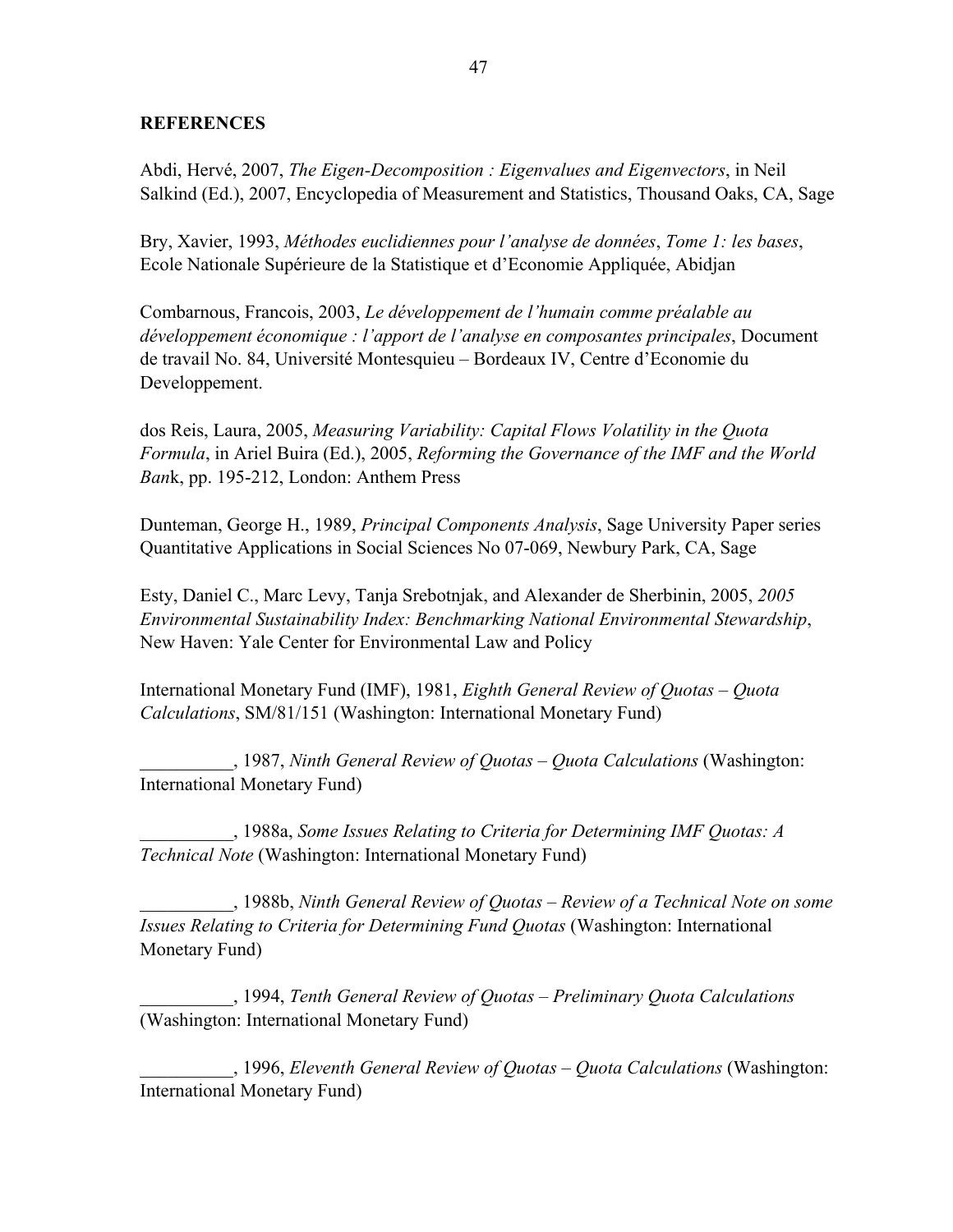### **REFERENCES**

Abdi, Hervé, 2007, *The Eigen-Decomposition : Eigenvalues and Eigenvectors*, in Neil Salkind (Ed.), 2007, Encyclopedia of Measurement and Statistics, Thousand Oaks, CA, Sage

Bry, Xavier, 1993, *Méthodes euclidiennes pour l'analyse de données*, *Tome 1: les bases*, Ecole Nationale Supérieure de la Statistique et d'Economie Appliquée, Abidjan

Combarnous, Francois, 2003, *Le développement de l'humain comme préalable au développement économique : l'apport de l'analyse en composantes principales*, Document de travail No. 84, Université Montesquieu – Bordeaux IV, Centre d'Economie du Developpement.

dos Reis, Laura, 2005, *Measuring Variability: Capital Flows Volatility in the Quota Formula*, in Ariel Buira (Ed.), 2005, *Reforming the Governance of the IMF and the World Ban*k, pp. 195-212, London: Anthem Press

Dunteman, George H., 1989, *Principal Components Analysis*, Sage University Paper series Quantitative Applications in Social Sciences No 07-069, Newbury Park, CA, Sage

Esty, Daniel C., Marc Levy, Tanja Srebotnjak, and Alexander de Sherbinin, 2005, *2005 Environmental Sustainability Index: Benchmarking National Environmental Stewardship*, New Haven: Yale Center for Environmental Law and Policy

International Monetary Fund (IMF), 1981, *Eighth General Review of Quotas – Quota Calculations*, SM/81/151 (Washington: International Monetary Fund)

\_\_\_\_\_\_\_\_\_\_, 1987, *Ninth General Review of Quotas – Quota Calculations* (Washington: International Monetary Fund)

\_\_\_\_\_\_\_\_\_\_, 1988a, *Some Issues Relating to Criteria for Determining IMF Quotas: A Technical Note* (Washington: International Monetary Fund)

\_\_\_\_\_\_\_\_\_\_, 1988b, *Ninth General Review of Quotas – Review of a Technical Note on some Issues Relating to Criteria for Determining Fund Quotas* (Washington: International Monetary Fund)

\_\_\_\_\_\_\_\_\_\_, 1994, *Tenth General Review of Quotas – Preliminary Quota Calculations* (Washington: International Monetary Fund)

\_\_\_\_\_\_\_\_\_\_, 1996, *Eleventh General Review of Quotas – Quota Calculations* (Washington: International Monetary Fund)